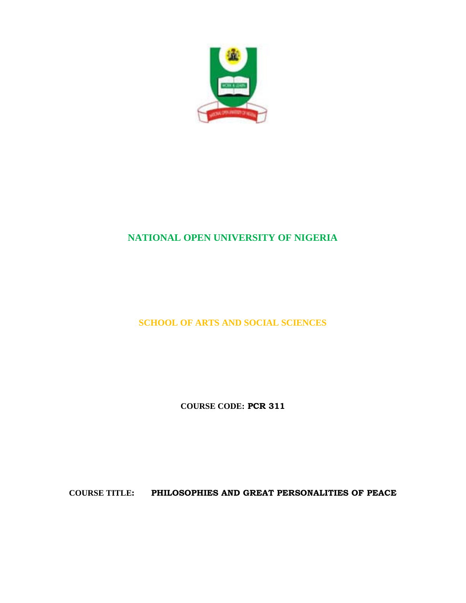

# **NATIONAL OPEN UNIVERSITY OF NIGERIA**

**SCHOOL OF ARTS AND SOCIAL SCIENCES**

**COURSE CODE: PCR 311**

**COURSE TITLE: PHILOSOPHIES AND GREAT PERSONALITIES OF PEACE**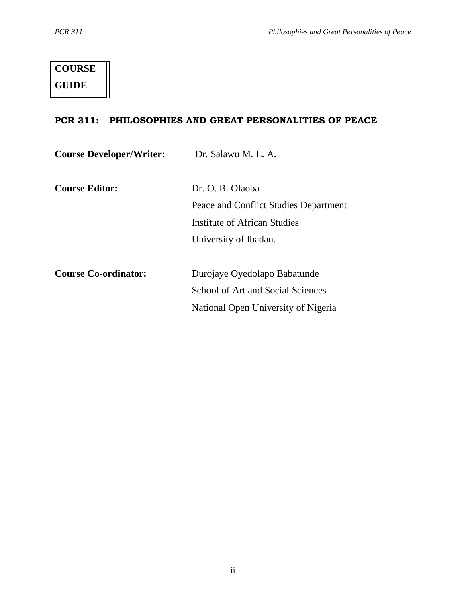# **COURSE GUIDE**

# **PCR 311: PHILOSOPHIES AND GREAT PERSONALITIES OF PEACE**

| <b>Course Developer/Writer:</b> | Dr. Salawu M. L. A.                   |
|---------------------------------|---------------------------------------|
| <b>Course Editor:</b>           | Dr. O. B. Olaoba                      |
|                                 | Peace and Conflict Studies Department |
|                                 | Institute of African Studies          |
|                                 | University of Ibadan.                 |
| <b>Course Co-ordinator:</b>     | Durojaye Oyedolapo Babatunde          |
|                                 | School of Art and Social Sciences     |
|                                 | National Open University of Nigeria   |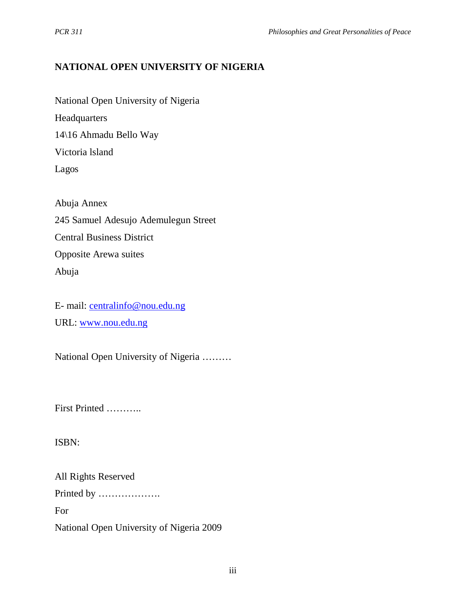# **NATIONAL OPEN UNIVERSITY OF NIGERIA**

National Open University of Nigeria Headquarters 14\16 Ahmadu Bello Way Victoria lsland Lagos

Abuja Annex 245 Samuel Adesujo Ademulegun Street Central Business District Opposite Arewa suites Abuja

E- mail: [centralinfo@nou.edu.ng](mailto:centralinfo@nou.edu.ng) URL: [www.nou.edu.ng](http://www.nou.edu.ng/)

National Open University of Nigeria ………

First Printed ………..

ISBN:

All Rights Reserved Printed by ………………. For National Open University of Nigeria 2009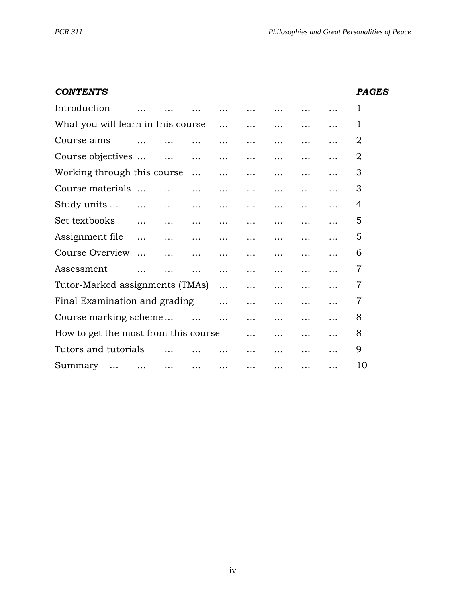| <b>CONTENTS</b>                      |                       |               |          |                                      |          |          |          | <b>PAGES</b>   |
|--------------------------------------|-----------------------|---------------|----------|--------------------------------------|----------|----------|----------|----------------|
| Introduction                         |                       |               |          |                                      |          |          |          | 1              |
| What you will learn in this course   |                       |               |          | $\dddot{\phantom{0}}\cdot\cdot\cdot$ |          |          |          | 1              |
| Course aims                          |                       |               |          |                                      | .        | $\cdots$ |          | $\overline{2}$ |
| Course objectives                    |                       | $\sim$ $\sim$ |          |                                      | .        |          |          | $\overline{2}$ |
| Working through this course          |                       |               |          | .                                    | .        | $\cdots$ |          | 3              |
| Course materials                     |                       |               |          | $\cdots$                             | .        | $\cdots$ |          | 3              |
| Study units                          | $\dddot{\phantom{0}}$ | $\ldots$      | $\cdots$ | $\cdots$                             | $\cdots$ | $\cdots$ | $\cdots$ | 4              |
| Set textbooks                        | $\dddotsc$            |               |          | $\cdots$                             | $\cdots$ | $\cdots$ | $\cdots$ | 5              |
| Assignment file                      | $\dddotsc$            | $\cdots$      |          | $\cdots$                             | $\cdots$ | $\cdots$ | $\cdots$ | 5              |
| Course Overview                      | $\dddotsc$            |               |          |                                      | .        |          |          | 6              |
| Assessment                           |                       |               |          |                                      | .        | $\cdots$ |          | 7              |
| Tutor-Marked assignments (TMAs)      |                       |               |          |                                      |          | $\cdots$ |          | 7              |
| Final Examination and grading        |                       |               |          | .                                    | .        | $\cdots$ |          | 7              |
| Course marking scheme                |                       |               |          |                                      |          | $\cdots$ |          | 8              |
| How to get the most from this course |                       |               |          |                                      | $\ddots$ |          |          | 8              |
| Tutors and tutorials                 |                       |               |          |                                      |          |          |          | 9              |
| Summary<br>.                         |                       |               |          |                                      | .        |          |          | 10             |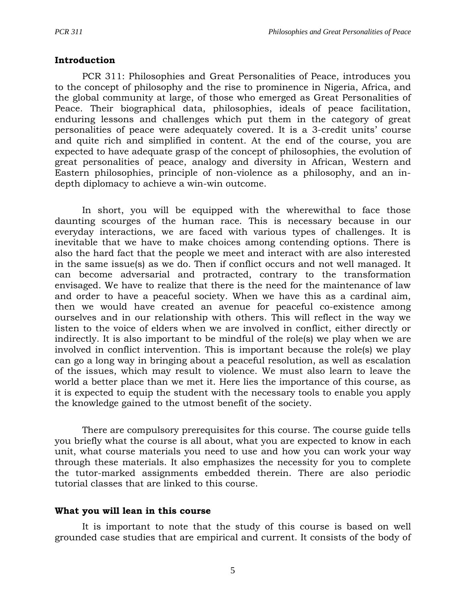#### **Introduction**

PCR 311: Philosophies and Great Personalities of Peace, introduces you to the concept of philosophy and the rise to prominence in Nigeria, Africa, and the global community at large, of those who emerged as Great Personalities of Peace. Their biographical data, philosophies, ideals of peace facilitation, enduring lessons and challenges which put them in the category of great personalities of peace were adequately covered. It is a 3-credit units' course and quite rich and simplified in content. At the end of the course, you are expected to have adequate grasp of the concept of philosophies, the evolution of great personalities of peace, analogy and diversity in African, Western and Eastern philosophies, principle of non-violence as a philosophy, and an indepth diplomacy to achieve a win-win outcome.

In short, you will be equipped with the wherewithal to face those daunting scourges of the human race. This is necessary because in our everyday interactions, we are faced with various types of challenges. It is inevitable that we have to make choices among contending options. There is also the hard fact that the people we meet and interact with are also interested in the same issue(s) as we do. Then if conflict occurs and not well managed. It can become adversarial and protracted, contrary to the transformation envisaged. We have to realize that there is the need for the maintenance of law and order to have a peaceful society. When we have this as a cardinal aim, then we would have created an avenue for peaceful co-existence among ourselves and in our relationship with others. This will reflect in the way we listen to the voice of elders when we are involved in conflict, either directly or indirectly. It is also important to be mindful of the role(s) we play when we are involved in conflict intervention. This is important because the role(s) we play can go a long way in bringing about a peaceful resolution, as well as escalation of the issues, which may result to violence. We must also learn to leave the world a better place than we met it. Here lies the importance of this course, as it is expected to equip the student with the necessary tools to enable you apply the knowledge gained to the utmost benefit of the society.

There are compulsory prerequisites for this course. The course guide tells you briefly what the course is all about, what you are expected to know in each unit, what course materials you need to use and how you can work your way through these materials. It also emphasizes the necessity for you to complete the tutor-marked assignments embedded therein. There are also periodic tutorial classes that are linked to this course.

#### **What you will lean in this course**

 It is important to note that the study of this course is based on well grounded case studies that are empirical and current. It consists of the body of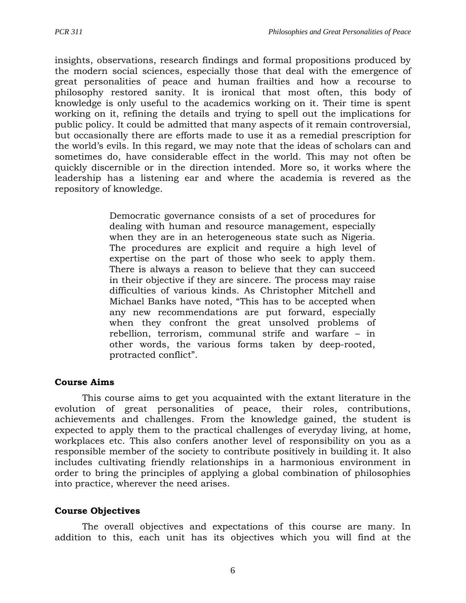insights, observations, research findings and formal propositions produced by the modern social sciences, especially those that deal with the emergence of great personalities of peace and human frailties and how a recourse to philosophy restored sanity. It is ironical that most often, this body of knowledge is only useful to the academics working on it. Their time is spent working on it, refining the details and trying to spell out the implications for public policy. It could be admitted that many aspects of it remain controversial, but occasionally there are efforts made to use it as a remedial prescription for the world's evils. In this regard, we may note that the ideas of scholars can and sometimes do, have considerable effect in the world. This may not often be quickly discernible or in the direction intended. More so, it works where the leadership has a listening ear and where the academia is revered as the repository of knowledge.

> Democratic governance consists of a set of procedures for dealing with human and resource management, especially when they are in an heterogeneous state such as Nigeria. The procedures are explicit and require a high level of expertise on the part of those who seek to apply them. There is always a reason to believe that they can succeed in their objective if they are sincere. The process may raise difficulties of various kinds. As Christopher Mitchell and Michael Banks have noted, "This has to be accepted when any new recommendations are put forward, especially when they confront the great unsolved problems of rebellion, terrorism, communal strife and warfare – in other words, the various forms taken by deep-rooted, protracted conflict".

### **Course Aims**

This course aims to get you acquainted with the extant literature in the evolution of great personalities of peace, their roles, contributions, achievements and challenges. From the knowledge gained, the student is expected to apply them to the practical challenges of everyday living, at home, workplaces etc. This also confers another level of responsibility on you as a responsible member of the society to contribute positively in building it. It also includes cultivating friendly relationships in a harmonious environment in order to bring the principles of applying a global combination of philosophies into practice, wherever the need arises.

### **Course Objectives**

The overall objectives and expectations of this course are many. In addition to this, each unit has its objectives which you will find at the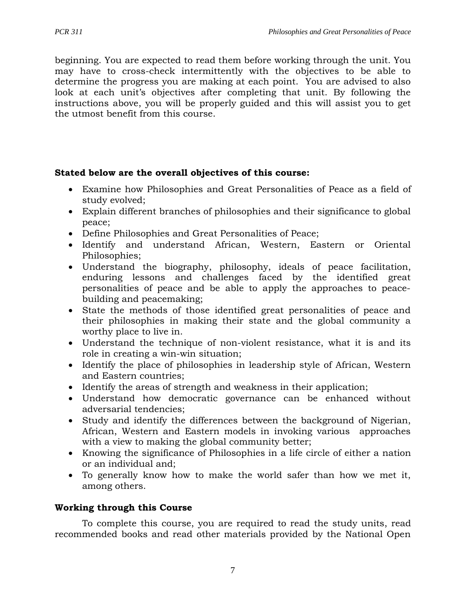beginning. You are expected to read them before working through the unit. You may have to cross-check intermittently with the objectives to be able to determine the progress you are making at each point. You are advised to also look at each unit's objectives after completing that unit. By following the instructions above, you will be properly guided and this will assist you to get the utmost benefit from this course.

# **Stated below are the overall objectives of this course:**

- Examine how Philosophies and Great Personalities of Peace as a field of study evolved;
- Explain different branches of philosophies and their significance to global peace;
- Define Philosophies and Great Personalities of Peace;
- Identify and understand African, Western, Eastern or Oriental Philosophies;
- Understand the biography, philosophy, ideals of peace facilitation, enduring lessons and challenges faced by the identified great personalities of peace and be able to apply the approaches to peacebuilding and peacemaking;
- State the methods of those identified great personalities of peace and their philosophies in making their state and the global community a worthy place to live in.
- Understand the technique of non-violent resistance, what it is and its role in creating a win-win situation;
- Identify the place of philosophies in leadership style of African, Western and Eastern countries;
- Identify the areas of strength and weakness in their application;
- Understand how democratic governance can be enhanced without adversarial tendencies;
- Study and identify the differences between the background of Nigerian, African, Western and Eastern models in invoking various approaches with a view to making the global community better;
- Knowing the significance of Philosophies in a life circle of either a nation or an individual and;
- To generally know how to make the world safer than how we met it, among others.

# **Working through this Course**

To complete this course, you are required to read the study units, read recommended books and read other materials provided by the National Open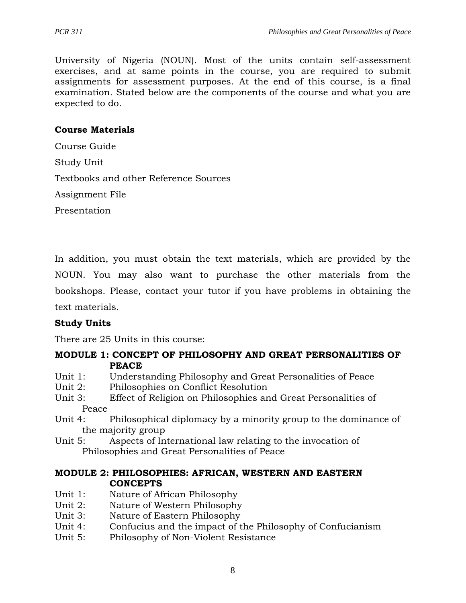University of Nigeria (NOUN). Most of the units contain self-assessment exercises, and at same points in the course, you are required to submit assignments for assessment purposes. At the end of this course, is a final examination. Stated below are the components of the course and what you are expected to do.

#### **Course Materials**

Course Guide Study Unit Textbooks and other Reference Sources Assignment File Presentation

In addition, you must obtain the text materials, which are provided by the NOUN. You may also want to purchase the other materials from the bookshops. Please, contact your tutor if you have problems in obtaining the text materials.

#### **Study Units**

There are 25 Units in this course:

#### **MODULE 1: CONCEPT OF PHILOSOPHY AND GREAT PERSONALITIES OF PEACE**

- Unit 1: Understanding Philosophy and Great Personalities of Peace
- Unit 2: Philosophies on Conflict Resolution
- Unit 3: Effect of Religion on Philosophies and Great Personalities of Peace
- Unit 4: Philosophical diplomacy by a minority group to the dominance of the majority group
- Unit 5: Aspects of International law relating to the invocation of Philosophies and Great Personalities of Peace

#### **MODULE 2: PHILOSOPHIES: AFRICAN, WESTERN AND EASTERN CONCEPTS**

- Unit 1: Nature of African Philosophy
- Unit 2: Nature of Western Philosophy
- Unit 3: Nature of Eastern Philosophy
- Unit 4: Confucius and the impact of the Philosophy of Confucianism
- Unit 5: Philosophy of Non-Violent Resistance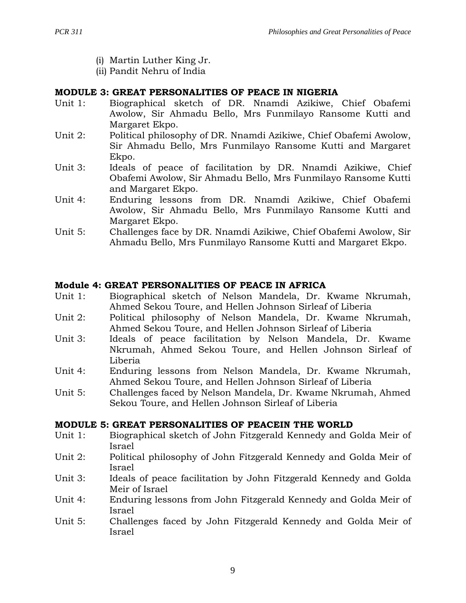- (i) Martin Luther King Jr.
- (ii) Pandit Nehru of India

## **MODULE 3: GREAT PERSONALITIES OF PEACE IN NIGERIA**

- Unit 1: Biographical sketch of DR. Nnamdi Azikiwe, Chief Obafemi Awolow, Sir Ahmadu Bello, Mrs Funmilayo Ransome Kutti and Margaret Ekpo.
- Unit 2: Political philosophy of DR. Nnamdi Azikiwe, Chief Obafemi Awolow, Sir Ahmadu Bello, Mrs Funmilayo Ransome Kutti and Margaret Ekpo.
- Unit 3: Ideals of peace of facilitation by DR. Nnamdi Azikiwe, Chief Obafemi Awolow, Sir Ahmadu Bello, Mrs Funmilayo Ransome Kutti and Margaret Ekpo.
- Unit 4: Enduring lessons from DR. Nnamdi Azikiwe, Chief Obafemi Awolow, Sir Ahmadu Bello, Mrs Funmilayo Ransome Kutti and Margaret Ekpo.
- Unit 5: Challenges face by DR. Nnamdi Azikiwe, Chief Obafemi Awolow, Sir Ahmadu Bello, Mrs Funmilayo Ransome Kutti and Margaret Ekpo.

## **Module 4: GREAT PERSONALITIES OF PEACE IN AFRICA**

- Unit 1: Biographical sketch of Nelson Mandela, Dr. Kwame Nkrumah, Ahmed Sekou Toure, and Hellen Johnson Sirleaf of Liberia
- Unit 2: Political philosophy of Nelson Mandela, Dr. Kwame Nkrumah, Ahmed Sekou Toure, and Hellen Johnson Sirleaf of Liberia
- Unit 3: Ideals of peace facilitation by Nelson Mandela, Dr. Kwame Nkrumah, Ahmed Sekou Toure, and Hellen Johnson Sirleaf of Liberia
- Unit 4: Enduring lessons from Nelson Mandela, Dr. Kwame Nkrumah, Ahmed Sekou Toure, and Hellen Johnson Sirleaf of Liberia
- Unit 5: Challenges faced by Nelson Mandela, Dr. Kwame Nkrumah, Ahmed Sekou Toure, and Hellen Johnson Sirleaf of Liberia

### **MODULE 5: GREAT PERSONALITIES OF PEACEIN THE WORLD**

- Unit 1: Biographical sketch of John Fitzgerald Kennedy and Golda Meir of Israel
- Unit 2: Political philosophy of John Fitzgerald Kennedy and Golda Meir of Israel
- Unit 3: Ideals of peace facilitation by John Fitzgerald Kennedy and Golda Meir of Israel
- Unit 4: Enduring lessons from John Fitzgerald Kennedy and Golda Meir of Israel
- Unit 5: Challenges faced by John Fitzgerald Kennedy and Golda Meir of Israel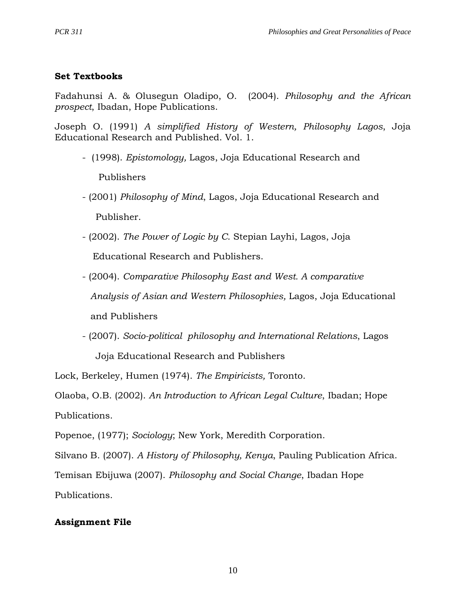### **Set Textbooks**

Fadahunsi A. & Olusegun Oladipo, O. (2004). *Philosophy and the African prospect*, Ibadan, Hope Publications.

Joseph O. (1991) *A simplified History of Western, Philosophy Lagos*, Joja Educational Research and Published. Vol. 1.

- (1998). *Epistomology,* Lagos, Joja Educational Research and Publishers
- (2001) *Philosophy of Mind*, Lagos, Joja Educational Research and Publisher.
- (2002). *The Power of Logic by C*. Stepian Layhi, Lagos, Joja Educational Research and Publishers.
- (2004). *Comparative Philosophy East and West. A comparative Analysis of Asian and Western Philosophies,* Lagos, Joja Educational and Publishers
- (2007). *Socio-political philosophy and International Relations*, Lagos Joja Educational Research and Publishers

Lock, Berkeley, Humen (1974). *The Empiricists,* Toronto.

Olaoba, O.B. (2002). *An Introduction to African Legal Culture*, Ibadan; Hope Publications.

Popenoe, (1977); *Sociology*; New York, Meredith Corporation.

Silvano B. (2007). *A History of Philosophy, Kenya*, Pauling Publication Africa. Temisan Ebijuwa (2007). *Philosophy and Social Change*, Ibadan Hope

Publications.

# **Assignment File**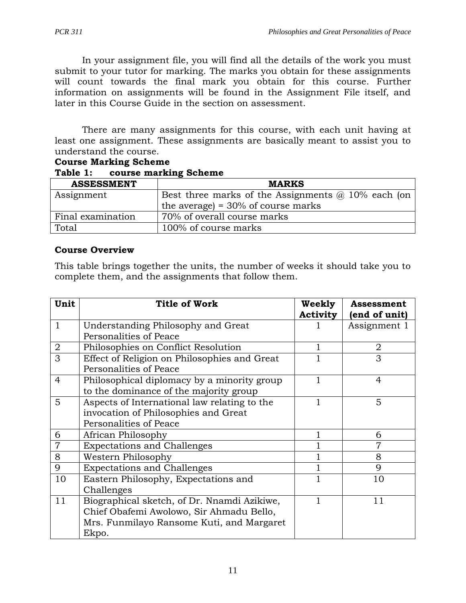In your assignment file, you will find all the details of the work you must submit to your tutor for marking. The marks you obtain for these assignments will count towards the final mark you obtain for this course. Further information on assignments will be found in the Assignment File itself, and later in this Course Guide in the section on assessment.

There are many assignments for this course, with each unit having at least one assignment. These assignments are basically meant to assist you to understand the course.

|          | <b>Course Marking Scheme</b> |  |
|----------|------------------------------|--|
| Table 1: | course marking Scheme        |  |
|          |                              |  |

| <b>ASSESSMENT</b> | <b>MARKS</b>                                              |
|-------------------|-----------------------------------------------------------|
| Assignment        | Best three marks of the Assignments $\omega$ 10% each (on |
|                   | the average) = $30\%$ of course marks                     |
| Final examination | 70% of overall course marks                               |
| Total             | 100% of course marks                                      |

### **Course Overview**

This table brings together the units, the number of weeks it should take you to complete them, and the assignments that follow them.

| Unit         | <b>Title of Work</b>                         | Weekly          | <b>Assessment</b> |
|--------------|----------------------------------------------|-----------------|-------------------|
|              |                                              | <b>Activity</b> | (end of unit)     |
| $\mathbf{1}$ | Understanding Philosophy and Great           |                 | Assignment 1      |
|              | Personalities of Peace                       |                 |                   |
| 2            | Philosophies on Conflict Resolution          |                 | 2                 |
| 3            | Effect of Religion on Philosophies and Great |                 | 3                 |
|              | Personalities of Peace                       |                 |                   |
| 4            | Philosophical diplomacy by a minority group  |                 | 4                 |
|              | to the dominance of the majority group       |                 |                   |
| 5            | Aspects of International law relating to the |                 | 5                 |
|              | invocation of Philosophies and Great         |                 |                   |
|              | Personalities of Peace                       |                 |                   |
| 6            | African Philosophy                           |                 | 6                 |
| 7            | <b>Expectations and Challenges</b>           |                 | 7                 |
| 8            | Western Philosophy                           |                 | 8                 |
| 9            | <b>Expectations and Challenges</b>           |                 | 9                 |
| 10           | Eastern Philosophy, Expectations and         |                 | 10                |
|              | Challenges                                   |                 |                   |
| 11           | Biographical sketch, of Dr. Nnamdi Azikiwe,  |                 | 11                |
|              | Chief Obafemi Awolowo, Sir Ahmadu Bello,     |                 |                   |
|              | Mrs. Funmilayo Ransome Kuti, and Margaret    |                 |                   |
|              | Ekpo.                                        |                 |                   |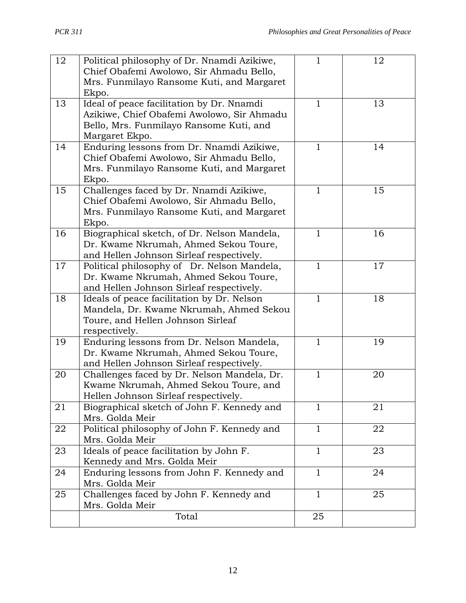| 12 | Political philosophy of Dr. Nnamdi Azikiwe,<br>Chief Obafemi Awolowo, Sir Ahmadu Bello,<br>Mrs. Funmilayo Ransome Kuti, and Margaret<br>Ekpo.        | $\mathbf{1}$ | 12 |
|----|------------------------------------------------------------------------------------------------------------------------------------------------------|--------------|----|
| 13 | Ideal of peace facilitation by Dr. Nnamdi<br>Azikiwe, Chief Obafemi Awolowo, Sir Ahmadu<br>Bello, Mrs. Funmilayo Ransome Kuti, and<br>Margaret Ekpo. | 1            | 13 |
| 14 | Enduring lessons from Dr. Nnamdi Azikiwe,<br>Chief Obafemi Awolowo, Sir Ahmadu Bello,<br>Mrs. Funmilayo Ransome Kuti, and Margaret<br>Ekpo.          | $\mathbf{1}$ | 14 |
| 15 | Challenges faced by Dr. Nnamdi Azikiwe,<br>Chief Obafemi Awolowo, Sir Ahmadu Bello,<br>Mrs. Funmilayo Ransome Kuti, and Margaret<br>Ekpo.            | 1            | 15 |
| 16 | Biographical sketch, of Dr. Nelson Mandela,<br>Dr. Kwame Nkrumah, Ahmed Sekou Toure,<br>and Hellen Johnson Sirleaf respectively.                     | $\mathbf{1}$ | 16 |
| 17 | Political philosophy of Dr. Nelson Mandela,<br>Dr. Kwame Nkrumah, Ahmed Sekou Toure,<br>and Hellen Johnson Sirleaf respectively.                     | $\mathbf{1}$ | 17 |
| 18 | Ideals of peace facilitation by Dr. Nelson<br>Mandela, Dr. Kwame Nkrumah, Ahmed Sekou<br>Toure, and Hellen Johnson Sirleaf<br>respectively.          | $\mathbf{1}$ | 18 |
| 19 | Enduring lessons from Dr. Nelson Mandela,<br>Dr. Kwame Nkrumah, Ahmed Sekou Toure,<br>and Hellen Johnson Sirleaf respectively.                       | 1            | 19 |
| 20 | Challenges faced by Dr. Nelson Mandela, Dr.<br>Kwame Nkrumah, Ahmed Sekou Toure, and<br>Hellen Johnson Sirleaf respectively.                         | $\mathbf{1}$ | 20 |
| 21 | Biographical sketch of John F. Kennedy and<br>Mrs. Golda Meir                                                                                        | $\mathbf{1}$ | 21 |
| 22 | Political philosophy of John F. Kennedy and<br>Mrs. Golda Meir                                                                                       | $\mathbf{1}$ | 22 |
| 23 | Ideals of peace facilitation by John F.<br>Kennedy and Mrs. Golda Meir                                                                               | $\mathbf{1}$ | 23 |
| 24 | Enduring lessons from John F. Kennedy and<br>Mrs. Golda Meir                                                                                         | $\mathbf{1}$ | 24 |
| 25 | Challenges faced by John F. Kennedy and<br>Mrs. Golda Meir                                                                                           | $\mathbf{1}$ | 25 |
|    | Total                                                                                                                                                | 25           |    |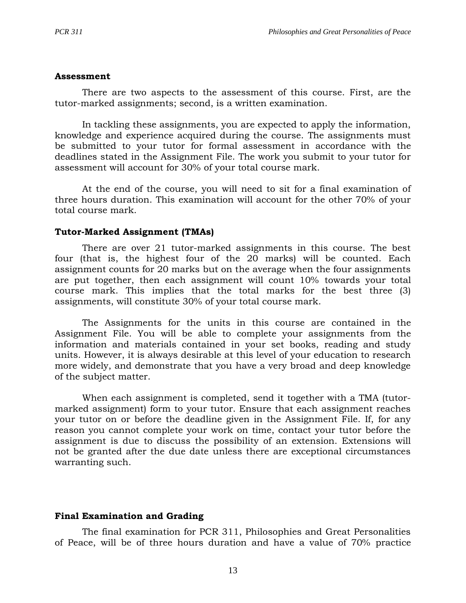#### **Assessment**

There are two aspects to the assessment of this course. First, are the tutor-marked assignments; second, is a written examination.

In tackling these assignments, you are expected to apply the information, knowledge and experience acquired during the course. The assignments must be submitted to your tutor for formal assessment in accordance with the deadlines stated in the Assignment File. The work you submit to your tutor for assessment will account for 30% of your total course mark.

At the end of the course, you will need to sit for a final examination of three hours duration. This examination will account for the other 70% of your total course mark.

#### **Tutor-Marked Assignment (TMAs)**

There are over 21 tutor-marked assignments in this course. The best four (that is, the highest four of the 20 marks) will be counted. Each assignment counts for 20 marks but on the average when the four assignments are put together, then each assignment will count 10% towards your total course mark. This implies that the total marks for the best three (3) assignments, will constitute 30% of your total course mark.

The Assignments for the units in this course are contained in the Assignment File. You will be able to complete your assignments from the information and materials contained in your set books, reading and study units. However, it is always desirable at this level of your education to research more widely, and demonstrate that you have a very broad and deep knowledge of the subject matter.

When each assignment is completed, send it together with a TMA (tutormarked assignment) form to your tutor. Ensure that each assignment reaches your tutor on or before the deadline given in the Assignment File. If, for any reason you cannot complete your work on time, contact your tutor before the assignment is due to discuss the possibility of an extension. Extensions will not be granted after the due date unless there are exceptional circumstances warranting such.

#### **Final Examination and Grading**

The final examination for PCR 311, Philosophies and Great Personalities of Peace, will be of three hours duration and have a value of 70% practice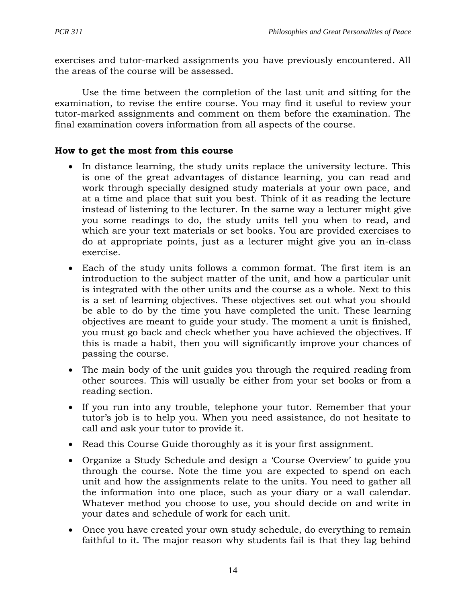exercises and tutor-marked assignments you have previously encountered. All the areas of the course will be assessed.

Use the time between the completion of the last unit and sitting for the examination, to revise the entire course. You may find it useful to review your tutor-marked assignments and comment on them before the examination. The final examination covers information from all aspects of the course.

### **How to get the most from this course**

- In distance learning, the study units replace the university lecture. This is one of the great advantages of distance learning, you can read and work through specially designed study materials at your own pace, and at a time and place that suit you best. Think of it as reading the lecture instead of listening to the lecturer. In the same way a lecturer might give you some readings to do, the study units tell you when to read, and which are your text materials or set books. You are provided exercises to do at appropriate points, just as a lecturer might give you an in-class exercise.
- Each of the study units follows a common format. The first item is an introduction to the subject matter of the unit, and how a particular unit is integrated with the other units and the course as a whole. Next to this is a set of learning objectives. These objectives set out what you should be able to do by the time you have completed the unit. These learning objectives are meant to guide your study. The moment a unit is finished, you must go back and check whether you have achieved the objectives. If this is made a habit, then you will significantly improve your chances of passing the course.
- The main body of the unit guides you through the required reading from other sources. This will usually be either from your set books or from a reading section.
- If you run into any trouble, telephone your tutor. Remember that your tutor's job is to help you. When you need assistance, do not hesitate to call and ask your tutor to provide it.
- Read this Course Guide thoroughly as it is your first assignment.
- Organize a Study Schedule and design a 'Course Overview' to guide you through the course. Note the time you are expected to spend on each unit and how the assignments relate to the units. You need to gather all the information into one place, such as your diary or a wall calendar. Whatever method you choose to use, you should decide on and write in your dates and schedule of work for each unit.
- Once you have created your own study schedule, do everything to remain faithful to it. The major reason why students fail is that they lag behind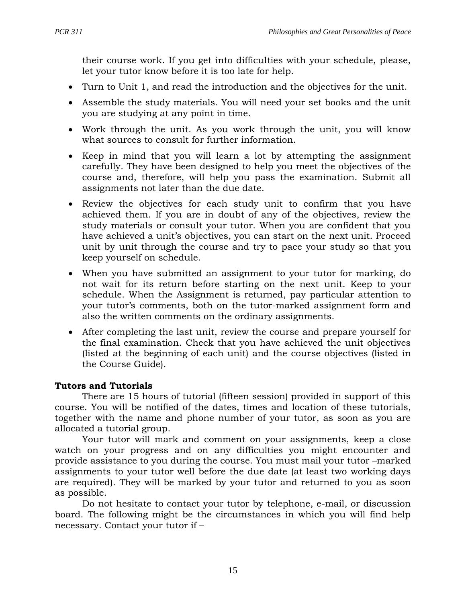their course work. If you get into difficulties with your schedule, please, let your tutor know before it is too late for help.

- Turn to Unit 1, and read the introduction and the objectives for the unit.
- Assemble the study materials. You will need your set books and the unit you are studying at any point in time.
- Work through the unit. As you work through the unit, you will know what sources to consult for further information.
- Keep in mind that you will learn a lot by attempting the assignment carefully. They have been designed to help you meet the objectives of the course and, therefore, will help you pass the examination. Submit all assignments not later than the due date.
- Review the objectives for each study unit to confirm that you have achieved them. If you are in doubt of any of the objectives, review the study materials or consult your tutor. When you are confident that you have achieved a unit's objectives, you can start on the next unit. Proceed unit by unit through the course and try to pace your study so that you keep yourself on schedule.
- When you have submitted an assignment to your tutor for marking, do not wait for its return before starting on the next unit. Keep to your schedule. When the Assignment is returned, pay particular attention to your tutor's comments, both on the tutor-marked assignment form and also the written comments on the ordinary assignments.
- After completing the last unit, review the course and prepare yourself for the final examination. Check that you have achieved the unit objectives (listed at the beginning of each unit) and the course objectives (listed in the Course Guide).

# **Tutors and Tutorials**

There are 15 hours of tutorial (fifteen session) provided in support of this course. You will be notified of the dates, times and location of these tutorials, together with the name and phone number of your tutor, as soon as you are allocated a tutorial group.

Your tutor will mark and comment on your assignments, keep a close watch on your progress and on any difficulties you might encounter and provide assistance to you during the course. You must mail your tutor –marked assignments to your tutor well before the due date (at least two working days are required). They will be marked by your tutor and returned to you as soon as possible.

Do not hesitate to contact your tutor by telephone, e-mail, or discussion board. The following might be the circumstances in which you will find help necessary. Contact your tutor if –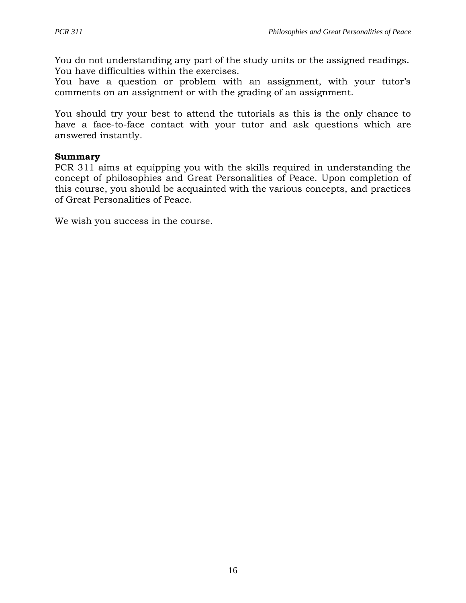You do not understanding any part of the study units or the assigned readings. You have difficulties within the exercises.

You have a question or problem with an assignment, with your tutor's comments on an assignment or with the grading of an assignment.

You should try your best to attend the tutorials as this is the only chance to have a face-to-face contact with your tutor and ask questions which are answered instantly.

### **Summary**

PCR 311 aims at equipping you with the skills required in understanding the concept of philosophies and Great Personalities of Peace. Upon completion of this course, you should be acquainted with the various concepts, and practices of Great Personalities of Peace.

We wish you success in the course.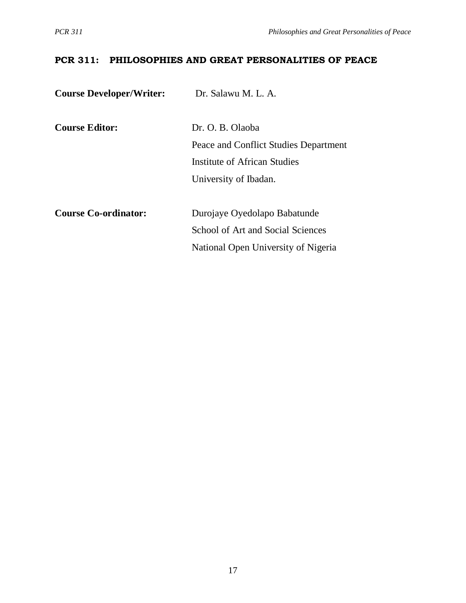# **PCR 311: PHILOSOPHIES AND GREAT PERSONALITIES OF PEACE**

| <b>Course Developer/Writer:</b> | Dr. Salawu M. L. A.                   |
|---------------------------------|---------------------------------------|
| <b>Course Editor:</b>           | Dr. O. B. Olaoba                      |
|                                 | Peace and Conflict Studies Department |
|                                 | Institute of African Studies          |
|                                 | University of Ibadan.                 |
| <b>Course Co-ordinator:</b>     | Durojaye Oyedolapo Babatunde          |
|                                 | School of Art and Social Sciences     |
|                                 | National Open University of Nigeria   |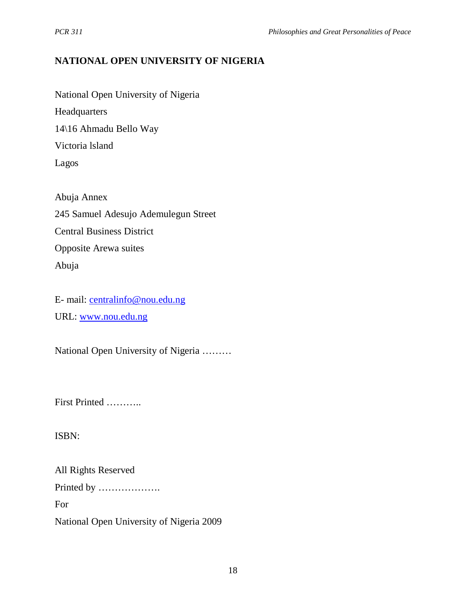# **NATIONAL OPEN UNIVERSITY OF NIGERIA**

National Open University of Nigeria Headquarters 14\16 Ahmadu Bello Way Victoria lsland Lagos

Abuja Annex 245 Samuel Adesujo Ademulegun Street Central Business District Opposite Arewa suites Abuja

E- mail: [centralinfo@nou.edu.ng](mailto:centralinfo@nou.edu.ng) URL: [www.nou.edu.ng](http://www.nou.edu.ng/)

National Open University of Nigeria ………

First Printed ………..

ISBN:

All Rights Reserved Printed by ………………. For National Open University of Nigeria 2009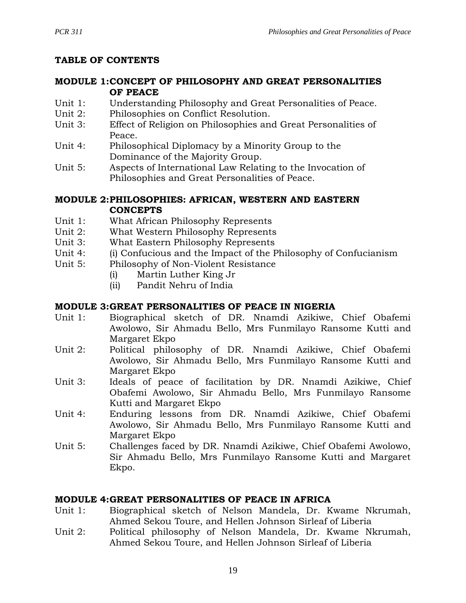# **TABLE OF CONTENTS**

#### **MODULE 1:CONCEPT OF PHILOSOPHY AND GREAT PERSONALITIES OF PEACE**

- Unit 1: Understanding Philosophy and Great Personalities of Peace.
- Unit 2: Philosophies on Conflict Resolution.
- Unit 3: Effect of Religion on Philosophies and Great Personalities of Peace.
- Unit 4: Philosophical Diplomacy by a Minority Group to the Dominance of the Majority Group.
- Unit 5: Aspects of International Law Relating to the Invocation of Philosophies and Great Personalities of Peace.

#### **MODULE 2:PHILOSOPHIES: AFRICAN, WESTERN AND EASTERN CONCEPTS**

- Unit 1: What African Philosophy Represents
- Unit 2: What Western Philosophy Represents
- Unit 3: What Eastern Philosophy Represents
- Unit 4: (i) Confucious and the Impact of the Philosophy of Confucianism
- Unit 5: Philosophy of Non-Violent Resistance
	- (i) Martin Luther King Jr
	- (ii) Pandit Nehru of India

### **MODULE 3:GREAT PERSONALITIES OF PEACE IN NIGERIA**

- Unit 1: Biographical sketch of DR. Nnamdi Azikiwe, Chief Obafemi Awolowo, Sir Ahmadu Bello, Mrs Funmilayo Ransome Kutti and Margaret Ekpo
- Unit 2: Political philosophy of DR. Nnamdi Azikiwe, Chief Obafemi Awolowo, Sir Ahmadu Bello, Mrs Funmilayo Ransome Kutti and Margaret Ekpo
- Unit 3: Ideals of peace of facilitation by DR. Nnamdi Azikiwe, Chief Obafemi Awolowo, Sir Ahmadu Bello, Mrs Funmilayo Ransome Kutti and Margaret Ekpo
- Unit 4: Enduring lessons from DR. Nnamdi Azikiwe, Chief Obafemi Awolowo, Sir Ahmadu Bello, Mrs Funmilayo Ransome Kutti and Margaret Ekpo
- Unit 5: Challenges faced by DR. Nnamdi Azikiwe, Chief Obafemi Awolowo, Sir Ahmadu Bello, Mrs Funmilayo Ransome Kutti and Margaret Ekpo.

### **MODULE 4:GREAT PERSONALITIES OF PEACE IN AFRICA**

- Unit 1: Biographical sketch of Nelson Mandela, Dr. Kwame Nkrumah, Ahmed Sekou Toure, and Hellen Johnson Sirleaf of Liberia
- Unit 2: Political philosophy of Nelson Mandela, Dr. Kwame Nkrumah, Ahmed Sekou Toure, and Hellen Johnson Sirleaf of Liberia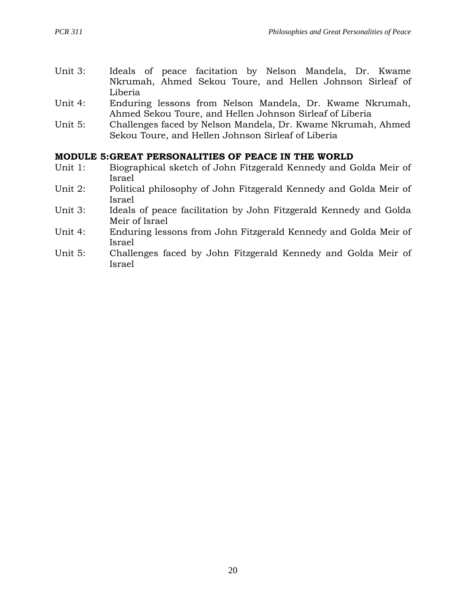- Unit 3: Ideals of peace facitation by Nelson Mandela, Dr. Kwame Nkrumah, Ahmed Sekou Toure, and Hellen Johnson Sirleaf of Liberia
- Unit 4: Enduring lessons from Nelson Mandela, Dr. Kwame Nkrumah, Ahmed Sekou Toure, and Hellen Johnson Sirleaf of Liberia
- Unit 5: Challenges faced by Nelson Mandela, Dr. Kwame Nkrumah, Ahmed Sekou Toure, and Hellen Johnson Sirleaf of Liberia

#### **MODULE 5:GREAT PERSONALITIES OF PEACE IN THE WORLD**

- Unit 1: Biographical sketch of John Fitzgerald Kennedy and Golda Meir of Israel
- Unit 2: Political philosophy of John Fitzgerald Kennedy and Golda Meir of Israel
- Unit 3: Ideals of peace facilitation by John Fitzgerald Kennedy and Golda Meir of Israel
- Unit 4: Enduring lessons from John Fitzgerald Kennedy and Golda Meir of Israel
- Unit 5: Challenges faced by John Fitzgerald Kennedy and Golda Meir of Israel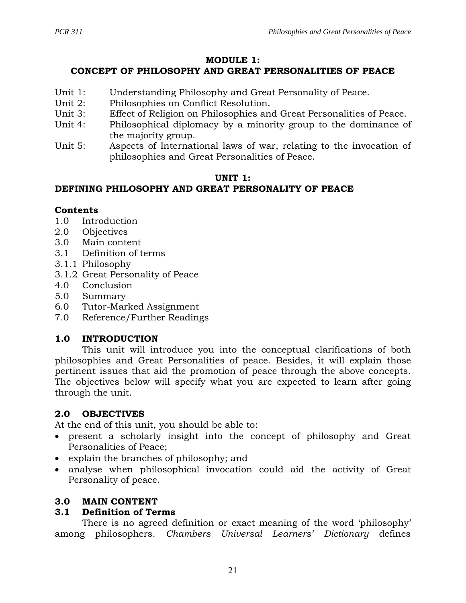#### **MODULE 1:**

# **CONCEPT OF PHILOSOPHY AND GREAT PERSONALITIES OF PEACE**

- Unit 1: Understanding Philosophy and Great Personality of Peace.
- Unit 2: Philosophies on Conflict Resolution.
- Unit 3: Effect of Religion on Philosophies and Great Personalities of Peace.
- Unit 4: Philosophical diplomacy by a minority group to the dominance of the majority group.
- Unit 5: Aspects of International laws of war, relating to the invocation of philosophies and Great Personalities of Peace.

#### **UNIT 1:**

## **DEFINING PHILOSOPHY AND GREAT PERSONALITY OF PEACE**

### **Contents**

- 1.0 Introduction
- 2.0 Objectives
- 3.0 Main content
- 3.1 Definition of terms
- 3.1.1 Philosophy
- 3.1.2 Great Personality of Peace
- 4.0 Conclusion
- 5.0 Summary
- 6.0 Tutor-Marked Assignment
- 7.0 Reference/Further Readings

### **1.0 INTRODUCTION**

This unit will introduce you into the conceptual clarifications of both philosophies and Great Personalities of peace. Besides, it will explain those pertinent issues that aid the promotion of peace through the above concepts. The objectives below will specify what you are expected to learn after going through the unit.

### **2.0 OBJECTIVES**

At the end of this unit, you should be able to:

- present a scholarly insight into the concept of philosophy and Great Personalities of Peace;
- explain the branches of philosophy; and
- analyse when philosophical invocation could aid the activity of Great Personality of peace.

### **3.0 MAIN CONTENT**

### **3.1 Definition of Terms**

There is no agreed definition or exact meaning of the word 'philosophy' among philosophers. *Chambers Universal Learners' Dictionary* defines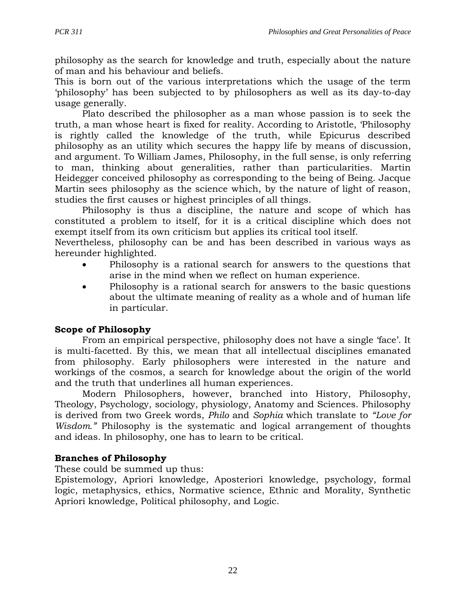philosophy as the search for knowledge and truth, especially about the nature of man and his behaviour and beliefs.

This is born out of the various interpretations which the usage of the term 'philosophy' has been subjected to by philosophers as well as its day-to-day usage generally.

Plato described the philosopher as a man whose passion is to seek the truth, a man whose heart is fixed for reality. According to Aristotle, 'Philosophy is rightly called the knowledge of the truth, while Epicurus described philosophy as an utility which secures the happy life by means of discussion, and argument. To William James, Philosophy, in the full sense, is only referring to man, thinking about generalities, rather than particularities. Martin Heidegger conceived philosophy as corresponding to the being of Being. Jacque Martin sees philosophy as the science which, by the nature of light of reason, studies the first causes or highest principles of all things.

Philosophy is thus a discipline, the nature and scope of which has constituted a problem to itself, for it is a critical discipline which does not exempt itself from its own criticism but applies its critical tool itself.

Nevertheless, philosophy can be and has been described in various ways as hereunder highlighted.

- Philosophy is a rational search for answers to the questions that arise in the mind when we reflect on human experience.
- Philosophy is a rational search for answers to the basic questions about the ultimate meaning of reality as a whole and of human life in particular.

### **Scope of Philosophy**

From an empirical perspective, philosophy does not have a single 'face'. It is multi-facetted. By this, we mean that all intellectual disciplines emanated from philosophy. Early philosophers were interested in the nature and workings of the cosmos, a search for knowledge about the origin of the world and the truth that underlines all human experiences.

Modern Philosophers, however, branched into History, Philosophy, Theology, Psychology, sociology, physiology, Anatomy and Sciences. Philosophy is derived from two Greek words, *Philo* and *Sophia* which translate to *"Love for Wisdom."* Philosophy is the systematic and logical arrangement of thoughts and ideas. In philosophy, one has to learn to be critical.

# **Branches of Philosophy**

These could be summed up thus:

Epistemology, Apriori knowledge, Aposteriori knowledge, psychology, formal logic, metaphysics, ethics, Normative science, Ethnic and Morality, Synthetic Apriori knowledge, Political philosophy, and Logic.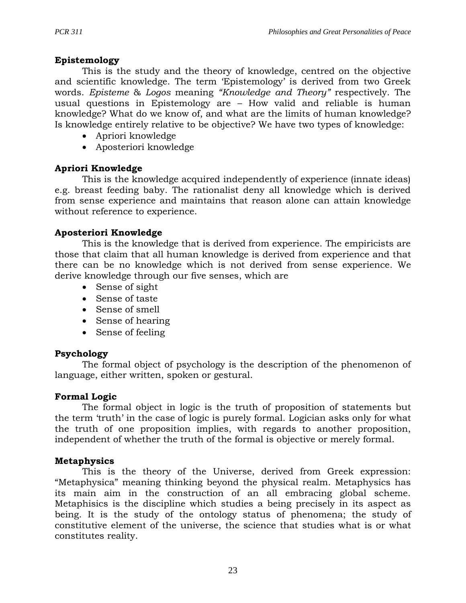### **Epistemology**

This is the study and the theory of knowledge, centred on the objective and scientific knowledge. The term 'Epistemology' is derived from two Greek words. *Episteme* & *Logos* meaning *"Knowledge and Theory"* respectively. The usual questions in Epistemology are – How valid and reliable is human knowledge? What do we know of, and what are the limits of human knowledge? Is knowledge entirely relative to be objective? We have two types of knowledge:

- Apriori knowledge
- Aposteriori knowledge

# **Apriori Knowledge**

This is the knowledge acquired independently of experience (innate ideas) e.g. breast feeding baby. The rationalist deny all knowledge which is derived from sense experience and maintains that reason alone can attain knowledge without reference to experience.

# **Aposteriori Knowledge**

This is the knowledge that is derived from experience. The empiricists are those that claim that all human knowledge is derived from experience and that there can be no knowledge which is not derived from sense experience. We derive knowledge through our five senses, which are

- Sense of sight
- Sense of taste
- Sense of smell
- Sense of hearing
- Sense of feeling

# **Psychology**

The formal object of psychology is the description of the phenomenon of language, either written, spoken or gestural.

# **Formal Logic**

The formal object in logic is the truth of proposition of statements but the term 'truth' in the case of logic is purely formal. Logician asks only for what the truth of one proposition implies, with regards to another proposition, independent of whether the truth of the formal is objective or merely formal.

# **Metaphysics**

This is the theory of the Universe, derived from Greek expression: "Metaphysica" meaning thinking beyond the physical realm. Metaphysics has its main aim in the construction of an all embracing global scheme. Metaphisics is the discipline which studies a being precisely in its aspect as being. It is the study of the ontology status of phenomena; the study of constitutive element of the universe, the science that studies what is or what constitutes reality.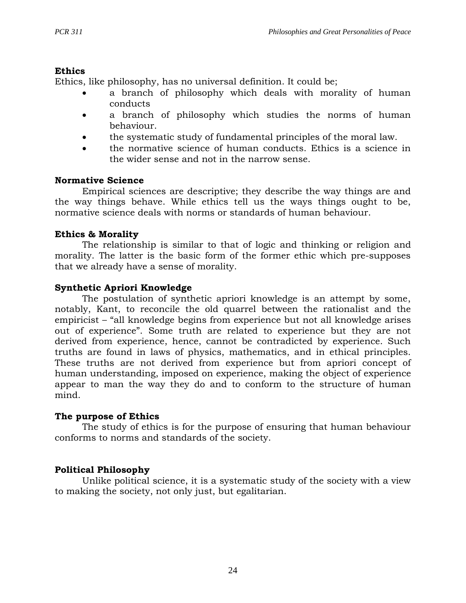### **Ethics**

Ethics, like philosophy, has no universal definition. It could be;

- a branch of philosophy which deals with morality of human conducts
- a branch of philosophy which studies the norms of human behaviour.
- the systematic study of fundamental principles of the moral law.
- the normative science of human conducts. Ethics is a science in the wider sense and not in the narrow sense.

### **Normative Science**

Empirical sciences are descriptive; they describe the way things are and the way things behave. While ethics tell us the ways things ought to be, normative science deals with norms or standards of human behaviour.

#### **Ethics & Morality**

The relationship is similar to that of logic and thinking or religion and morality. The latter is the basic form of the former ethic which pre-supposes that we already have a sense of morality.

#### **Synthetic Apriori Knowledge**

The postulation of synthetic apriori knowledge is an attempt by some, notably, Kant, to reconcile the old quarrel between the rationalist and the empiricist – "all knowledge begins from experience but not all knowledge arises out of experience". Some truth are related to experience but they are not derived from experience, hence, cannot be contradicted by experience. Such truths are found in laws of physics, mathematics, and in ethical principles. These truths are not derived from experience but from apriori concept of human understanding, imposed on experience, making the object of experience appear to man the way they do and to conform to the structure of human mind.

#### **The purpose of Ethics**

The study of ethics is for the purpose of ensuring that human behaviour conforms to norms and standards of the society.

### **Political Philosophy**

Unlike political science, it is a systematic study of the society with a view to making the society, not only just, but egalitarian.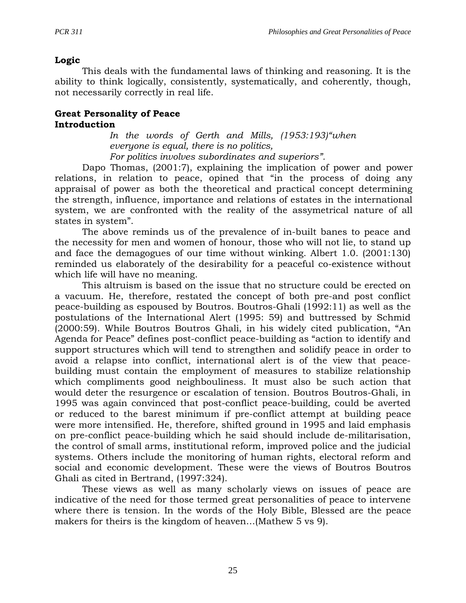#### **Logic**

This deals with the fundamental laws of thinking and reasoning. It is the ability to think logically, consistently, systematically, and coherently, though, not necessarily correctly in real life.

#### **Great Personality of Peace Introduction**

*In the words of Gerth and Mills, (1953:193)"when everyone is equal, there is no politics, For politics involves subordinates and superiors".*

Dapo Thomas, (2001:7), explaining the implication of power and power relations, in relation to peace, opined that "in the process of doing any appraisal of power as both the theoretical and practical concept determining the strength, influence, importance and relations of estates in the international system, we are confronted with the reality of the assymetrical nature of all states in system".

The above reminds us of the prevalence of in-built banes to peace and the necessity for men and women of honour, those who will not lie, to stand up and face the demagogues of our time without winking. Albert 1.0. (2001:130) reminded us elaborately of the desirability for a peaceful co-existence without which life will have no meaning.

This altruism is based on the issue that no structure could be erected on a vacuum. He, therefore, restated the concept of both pre-and post conflict peace-building as espoused by Boutros. Boutros-Ghali (1992:11) as well as the postulations of the International Alert (1995: 59) and buttressed by Schmid (2000:59). While Boutros Boutros Ghali, in his widely cited publication, "An Agenda for Peace" defines post-conflict peace-building as "action to identify and support structures which will tend to strengthen and solidify peace in order to avoid a relapse into conflict, international alert is of the view that peacebuilding must contain the employment of measures to stabilize relationship which compliments good neighbouliness. It must also be such action that would deter the resurgence or escalation of tension. Boutros Boutros-Ghali, in 1995 was again convinced that post-conflict peace-building, could be averted or reduced to the barest minimum if pre-conflict attempt at building peace were more intensified. He, therefore, shifted ground in 1995 and laid emphasis on pre-conflict peace-building which he said should include de-militarisation, the control of small arms, institutional reform, improved police and the judicial systems. Others include the monitoring of human rights, electoral reform and social and economic development. These were the views of Boutros Boutros Ghali as cited in Bertrand, (1997:324).

These views as well as many scholarly views on issues of peace are indicative of the need for those termed great personalities of peace to intervene where there is tension. In the words of the Holy Bible, Blessed are the peace makers for theirs is the kingdom of heaven…(Mathew 5 vs 9).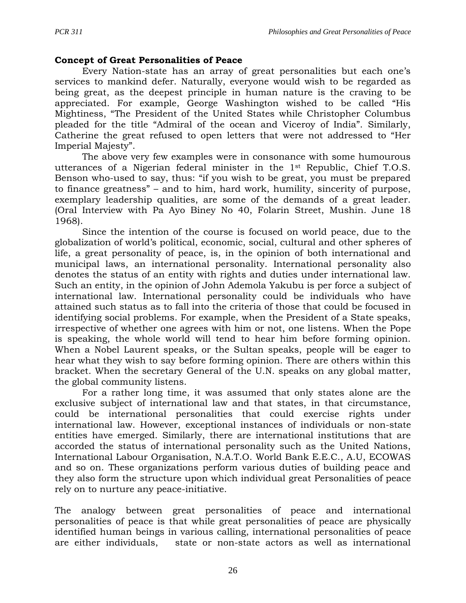#### **Concept of Great Personalities of Peace**

Every Nation-state has an array of great personalities but each one's services to mankind defer. Naturally, everyone would wish to be regarded as being great, as the deepest principle in human nature is the craving to be appreciated. For example, George Washington wished to be called "His Mightiness, "The President of the United States while Christopher Columbus pleaded for the title "Admiral of the ocean and Viceroy of India". Similarly, Catherine the great refused to open letters that were not addressed to "Her Imperial Majesty".

The above very few examples were in consonance with some humourous utterances of a Nigerian federal minister in the 1st Republic, Chief T.O.S. Benson who-used to say, thus: "if you wish to be great, you must be prepared to finance greatness" – and to him, hard work, humility, sincerity of purpose, exemplary leadership qualities, are some of the demands of a great leader. (Oral Interview with Pa Ayo Biney No 40, Folarin Street, Mushin. June 18 1968).

Since the intention of the course is focused on world peace, due to the globalization of world's political, economic, social, cultural and other spheres of life, a great personality of peace, is, in the opinion of both international and municipal laws, an international personality. International personality also denotes the status of an entity with rights and duties under international law. Such an entity, in the opinion of John Ademola Yakubu is per force a subject of international law. International personality could be individuals who have attained such status as to fall into the criteria of those that could be focused in identifying social problems. For example, when the President of a State speaks, irrespective of whether one agrees with him or not, one listens. When the Pope is speaking, the whole world will tend to hear him before forming opinion. When a Nobel Laurent speaks, or the Sultan speaks, people will be eager to hear what they wish to say before forming opinion. There are others within this bracket. When the secretary General of the U.N. speaks on any global matter, the global community listens.

For a rather long time, it was assumed that only states alone are the exclusive subject of international law and that states, in that circumstance, could be international personalities that could exercise rights under international law. However, exceptional instances of individuals or non-state entities have emerged. Similarly, there are international institutions that are accorded the status of international personality such as the United Nations, International Labour Organisation, N.A.T.O. World Bank E.E.C., A.U, ECOWAS and so on. These organizations perform various duties of building peace and they also form the structure upon which individual great Personalities of peace rely on to nurture any peace-initiative.

The analogy between great personalities of peace and international personalities of peace is that while great personalities of peace are physically identified human beings in various calling, international personalities of peace are either individuals, state or non-state actors as well as international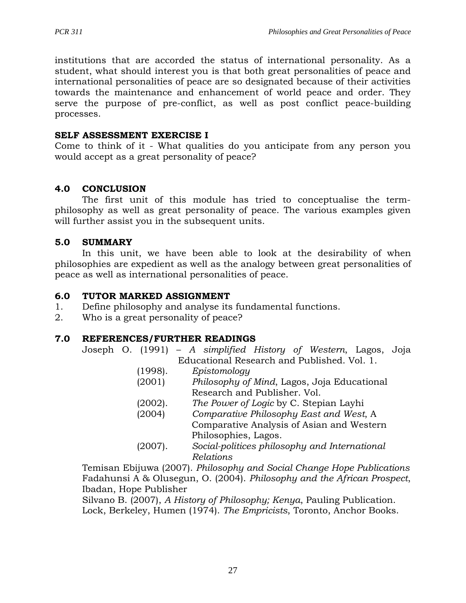institutions that are accorded the status of international personality. As a student, what should interest you is that both great personalities of peace and international personalities of peace are so designated because of their activities towards the maintenance and enhancement of world peace and order. They serve the purpose of pre-conflict, as well as post conflict peace-building processes.

#### **SELF ASSESSMENT EXERCISE I**

Come to think of it - What qualities do you anticipate from any person you would accept as a great personality of peace?

## **4.0 CONCLUSION**

The first unit of this module has tried to conceptualise the termphilosophy as well as great personality of peace. The various examples given will further assist you in the subsequent units.

### **5.0 SUMMARY**

In this unit, we have been able to look at the desirability of when philosophies are expedient as well as the analogy between great personalities of peace as well as international personalities of peace.

#### **6.0 TUTOR MARKED ASSIGNMENT**

- 1. Define philosophy and analyse its fundamental functions.
- 2. Who is a great personality of peace?

### **7.0 REFERENCES/FURTHER READINGS**

Joseph O. (1991) – *A simplified History of Western*, Lagos, Joja Educational Research and Published. Vol. 1.

- (1998). *Epistomology*
- (2001) *Philosophy of Mind*, Lagos, Joja Educational Research and Publisher. Vol.
- (2002). *The Power of Logic* by C. Stepian Layhi
- (2004) *Comparative Philosophy East and West*, A Comparative Analysis of Asian and Western Philosophies, Lagos.
- (2007). *Social-politices philosophy and International Relations*

Temisan Ebijuwa (2007). *Philosophy and Social Change Hope Publications* Fadahunsi A & Olusegun, O. (2004). *Philosophy and the African Prospect*, Ibadan, Hope Publisher

Silvano B. (2007), *A History of Philosophy; Kenya*, Pauling Publication. Lock, Berkeley, Humen (1974). *The Empricists*, Toronto, Anchor Books.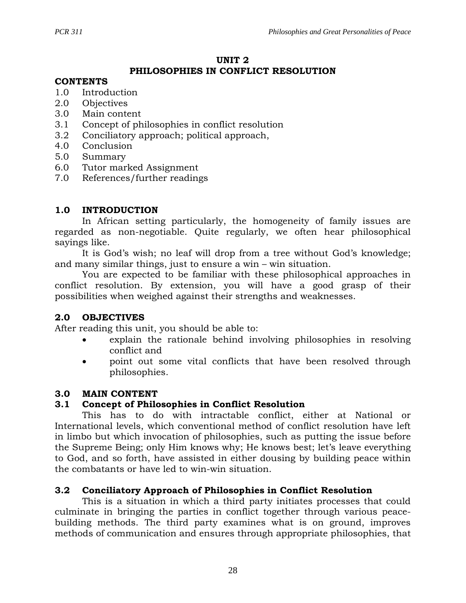#### **UNIT 2 PHILOSOPHIES IN CONFLICT RESOLUTION**

#### **CONTENTS**

- 1.0 Introduction
- 2.0 Objectives
- 3.0 Main content
- 3.1 Concept of philosophies in conflict resolution
- 3.2 Conciliatory approach; political approach,
- 4.0 Conclusion
- 5.0 Summary
- 6.0 Tutor marked Assignment
- 7.0 References/further readings

#### **1.0 INTRODUCTION**

In African setting particularly, the homogeneity of family issues are regarded as non-negotiable. Quite regularly, we often hear philosophical sayings like.

It is God's wish; no leaf will drop from a tree without God's knowledge; and many similar things, just to ensure a win – win situation.

You are expected to be familiar with these philosophical approaches in conflict resolution. By extension, you will have a good grasp of their possibilities when weighed against their strengths and weaknesses.

#### **2.0 OBJECTIVES**

After reading this unit, you should be able to:

- explain the rationale behind involving philosophies in resolving conflict and
- point out some vital conflicts that have been resolved through philosophies.

### **3.0 MAIN CONTENT**

### **3.1 Concept of Philosophies in Conflict Resolution**

This has to do with intractable conflict, either at National or International levels, which conventional method of conflict resolution have left in limbo but which invocation of philosophies, such as putting the issue before the Supreme Being; only Him knows why; He knows best; let's leave everything to God, and so forth, have assisted in either dousing by building peace within the combatants or have led to win-win situation.

### **3.2 Conciliatory Approach of Philosophies in Conflict Resolution**

This is a situation in which a third party initiates processes that could culminate in bringing the parties in conflict together through various peacebuilding methods. The third party examines what is on ground, improves methods of communication and ensures through appropriate philosophies, that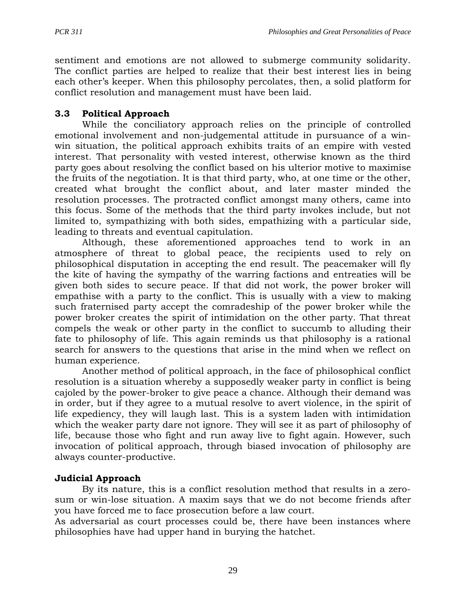sentiment and emotions are not allowed to submerge community solidarity. The conflict parties are helped to realize that their best interest lies in being each other's keeper. When this philosophy percolates, then, a solid platform for conflict resolution and management must have been laid.

## **3.3 Political Approach**

While the conciliatory approach relies on the principle of controlled emotional involvement and non-judgemental attitude in pursuance of a winwin situation, the political approach exhibits traits of an empire with vested interest. That personality with vested interest, otherwise known as the third party goes about resolving the conflict based on his ulterior motive to maximise the fruits of the negotiation. It is that third party, who, at one time or the other, created what brought the conflict about, and later master minded the resolution processes. The protracted conflict amongst many others, came into this focus. Some of the methods that the third party invokes include, but not limited to, sympathizing with both sides, empathizing with a particular side, leading to threats and eventual capitulation.

Although, these aforementioned approaches tend to work in an atmosphere of threat to global peace, the recipients used to rely on philosophical disputation in accepting the end result. The peacemaker will fly the kite of having the sympathy of the warring factions and entreaties will be given both sides to secure peace. If that did not work, the power broker will empathise with a party to the conflict. This is usually with a view to making such fraternised party accept the comradeship of the power broker while the power broker creates the spirit of intimidation on the other party. That threat compels the weak or other party in the conflict to succumb to alluding their fate to philosophy of life. This again reminds us that philosophy is a rational search for answers to the questions that arise in the mind when we reflect on human experience.

Another method of political approach, in the face of philosophical conflict resolution is a situation whereby a supposedly weaker party in conflict is being cajoled by the power-broker to give peace a chance. Although their demand was in order, but if they agree to a mutual resolve to avert violence, in the spirit of life expediency, they will laugh last. This is a system laden with intimidation which the weaker party dare not ignore. They will see it as part of philosophy of life, because those who fight and run away live to fight again. However, such invocation of political approach, through biased invocation of philosophy are always counter-productive.

# **Judicial Approach**

By its nature, this is a conflict resolution method that results in a zerosum or win-lose situation. A maxim says that we do not become friends after you have forced me to face prosecution before a law court.

As adversarial as court processes could be, there have been instances where philosophies have had upper hand in burying the hatchet.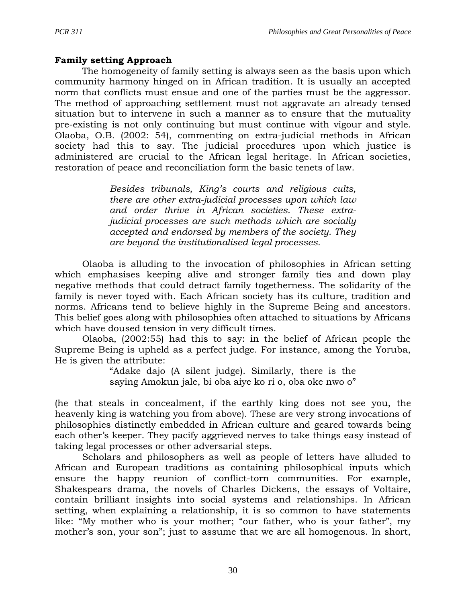#### **Family setting Approach**

The homogeneity of family setting is always seen as the basis upon which community harmony hinged on in African tradition. It is usually an accepted norm that conflicts must ensue and one of the parties must be the aggressor. The method of approaching settlement must not aggravate an already tensed situation but to intervene in such a manner as to ensure that the mutuality pre-existing is not only continuing but must continue with vigour and style. Olaoba, O.B. (2002: 54), commenting on extra-judicial methods in African society had this to say. The judicial procedures upon which justice is administered are crucial to the African legal heritage. In African societies, restoration of peace and reconciliation form the basic tenets of law.

> *Besides tribunals, King's courts and religious cults, there are other extra-judicial processes upon which law and order thrive in African societies. These extrajudicial processes are such methods which are socially accepted and endorsed by members of the society. They are beyond the institutionalised legal processes.*

Olaoba is alluding to the invocation of philosophies in African setting which emphasises keeping alive and stronger family ties and down play negative methods that could detract family togetherness. The solidarity of the family is never toyed with. Each African society has its culture, tradition and norms. Africans tend to believe highly in the Supreme Being and ancestors. This belief goes along with philosophies often attached to situations by Africans which have doused tension in very difficult times.

Olaoba, (2002:55) had this to say: in the belief of African people the Supreme Being is upheld as a perfect judge. For instance, among the Yoruba, He is given the attribute:

"Adake dajo (A silent judge). Similarly, there is the saying Amokun jale, bi oba aiye ko ri o, oba oke nwo o"

(he that steals in concealment, if the earthly king does not see you, the heavenly king is watching you from above). These are very strong invocations of philosophies distinctly embedded in African culture and geared towards being each other's keeper. They pacify aggrieved nerves to take things easy instead of taking legal processes or other adversarial steps.

Scholars and philosophers as well as people of letters have alluded to African and European traditions as containing philosophical inputs which ensure the happy reunion of conflict-torn communities. For example, Shakespears drama, the novels of Charles Dickens, the essays of Voltaire, contain brilliant insights into social systems and relationships. In African setting, when explaining a relationship, it is so common to have statements like: "My mother who is your mother; "our father, who is your father", my mother's son, your son"; just to assume that we are all homogenous. In short,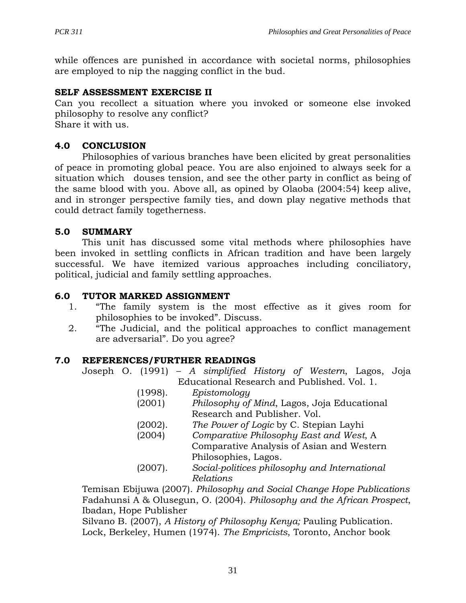while offences are punished in accordance with societal norms, philosophies are employed to nip the nagging conflict in the bud.

### **SELF ASSESSMENT EXERCISE II**

Can you recollect a situation where you invoked or someone else invoked philosophy to resolve any conflict? Share it with us.

## **4.0 CONCLUSION**

Philosophies of various branches have been elicited by great personalities of peace in promoting global peace. You are also enjoined to always seek for a situation which douses tension, and see the other party in conflict as being of the same blood with you. Above all, as opined by Olaoba (2004:54) keep alive, and in stronger perspective family ties, and down play negative methods that could detract family togetherness.

### **5.0 SUMMARY**

This unit has discussed some vital methods where philosophies have been invoked in settling conflicts in African tradition and have been largely successful. We have itemized various approaches including conciliatory, political, judicial and family settling approaches.

### **6.0 TUTOR MARKED ASSIGNMENT**

- 1. "The family system is the most effective as it gives room for philosophies to be invoked". Discuss.
- 2. "The Judicial, and the political approaches to conflict management are adversarial". Do you agree?

### **7.0 REFERENCES/FURTHER READINGS**

Joseph O. (1991) – *A simplified History of Western*, Lagos, Joja Educational Research and Published. Vol. 1.

- (1998). *Epistomology*
- (2001) *Philosophy of Mind*, Lagos, Joja Educational Research and Publisher. Vol.
- (2002). *The Power of Logic* by C. Stepian Layhi
- (2004) *Comparative Philosophy East and West*, A Comparative Analysis of Asian and Western Philosophies, Lagos.
- (2007). *Social-politices philosophy and International Relations*

Temisan Ebijuwa (2007). *Philosophy and Social Change Hope Publications* Fadahunsi A & Olusegun, O. (2004). *Philosophy and the African Prospect*, Ibadan, Hope Publisher

Silvano B. (2007), *A History of Philosophy Kenya;* Pauling Publication. Lock, Berkeley, Humen (1974). *The Empricists*, Toronto, Anchor book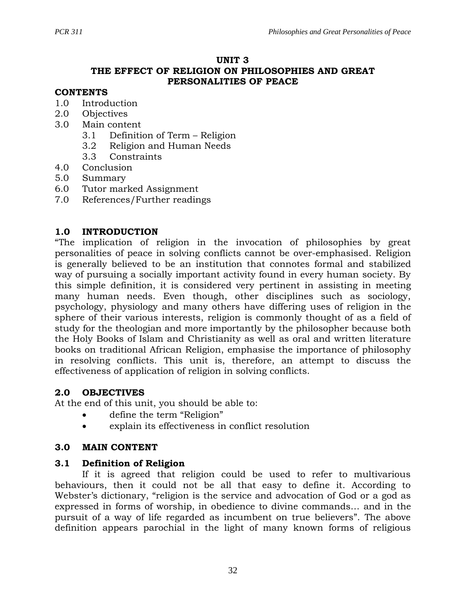#### **UNIT 3 THE EFFECT OF RELIGION ON PHILOSOPHIES AND GREAT PERSONALITIES OF PEACE**

#### **CONTENTS**

- 1.0 Introduction
- 2.0 Objectives
- 3.0 Main content
	- 3.1 Definition of Term Religion
	- 3.2 Religion and Human Needs
	- 3.3 Constraints
- 4.0 Conclusion
- 5.0 Summary
- 6.0 Tutor marked Assignment
- 7.0 References/Further readings

# **1.0 INTRODUCTION**

"The implication of religion in the invocation of philosophies by great personalities of peace in solving conflicts cannot be over-emphasised. Religion is generally believed to be an institution that connotes formal and stabilized way of pursuing a socially important activity found in every human society. By this simple definition, it is considered very pertinent in assisting in meeting many human needs. Even though, other disciplines such as sociology, psychology, physiology and many others have differing uses of religion in the sphere of their various interests, religion is commonly thought of as a field of study for the theologian and more importantly by the philosopher because both the Holy Books of Islam and Christianity as well as oral and written literature books on traditional African Religion, emphasise the importance of philosophy in resolving conflicts. This unit is, therefore, an attempt to discuss the effectiveness of application of religion in solving conflicts.

### **2.0 OBJECTIVES**

At the end of this unit, you should be able to:

- define the term "Religion"
- explain its effectiveness in conflict resolution

### **3.0 MAIN CONTENT**

### **3.1 Definition of Religion**

If it is agreed that religion could be used to refer to multivarious behaviours, then it could not be all that easy to define it. According to Webster's dictionary, "religion is the service and advocation of God or a god as expressed in forms of worship, in obedience to divine commands… and in the pursuit of a way of life regarded as incumbent on true believers". The above definition appears parochial in the light of many known forms of religious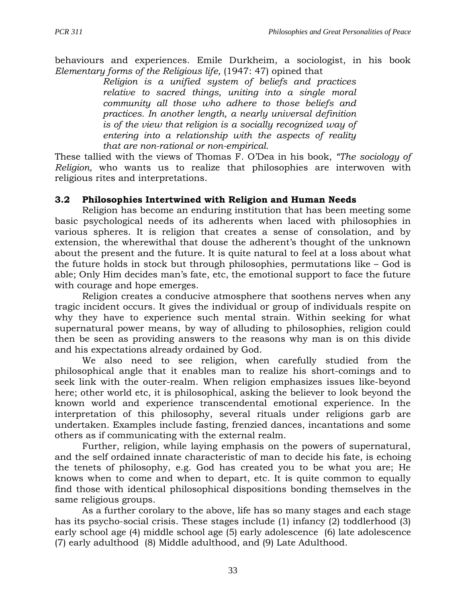behaviours and experiences. Emile Durkheim, a sociologist, in his book *Elementary forms of the Religious life,* (1947: 47) opined that

*Religion is a unified system of beliefs and practices relative to sacred things, uniting into a single moral community all those who adhere to those beliefs and practices. In another length, a nearly universal definition is of the view that religion is a socially recognized way of entering into a relationship with the aspects of reality that are non-rational or non-empirical.* 

These tallied with the views of Thomas F. O'Dea in his book, *"The sociology of Religion,* who wants us to realize that philosophies are interwoven with religious rites and interpretations.

### **3.2 Philosophies Intertwined with Religion and Human Needs**

Religion has become an enduring institution that has been meeting some basic psychological needs of its adherents when laced with philosophies in various spheres. It is religion that creates a sense of consolation, and by extension, the wherewithal that douse the adherent's thought of the unknown about the present and the future. It is quite natural to feel at a loss about what the future holds in stock but through philosophies, permutations like – God is able; Only Him decides man's fate, etc, the emotional support to face the future with courage and hope emerges.

Religion creates a conducive atmosphere that soothens nerves when any tragic incident occurs. It gives the individual or group of individuals respite on why they have to experience such mental strain. Within seeking for what supernatural power means, by way of alluding to philosophies, religion could then be seen as providing answers to the reasons why man is on this divide and his expectations already ordained by God.

We also need to see religion, when carefully studied from the philosophical angle that it enables man to realize his short-comings and to seek link with the outer-realm. When religion emphasizes issues like-beyond here; other world etc, it is philosophical, asking the believer to look beyond the known world and experience transcendental emotional experience. In the interpretation of this philosophy, several rituals under religions garb are undertaken. Examples include fasting, frenzied dances, incantations and some others as if communicating with the external realm.

Further, religion, while laying emphasis on the powers of supernatural, and the self ordained innate characteristic of man to decide his fate, is echoing the tenets of philosophy, e.g. God has created you to be what you are; He knows when to come and when to depart, etc. It is quite common to equally find those with identical philosophical dispositions bonding themselves in the same religious groups.

As a further corolary to the above, life has so many stages and each stage has its psycho-social crisis. These stages include (1) infancy (2) toddlerhood (3) early school age (4) middle school age (5) early adolescence (6) late adolescence (7) early adulthood (8) Middle adulthood, and (9) Late Adulthood.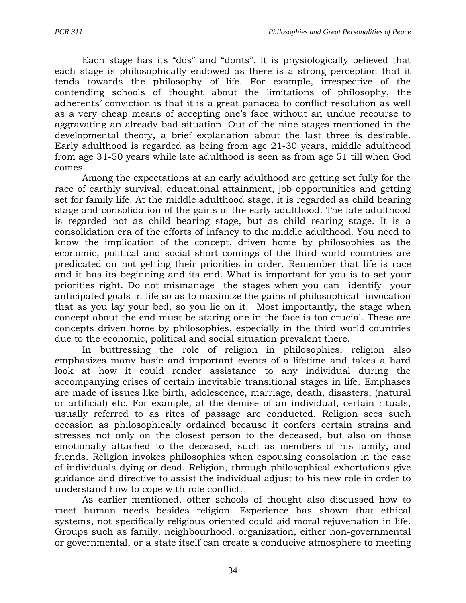Each stage has its "dos" and "donts". It is physiologically believed that each stage is philosophically endowed as there is a strong perception that it tends towards the philosophy of life. For example, irrespective of the contending schools of thought about the limitations of philosophy, the adherents' conviction is that it is a great panacea to conflict resolution as well as a very cheap means of accepting one's face without an undue recourse to aggravating an already bad situation. Out of the nine stages mentioned in the developmental theory, a brief explanation about the last three is desirable. Early adulthood is regarded as being from age 21-30 years, middle adulthood from age 31-50 years while late adulthood is seen as from age 51 till when God comes.

Among the expectations at an early adulthood are getting set fully for the race of earthly survival; educational attainment, job opportunities and getting set for family life. At the middle adulthood stage, it is regarded as child bearing stage and consolidation of the gains of the early adulthood. The late adulthood is regarded not as child bearing stage, but as child rearing stage. It is a consolidation era of the efforts of infancy to the middle adulthood. You need to know the implication of the concept, driven home by philosophies as the economic, political and social short comings of the third world countries are predicated on not getting their priorities in order. Remember that life is race and it has its beginning and its end. What is important for you is to set your priorities right. Do not mismanage the stages when you can identify your anticipated goals in life so as to maximize the gains of philosophical invocation that as you lay your bed, so you lie on it. Most importantly, the stage when concept about the end must be staring one in the face is too crucial. These are concepts driven home by philosophies, especially in the third world countries due to the economic, political and social situation prevalent there.

In buttressing the role of religion in philosophies, religion also emphasizes many basic and important events of a lifetime and takes a hard look at how it could render assistance to any individual during the accompanying crises of certain inevitable transitional stages in life. Emphases are made of issues like birth, adolescence, marriage, death, disasters, (natural or artificial) etc. For example, at the demise of an individual, certain rituals, usually referred to as rites of passage are conducted. Religion sees such occasion as philosophically ordained because it confers certain strains and stresses not only on the closest person to the deceased, but also on those emotionally attached to the deceased, such as members of his family, and friends. Religion invokes philosophies when espousing consolation in the case of individuals dying or dead. Religion, through philosophical exhortations give guidance and directive to assist the individual adjust to his new role in order to understand how to cope with role conflict.

As earlier mentioned, other schools of thought also discussed how to meet human needs besides religion. Experience has shown that ethical systems, not specifically religious oriented could aid moral rejuvenation in life. Groups such as family, neighbourhood, organization, either non-governmental or governmental, or a state itself can create a conducive atmosphere to meeting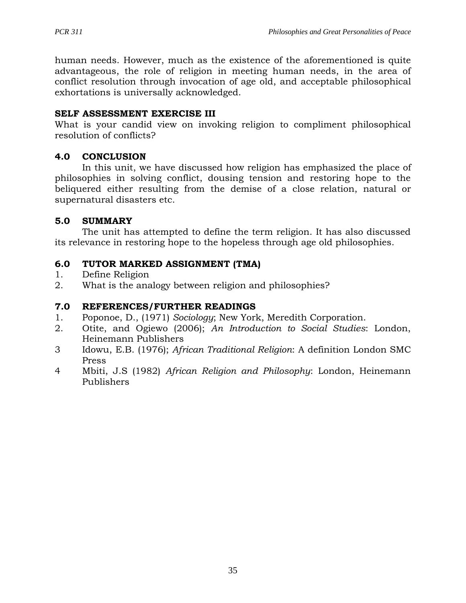human needs. However, much as the existence of the aforementioned is quite advantageous, the role of religion in meeting human needs, in the area of conflict resolution through invocation of age old, and acceptable philosophical exhortations is universally acknowledged.

#### **SELF ASSESSMENT EXERCISE III**

What is your candid view on invoking religion to compliment philosophical resolution of conflicts?

## **4.0 CONCLUSION**

In this unit, we have discussed how religion has emphasized the place of philosophies in solving conflict, dousing tension and restoring hope to the beliquered either resulting from the demise of a close relation, natural or supernatural disasters etc.

### **5.0 SUMMARY**

The unit has attempted to define the term religion. It has also discussed its relevance in restoring hope to the hopeless through age old philosophies.

### **6.0 TUTOR MARKED ASSIGNMENT (TMA)**

- 1. Define Religion<br>2. What is the ana
- What is the analogy between religion and philosophies?

### **7.0 REFERENCES/FURTHER READINGS**

- 1. Poponoe, D., (1971) *Sociology*; New York, Meredith Corporation.
- 2. Otite, and Ogiewo (2006); *An Introduction to Social Studies*: London, Heinemann Publishers
- 3 Idowu, E.B. (1976); *African Traditional Religion*: A definition London SMC Press
- 4 Mbiti, J.S (1982) *African Religion and Philosophy*: London, Heinemann Publishers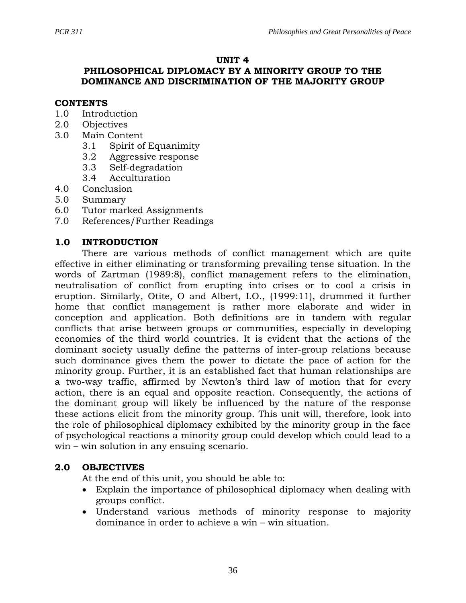#### **UNIT 4**

## **PHILOSOPHICAL DIPLOMACY BY A MINORITY GROUP TO THE DOMINANCE AND DISCRIMINATION OF THE MAJORITY GROUP**

#### **CONTENTS**

- 1.0 Introduction
- 2.0 Objectives
- 3.0 Main Content
	- 3.1 Spirit of Equanimity
	- 3.2 Aggressive response
	- 3.3 Self-degradation
	- 3.4 Acculturation
- 4.0 Conclusion
- 5.0 Summary
- 6.0 Tutor marked Assignments
- 7.0 References/Further Readings

### **1.0 INTRODUCTION**

There are various methods of conflict management which are quite effective in either eliminating or transforming prevailing tense situation. In the words of Zartman (1989:8), conflict management refers to the elimination, neutralisation of conflict from erupting into crises or to cool a crisis in eruption. Similarly, Otite, O and Albert, I.O., (1999:11), drummed it further home that conflict management is rather more elaborate and wider in conception and application. Both definitions are in tandem with regular conflicts that arise between groups or communities, especially in developing economies of the third world countries. It is evident that the actions of the dominant society usually define the patterns of inter-group relations because such dominance gives them the power to dictate the pace of action for the minority group. Further, it is an established fact that human relationships are a two-way traffic, affirmed by Newton's third law of motion that for every action, there is an equal and opposite reaction. Consequently, the actions of the dominant group will likely be influenced by the nature of the response these actions elicit from the minority group. This unit will, therefore, look into the role of philosophical diplomacy exhibited by the minority group in the face of psychological reactions a minority group could develop which could lead to a win – win solution in any ensuing scenario.

### **2.0 OBJECTIVES**

At the end of this unit, you should be able to:

- Explain the importance of philosophical diplomacy when dealing with groups conflict.
- Understand various methods of minority response to majority dominance in order to achieve a win – win situation.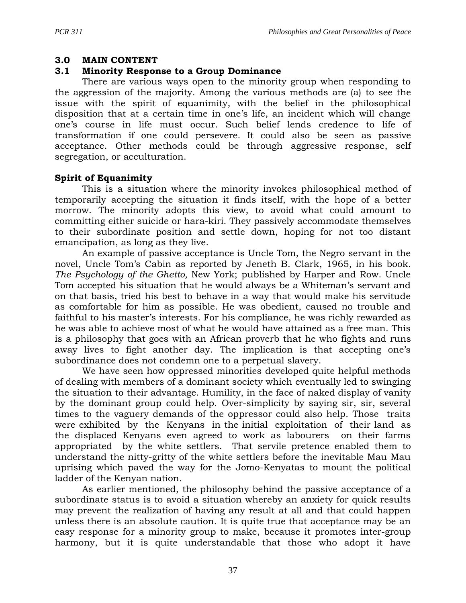### **3.0 MAIN CONTENT**

## **3.1 Minority Response to a Group Dominance**

There are various ways open to the minority group when responding to the aggression of the majority. Among the various methods are (a) to see the issue with the spirit of equanimity, with the belief in the philosophical disposition that at a certain time in one's life, an incident which will change one's course in life must occur. Such belief lends credence to life of transformation if one could persevere. It could also be seen as passive acceptance. Other methods could be through aggressive response, self segregation, or acculturation.

### **Spirit of Equanimity**

This is a situation where the minority invokes philosophical method of temporarily accepting the situation it finds itself, with the hope of a better morrow. The minority adopts this view, to avoid what could amount to committing either suicide or hara-kiri. They passively accommodate themselves to their subordinate position and settle down, hoping for not too distant emancipation, as long as they live.

An example of passive acceptance is Uncle Tom, the Negro servant in the novel, Uncle Tom's Cabin as reported by Jeneth B. Clark, 1965, in his book. *The Psychology of the Ghetto,* New York; published by Harper and Row. Uncle Tom accepted his situation that he would always be a Whiteman's servant and on that basis, tried his best to behave in a way that would make his servitude as comfortable for him as possible. He was obedient, caused no trouble and faithful to his master's interests. For his compliance, he was richly rewarded as he was able to achieve most of what he would have attained as a free man. This is a philosophy that goes with an African proverb that he who fights and runs away lives to fight another day. The implication is that accepting one's subordinance does not condemn one to a perpetual slavery.

We have seen how oppressed minorities developed quite helpful methods of dealing with members of a dominant society which eventually led to swinging the situation to their advantage. Humility, in the face of naked display of vanity by the dominant group could help. Over-simplicity by saying sir, sir, several times to the vaguery demands of the oppressor could also help. Those traits were exhibited by the Kenyans in the initial exploitation of their land as the displaced Kenyans even agreed to work as labourers on their farms appropriated by the white settlers. That servile pretence enabled them to understand the nitty-gritty of the white settlers before the inevitable Mau Mau uprising which paved the way for the Jomo-Kenyatas to mount the political ladder of the Kenyan nation.

As earlier mentioned, the philosophy behind the passive acceptance of a subordinate status is to avoid a situation whereby an anxiety for quick results may prevent the realization of having any result at all and that could happen unless there is an absolute caution. It is quite true that acceptance may be an easy response for a minority group to make, because it promotes inter-group harmony, but it is quite understandable that those who adopt it have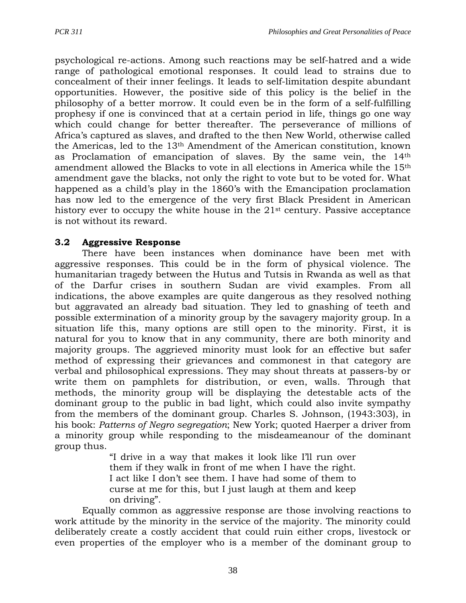psychological re-actions. Among such reactions may be self-hatred and a wide range of pathological emotional responses. It could lead to strains due to concealment of their inner feelings. It leads to self-limitation despite abundant opportunities. However, the positive side of this policy is the belief in the philosophy of a better morrow. It could even be in the form of a self-fulfilling prophesy if one is convinced that at a certain period in life, things go one way which could change for better thereafter. The perseverance of millions of Africa's captured as slaves, and drafted to the then New World, otherwise called the Americas, led to the 13th Amendment of the American constitution, known as Proclamation of emancipation of slaves. By the same vein, the 14th amendment allowed the Blacks to vote in all elections in America while the 15th amendment gave the blacks, not only the right to vote but to be voted for. What happened as a child's play in the 1860's with the Emancipation proclamation has now led to the emergence of the very first Black President in American history ever to occupy the white house in the  $21<sup>st</sup>$  century. Passive acceptance is not without its reward.

## **3.2 Aggressive Response**

There have been instances when dominance have been met with aggressive responses. This could be in the form of physical violence. The humanitarian tragedy between the Hutus and Tutsis in Rwanda as well as that of the Darfur crises in southern Sudan are vivid examples. From all indications, the above examples are quite dangerous as they resolved nothing but aggravated an already bad situation. They led to gnashing of teeth and possible extermination of a minority group by the savagery majority group. In a situation life this, many options are still open to the minority. First, it is natural for you to know that in any community, there are both minority and majority groups. The aggrieved minority must look for an effective but safer method of expressing their grievances and commonest in that category are verbal and philosophical expressions. They may shout threats at passers-by or write them on pamphlets for distribution, or even, walls. Through that methods, the minority group will be displaying the detestable acts of the dominant group to the public in bad light, which could also invite sympathy from the members of the dominant group. Charles S. Johnson, (1943:303), in his book: *Patterns of Negro segregation*; New York; quoted Haerper a driver from a minority group while responding to the misdeameanour of the dominant group thus.

"I drive in a way that makes it look like I'll run over them if they walk in front of me when I have the right. I act like I don't see them. I have had some of them to curse at me for this, but I just laugh at them and keep on driving".

Equally common as aggressive response are those involving reactions to work attitude by the minority in the service of the majority. The minority could deliberately create a costly accident that could ruin either crops, livestock or even properties of the employer who is a member of the dominant group to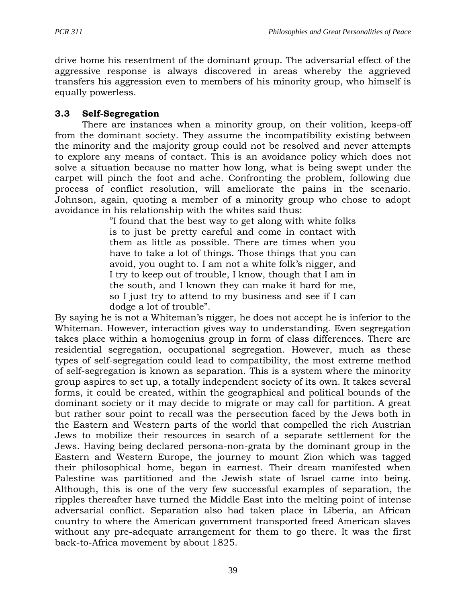drive home his resentment of the dominant group. The adversarial effect of the aggressive response is always discovered in areas whereby the aggrieved transfers his aggression even to members of his minority group, who himself is equally powerless.

## **3.3 Self-Segregation**

There are instances when a minority group, on their volition, keeps-off from the dominant society. They assume the incompatibility existing between the minority and the majority group could not be resolved and never attempts to explore any means of contact. This is an avoidance policy which does not solve a situation because no matter how long, what is being swept under the carpet will pinch the foot and ache. Confronting the problem, following due process of conflict resolution, will ameliorate the pains in the scenario. Johnson, again, quoting a member of a minority group who chose to adopt avoidance in his relationship with the whites said thus:

"I found that the best way to get along with white folks is to just be pretty careful and come in contact with them as little as possible. There are times when you have to take a lot of things. Those things that you can avoid, you ought to. I am not a white folk's nigger, and I try to keep out of trouble, I know, though that I am in the south, and I known they can make it hard for me, so I just try to attend to my business and see if I can dodge a lot of trouble".

By saying he is not a Whiteman's nigger, he does not accept he is inferior to the Whiteman. However, interaction gives way to understanding. Even segregation takes place within a homogenius group in form of class differences. There are residential segregation, occupational segregation. However, much as these types of self-segregation could lead to compatibility, the most extreme method of self-segregation is known as separation. This is a system where the minority group aspires to set up, a totally independent society of its own. It takes several forms, it could be created, within the geographical and political bounds of the dominant society or it may decide to migrate or may call for partition. A great but rather sour point to recall was the persecution faced by the Jews both in the Eastern and Western parts of the world that compelled the rich Austrian Jews to mobilize their resources in search of a separate settlement for the Jews. Having being declared persona-non-grata by the dominant group in the Eastern and Western Europe, the journey to mount Zion which was tagged their philosophical home, began in earnest. Their dream manifested when Palestine was partitioned and the Jewish state of Israel came into being. Although, this is one of the very few successful examples of separation, the ripples thereafter have turned the Middle East into the melting point of intense adversarial conflict. Separation also had taken place in Liberia, an African country to where the American government transported freed American slaves without any pre-adequate arrangement for them to go there. It was the first back-to-Africa movement by about 1825.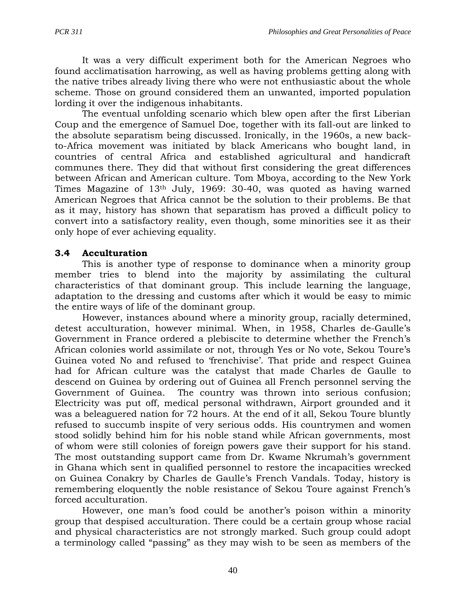It was a very difficult experiment both for the American Negroes who found acclimatisation harrowing, as well as having problems getting along with the native tribes already living there who were not enthusiastic about the whole scheme. Those on ground considered them an unwanted, imported population lording it over the indigenous inhabitants.

The eventual unfolding scenario which blew open after the first Liberian Coup and the emergence of Samuel Doe, together with its fall-out are linked to the absolute separatism being discussed. Ironically, in the 1960s, a new backto-Africa movement was initiated by black Americans who bought land, in countries of central Africa and established agricultural and handicraft communes there. They did that without first considering the great differences between African and American culture. Tom Mboya, according to the New York Times Magazine of 13th July, 1969: 30-40, was quoted as having warned American Negroes that Africa cannot be the solution to their problems. Be that as it may, history has shown that separatism has proved a difficult policy to convert into a satisfactory reality, even though, some minorities see it as their only hope of ever achieving equality.

## **3.4 Acculturation**

This is another type of response to dominance when a minority group member tries to blend into the majority by assimilating the cultural characteristics of that dominant group. This include learning the language, adaptation to the dressing and customs after which it would be easy to mimic the entire ways of life of the dominant group.

However, instances abound where a minority group, racially determined, detest acculturation, however minimal. When, in 1958, Charles de-Gaulle's Government in France ordered a plebiscite to determine whether the French's African colonies world assimilate or not, through Yes or No vote, Sekou Toure's Guinea voted No and refused to 'frenchivise'. That pride and respect Guinea had for African culture was the catalyst that made Charles de Gaulle to descend on Guinea by ordering out of Guinea all French personnel serving the Government of Guinea. The country was thrown into serious confusion; Electricity was put off, medical personal withdrawn, Airport grounded and it was a beleaguered nation for 72 hours. At the end of it all, Sekou Toure bluntly refused to succumb inspite of very serious odds. His countrymen and women stood solidly behind him for his noble stand while African governments, most of whom were still colonies of foreign powers gave their support for his stand. The most outstanding support came from Dr. Kwame Nkrumah's government in Ghana which sent in qualified personnel to restore the incapacities wrecked on Guinea Conakry by Charles de Gaulle's French Vandals. Today, history is remembering eloquently the noble resistance of Sekou Toure against French's forced acculturation.

However, one man's food could be another's poison within a minority group that despised acculturation. There could be a certain group whose racial and physical characteristics are not strongly marked. Such group could adopt a terminology called "passing" as they may wish to be seen as members of the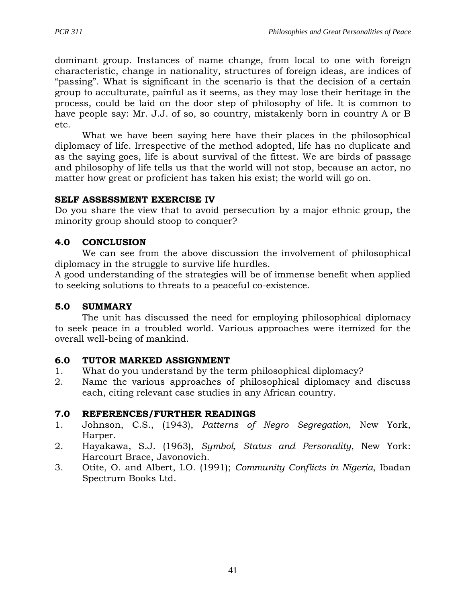dominant group. Instances of name change, from local to one with foreign characteristic, change in nationality, structures of foreign ideas, are indices of "passing". What is significant in the scenario is that the decision of a certain group to acculturate, painful as it seems, as they may lose their heritage in the process, could be laid on the door step of philosophy of life. It is common to have people say: Mr. J.J. of so, so country, mistakenly born in country A or B etc.

What we have been saying here have their places in the philosophical diplomacy of life. Irrespective of the method adopted, life has no duplicate and as the saying goes, life is about survival of the fittest. We are birds of passage and philosophy of life tells us that the world will not stop, because an actor, no matter how great or proficient has taken his exist; the world will go on.

## **SELF ASSESSMENT EXERCISE IV**

Do you share the view that to avoid persecution by a major ethnic group, the minority group should stoop to conquer?

## **4.0 CONCLUSION**

We can see from the above discussion the involvement of philosophical diplomacy in the struggle to survive life hurdles.

A good understanding of the strategies will be of immense benefit when applied to seeking solutions to threats to a peaceful co-existence.

## **5.0 SUMMARY**

The unit has discussed the need for employing philosophical diplomacy to seek peace in a troubled world. Various approaches were itemized for the overall well-being of mankind.

## **6.0 TUTOR MARKED ASSIGNMENT**

- 1. What do you understand by the term philosophical diplomacy?
- 2. Name the various approaches of philosophical diplomacy and discuss each, citing relevant case studies in any African country.

## **7.0 REFERENCES/FURTHER READINGS**

- 1. Johnson, C.S., (1943), *Patterns of Negro Segregation*, New York, Harper.
- 2. Hayakawa, S.J. (1963), *Symbol, Status and Personality*, New York: Harcourt Brace, Javonovich.
- 3. Otite, O. and Albert, I.O. (1991); *Community Conflicts in Nigeria*, Ibadan Spectrum Books Ltd.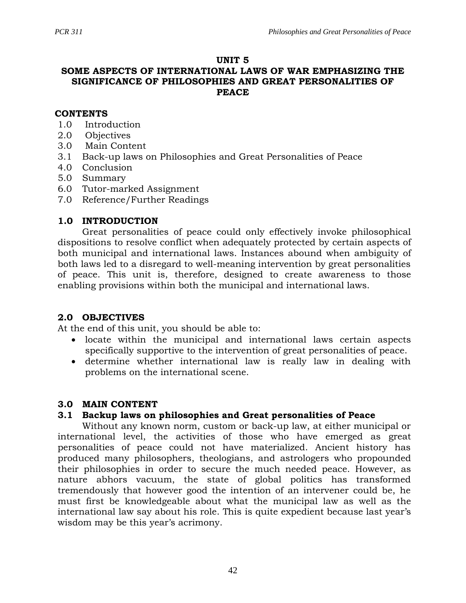#### **UNIT 5**

## **SOME ASPECTS OF INTERNATIONAL LAWS OF WAR EMPHASIZING THE SIGNIFICANCE OF PHILOSOPHIES AND GREAT PERSONALITIES OF PEACE**

#### **CONTENTS**

- 1.0 Introduction
- 2.0 Objectives
- 3.0 Main Content
- 3.1 Back-up laws on Philosophies and Great Personalities of Peace
- 4.0 Conclusion
- 5.0 Summary
- 6.0 Tutor-marked Assignment
- 7.0 Reference/Further Readings

## **1.0 INTRODUCTION**

Great personalities of peace could only effectively invoke philosophical dispositions to resolve conflict when adequately protected by certain aspects of both municipal and international laws. Instances abound when ambiguity of both laws led to a disregard to well-meaning intervention by great personalities of peace. This unit is, therefore, designed to create awareness to those enabling provisions within both the municipal and international laws.

## **2.0 OBJECTIVES**

At the end of this unit, you should be able to:

- locate within the municipal and international laws certain aspects specifically supportive to the intervention of great personalities of peace.
- determine whether international law is really law in dealing with problems on the international scene.

## **3.0 MAIN CONTENT**

## **3.1 Backup laws on philosophies and Great personalities of Peace**

Without any known norm, custom or back-up law, at either municipal or international level, the activities of those who have emerged as great personalities of peace could not have materialized. Ancient history has produced many philosophers, theologians, and astrologers who propounded their philosophies in order to secure the much needed peace. However, as nature abhors vacuum, the state of global politics has transformed tremendously that however good the intention of an intervener could be, he must first be knowledgeable about what the municipal law as well as the international law say about his role. This is quite expedient because last year's wisdom may be this year's acrimony.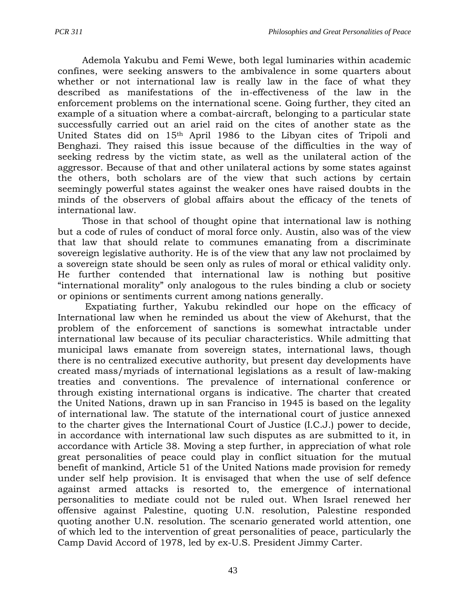Ademola Yakubu and Femi Wewe, both legal luminaries within academic confines, were seeking answers to the ambivalence in some quarters about whether or not international law is really law in the face of what they described as manifestations of the in-effectiveness of the law in the enforcement problems on the international scene. Going further, they cited an example of a situation where a combat-aircraft, belonging to a particular state successfully carried out an ariel raid on the cites of another state as the United States did on 15th April 1986 to the Libyan cites of Tripoli and Benghazi. They raised this issue because of the difficulties in the way of seeking redress by the victim state, as well as the unilateral action of the aggressor. Because of that and other unilateral actions by some states against the others, both scholars are of the view that such actions by certain seemingly powerful states against the weaker ones have raised doubts in the minds of the observers of global affairs about the efficacy of the tenets of international law.

Those in that school of thought opine that international law is nothing but a code of rules of conduct of moral force only. Austin, also was of the view that law that should relate to communes emanating from a discriminate sovereign legislative authority. He is of the view that any law not proclaimed by a sovereign state should be seen only as rules of moral or ethical validity only. He further contended that international law is nothing but positive "international morality" only analogous to the rules binding a club or society or opinions or sentiments current among nations generally.

Expatiating further, Yakubu rekindled our hope on the efficacy of International law when he reminded us about the view of Akehurst, that the problem of the enforcement of sanctions is somewhat intractable under international law because of its peculiar characteristics. While admitting that municipal laws emanate from sovereign states, international laws, though there is no centralized executive authority, but present day developments have created mass/myriads of international legislations as a result of law-making treaties and conventions. The prevalence of international conference or through existing international organs is indicative. The charter that created the United Nations, drawn up in san Franciso in 1945 is based on the legality of international law. The statute of the international court of justice annexed to the charter gives the International Court of Justice (I.C.J.) power to decide, in accordance with international law such disputes as are submitted to it, in accordance with Article 38. Moving a step further, in appreciation of what role great personalities of peace could play in conflict situation for the mutual benefit of mankind, Article 51 of the United Nations made provision for remedy under self help provision. It is envisaged that when the use of self defence against armed attacks is resorted to, the emergence of international personalities to mediate could not be ruled out. When Israel renewed her offensive against Palestine, quoting U.N. resolution, Palestine responded quoting another U.N. resolution. The scenario generated world attention, one of which led to the intervention of great personalities of peace, particularly the Camp David Accord of 1978, led by ex-U.S. President Jimmy Carter.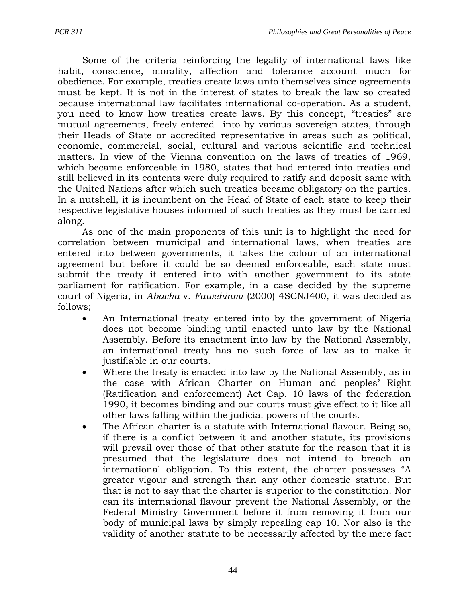Some of the criteria reinforcing the legality of international laws like habit, conscience, morality, affection and tolerance account much for obedience. For example, treaties create laws unto themselves since agreements must be kept. It is not in the interest of states to break the law so created because international law facilitates international co-operation. As a student, you need to know how treaties create laws. By this concept, "treaties" are mutual agreements, freely entered into by various sovereign states, through their Heads of State or accredited representative in areas such as political, economic, commercial, social, cultural and various scientific and technical matters. In view of the Vienna convention on the laws of treaties of 1969, which became enforceable in 1980, states that had entered into treaties and still believed in its contents were duly required to ratify and deposit same with the United Nations after which such treaties became obligatory on the parties. In a nutshell, it is incumbent on the Head of State of each state to keep their respective legislative houses informed of such treaties as they must be carried along.

As one of the main proponents of this unit is to highlight the need for correlation between municipal and international laws, when treaties are entered into between governments, it takes the colour of an international agreement but before it could be so deemed enforceable, each state must submit the treaty it entered into with another government to its state parliament for ratification. For example, in a case decided by the supreme court of Nigeria, in *Abacha* v. *Fawehinmi* (2000) 4SCNJ400, it was decided as follows;

- An International treaty entered into by the government of Nigeria does not become binding until enacted unto law by the National Assembly. Before its enactment into law by the National Assembly, an international treaty has no such force of law as to make it justifiable in our courts.
- Where the treaty is enacted into law by the National Assembly, as in the case with African Charter on Human and peoples' Right (Ratification and enforcement) Act Cap. 10 laws of the federation 1990, it becomes binding and our courts must give effect to it like all other laws falling within the judicial powers of the courts.
- The African charter is a statute with International flavour. Being so, if there is a conflict between it and another statute, its provisions will prevail over those of that other statute for the reason that it is presumed that the legislature does not intend to breach an international obligation. To this extent, the charter possesses "A greater vigour and strength than any other domestic statute. But that is not to say that the charter is superior to the constitution. Nor can its international flavour prevent the National Assembly, or the Federal Ministry Government before it from removing it from our body of municipal laws by simply repealing cap 10. Nor also is the validity of another statute to be necessarily affected by the mere fact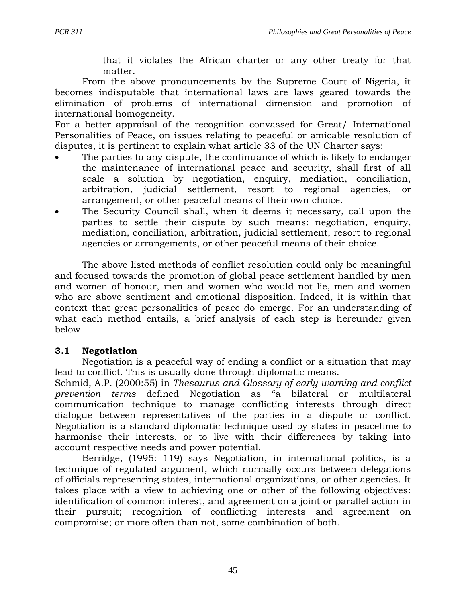that it violates the African charter or any other treaty for that matter.

From the above pronouncements by the Supreme Court of Nigeria, it becomes indisputable that international laws are laws geared towards the elimination of problems of international dimension and promotion of international homogeneity.

For a better appraisal of the recognition convassed for Great/ International Personalities of Peace, on issues relating to peaceful or amicable resolution of disputes, it is pertinent to explain what article 33 of the UN Charter says:

- The parties to any dispute, the continuance of which is likely to endanger the maintenance of international peace and security, shall first of all scale a solution by negotiation, enquiry, mediation, conciliation, arbitration, judicial settlement, resort to regional agencies, or arrangement, or other peaceful means of their own choice.
- The Security Council shall, when it deems it necessary, call upon the parties to settle their dispute by such means: negotiation, enquiry, mediation, conciliation, arbitration, judicial settlement, resort to regional agencies or arrangements, or other peaceful means of their choice.

The above listed methods of conflict resolution could only be meaningful and focused towards the promotion of global peace settlement handled by men and women of honour, men and women who would not lie, men and women who are above sentiment and emotional disposition. Indeed, it is within that context that great personalities of peace do emerge. For an understanding of what each method entails, a brief analysis of each step is hereunder given below

## **3.1 Negotiation**

Negotiation is a peaceful way of ending a conflict or a situation that may lead to conflict. This is usually done through diplomatic means.

Schmid, A.P. (2000:55) in *Thesaurus and Glossary of early warning and conflict prevention terms* defined Negotiation as "a bilateral or multilateral communication technique to manage conflicting interests through direct dialogue between representatives of the parties in a dispute or conflict. Negotiation is a standard diplomatic technique used by states in peacetime to harmonise their interests, or to live with their differences by taking into account respective needs and power potential.

Berridge, (1995: 119) says Negotiation, in international politics, is a technique of regulated argument, which normally occurs between delegations of officials representing states, international organizations, or other agencies. It takes place with a view to achieving one or other of the following objectives: identification of common interest, and agreement on a joint or parallel action in their pursuit; recognition of conflicting interests and agreement on compromise; or more often than not, some combination of both.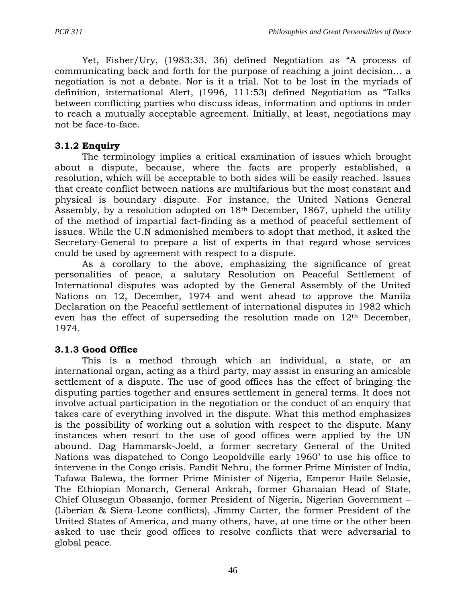Yet, Fisher/Ury, (1983:33, 36) defined Negotiation as "A process of communicating back and forth for the purpose of reaching a joint decision… a negotiation is not a debate. Nor is it a trial. Not to be lost in the myriads of definition, international Alert, (1996, 111:53) defined Negotiation as "Talks between conflicting parties who discuss ideas, information and options in order to reach a mutually acceptable agreement. Initially, at least, negotiations may not be face-to-face.

## **3.1.2 Enquiry**

The terminology implies a critical examination of issues which brought about a dispute, because, where the facts are properly established, a resolution, which will be acceptable to both sides will be easily reached. Issues that create conflict between nations are multifarious but the most constant and physical is boundary dispute. For instance, the United Nations General Assembly, by a resolution adopted on 18th December, 1867, upheld the utility of the method of impartial fact-finding as a method of peaceful settlement of issues. While the U.N admonished members to adopt that method, it asked the Secretary-General to prepare a list of experts in that regard whose services could be used by agreement with respect to a dispute.

As a corollary to the above, emphasizing the significance of great personalities of peace, a salutary Resolution on Peaceful Settlement of International disputes was adopted by the General Assembly of the United Nations on 12, December, 1974 and went ahead to approve the Manila Declaration on the Peaceful settlement of international disputes in 1982 which even has the effect of superseding the resolution made on 12th December, 1974.

# **3.1.3 Good Office**

This is a method through which an individual, a state, or an international organ, acting as a third party, may assist in ensuring an amicable settlement of a dispute. The use of good offices has the effect of bringing the disputing parties together and ensures settlement in general terms. It does not involve actual participation in the negotiation or the conduct of an enquiry that takes care of everything involved in the dispute. What this method emphasizes is the possibility of working out a solution with respect to the dispute. Many instances when resort to the use of good offices were applied by the UN abound. Dag Hammarsk-Joeld, a former secretary General of the United Nations was dispatched to Congo Leopoldville early 1960' to use his office to intervene in the Congo crisis. Pandit Nehru, the former Prime Minister of India, Tafawa Balewa, the former Prime Minister of Nigeria, Emperor Haile Selasie, The Ethiopian Monarch, General Ankrah, former Ghanaian Head of State, Chief Olusegun Obasanjo, former President of Nigeria, Nigerian Government – (Liberian & Siera-Leone conflicts), Jimmy Carter, the former President of the United States of America, and many others, have, at one time or the other been asked to use their good offices to resolve conflicts that were adversarial to global peace.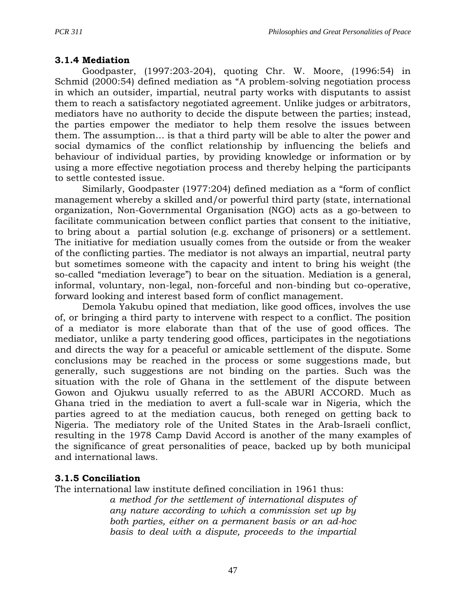#### **3.1.4 Mediation**

Goodpaster, (1997:203-204), quoting Chr. W. Moore, (1996:54) in Schmid (2000:54) defined mediation as "A problem-solving negotiation process in which an outsider, impartial, neutral party works with disputants to assist them to reach a satisfactory negotiated agreement. Unlike judges or arbitrators, mediators have no authority to decide the dispute between the parties; instead, the parties empower the mediator to help them resolve the issues between them. The assumption… is that a third party will be able to alter the power and social dymamics of the conflict relationship by influencing the beliefs and behaviour of individual parties, by providing knowledge or information or by using a more effective negotiation process and thereby helping the participants to settle contested issue.

Similarly, Goodpaster (1977:204) defined mediation as a "form of conflict management whereby a skilled and/or powerful third party (state, international organization, Non-Governmental Organisation (NGO) acts as a go-between to facilitate communication between conflict parties that consent to the initiative, to bring about a partial solution (e.g. exchange of prisoners) or a settlement. The initiative for mediation usually comes from the outside or from the weaker of the conflicting parties. The mediator is not always an impartial, neutral party but sometimes someone with the capacity and intent to bring his weight (the so-called "mediation leverage") to bear on the situation. Mediation is a general, informal, voluntary, non-legal, non-forceful and non-binding but co-operative, forward looking and interest based form of conflict management.

Demola Yakubu opined that mediation, like good offices, involves the use of, or bringing a third party to intervene with respect to a conflict. The position of a mediator is more elaborate than that of the use of good offices. The mediator, unlike a party tendering good offices, participates in the negotiations and directs the way for a peaceful or amicable settlement of the dispute. Some conclusions may be reached in the process or some suggestions made, but generally, such suggestions are not binding on the parties. Such was the situation with the role of Ghana in the settlement of the dispute between Gowon and Ojukwu usually referred to as the ABURI ACCORD. Much as Ghana tried in the mediation to avert a full-scale war in Nigeria, which the parties agreed to at the mediation caucus, both reneged on getting back to Nigeria. The mediatory role of the United States in the Arab-Israeli conflict, resulting in the 1978 Camp David Accord is another of the many examples of the significance of great personalities of peace, backed up by both municipal and international laws.

## **3.1.5 Conciliation**

The international law institute defined conciliation in 1961 thus:

*a method for the settlement of international disputes of any nature according to which a commission set up by both parties, either on a permanent basis or an ad-hoc basis to deal with a dispute, proceeds to the impartial*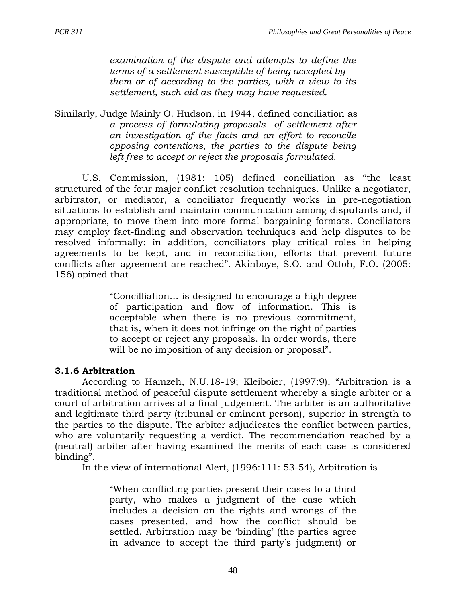*examination of the dispute and attempts to define the terms of a settlement susceptible of being accepted by them or of according to the parties, with a view to its settlement, such aid as they may have requested.*

Similarly, Judge Mainly O. Hudson, in 1944, defined conciliation as *a process of formulating proposals of settlement after an investigation of the facts and an effort to reconcile opposing contentions, the parties to the dispute being left free to accept or reject the proposals formulated.* 

U.S. Commission, (1981: 105) defined conciliation as "the least structured of the four major conflict resolution techniques. Unlike a negotiator, arbitrator, or mediator, a conciliator frequently works in pre-negotiation situations to establish and maintain communication among disputants and, if appropriate, to move them into more formal bargaining formats. Conciliators may employ fact-finding and observation techniques and help disputes to be resolved informally: in addition, conciliators play critical roles in helping agreements to be kept, and in reconciliation, efforts that prevent future conflicts after agreement are reached". Akinboye, S.O. and Ottoh, F.O. (2005: 156) opined that

> "Concilliation… is designed to encourage a high degree of participation and flow of information. This is acceptable when there is no previous commitment, that is, when it does not infringe on the right of parties to accept or reject any proposals. In order words, there will be no imposition of any decision or proposal".

# **3.1.6 Arbitration**

According to Hamzeh, N.U.18-19; Kleiboier, (1997:9), "Arbitration is a traditional method of peaceful dispute settlement whereby a single arbiter or a court of arbitration arrives at a final judgement. The arbiter is an authoritative and legitimate third party (tribunal or eminent person), superior in strength to the parties to the dispute. The arbiter adjudicates the conflict between parties, who are voluntarily requesting a verdict. The recommendation reached by a (neutral) arbiter after having examined the merits of each case is considered binding".

In the view of international Alert, (1996:111: 53-54), Arbitration is

"When conflicting parties present their cases to a third party, who makes a judgment of the case which includes a decision on the rights and wrongs of the cases presented, and how the conflict should be settled. Arbitration may be 'binding' (the parties agree in advance to accept the third party's judgment) or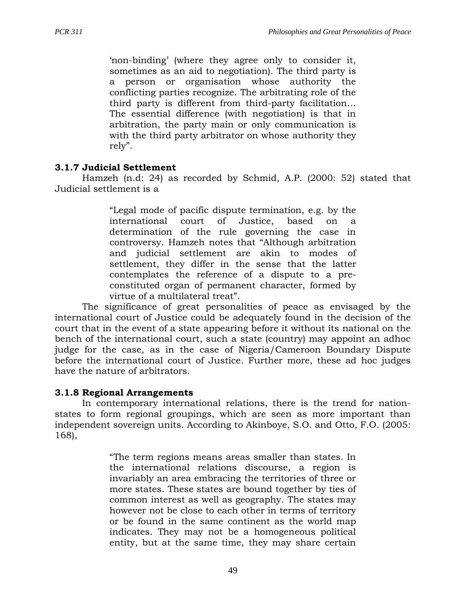'non-binding' (where they agree only to consider it, sometimes as an aid to negotiation). The third party is a person or organisation whose authority the conflicting parties recognize. The arbitrating role of the third party is different from third-party facilitation… The essential difference (with negotiation) is that in arbitration, the party main or only communication is with the third party arbitrator on whose authority they rely".

## **3.1.7 Judicial Settlement**

Hamzeh (n.d: 24) as recorded by Schmid, A.P. (2000: 52) stated that Judicial settlement is a

> "Legal mode of pacific dispute termination, e.g. by the international court of Justice, based on a determination of the rule governing the case in controversy. Hamzeh notes that "Although arbitration and judicial settlement are akin to modes of settlement, they differ in the sense that the latter contemplates the reference of a dispute to a preconstituted organ of permanent character, formed by virtue of a multilateral treat".

The significance of great personalities of peace as envisaged by the international court of Justice could be adequately found in the decision of the court that in the event of a state appearing before it without its national on the bench of the international court, such a state (country) may appoint an adhoc judge for the case, as in the case of Nigeria/Cameroon Boundary Dispute before the international court of Justice. Further more, these ad hoc judges have the nature of arbitrators.

#### **3.1.8 Regional Arrangements**

In contemporary international relations, there is the trend for nationstates to form regional groupings, which are seen as more important than independent sovereign units. According to Akinboye, S.O. and Otto, F.O. (2005: 168),

> "The term regions means areas smaller than states. In the international relations discourse, a region is invariably an area embracing the territories of three or more states. These states are bound together by ties of common interest as well as geography. The states may however not be close to each other in terms of territory or be found in the same continent as the world map indicates. They may not be a homogeneous political entity, but at the same time, they may share certain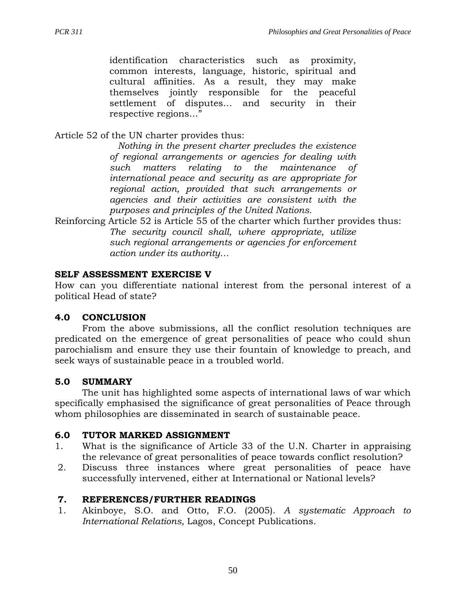identification characteristics such as proximity, common interests, language, historic, spiritual and cultural affinities. As a result, they may make themselves jointly responsible for the peaceful settlement of disputes… and security in their respective regions…"

Article 52 of the UN charter provides thus:

 *Nothing in the present charter precludes the existence of regional arrangements or agencies for dealing with such matters relating to the maintenance of international peace and security as are appropriate for regional action, provided that such arrangements or agencies and their activities are consistent with the purposes and principles of the United Nations.* 

Reinforcing Article 52 is Article 55 of the charter which further provides thus: *The security council shall, where appropriate, utilize such regional arrangements or agencies for enforcement action under its authority…*

## **SELF ASSESSMENT EXERCISE V**

How can you differentiate national interest from the personal interest of a political Head of state?

## **4.0 CONCLUSION**

From the above submissions, all the conflict resolution techniques are predicated on the emergence of great personalities of peace who could shun parochialism and ensure they use their fountain of knowledge to preach, and seek ways of sustainable peace in a troubled world.

## **5.0 SUMMARY**

The unit has highlighted some aspects of international laws of war which specifically emphasised the significance of great personalities of Peace through whom philosophies are disseminated in search of sustainable peace.

## **6.0 TUTOR MARKED ASSIGNMENT**

- 1. What is the significance of Article 33 of the U.N. Charter in appraising the relevance of great personalities of peace towards conflict resolution?
- 2. Discuss three instances where great personalities of peace have successfully intervened, either at International or National levels?

## **7. REFERENCES/FURTHER READINGS**

1. Akinboye, S.O. and Otto, F.O. (2005). *A systematic Approach to International Relations,* Lagos, Concept Publications.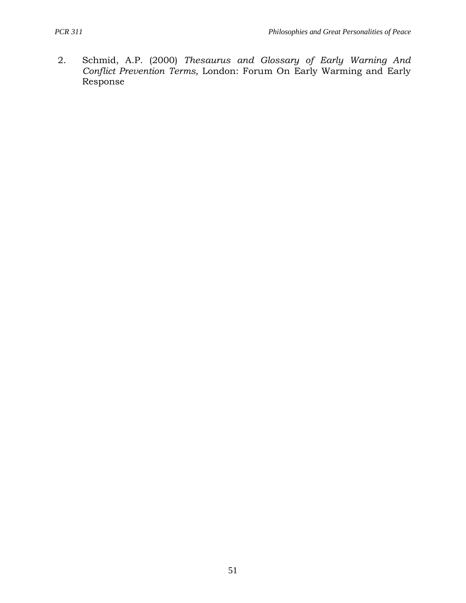2. Schmid, A.P. (2000) *Thesaurus and Glossary of Early Warning And Conflict Prevention Terms,* London: Forum On Early Warming and Early Response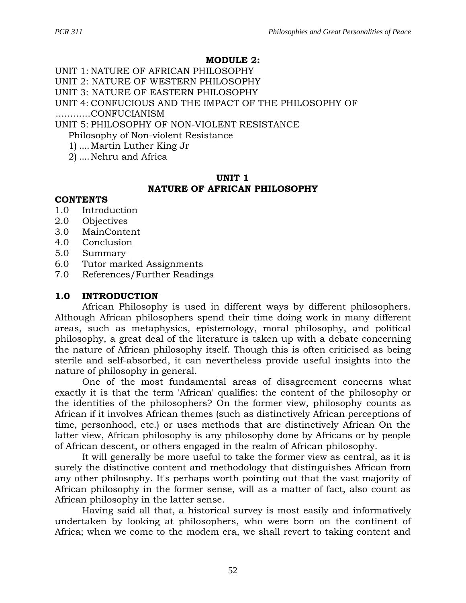#### **MODULE 2:**

UNIT 1: NATURE OF AFRICAN PHILOSOPHY

UNIT 2: NATURE OF WESTERN PHILOSOPHY

UNIT 3: NATURE OF EASTERN PHILOSOPHY

UNIT 4: CONFUCIOUS AND THE IMPACT OF THE PHILOSOPHY OF ............CONFUCIANISM

UNIT 5: PHILOSOPHY OF NON-VIOLENT RESISTANCE

Philosophy of Non-violent Resistance

- 1) ....Martin Luther King Jr
- 2) ....Nehru and Africa

#### **UNIT 1 NATURE OF AFRICAN PHILOSOPHY**

#### **CONTENTS**

- 1.0 Introduction
- 2.0 Objectives
- 3.0 MainContent
- 4.0 Conclusion
- 5.0 Summary
- 6.0 Tutor marked Assignments
- 7.0 References/Further Readings

## **1.0 INTRODUCTION**

African Philosophy is used in different ways by different philosophers. Although African philosophers spend their time doing work in many different areas, such as metaphysics, epistemology, moral philosophy, and political philosophy, a great deal of the literature is taken up with a debate concerning the nature of African philosophy itself. Though this is often criticised as being sterile and self-absorbed, it can nevertheless provide useful insights into the nature of philosophy in general.

One of the most fundamental areas of disagreement concerns what exactly it is that the term 'African' qualifies: the content of the philosophy or the identities of the philosophers? On the former view, philosophy counts as African if it involves African themes (such as distinctively African perceptions of time, personhood, etc.) or uses methods that are distinctively African On the latter view, African philosophy is any philosophy done by Africans or by people of African descent, or others engaged in the realm of African philosophy.

It will generally be more useful to take the former view as central, as it is surely the distinctive content and methodology that distinguishes African from any other philosophy. It's perhaps worth pointing out that the vast majority of African philosophy in the former sense, will as a matter of fact, also count as African philosophy in the latter sense.

Having said all that, a historical survey is most easily and informatively undertaken by looking at philosophers, who were born on the continent of Africa; when we come to the modem era, we shall revert to taking content and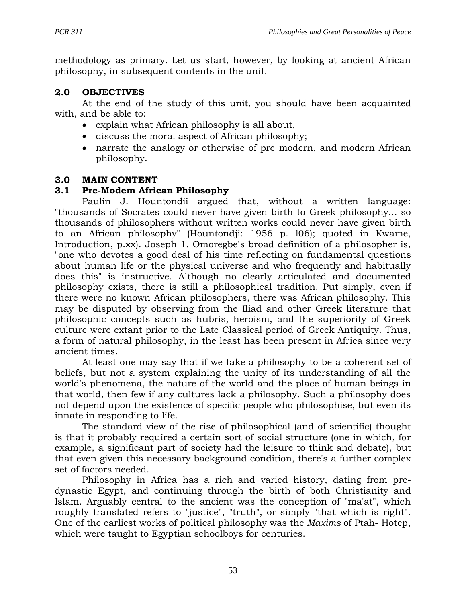methodology as primary. Let us start, however, by looking at ancient African philosophy, in subsequent contents in the unit.

## **2.0 OBJECTIVES**

At the end of the study of this unit, you should have been acquainted with, and be able to:

- explain what African philosophy is all about,
- discuss the moral aspect of African philosophy;
- narrate the analogy or otherwise of pre modern, and modern African philosophy.

## **3.0 MAIN CONTENT**

## **3.1 Pre-Modem African Philosophy**

Paulin J. Hountondii argued that, without a written language: "thousands of Socrates could never have given birth to Greek philosophy... so thousands of philosophers without written works could never have given birth to an African philosophy" (Hountondji: 1956 p. l06); quoted in Kwame, Introduction, p.xx). Joseph 1. Omoregbe's broad definition of a philosopher is, "one who devotes a good deal of his time reflecting on fundamental questions about human life or the physical universe and who frequently and habitually does this" is instructive. Although no clearly articulated and documented philosophy exists, there is still a philosophical tradition. Put simply, even if there were no known African philosophers, there was African philosophy. This may be disputed by observing from the Iliad and other Greek literature that philosophic concepts such as hubris, heroism, and the superiority of Greek culture were extant prior to the Late Classical period of Greek Antiquity. Thus, a form of natural philosophy, in the least has been present in Africa since very ancient times.

At least one may say that if we take a philosophy to be a coherent set of beliefs, but not a system explaining the unity of its understanding of all the world's phenomena, the nature of the world and the place of human beings in that world, then few if any cultures lack a philosophy. Such a philosophy does not depend upon the existence of specific people who philosophise, but even its innate in responding to life.

The standard view of the rise of philosophical (and of scientific) thought is that it probably required a certain sort of social structure (one in which, for example, a significant part of society had the leisure to think and debate), but that even given this necessary background condition, there's a further complex set of factors needed.

Philosophy in Africa has a rich and varied history, dating from predynastic Egypt, and continuing through the birth of both Christianity and Islam. Arguably central to the ancient was the conception of "ma'at", which roughly translated refers to "justice", "truth", or simply "that which is right". One of the earliest works of political philosophy was the *Maxims* of Ptah- Hotep, which were taught to Egyptian schoolboys for centuries.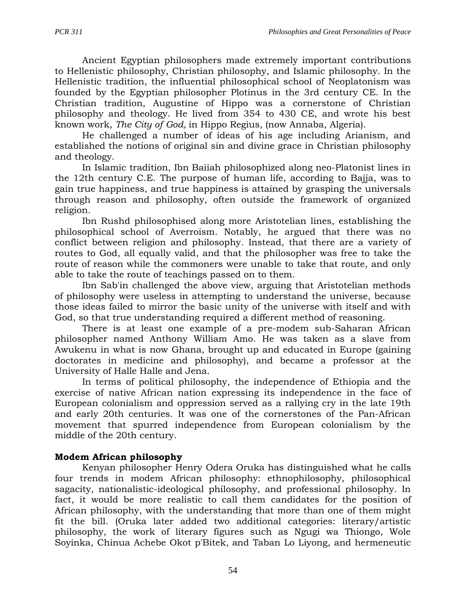Ancient Egyptian philosophers made extremely important contributions to Hellenistic philosophy, Christian philosophy, and Islamic philosophy. In the Hellenistic tradition, the influential philosophical school of Neoplatonism was founded by the Egyptian philosopher Plotinus in the 3rd century CE. In the Christian tradition, Augustine of Hippo was a cornerstone of Christian philosophy and theology. He lived from 354 to 430 CE, and wrote his best known work, *The City of God,* in Hippo Regius, (now Annaba, Algeria).

He challenged a number of ideas of his age including Arianism, and established the notions of original sin and divine grace in Christian philosophy and theology.

In Islamic tradition, Ibn Baiiah philosophized along neo-Platonist lines in the 12th century C.E. The purpose of human life, according to Bajja, was to gain true happiness, and true happiness is attained by grasping the universals through reason and philosophy, often outside the framework of organized religion.

Ibn Rushd philosophised along more Aristotelian lines, establishing the philosophical school of Averroism. Notably, he argued that there was no conflict between religion and philosophy. Instead, that there are a variety of routes to God, all equally valid, and that the philosopher was free to take the route of reason while the commoners were unable to take that route, and only able to take the route of teachings passed on to them.

Ibn Sab'in challenged the above view, arguing that Aristotelian methods of philosophy were useless in attempting to understand the universe, because those ideas failed to mirror the basic unity of the universe with itself and with God, so that true understanding required a different method of reasoning.

There is at least one example of a pre-modem sub-Saharan African philosopher named Anthony William Amo. He was taken as a slave from Awukenu in what is now Ghana, brought up and educated in Europe (gaining doctorates in medicine and philosophy), and became a professor at the University of Halle Halle and Jena.

In terms of political philosophy, the independence of Ethiopia and the exercise of native African nation expressing its independence in the face of European colonialism and oppression served as a rallying cry in the late 19th and early 20th centuries. It was one of the cornerstones of the Pan-African movement that spurred independence from European colonialism by the middle of the 20th century.

## **Modem African philosophy**

Kenyan philosopher Henry Odera Oruka has distinguished what he calls four trends in modem African philosophy: ethnophilosophy, philosophical sagacity, nationalistic-ideological philosophy, and professional philosophy. In fact, it would be more realistic to call them candidates for the position of African philosophy, with the understanding that more than one of them might fit the bill. (Oruka later added two additional categories: literary/artistic philosophy, the work of literary figures such as Ngugi wa Thiongo, Wole Soyinka, Chinua Achebe Okot p'Bitek, and Taban Lo Liyong, and hermeneutic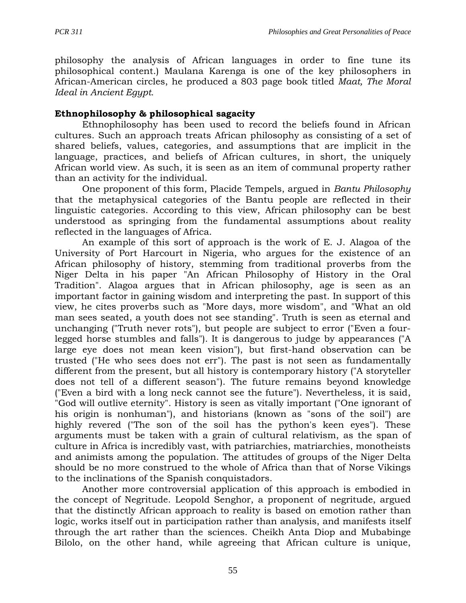philosophy the analysis of African languages in order to fine tune its philosophical content.) Maulana Karenga is one of the key philosophers in African-American circles, he produced a 803 page book titled *Maat, The Moral Ideal in Ancient Egypt.*

### **Ethnophilosophy & philosophical sagacity**

Ethnophilosophy has been used to record the beliefs found in African cultures. Such an approach treats African philosophy as consisting of a set of shared beliefs, values, categories, and assumptions that are implicit in the language, practices, and beliefs of African cultures, in short, the uniquely African world view. As such, it is seen as an item of communal property rather than an activity for the individual.

One proponent of this form, Placide Tempels, argued in *Bantu Philosophy*  that the metaphysical categories of the Bantu people are reflected in their linguistic categories. According to this view, African philosophy can be best understood as springing from the fundamental assumptions about reality reflected in the languages of Africa.

An example of this sort of approach is the work of E. J. Alagoa of the University of Port Harcourt in Nigeria, who argues for the existence of an African philosophy of history, stemming from traditional proverbs from the Niger Delta in his paper "An African Philosophy of History in the Oral Tradition". Alagoa argues that in African philosophy, age is seen as an important factor in gaining wisdom and interpreting the past. In support of this view, he cites proverbs such as "More days, more wisdom", and "What an old man sees seated, a youth does not see standing". Truth is seen as eternal and unchanging ("Truth never rots"), but people are subject to error ("Even a fourlegged horse stumbles and falls"). It is dangerous to judge by appearances ("A large eye does not mean keen vision"), but first-hand observation can be trusted ("He who sees does not err"). The past is not seen as fundamentally different from the present, but all history is contemporary history ("A storyteller does not tell of a different season"). The future remains beyond knowledge ("Even a bird with a long neck cannot see the future"). Nevertheless, it is said, "God will outlive eternity". History is seen as vitally important ("One ignorant of his origin is nonhuman"), and historians (known as "sons of the soil") are highly revered ("The son of the soil has the python's keen eyes"). These arguments must be taken with a grain of cultural relativism, as the span of culture in Africa is incredibly vast, with patriarchies, matriarchies, monotheists and animists among the population. The attitudes of groups of the Niger Delta should be no more construed to the whole of Africa than that of Norse Vikings to the inclinations of the Spanish conquistadors.

Another more controversial application of this approach is embodied in the concept of Negritude. Leopold Senghor, a proponent of negritude, argued that the distinctly African approach to reality is based on emotion rather than logic, works itself out in participation rather than analysis, and manifests itself through the art rather than the sciences. Cheikh Anta Diop and Mubabinge Bilolo, on the other hand, while agreeing that African culture is unique,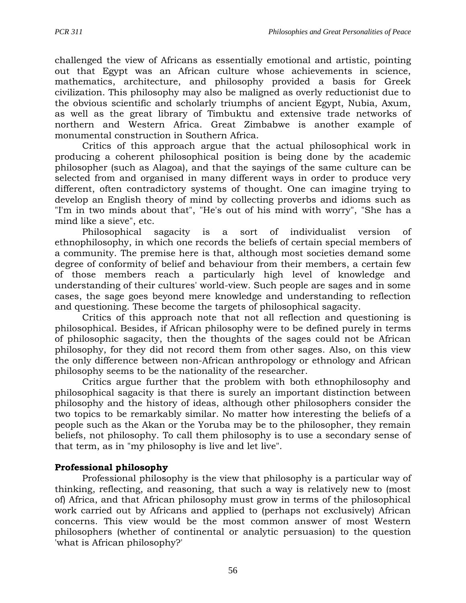challenged the view of Africans as essentially emotional and artistic, pointing out that Egypt was an African culture whose achievements in science, mathematics, architecture, and philosophy provided a basis for Greek civilization. This philosophy may also be maligned as overly reductionist due to the obvious scientific and scholarly triumphs of ancient Egypt, Nubia, Axum, as well as the great library of Timbuktu and extensive trade networks of northern and Western Africa. Great Zimbabwe is another example of monumental construction in Southern Africa.

Critics of this approach argue that the actual philosophical work in producing a coherent philosophical position is being done by the academic philosopher (such as Alagoa), and that the sayings of the same culture can be selected from and organised in many different ways in order to produce very different, often contradictory systems of thought. One can imagine trying to develop an English theory of mind by collecting proverbs and idioms such as "I'm in two minds about that", "He's out of his mind with worry", "She has a mind like a sieve", etc.

Philosophical sagacity is a sort of individualist version of ethnophilosophy, in which one records the beliefs of certain special members of a community. The premise here is that, although most societies demand some degree of conformity of belief and behaviour from their members, a certain few of those members reach a particularly high level of knowledge and understanding of their cultures' world-view. Such people are sages and in some cases, the sage goes beyond mere knowledge and understanding to reflection and questioning. These become the targets of philosophical sagacity.

Critics of this approach note that not all reflection and questioning is philosophical. Besides, if African philosophy were to be defined purely in terms of philosophic sagacity, then the thoughts of the sages could not be African philosophy, for they did not record them from other sages. Also, on this view the only difference between non-African anthropology or ethnology and African philosophy seems to be the nationality of the researcher.

Critics argue further that the problem with both ethnophilosophy and philosophical sagacity is that there is surely an important distinction between philosophy and the history of ideas, although other philosophers consider the two topics to be remarkably similar. No matter how interesting the beliefs of a people such as the Akan or the Yoruba may be to the philosopher, they remain beliefs, not philosophy. To call them philosophy is to use a secondary sense of that term, as in "my philosophy is live and let live".

## **Professional philosophy**

Professional philosophy is the view that philosophy is a particular way of thinking, reflecting, and reasoning, that such a way is relatively new to (most of) Africa, and that African philosophy must grow in terms of the philosophical work carried out by Africans and applied to (perhaps not exclusively) African concerns. This view would be the most common answer of most Western philosophers (whether of continental or analytic persuasion) to the question 'what is African philosophy?'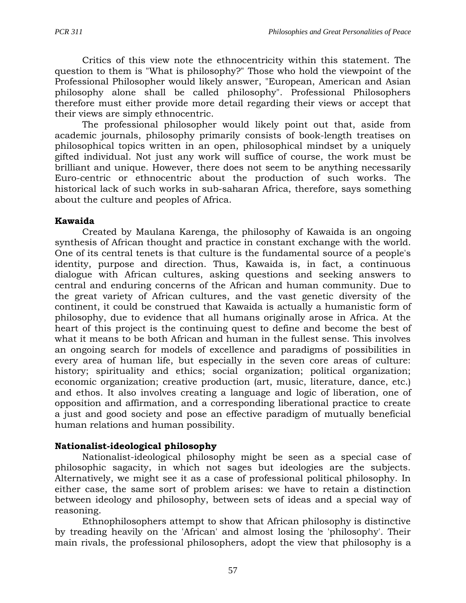Critics of this view note the ethnocentricity within this statement. The question to them is "What is philosophy?" Those who hold the viewpoint of the Professional Philosopher would likely answer, "European, American and Asian philosophy alone shall be called philosophy". Professional Philosophers therefore must either provide more detail regarding their views or accept that their views are simply ethnocentric.

The professional philosopher would likely point out that, aside from academic journals, philosophy primarily consists of book-length treatises on philosophical topics written in an open, philosophical mindset by a uniquely gifted individual. Not just any work will suffice of course, the work must be brilliant and unique. However, there does not seem to be anything necessarily Euro-centric or ethnocentric about the production of such works. The historical lack of such works in sub-saharan Africa, therefore, says something about the culture and peoples of Africa.

## **Kawaida**

Created by Maulana Karenga, the philosophy of Kawaida is an ongoing synthesis of African thought and practice in constant exchange with the world. One of its central tenets is that culture is the fundamental source of a people's identity, purpose and direction. Thus, Kawaida is, in fact, a continuous dialogue with African cultures, asking questions and seeking answers to central and enduring concerns of the African and human community. Due to the great variety of African cultures, and the vast genetic diversity of the continent, it could be construed that Kawaida is actually a humanistic form of philosophy, due to evidence that all humans originally arose in Africa. At the heart of this project is the continuing quest to define and become the best of what it means to be both African and human in the fullest sense. This involves an ongoing search for models of excellence and paradigms of possibilities in every area of human life, but especially in the seven core areas of culture: history; spirituality and ethics; social organization; political organization; economic organization; creative production (art, music, literature, dance, etc.) and ethos. It also involves creating a language and logic of liberation, one of opposition and affirmation, and a corresponding liberational practice to create a just and good society and pose an effective paradigm of mutually beneficial human relations and human possibility.

## **Nationalist-ideological philosophy**

Nationalist-ideological philosophy might be seen as a special case of philosophic sagacity, in which not sages but ideologies are the subjects. Alternatively, we might see it as a case of professional political philosophy. In either case, the same sort of problem arises: we have to retain a distinction between ideology and philosophy, between sets of ideas and a special way of reasoning.

Ethnophilosophers attempt to show that African philosophy is distinctive by treading heavily on the 'African' and almost losing the 'philosophy'. Their main rivals, the professional philosophers, adopt the view that philosophy is a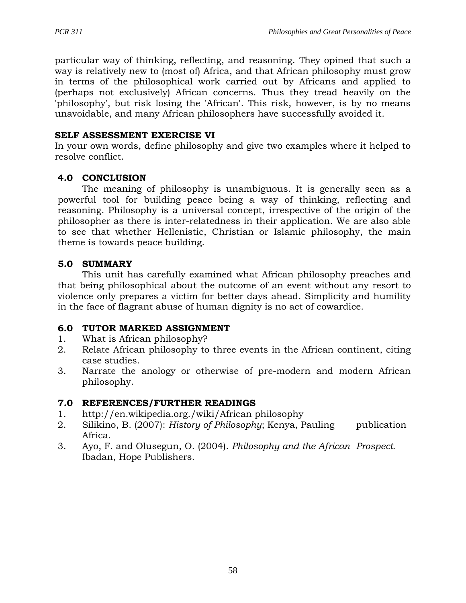particular way of thinking, reflecting, and reasoning. They opined that such a way is relatively new to (most of) Africa, and that African philosophy must grow in terms of the philosophical work carried out by Africans and applied to (perhaps not exclusively) African concerns. Thus they tread heavily on the 'philosophy', but risk losing the 'African'. This risk, however, is by no means unavoidable, and many African philosophers have successfully avoided it.

## **SELF ASSESSMENT EXERCISE VI**

In your own words, define philosophy and give two examples where it helped to resolve conflict.

## **4.0 CONCLUSION**

The meaning of philosophy is unambiguous. It is generally seen as a powerful tool for building peace being a way of thinking, reflecting and reasoning. Philosophy is a universal concept, irrespective of the origin of the philosopher as there is inter-relatedness in their application. We are also able to see that whether Hellenistic, Christian or Islamic philosophy, the main theme is towards peace building.

# **5.0 SUMMARY**

This unit has carefully examined what African philosophy preaches and that being philosophical about the outcome of an event without any resort to violence only prepares a victim for better days ahead. Simplicity and humility in the face of flagrant abuse of human dignity is no act of cowardice.

## **6.0 TUTOR MARKED ASSIGNMENT**

- 1. What is African philosophy?
- 2. Relate African philosophy to three events in the African continent, citing case studies.
- 3. Narrate the anology or otherwise of pre-modern and modern African philosophy.

## **7.0 REFERENCES/FURTHER READINGS**

- 1. http://en.wikipedia.org./wiki/African philosophy
- 2. Silikino, B. (2007): *History of Philosophy*; Kenya, Pauling publication Africa.
- 3. Ayo, F. and Olusegun, O. (2004). *Philosophy and the African Prospect*. Ibadan, Hope Publishers.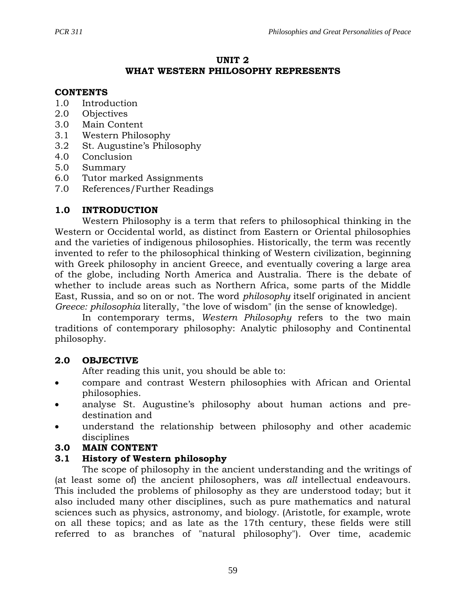#### **UNIT 2 WHAT WESTERN PHILOSOPHY REPRESENTS**

#### **CONTENTS**

- 1.0 Introduction
- 2.0 Objectives
- 3.0 Main Content
- 3.1 Western Philosophy
- 3.2 St. Augustine's Philosophy
- 4.0 Conclusion
- 5.0 Summary
- 6.0 Tutor marked Assignments<br>7.0 References/Further Reading
- References/Further Readings

## **1.0 INTRODUCTION**

Western Philosophy is a term that refers to philosophical thinking in the Western or Occidental world, as distinct from Eastern or Oriental philosophies and the varieties of indigenous philosophies. Historically, the term was recently invented to refer to the philosophical thinking of Western civilization, beginning with Greek philosophy in ancient Greece, and eventually covering a large area of the globe, including North America and Australia. There is the debate of whether to include areas such as Northern Africa, some parts of the Middle East, Russia, and so on or not. The word *philosophy* itself originated in ancient *Greece: philosophia literally, "the love of wisdom" (in the sense of knowledge).* 

In contemporary terms, *Western Philosophy* refers to the two main traditions of contemporary philosophy: Analytic philosophy and Continental philosophy.

#### **2.0 OBJECTIVE**

After reading this unit, you should be able to:

- compare and contrast Western philosophies with African and Oriental philosophies.
- analyse St. Augustine's philosophy about human actions and predestination and
- understand the relationship between philosophy and other academic disciplines

#### **3.0 MAIN CONTENT**

## **3.1 History of Western philosophy**

The scope of philosophy in the ancient understanding and the writings of (at least some of) the ancient philosophers, was *all* intellectual endeavours. This included the problems of philosophy as they are understood today; but it also included many other disciplines, such as pure mathematics and natural sciences such as physics, astronomy, and biology. (Aristotle, for example, wrote on all these topics; and as late as the 17th century, these fields were still referred to as branches of "natural philosophy"). Over time, academic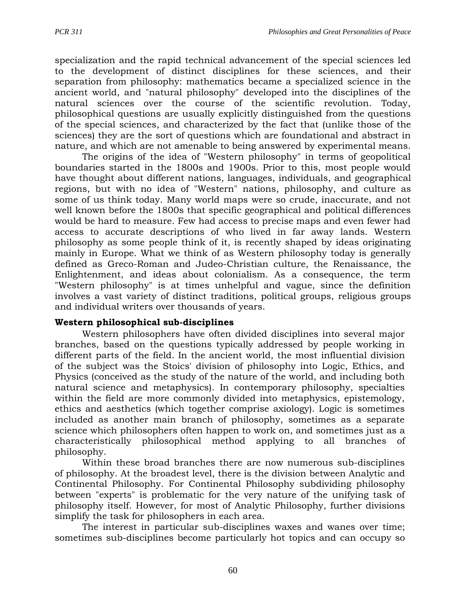specialization and the rapid technical advancement of the special sciences led to the development of distinct disciplines for these sciences, and their separation from philosophy: mathematics became a specialized science in the ancient world, and "natural philosophy" developed into the disciplines of the natural sciences over the course of the scientific revolution. Today, philosophical questions are usually explicitly distinguished from the questions of the special sciences, and characterized by the fact that (unlike those of the sciences) they are the sort of questions which are foundational and abstract in nature, and which are not amenable to being answered by experimental means.

The origins of the idea of "Western philosophy" in terms of geopolitical boundaries started in the 1800s and 1900s. Prior to this, most people would have thought about different nations, languages, individuals, and geographical regions, but with no idea of "Western" nations, philosophy, and culture as some of us think today. Many world maps were so crude, inaccurate, and not well known before the 1800s that specific geographical and political differences would be hard to measure. Few had access to precise maps and even fewer had access to accurate descriptions of who lived in far away lands. Western philosophy as some people think of it, is recently shaped by ideas originating mainly in Europe. What we think of as Western philosophy today is generally defined as Greco-Roman and Judeo-Christian culture, the Renaissance, the Enlightenment, and ideas about colonialism. As a consequence, the term "Western philosophy" is at times unhelpful and vague, since the definition involves a vast variety of distinct traditions, political groups, religious groups and individual writers over thousands of years.

## **Western philosophical sub-disciplines**

Western philosophers have often divided disciplines into several major branches, based on the questions typically addressed by people working in different parts of the field. In the ancient world, the most influential division of the subject was the Stoics' division of philosophy into Logic, Ethics, and Physics (conceived as the study of the nature of the world, and including both natural science and metaphysics). In contemporary philosophy, specialties within the field are more commonly divided into metaphysics, epistemology, ethics and aesthetics (which together comprise axiology). Logic is sometimes included as another main branch of philosophy, sometimes as a separate science which philosophers often happen to work on, and sometimes just as a characteristically philosophical method applying to all branches of philosophy.

Within these broad branches there are now numerous sub-disciplines of philosophy. At the broadest level, there is the division between Analytic and Continental Philosophy. For Continental Philosophy subdividing philosophy between "experts" is problematic for the very nature of the unifying task of philosophy itself. However, for most of Analytic Philosophy, further divisions simplify the task for philosophers in each area.

The interest in particular sub-disciplines waxes and wanes over time; sometimes sub-disciplines become particularly hot topics and can occupy so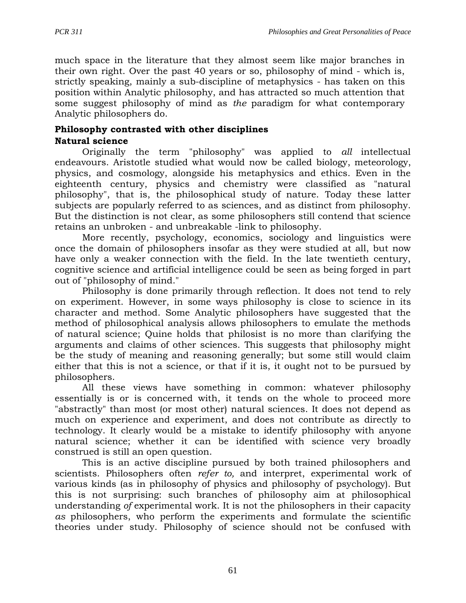much space in the literature that they almost seem like major branches in their own right. Over the past 40 years or so, philosophy of mind - which is, strictly speaking, mainly a sub-discipline of metaphysics - has taken on this position within Analytic philosophy, and has attracted so much attention that some suggest philosophy of mind as *the* paradigm for what contemporary Analytic philosophers do.

## **Philosophy contrasted with other disciplines Natural science**

Originally the term "philosophy" was applied to *all* intellectual endeavours. Aristotle studied what would now be called biology, meteorology, physics, and cosmology, alongside his metaphysics and ethics. Even in the eighteenth century, physics and chemistry were classified as "natural philosophy", that is, the philosophical study of nature. Today these latter subjects are popularly referred to as sciences, and as distinct from philosophy. But the distinction is not clear, as some philosophers still contend that science retains an unbroken - and unbreakable -link to philosophy.

More recently, psychology, economics, sociology and linguistics were once the domain of philosophers insofar as they were studied at all, but now have only a weaker connection with the field. In the late twentieth century, cognitive science and artificial intelligence could be seen as being forged in part out of "philosophy of mind."

Philosophy is done primarily through reflection. It does not tend to rely on experiment. However, in some ways philosophy is close to science in its character and method. Some Analytic philosophers have suggested that the method of philosophical analysis allows philosophers to emulate the methods of natural science; Quine holds that philosist is no more than clarifying the arguments and claims of other sciences. This suggests that philosophy might be the study of meaning and reasoning generally; but some still would claim either that this is not a science, or that if it is, it ought not to be pursued by philosophers.

All these views have something in common: whatever philosophy essentially is or is concerned with, it tends on the whole to proceed more "abstractly" than most (or most other) natural sciences. It does not depend as much on experience and experiment, and does not contribute as directly to technology. It clearly would be a mistake to identify philosophy with anyone natural science; whether it can be identified with science very broadly construed is still an open question.

This is an active discipline pursued by both trained philosophers and scientists. Philosophers often *refer to,* and interpret, experimental work of various kinds (as in philosophy of physics and philosophy of psychology). But this is not surprising: such branches of philosophy aim at philosophical understanding *of* experimental work. It is not the philosophers in their capacity *as* philosophers, who perform the experiments and formulate the scientific theories under study. Philosophy of science should not be confused with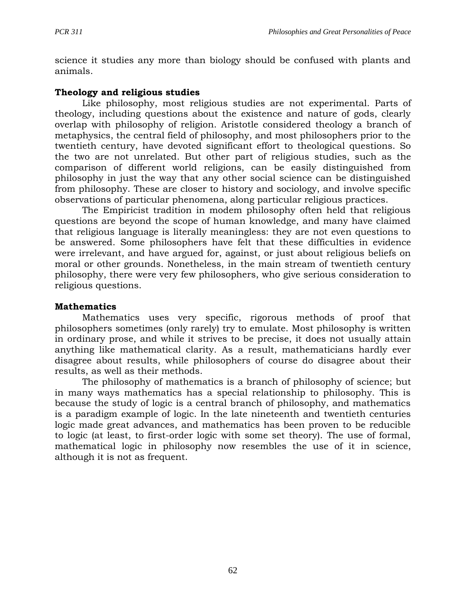science it studies any more than biology should be confused with plants and animals.

# **Theology and religious studies**

Like philosophy, most religious studies are not experimental. Parts of theology, including questions about the existence and nature of gods, clearly overlap with philosophy of religion. Aristotle considered theology a branch of metaphysics, the central field of philosophy, and most philosophers prior to the twentieth century, have devoted significant effort to theological questions. So the two are not unrelated. But other part of religious studies, such as the comparison of different world religions, can be easily distinguished from philosophy in just the way that any other social science can be distinguished from philosophy. These are closer to history and sociology, and involve specific observations of particular phenomena, along particular religious practices.

The Empiricist tradition in modem philosophy often held that religious questions are beyond the scope of human knowledge, and many have claimed that religious language is literally meaningless: they are not even questions to be answered. Some philosophers have felt that these difficulties in evidence were irrelevant, and have argued for, against, or just about religious beliefs on moral or other grounds. Nonetheless, in the main stream of twentieth century philosophy, there were very few philosophers, who give serious consideration to religious questions.

# **Mathematics**

Mathematics uses very specific, rigorous methods of proof that philosophers sometimes (only rarely) try to emulate. Most philosophy is written in ordinary prose, and while it strives to be precise, it does not usually attain anything like mathematical clarity. As a result, mathematicians hardly ever disagree about results, while philosophers of course do disagree about their results, as well as their methods.

The philosophy of mathematics is a branch of philosophy of science; but in many ways mathematics has a special relationship to philosophy. This is because the study of logic is a central branch of philosophy, and mathematics is a paradigm example of logic. In the late nineteenth and twentieth centuries logic made great advances, and mathematics has been proven to be reducible to logic (at least, to first-order logic with some set theory). The use of formal, mathematical logic in philosophy now resembles the use of it in science, although it is not as frequent.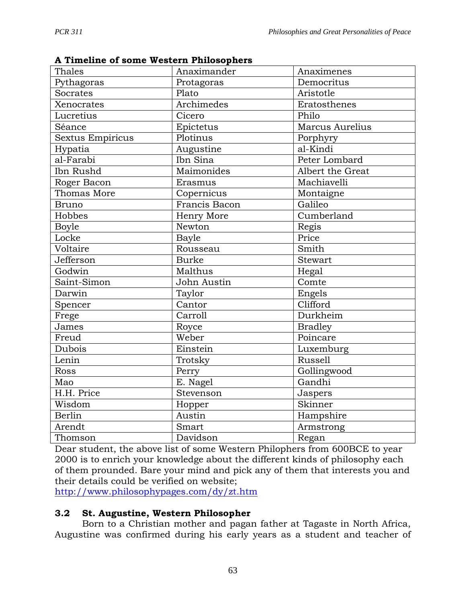| Thales           | Anaximander   | Anaximenes       |
|------------------|---------------|------------------|
| Pythagoras       | Protagoras    | Democritus       |
| Socrates         | Plato         | Aristotle        |
| Xenocrates       | Archimedes    | Eratosthenes     |
| Lucretius        | Cicero        | Philo            |
| Séance           | Epictetus     | Marcus Aurelius  |
| Sextus Empiricus | Plotinus      | Porphyry         |
| Hypatia          | Augustine     | al-Kindi         |
| al-Farabi        | Ibn Sina      | Peter Lombard    |
| Ibn Rushd        | Maimonides    | Albert the Great |
| Roger Bacon      | Erasmus       | Machiavelli      |
| Thomas More      | Copernicus    | Montaigne        |
| <b>Bruno</b>     | Francis Bacon | Galileo          |
| Hobbes           | Henry More    | Cumberland       |
| <b>Boyle</b>     | Newton        | Regis            |
| Locke            | Bayle         | Price            |
| Voltaire         | Rousseau      | Smith            |
| Jefferson        | <b>Burke</b>  | Stewart          |
| Godwin           | Malthus       | Hegal            |
| Saint-Simon      | John Austin   | Comte            |
| Darwin           | Taylor        | Engels           |
| Spencer          | Cantor        | Clifford         |
| Frege            | Carroll       | Durkheim         |
| James            | Royce         | <b>Bradley</b>   |
| Freud            | Weber         | Poincare         |
| Dubois           | Einstein      | Luxemburg        |
| Lenin            | Trotsky       | Russell          |
| Ross             | Perry         | Gollingwood      |
| Mao              | E. Nagel      | Gandhi           |
| H.H. Price       | Stevenson     | Jaspers          |
| Wisdom           | Hopper        | Skinner          |
| <b>Berlin</b>    | Austin        | Hampshire        |
| Arendt           | Smart         | Armstrong        |
| Thomson          | Davidson      | Regan            |

#### **A Timeline of some Western Philosophers**

Dear student, the above list of some Western Philophers from 600BCE to year 2000 is to enrich your knowledge about the different kinds of philosophy each of them prounded. Bare your mind and pick any of them that interests you and their details could be verified on website;

<http://www.philosophypages.com/dy/zt.htm>

## **3.2 St. Augustine, Western Philosopher**

Born to a Christian mother and pagan father at Tagaste in North Africa, Augustine was confirmed during his early years as a student and teacher of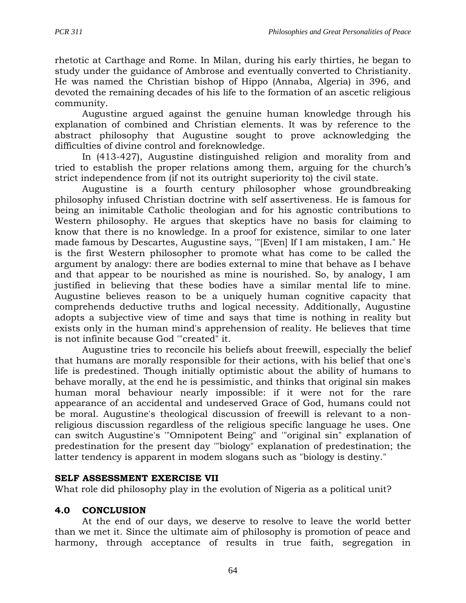rhetotic at Carthage and Rome. In Milan, during his early thirties, he began to study under the guidance of Ambrose and eventually converted to Christianity. He was named the Christian bishop of Hippo (Annaba, Algeria) in 396, and devoted the remaining decades of his life to the formation of an ascetic religious community.

Augustine argued against the genuine human knowledge through his explanation of combined and Christian elements. It was by reference to the abstract philosophy that Augustine sought to prove acknowledging the difficulties of divine control and foreknowledge.

In (413-427), Augustine distinguished religion and morality from and tried to establish the proper relations among them, arguing for the church's strict independence from (if not its outright superiority to) the civil state.

Augustine is a fourth century philosopher whose groundbreaking philosophy infused Christian doctrine with self assertiveness. He is famous for being an inimitable Catholic theologian and for his agnostic contributions to Western philosophy. He argues that skeptics have no basis for claiming to know that there is no knowledge. In a proof for existence, similar to one later made famous by Descartes, Augustine says, '"[Even] If I am mistaken, I am." He is the first Western philosopher to promote what has come to be called the argument by analogy: there are bodies external to mine that behave as I behave and that appear to be nourished as mine is nourished. So, by analogy, I am justified in believing that these bodies have a similar mental life to mine. Augustine believes reason to be a uniquely human cognitive capacity that comprehends deductive truths and logical necessity. Additionally, Augustine adopts a subjective view of time and says that time is nothing in reality but exists only in the human mind's apprehension of reality. He believes that time is not infinite because God '"created" it.

Augustine tries to reconcile his beliefs about freewill, especially the belief that humans are morally responsible for their actions, with his belief that one's life is predestined. Though initially optimistic about the ability of humans to behave morally, at the end he is pessimistic, and thinks that original sin makes human moral behaviour nearly impossible: if it were not for the rare appearance of an accidental and undeserved Grace of God, humans could not be moral. Augustine's theological discussion of freewill is relevant to a nonreligious discussion regardless of the religious specific language he uses. One can switch Augustine's '"Omnipotent Being" and '"original sin" explanation of predestination for the present day '"biology" explanation of predestination; the latter tendency is apparent in modem slogans such as "biology is destiny."

#### **SELF ASSESSMENT EXERCISE VII**

What role did philosophy play in the evolution of Nigeria as a political unit?

## **4.0 CONCLUSION**

At the end of our days, we deserve to resolve to leave the world better than we met it. Since the ultimate aim of philosophy is promotion of peace and harmony, through acceptance of results in true faith, segregation in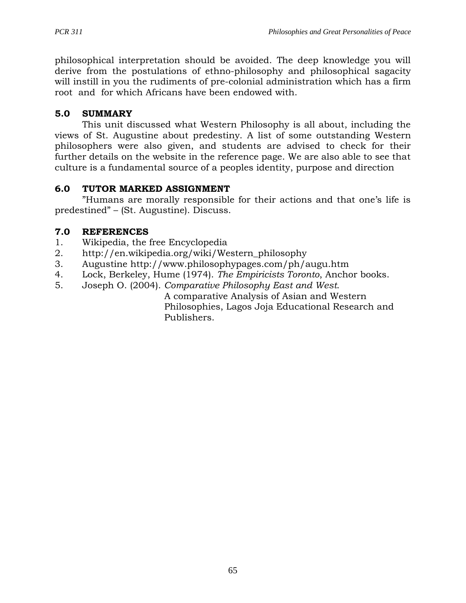philosophical interpretation should be avoided. The deep knowledge you will derive from the postulations of ethno-philosophy and philosophical sagacity will instill in you the rudiments of pre-colonial administration which has a firm root and for which Africans have been endowed with.

## **5.0 SUMMARY**

This unit discussed what Western Philosophy is all about, including the views of St. Augustine about predestiny. A list of some outstanding Western philosophers were also given, and students are advised to check for their further details on the website in the reference page. We are also able to see that culture is a fundamental source of a peoples identity, purpose and direction

## **6.0 TUTOR MARKED ASSIGNMENT**

"Humans are morally responsible for their actions and that one's life is predestined" – (St. Augustine). Discuss.

## **7.0 REFERENCES**

- 1. Wikipedia, the free Encyclopedia
- 2. http://en.wikipedia.org/wiki/Western\_philosophy
- 3. Augustine http://www.philosophypages.com/ph/augu.htm
- 4. Lock, Berkeley, Hume (1974). *The Empiricists Toronto*, Anchor books.
- 5. Joseph O. (2004). *Comparative Philosophy East and West*.

A comparative Analysis of Asian and Western Philosophies, Lagos Joja Educational Research and Publishers.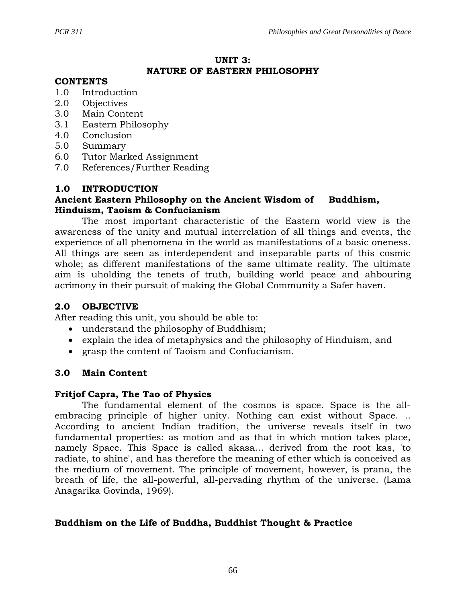#### **UNIT 3: NATURE OF EASTERN PHILOSOPHY**

#### **CONTENTS**

- 1.0 Introduction
- 2.0 Objectives
- 3.0 Main Content
- 3.1 Eastern Philosophy
- 4.0 Conclusion
- 5.0 Summary
- 6.0 Tutor Marked Assignment
- 7.0 References/Further Reading

### **1.0 INTRODUCTION**

#### **Ancient Eastern Philosophy on the Ancient Wisdom of Buddhism, Hinduism, Taoism & Confucianism**

The most important characteristic of the Eastern world view is the awareness of the unity and mutual interrelation of all things and events, the experience of all phenomena in the world as manifestations of a basic oneness. All things are seen as interdependent and inseparable parts of this cosmic whole; as different manifestations of the same ultimate reality. The ultimate aim is uholding the tenets of truth, building world peace and ahbouring acrimony in their pursuit of making the Global Community a Safer haven.

#### **2.0 OBJECTIVE**

After reading this unit, you should be able to:

- understand the philosophy of Buddhism;
- explain the idea of metaphysics and the philosophy of Hinduism, and
- grasp the content of Taoism and Confucianism.

## **3.0 Main Content**

#### **Fritjof Capra, The Tao of Physics**

The fundamental element of the cosmos is space. Space is the allembracing principle of higher unity. Nothing can exist without Space. .. According to ancient Indian tradition, the universe reveals itself in two fundamental properties: as motion and as that in which motion takes place, namely Space. This Space is called akasa… derived from the root kas, 'to radiate, to shine', and has therefore the meaning of ether which is conceived as the medium of movement. The principle of movement, however, is prana, the breath of life, the all-powerful, all-pervading rhythm of the universe. (Lama Anagarika Govinda, 1969).

#### **Buddhism on the Life of Buddha, Buddhist Thought & Practice**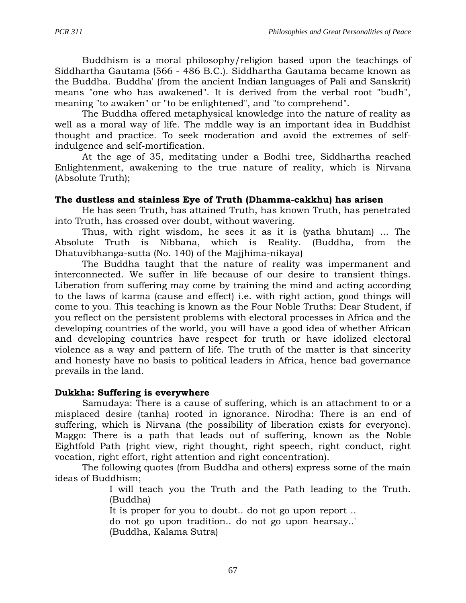Buddhism is a moral philosophy/religion based upon the teachings of Siddhartha Gautama (566 - 486 B.C.). Siddhartha Gautama became known as the Buddha. 'Buddha' (from the ancient Indian languages of Pali and Sanskrit) means "one who has awakened". It is derived from the verbal root "budh", meaning "to awaken" or "to be enlightened", and "to comprehend".

The Buddha offered metaphysical knowledge into the nature of reality as well as a moral way of life. The mddle way is an important idea in Buddhist thought and practice. To seek moderation and avoid the extremes of selfindulgence and self-mortification.

At the age of 35, meditating under a Bodhi tree, Siddhartha reached Enlightenment, awakening to the true nature of reality, which is Nirvana (Absolute Truth);

#### **The dustless and stainless Eye of Truth (Dhamma-cakkhu) has arisen**

He has seen Truth, has attained Truth, has known Truth, has penetrated into Truth, has crossed over doubt, without wavering.

Thus, with right wisdom, he sees it as it is (yatha bhutam) ... The Absolute Truth is Nibbana, which is Reality. (Buddha, from the Dhatuvibhanga-sutta (No. 140) of the Majjhima-nikaya)

The Buddha taught that the nature of reality was impermanent and interconnected. We suffer in life because of our desire to transient things. Liberation from suffering may come by training the mind and acting according to the laws of karma (cause and effect) i.e. with right action, good things will come to you. This teaching is known as the Four Noble Truths: Dear Student, if you reflect on the persistent problems with electoral processes in Africa and the developing countries of the world, you will have a good idea of whether African and developing countries have respect for truth or have idolized electoral violence as a way and pattern of life. The truth of the matter is that sincerity and honesty have no basis to political leaders in Africa, hence bad governance prevails in the land.

#### **Dukkha: Suffering is everywhere**

Samudaya: There is a cause of suffering, which is an attachment to or a misplaced desire (tanha) rooted in ignorance. Nirodha: There is an end of suffering, which is Nirvana (the possibility of liberation exists for everyone). Maggo: There is a path that leads out of suffering, known as the Noble Eightfold Path (right view, right thought, right speech, right conduct, right vocation, right effort, right attention and right concentration).

The following quotes (from Buddha and others) express some of the main ideas of Buddhism;

> I will teach you the Truth and the Path leading to the Truth. (Buddha)

It is proper for you to doubt.. do not go upon report .. do not go upon tradition.. do not go upon hearsay..' (Buddha, Kalama Sutra)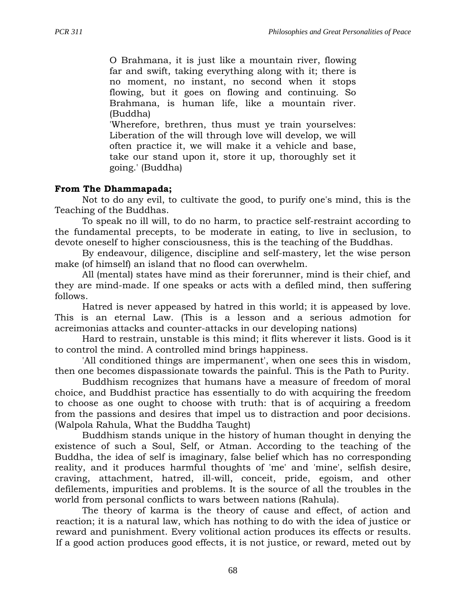O Brahmana, it is just like a mountain river, flowing far and swift, taking everything along with it; there is no moment, no instant, no second when it stops flowing, but it goes on flowing and continuing. So Brahmana, is human life, like a mountain river. (Buddha)

'Wherefore, brethren, thus must ye train yourselves: Liberation of the will through love will develop, we will often practice it, we will make it a vehicle and base, take our stand upon it, store it up, thoroughly set it going.' (Buddha)

## **From The Dhammapada;**

Not to do any evil, to cultivate the good, to purify one's mind, this is the Teaching of the Buddhas.

To speak no ill will, to do no harm, to practice self-restraint according to the fundamental precepts, to be moderate in eating, to live in seclusion, to devote oneself to higher consciousness, this is the teaching of the Buddhas.

By endeavour, diligence, discipline and self-mastery, let the wise person make (of himself) an island that no flood can overwhelm.

All (mental) states have mind as their forerunner, mind is their chief, and they are mind-made. If one speaks or acts with a defiled mind, then suffering follows.

Hatred is never appeased by hatred in this world; it is appeased by love. This is an eternal Law. (This is a lesson and a serious admotion for acreimonias attacks and counter-attacks in our developing nations)

Hard to restrain, unstable is this mind; it flits wherever it lists. Good is it to control the mind. A controlled mind brings happiness.

'All conditioned things are impermanent', when one sees this in wisdom, then one becomes dispassionate towards the painful. This is the Path to Purity.

Buddhism recognizes that humans have a measure of freedom of moral choice, and Buddhist practice has essentially to do with acquiring the freedom to choose as one ought to choose with truth: that is of acquiring a freedom from the passions and desires that impel us to distraction and poor decisions. (Walpola Rahula, What the Buddha Taught)

Buddhism stands unique in the history of human thought in denying the existence of such a Soul, Self, or Atman. According to the teaching of the Buddha, the idea of self is imaginary, false belief which has no corresponding reality, and it produces harmful thoughts of 'me' and 'mine', selfish desire, craving, attachment, hatred, ill-will, conceit, pride, egoism, and other defilements, impurities and problems. It is the source of all the troubles in the world from personal conflicts to wars between nations (Rahula).

The theory of karma is the theory of cause and effect, of action and reaction; it is a natural law, which has nothing to do with the idea of justice or reward and punishment. Every volitional action produces its effects or results. If a good action produces good effects, it is not justice, or reward, meted out by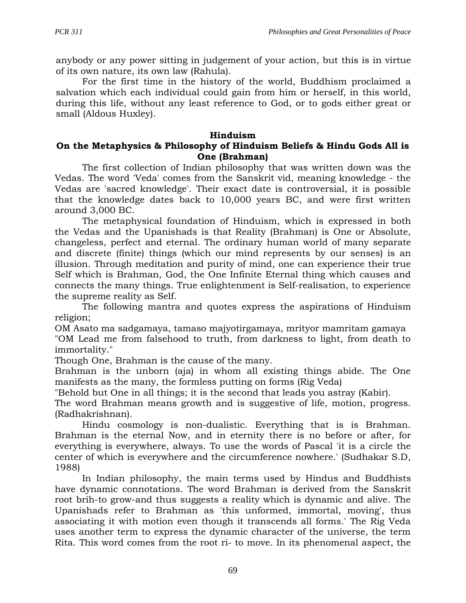anybody or any power sitting in judgement of your action, but this is in virtue of its own nature, its own law (Rahula).

For the first time in the history of the world, Buddhism proclaimed a salvation which each individual could gain from him or herself, in this world, during this life, without any least reference to God, or to gods either great or small (Aldous Huxley).

#### **Hinduism**

## **On the Metaphysics & Philosophy of Hinduism Beliefs & Hindu Gods All is One (Brahman)**

The first collection of Indian philosophy that was written down was the Vedas. The word 'Veda' comes from the Sanskrit vid, meaning knowledge - the Vedas are 'sacred knowledge'. Their exact date is controversial, it is possible that the knowledge dates back to 10,000 years BC, and were first written around 3,000 BC.

The metaphysical foundation of Hinduism, which is expressed in both the Vedas and the Upanishads is that Reality (Brahman) is One or Absolute, changeless, perfect and eternal. The ordinary human world of many separate and discrete (finite) things (which our mind represents by our senses) is an illusion. Through meditation and purity of mind, one can experience their true Self which is Brahman, God, the One Infinite Eternal thing which causes and connects the many things. True enlightenment is Self-realisation, to experience the supreme reality as Self.

The following mantra and quotes express the aspirations of Hinduism religion;

OM Asato ma sadgamaya, tamaso majyotirgamaya, mrityor mamritam gamaya

"OM Lead me from falsehood to truth, from darkness to light, from death to immortality."

Though One, Brahman is the cause of the many.

Brahman is the unborn (aja) in whom all existing things abide. The One manifests as the many, the formless putting on forms (Rig Veda)

"Behold but One in all things; it is the second that leads you astray (Kabir).

The word Brahman means growth and is suggestive of life, motion, progress. (Radhakrishnan).

Hindu cosmology is non-dualistic. Everything that is is Brahman. Brahman is the eternal Now, and in eternity there is no before or after, for everything is everywhere, always. To use the words of Pascal 'it is a circle the center of which is everywhere and the circumference nowhere.' (Sudhakar S.D, 1988)

In Indian philosophy, the main terms used by Hindus and Buddhists have dynamic connotations. The word Brahman is derived from the Sanskrit root brih-to grow-and thus suggests a reality which is dynamic and alive. The Upanishads refer to Brahman as 'this unformed, immortal, moving', thus associating it with motion even though it transcends all forms.' The Rig Veda uses another term to express the dynamic character of the universe, the term Rita. This word comes from the root ri- to move. In its phenomenal aspect, the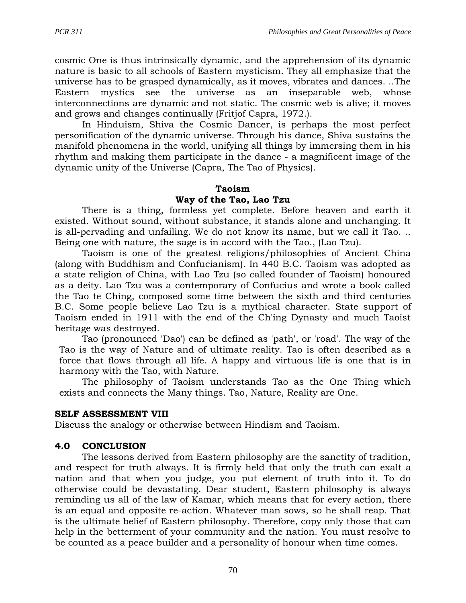cosmic One is thus intrinsically dynamic, and the apprehension of its dynamic nature is basic to all schools of Eastern mysticism. They all emphasize that the universe has to be grasped dynamically, as it moves, vibrates and dances. ..The Eastern mystics see the universe as an inseparable web, whose interconnections are dynamic and not static. The cosmic web is alive; it moves and grows and changes continually (Fritjof Capra, 1972.).

In Hinduism, Shiva the Cosmic Dancer, is perhaps the most perfect personification of the dynamic universe. Through his dance, Shiva sustains the manifold phenomena in the world, unifying all things by immersing them in his rhythm and making them participate in the dance - a magnificent image of the dynamic unity of the Universe (Capra, The Tao of Physics).

# **Taoism Way of the Tao, Lao Tzu**

There is a thing, formless yet complete. Before heaven and earth it existed. Without sound, without substance, it stands alone and unchanging. It is all-pervading and unfailing. We do not know its name, but we call it Tao. .. Being one with nature, the sage is in accord with the Tao., (Lao Tzu).

Taoism is one of the greatest religions/philosophies of Ancient China (along with Buddhism and Confucianism). In 440 B.C. Taoism was adopted as a state religion of China, with Lao Tzu (so called founder of Taoism) honoured as a deity. Lao Tzu was a contemporary of Confucius and wrote a book called the Tao te Ching, composed some time between the sixth and third centuries B.C. Some people believe Lao Tzu is a mythical character. State support of Taoism ended in 1911 with the end of the Ch'ing Dynasty and much Taoist heritage was destroyed.

Tao (pronounced 'Dao') can be defined as 'path', or 'road'. The way of the Tao is the way of Nature and of ultimate reality. Tao is often described as a force that flows through all life. A happy and virtuous life is one that is in harmony with the Tao, with Nature.

The philosophy of Taoism understands Tao as the One Thing which exists and connects the Many things. Tao, Nature, Reality are One.

# **SELF ASSESSMENT VIII**

Discuss the analogy or otherwise between Hindism and Taoism.

# **4.0 CONCLUSION**

The lessons derived from Eastern philosophy are the sanctity of tradition, and respect for truth always. It is firmly held that only the truth can exalt a nation and that when you judge, you put element of truth into it. To do otherwise could be devastating. Dear student, Eastern philosophy is always reminding us all of the law of Kamar, which means that for every action, there is an equal and opposite re-action. Whatever man sows, so he shall reap. That is the ultimate belief of Eastern philosophy. Therefore, copy only those that can help in the betterment of your community and the nation. You must resolve to be counted as a peace builder and a personality of honour when time comes.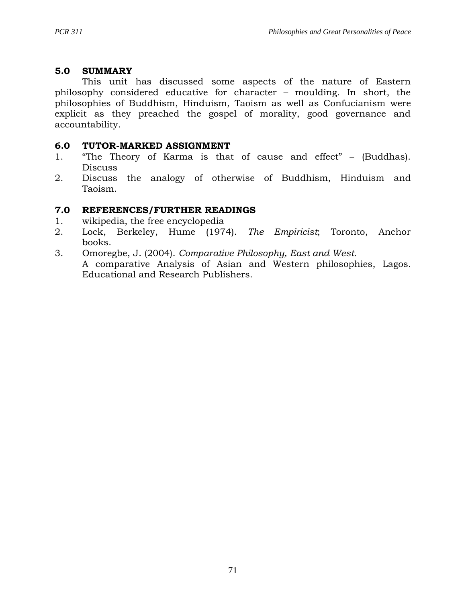## **5.0 SUMMARY**

This unit has discussed some aspects of the nature of Eastern philosophy considered educative for character – moulding. In short, the philosophies of Buddhism, Hinduism, Taoism as well as Confucianism were explicit as they preached the gospel of morality, good governance and accountability.

## **6.0 TUTOR-MARKED ASSIGNMENT**

- 1. "The Theory of Karma is that of cause and effect" (Buddhas). Discuss
- 2. Discuss the analogy of otherwise of Buddhism, Hinduism and Taoism.

## **7.0 REFERENCES/FURTHER READINGS**

- 1. wikipedia, the free encyclopedia
- 2. Lock, Berkeley, Hume (1974). *The Empiricist*; Toronto, Anchor books.
- 3. Omoregbe, J. (2004). *Comparative Philosophy, East and West.* A comparative Analysis of Asian and Western philosophies, Lagos. Educational and Research Publishers.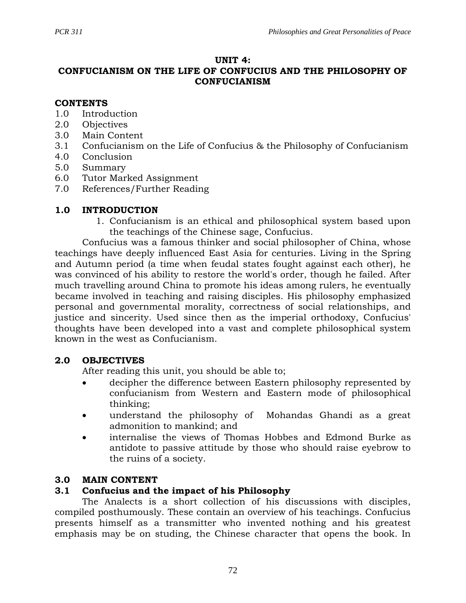#### **UNIT 4:**

# **CONFUCIANISM ON THE LIFE OF CONFUCIUS AND THE PHILOSOPHY OF CONFUCIANISM**

### **CONTENTS**

- 1.0 Introduction
- 2.0 Objectives
- 3.0 Main Content
- 3.1 Confucianism on the Life of Confucius & the Philosophy of Confucianism
- 4.0 Conclusion
- 5.0 Summary
- 6.0 Tutor Marked Assignment<br>7.0 References/Further Readir
- References/Further Reading

## **1.0 INTRODUCTION**

1. Confucianism is an ethical and philosophical system based upon the teachings of the Chinese sage, Confucius.

Confucius was a famous thinker and social philosopher of China, whose teachings have deeply influenced East Asia for centuries. Living in the Spring and Autumn period (a time when feudal states fought against each other), he was convinced of his ability to restore the world's order, though he failed. After much travelling around China to promote his ideas among rulers, he eventually became involved in teaching and raising disciples. His philosophy emphasized personal and governmental morality, correctness of social relationships, and justice and sincerity. Used since then as the imperial orthodoxy, Confucius' thoughts have been developed into a vast and complete philosophical system known in the west as Confucianism.

## **2.0 OBJECTIVES**

After reading this unit, you should be able to;

- decipher the difference between Eastern philosophy represented by confucianism from Western and Eastern mode of philosophical thinking;
- understand the philosophy of Mohandas Ghandi as a great admonition to mankind; and
- internalise the views of Thomas Hobbes and Edmond Burke as antidote to passive attitude by those who should raise eyebrow to the ruins of a society.

## **3.0 MAIN CONTENT**

## **3.1 Confucius and the impact of his Philosophy**

The Analects is a short collection of his discussions with disciples, compiled posthumously. These contain an overview of his teachings. Confucius presents himself as a transmitter who invented nothing and his greatest emphasis may be on studing, the Chinese character that opens the book. In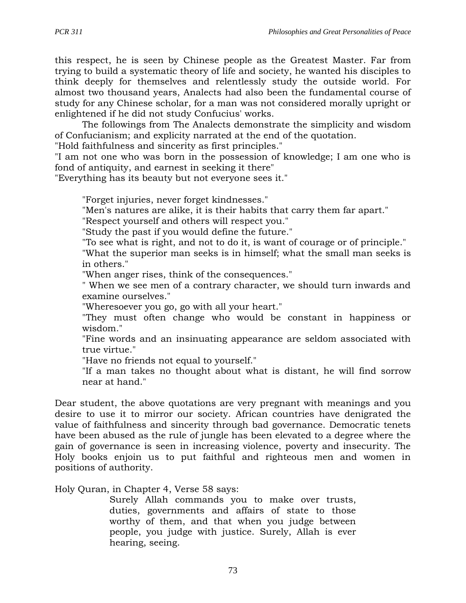this respect, he is seen by Chinese people as the Greatest Master. Far from trying to build a systematic theory of life and society, he wanted his disciples to think deeply for themselves and relentlessly study the outside world. For almost two thousand years, Analects had also been the fundamental course of study for any Chinese scholar, for a man was not considered morally upright or enlightened if he did not study Confucius' works.

The followings from The Analects demonstrate the simplicity and wisdom of Confucianism; and explicity narrated at the end of the quotation.

"Hold faithfulness and sincerity as first principles."

"I am not one who was born in the possession of knowledge; I am one who is fond of antiquity, and earnest in seeking it there"

"Everything has its beauty but not everyone sees it."

"Forget injuries, never forget kindnesses."

"Men's natures are alike, it is their habits that carry them far apart."

"Respect yourself and others will respect you."

"Study the past if you would define the future."

"To see what is right, and not to do it, is want of courage or of principle."

"What the superior man seeks is in himself; what the small man seeks is in others."

"When anger rises, think of the consequences."

" When we see men of a contrary character, we should turn inwards and examine ourselves."

"Wheresoever you go, go with all your heart."

"They must often change who would be constant in happiness or wisdom."

"Fine words and an insinuating appearance are seldom associated with true virtue."

"Have no friends not equal to yourself."

"If a man takes no thought about what is distant, he will find sorrow near at hand."

Dear student, the above quotations are very pregnant with meanings and you desire to use it to mirror our society. African countries have denigrated the value of faithfulness and sincerity through bad governance. Democratic tenets have been abused as the rule of jungle has been elevated to a degree where the gain of governance is seen in increasing violence, poverty and insecurity. The Holy books enjoin us to put faithful and righteous men and women in positions of authority.

Holy Quran, in Chapter 4, Verse 58 says:

Surely Allah commands you to make over trusts, duties, governments and affairs of state to those worthy of them, and that when you judge between people, you judge with justice. Surely, Allah is ever hearing, seeing.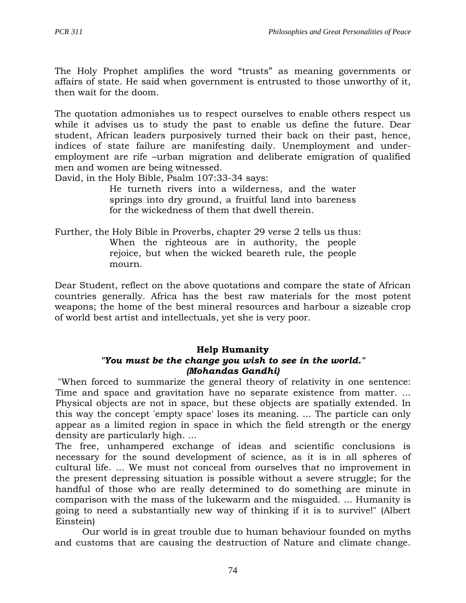The Holy Prophet amplifies the word "trusts" as meaning governments or affairs of state. He said when government is entrusted to those unworthy of it, then wait for the doom.

The quotation admonishes us to respect ourselves to enable others respect us while it advises us to study the past to enable us define the future. Dear student, African leaders purposively turned their back on their past, hence, indices of state failure are manifesting daily. Unemployment and underemployment are rife –urban migration and deliberate emigration of qualified men and women are being witnessed.

David, in the Holy Bible, Psalm 107:33-34 says:

He turneth rivers into a wilderness, and the water springs into dry ground, a fruitful land into bareness for the wickedness of them that dwell therein.

Further, the Holy Bible in Proverbs, chapter 29 verse 2 tells us thus: When the righteous are in authority, the people rejoice, but when the wicked beareth rule, the people mourn.

Dear Student, reflect on the above quotations and compare the state of African countries generally. Africa has the best raw materials for the most potent weapons; the home of the best mineral resources and harbour a sizeable crop of world best artist and intellectuals, yet she is very poor.

#### **Help Humanity** *"You must be the change you wish to see in the world." (Mohandas Gandhi)*

"When forced to summarize the general theory of relativity in one sentence: Time and space and gravitation have no separate existence from matter. ... Physical objects are not in space, but these objects are spatially extended. In this way the concept 'empty space' loses its meaning. ... The particle can only appear as a limited region in space in which the field strength or the energy density are particularly high. ...

The free, unhampered exchange of ideas and scientific conclusions is necessary for the sound development of science, as it is in all spheres of cultural life. ... We must not conceal from ourselves that no improvement in the present depressing situation is possible without a severe struggle; for the handful of those who are really determined to do something are minute in comparison with the mass of the lukewarm and the misguided. ... Humanity is going to need a substantially new way of thinking if it is to survive!" (Albert Einstein)

Our world is in great trouble due to human behaviour founded on myths and customs that are causing the destruction of Nature and climate change.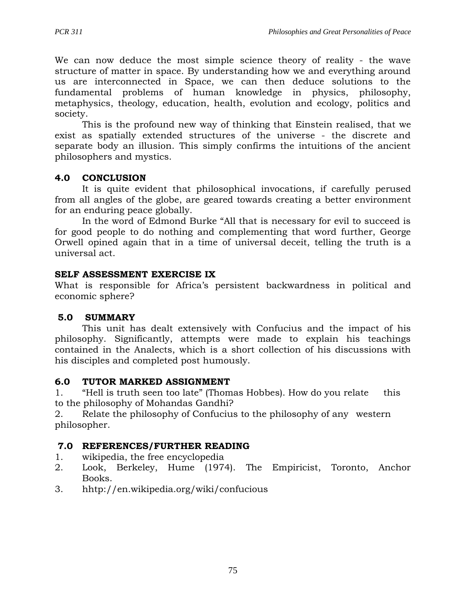We can now deduce the most simple science theory of reality - the wave structure of matter in space. By understanding how we and everything around us are interconnected in Space, we can then deduce solutions to the fundamental problems of human knowledge in physics, philosophy, metaphysics, theology, education, health, evolution and ecology, politics and society.

This is the profound new way of thinking that Einstein realised, that we exist as spatially extended structures of the universe - the discrete and separate body an illusion. This simply confirms the intuitions of the ancient philosophers and mystics.

### **4.0 CONCLUSION**

It is quite evident that philosophical invocations, if carefully perused from all angles of the globe, are geared towards creating a better environment for an enduring peace globally.

In the word of Edmond Burke "All that is necessary for evil to succeed is for good people to do nothing and complementing that word further, George Orwell opined again that in a time of universal deceit, telling the truth is a universal act.

### **SELF ASSESSMENT EXERCISE IX**

What is responsible for Africa's persistent backwardness in political and economic sphere?

### **5.0 SUMMARY**

This unit has dealt extensively with Confucius and the impact of his philosophy. Significantly, attempts were made to explain his teachings contained in the Analects, which is a short collection of his discussions with his disciples and completed post humously.

### **6.0 TUTOR MARKED ASSIGNMENT**

1. "Hell is truth seen too late" (Thomas Hobbes). How do you relate this to the philosophy of Mohandas Gandhi?

2. Relate the philosophy of Confucius to the philosophy of any western philosopher.

### **7.0 REFERENCES/FURTHER READING**

- 1. wikipedia, the free encyclopedia
- 2. Look, Berkeley, Hume (1974). The Empiricist, Toronto, Anchor Books.
- 3. hhtp://en.wikipedia.org/wiki/confucious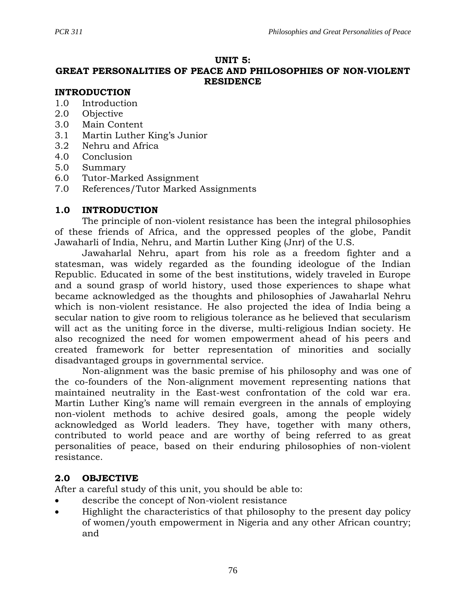#### **UNIT 5:**

### **GREAT PERSONALITIES OF PEACE AND PHILOSOPHIES OF NON-VIOLENT RESIDENCE**

#### **INTRODUCTION**

- 1.0 Introduction
- 2.0 Objective
- 3.0 Main Content
- 3.1 Martin Luther King's Junior
- 3.2 Nehru and Africa
- 4.0 Conclusion
- 5.0 Summary
- 6.0 Tutor-Marked Assignment<br>7.0 References/Tutor Marked
- References/Tutor Marked Assignments

#### **1.0 INTRODUCTION**

The principle of non-violent resistance has been the integral philosophies of these friends of Africa, and the oppressed peoples of the globe, Pandit Jawaharli of India, Nehru, and Martin Luther King (Jnr) of the U.S.

Jawaharlal Nehru, apart from his role as a freedom fighter and a statesman, was widely regarded as the founding ideologue of the Indian Republic. Educated in some of the best institutions, widely traveled in Europe and a sound grasp of world history, used those experiences to shape what became acknowledged as the thoughts and philosophies of Jawaharlal Nehru which is non-violent resistance. He also projected the idea of India being a secular nation to give room to religious tolerance as he believed that secularism will act as the uniting force in the diverse, multi-religious Indian society. He also recognized the need for women empowerment ahead of his peers and created framework for better representation of minorities and socially disadvantaged groups in governmental service.

Non-alignment was the basic premise of his philosophy and was one of the co-founders of the Non-alignment movement representing nations that maintained neutrality in the East-west confrontation of the cold war era. Martin Luther King's name will remain evergreen in the annals of employing non-violent methods to achive desired goals, among the people widely acknowledged as World leaders. They have, together with many others, contributed to world peace and are worthy of being referred to as great personalities of peace, based on their enduring philosophies of non-violent resistance.

### **2.0 OBJECTIVE**

After a careful study of this unit, you should be able to:

- describe the concept of Non-violent resistance
- Highlight the characteristics of that philosophy to the present day policy of women/youth empowerment in Nigeria and any other African country; and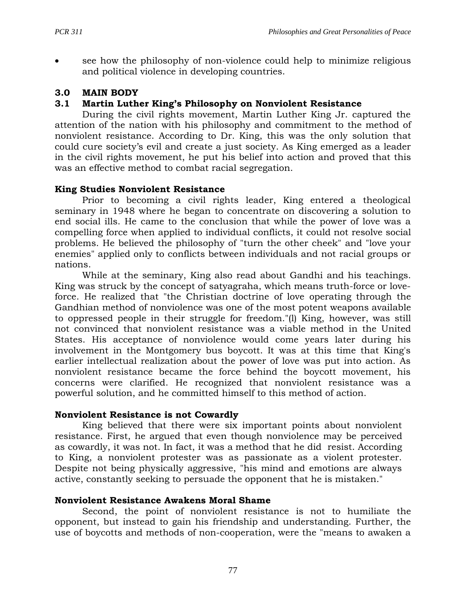• see how the philosophy of non-violence could help to minimize religious and political violence in developing countries.

### **3.0 MAIN BODY**

### **3.1 Martin Luther King's Philosophy on Nonviolent Resistance**

During the civil rights movement, Martin Luther King Jr. captured the attention of the nation with his philosophy and commitment to the method of nonviolent resistance. According to Dr. King, this was the only solution that could cure society's evil and create a just society. As King emerged as a leader in the civil rights movement, he put his belief into action and proved that this was an effective method to combat racial segregation.

### **King Studies Nonviolent Resistance**

Prior to becoming a civil rights leader, King entered a theological seminary in 1948 where he began to concentrate on discovering a solution to end social ills. He came to the conclusion that while the power of love was a compelling force when applied to individual conflicts, it could not resolve social problems. He believed the philosophy of "turn the other cheek" and "love your enemies" applied only to conflicts between individuals and not racial groups or nations.

While at the seminary, King also read about Gandhi and his teachings. King was struck by the concept of satyagraha, which means truth-force or loveforce. He realized that "the Christian doctrine of love operating through the Gandhian method of nonviolence was one of the most potent weapons available to oppressed people in their struggle for freedom."(l) King, however, was still not convinced that nonviolent resistance was a viable method in the United States. His acceptance of nonviolence would come years later during his involvement in the Montgomery bus boycott. It was at this time that King's earlier intellectual realization about the power of love was put into action. As nonviolent resistance became the force behind the boycott movement, his concerns were clarified. He recognized that nonviolent resistance was a powerful solution, and he committed himself to this method of action.

### **Nonviolent Resistance is not Cowardly**

King believed that there were six important points about nonviolent resistance. First, he argued that even though nonviolence may be perceived as cowardly, it was not. In fact, it was a method that he did resist. According to King, a nonviolent protester was as passionate as a violent protester. Despite not being physically aggressive, "his mind and emotions are always active, constantly seeking to persuade the opponent that he is mistaken."

### **Nonviolent Resistance Awakens Moral Shame**

Second, the point of nonviolent resistance is not to humiliate the opponent, but instead to gain his friendship and understanding. Further, the use of boycotts and methods of non-cooperation, were the "means to awaken a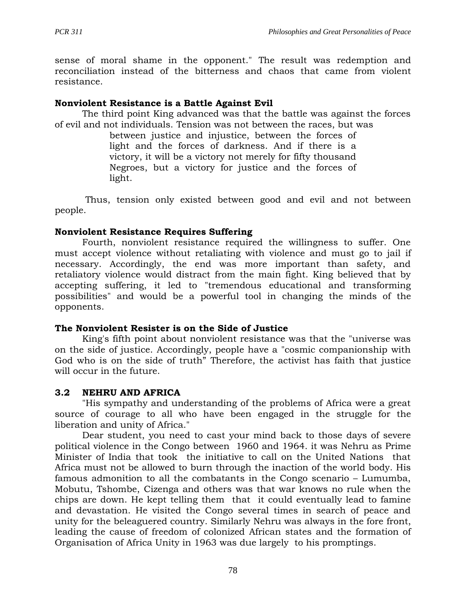sense of moral shame in the opponent." The result was redemption and reconciliation instead of the bitterness and chaos that came from violent resistance.

# **Nonviolent Resistance is a Battle Against Evil**

The third point King advanced was that the battle was against the forces of evil and not individuals. Tension was not between the races, but was

between justice and injustice, between the forces of light and the forces of darkness. And if there is a victory, it will be a victory not merely for fifty thousand Negroes, but a victory for justice and the forces of light.

Thus, tension only existed between good and evil and not between people.

# **Nonviolent Resistance Requires Suffering**

Fourth, nonviolent resistance required the willingness to suffer. One must accept violence without retaliating with violence and must go to jail if necessary. Accordingly, the end was more important than safety, and retaliatory violence would distract from the main fight. King believed that by accepting suffering, it led to "tremendous educational and transforming possibilities" and would be a powerful tool in changing the minds of the opponents.

# **The Nonviolent Resister is on the Side of Justice**

King's fifth point about nonviolent resistance was that the "universe was on the side of justice. Accordingly, people have a "cosmic companionship with God who is on the side of truth" Therefore, the activist has faith that justice will occur in the future.

# **3.2 NEHRU AND AFRICA**

"His sympathy and understanding of the problems of Africa were a great source of courage to all who have been engaged in the struggle for the liberation and unity of Africa."

Dear student, you need to cast your mind back to those days of severe political violence in the Congo between 1960 and 1964. it was Nehru as Prime Minister of India that took the initiative to call on the United Nations that Africa must not be allowed to burn through the inaction of the world body. His famous admonition to all the combatants in the Congo scenario – Lumumba, Mobutu, Tshombe, Cizenga and others was that war knows no rule when the chips are down. He kept telling them that it could eventually lead to famine and devastation. He visited the Congo several times in search of peace and unity for the beleaguered country. Similarly Nehru was always in the fore front, leading the cause of freedom of colonized African states and the formation of Organisation of Africa Unity in 1963 was due largely to his promptings.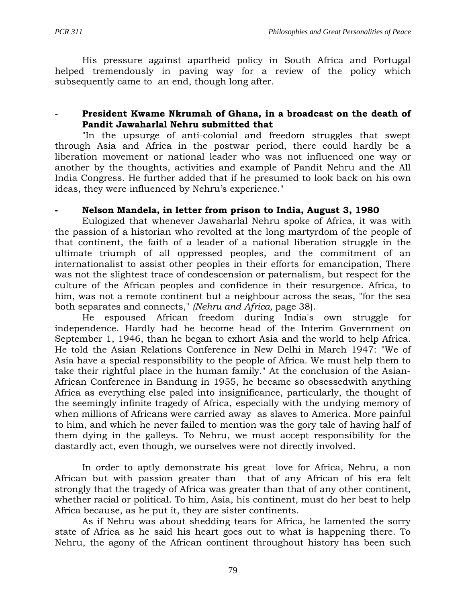His pressure against apartheid policy in South Africa and Portugal helped tremendously in paving way for a review of the policy which subsequently came to an end, though long after.

#### **- President Kwame Nkrumah of Ghana, in a broadcast on the death of Pandit Jawaharlal Nehru submitted that**

"In the upsurge of anti-colonial and freedom struggles that swept through Asia and Africa in the postwar period, there could hardly be a liberation movement or national leader who was not influenced one way or another by the thoughts, activities and example of Pandit Nehru and the All India Congress. He further added that if he presumed to look back on his own ideas, they were influenced by Nehru's experience."

### **- Nelson Mandela, in letter from prison to India, August 3, 1980**

Eulogized that whenever Jawaharlal Nehru spoke of Africa, it was with the passion of a historian who revolted at the long martyrdom of the people of that continent, the faith of a leader of a national liberation struggle in the ultimate triumph of all oppressed peoples, and the commitment of an internationalist to assist other peoples in their efforts for emancipation, There was not the slightest trace of condescension or paternalism, but respect for the culture of the African peoples and confidence in their resurgence. Africa, to him, was not a remote continent but a neighbour across the seas, "for the sea both separates and connects," *(Nehru and Africa,* page 38).

He espoused African freedom during India's own struggle for independence. Hardly had he become head of the Interim Government on September 1, 1946, than he began to exhort Asia and the world to help Africa. He told the Asian Relations Conference in New Delhi in March 1947: "We of Asia have a special responsibility to the people of Africa. We must help them to take their rightful place in the human family." At the conclusion of the Asian-African Conference in Bandung in 1955, he became so obsessedwith anything Africa as everything else paled into insignificance, particularly, the thought of the seemingly infinite tragedy of Africa, especially with the undying memory of when millions of Africans were carried away as slaves to America. More painful to him, and which he never failed to mention was the gory tale of having half of them dying in the galleys. To Nehru, we must accept responsibility for the dastardly act, even though, we ourselves were not directly involved.

In order to aptly demonstrate his great love for Africa, Nehru, a non African but with passion greater than that of any African of his era felt strongly that the tragedy of Africa was greater than that of any other continent, whether racial or political. To him, Asia, his continent, must do her best to help Africa because, as he put it, they are sister continents.

As if Nehru was about shedding tears for Africa, he lamented the sorry state of Africa as he said his heart goes out to what is happening there. To Nehru, the agony of the African continent throughout history has been such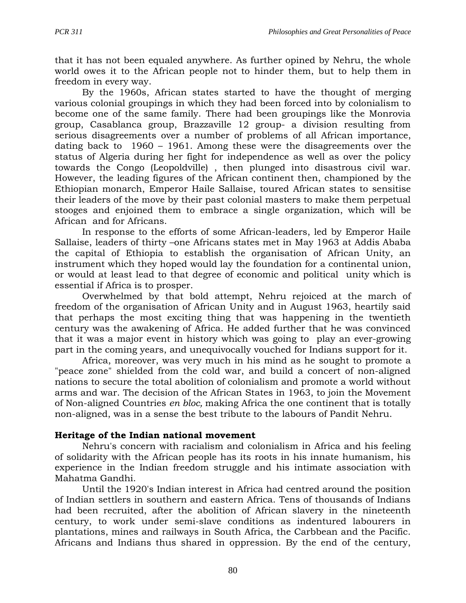that it has not been equaled anywhere. As further opined by Nehru, the whole world owes it to the African people not to hinder them, but to help them in freedom in every way.

By the 1960s, African states started to have the thought of merging various colonial groupings in which they had been forced into by colonialism to become one of the same family. There had been groupings like the Monrovia group, Casablanca group, Brazzaville 12 group- a division resulting from serious disagreements over a number of problems of all African importance, dating back to 1960 – 1961. Among these were the disagreements over the status of Algeria during her fight for independence as well as over the policy towards the Congo (Leopoldville) , then plunged into disastrous civil war. However, the leading figures of the African continent then, championed by the Ethiopian monarch, Emperor Haile Sallaise, toured African states to sensitise their leaders of the move by their past colonial masters to make them perpetual stooges and enjoined them to embrace a single organization, which will be African and for Africans.

In response to the efforts of some African-leaders, led by Emperor Haile Sallaise, leaders of thirty –one Africans states met in May 1963 at Addis Ababa the capital of Ethiopia to establish the organisation of African Unity, an instrument which they hoped would lay the foundation for a continental union, or would at least lead to that degree of economic and political unity which is essential if Africa is to prosper.

Overwhelmed by that bold attempt, Nehru rejoiced at the march of freedom of the organisation of African Unity and in August 1963, heartily said that perhaps the most exciting thing that was happening in the twentieth century was the awakening of Africa. He added further that he was convinced that it was a major event in history which was going to play an ever-growing part in the coming years, and unequivocally vouched for Indians support for it.

Africa, moreover, was very much in his mind as he sought to promote a "peace zone" shielded from the cold war, and build a concert of non-aligned nations to secure the total abolition of colonialism and promote a world without arms and war. The decision of the African States in 1963, to join the Movement of Non-aligned Countries *en bloc,* making Africa the one continent that is totally non-aligned, was in a sense the best tribute to the labours of Pandit Nehru.

### **Heritage of the Indian national movement**

Nehru's concern with racialism and colonialism in Africa and his feeling of solidarity with the African people has its roots in his innate humanism, his experience in the Indian freedom struggle and his intimate association with Mahatma Gandhi.

Until the 1920's Indian interest in Africa had centred around the position of Indian settlers in southern and eastern Africa. Tens of thousands of Indians had been recruited, after the abolition of African slavery in the nineteenth century, to work under semi-slave conditions as indentured labourers in plantations, mines and railways in South Africa, the Carbbean and the Pacific. Africans and Indians thus shared in oppression. By the end of the century,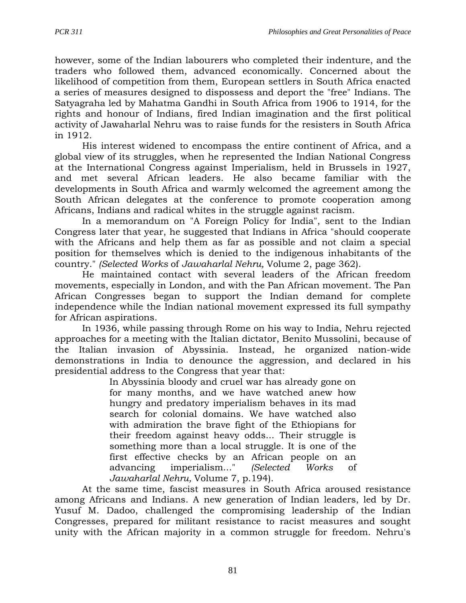however, some of the Indian labourers who completed their indenture, and the traders who followed them, advanced economically. Concerned about the likelihood of competition from them, European settlers in South Africa enacted a series of measures designed to dispossess and deport the "free" Indians. The Satyagraha led by Mahatma Gandhi in South Africa from 1906 to 1914, for the rights and honour of Indians, fired Indian imagination and the first political activity of Jawaharlal Nehru was to raise funds for the resisters in South Africa in 1912.

His interest widened to encompass the entire continent of Africa, and a global view of its struggles, when he represented the Indian National Congress at the International Congress against Imperialism, held in Brussels in 1927, and met several African leaders. He also became familiar with the developments in South Africa and warmly welcomed the agreement among the South African delegates at the conference to promote cooperation among Africans, Indians and radical whites in the struggle against racism.

In a memorandum on "A Foreign Policy for India", sent to the Indian Congress later that year, he suggested that Indians in Africa "should cooperate with the Africans and help them as far as possible and not claim a special position for themselves which is denied to the indigenous inhabitants of the country." *(Selected Works* of *Jawaharlal Nehru,* Volume 2, page 362).

He maintained contact with several leaders of the African freedom movements, especially in London, and with the Pan African movement. The Pan African Congresses began to support the Indian demand for complete independence while the Indian national movement expressed its full sympathy for African aspirations.

In 1936, while passing through Rome on his way to India, Nehru rejected approaches for a meeting with the Italian dictator, Benito Mussolini, because of the Italian invasion of Abyssinia. Instead, he organized nation-wide demonstrations in India to denounce the aggression, and declared in his presidential address to the Congress that year that:

In Abyssinia bloody and cruel war has already gone on for many months, and we have watched anew how hungry and predatory imperialism behaves in its mad search for colonial domains. We have watched also with admiration the brave fight of the Ethiopians for their freedom against heavy odds... Their struggle is something more than a local struggle. It is one of the first effective checks by an African people on an advancing imperialism..." *(Selected Works* of *Jawaharlal Nehru,* Volume 7, p.194).

At the same time, fascist measures in South Africa aroused resistance among Africans and Indians. A new generation of Indian leaders, led by Dr. Yusuf M. Dadoo, challenged the compromising leadership of the Indian Congresses, prepared for militant resistance to racist measures and sought unity with the African majority in a common struggle for freedom. Nehru's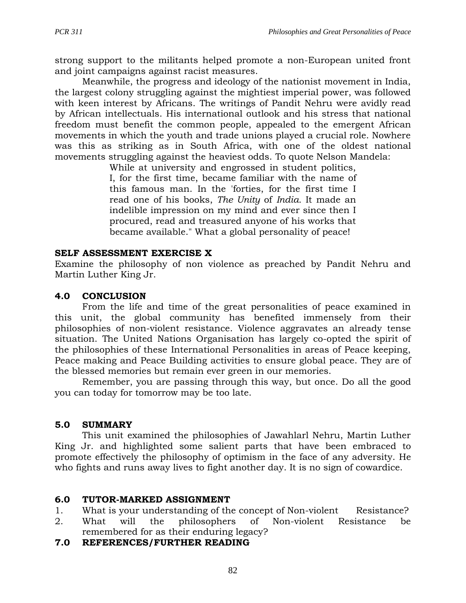strong support to the militants helped promote a non-European united front and joint campaigns against racist measures.

Meanwhile, the progress and ideology of the nationist movement in India, the largest colony struggling against the mightiest imperial power, was followed with keen interest by Africans. The writings of Pandit Nehru were avidly read by African intellectuals. His international outlook and his stress that national freedom must benefit the common people, appealed to the emergent African movements in which the youth and trade unions played a crucial role. Nowhere was this as striking as in South Africa, with one of the oldest national movements struggling against the heaviest odds. To quote Nelson Mandela:

> While at university and engrossed in student politics, I, for the first time, became familiar with the name of this famous man. In the 'forties, for the first time I read one of his books, *The Unity* of *India.* It made an indelible impression on my mind and ever since then I procured, read and treasured anyone of his works that became available." What a global personality of peace!

#### **SELF ASSESSMENT EXERCISE X**

Examine the philosophy of non violence as preached by Pandit Nehru and Martin Luther King Jr.

#### **4.0 CONCLUSION**

From the life and time of the great personalities of peace examined in this unit, the global community has benefited immensely from their philosophies of non-violent resistance. Violence aggravates an already tense situation. The United Nations Organisation has largely co-opted the spirit of the philosophies of these International Personalities in areas of Peace keeping, Peace making and Peace Building activities to ensure global peace. They are of the blessed memories but remain ever green in our memories.

Remember, you are passing through this way, but once. Do all the good you can today for tomorrow may be too late.

### **5.0 SUMMARY**

 This unit examined the philosophies of Jawahlarl Nehru, Martin Luther King Jr. and highlighted some salient parts that have been embraced to promote effectively the philosophy of optimism in the face of any adversity. He who fights and runs away lives to fight another day. It is no sign of cowardice.

#### **6.0 TUTOR-MARKED ASSIGNMENT**

- 1. What is your understanding of the concept of Non-violent Resistance?
- 2. What will the philosophers of Non-violent Resistance be remembered for as their enduring legacy?
- **7.0 REFERENCES/FURTHER READING**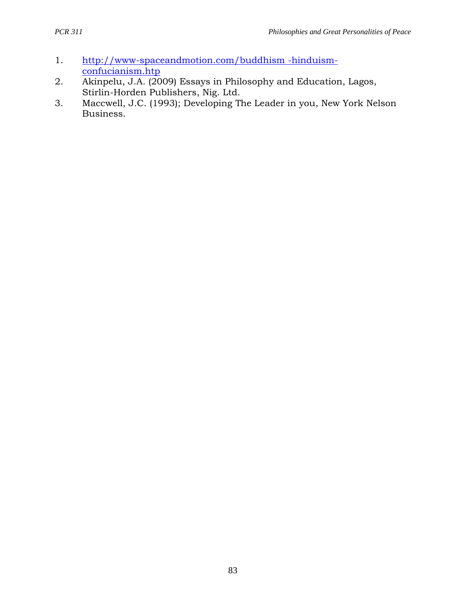- 1. [http://www-spaceandmotion.com/buddhism -hinduism](http://www-spaceandmotion.com/buddhism%20-hinduism-confucianism.htp)[confucianism.htp](http://www-spaceandmotion.com/buddhism%20-hinduism-confucianism.htp)
- 2. Akinpelu, J.A. (2009) Essays in Philosophy and Education, Lagos, Stirlin-Horden Publishers, Nig. Ltd.
- 3. Maccwell, J.C. (1993); Developing The Leader in you, New York Nelson Business.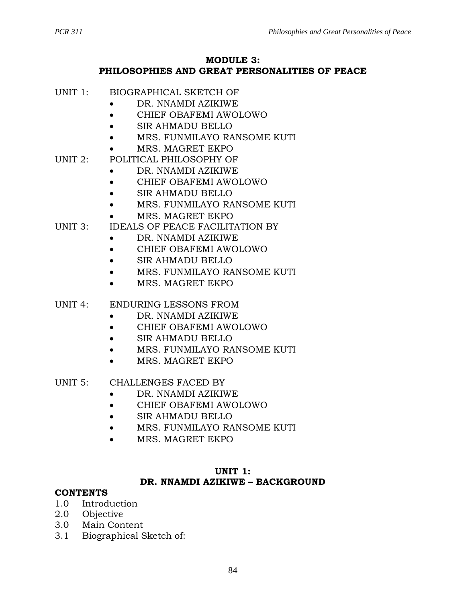#### **MODULE 3: PHILOSOPHIES AND GREAT PERSONALITIES OF PEACE**

- UNIT 1: BIOGRAPHICAL SKETCH OF
	- DR. NNAMDI AZIKIWE
	- CHIEF OBAFEMI AWOLOWO
	- SIR AHMADU BELLO
	- MRS. FUNMILAYO RANSOME KUTI
	- MRS. MAGRET EKPO
- UNIT 2: POLITICAL PHILOSOPHY OF
	- DR. NNAMDI AZIKIWE
	- CHIEF OBAFEMI AWOLOWO
	- SIR AHMADU BELLO
	- MRS. FUNMILAYO RANSOME KUTI
		- MRS. MAGRET EKPO
- UNIT 3: IDEALS OF PEACE FACILITATION BY
	- DR. NNAMDI AZIKIWE
	- CHIEF OBAFEMI AWOLOWO
	- SIR AHMADU BELLO
	- MRS. FUNMILAYO RANSOME KUTI
	- MRS. MAGRET EKPO
- UNIT 4: ENDURING LESSONS FROM
	- DR. NNAMDI AZIKIWE
	- CHIEF OBAFEMI AWOLOWO
	- SIR AHMADU BELLO
	- MRS. FUNMILAYO RANSOME KUTI
	- MRS. MAGRET EKPO
- UNIT 5: CHALLENGES FACED BY
	- DR. NNAMDI AZIKIWE
	- CHIEF OBAFEMI AWOLOWO
	- SIR AHMADU BELLO
	- MRS. FUNMILAYO RANSOME KUTI
	- MRS. MAGRET EKPO

#### **UNIT 1: DR. NNAMDI AZIKIWE – BACKGROUND**

#### **CONTENTS**

- 1.0 Introduction
- 2.0 Objective
- 3.0 Main Content
- 3.1 Biographical Sketch of: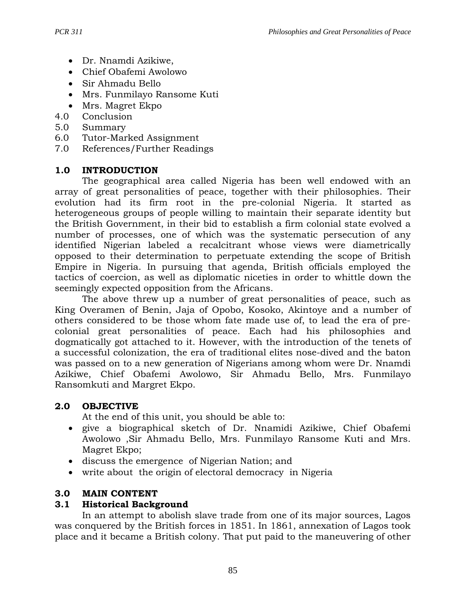- Dr. Nnamdi Azikiwe,
- Chief Obafemi Awolowo
- Sir Ahmadu Bello
- Mrs. Funmilayo Ransome Kuti
- Mrs. Magret Ekpo
- 4.0 Conclusion
- 5.0 Summary
- 6.0 Tutor-Marked Assignment
- 7.0 References/Further Readings

### **1.0 INTRODUCTION**

The geographical area called Nigeria has been well endowed with an array of great personalities of peace, together with their philosophies. Their evolution had its firm root in the pre-colonial Nigeria. It started as heterogeneous groups of people willing to maintain their separate identity but the British Government, in their bid to establish a firm colonial state evolved a number of processes, one of which was the systematic persecution of any identified Nigerian labeled a recalcitrant whose views were diametrically opposed to their determination to perpetuate extending the scope of British Empire in Nigeria. In pursuing that agenda, British officials employed the tactics of coercion, as well as diplomatic niceties in order to whittle down the seemingly expected opposition from the Africans.

The above threw up a number of great personalities of peace, such as King Overamen of Benin, Jaja of Opobo, Kosoko, Akintoye and a number of others considered to be those whom fate made use of, to lead the era of precolonial great personalities of peace. Each had his philosophies and dogmatically got attached to it. However, with the introduction of the tenets of a successful colonization, the era of traditional elites nose-dived and the baton was passed on to a new generation of Nigerians among whom were Dr. Nnamdi Azikiwe, Chief Obafemi Awolowo, Sir Ahmadu Bello, Mrs. Funmilayo Ransomkuti and Margret Ekpo.

### **2.0 OBJECTIVE**

At the end of this unit, you should be able to:

- give a biographical sketch of Dr. Nnamidi Azikiwe, Chief Obafemi Awolowo ,Sir Ahmadu Bello, Mrs. Funmilayo Ransome Kuti and Mrs. Magret Ekpo;
- discuss the emergence of Nigerian Nation; and
- write about the origin of electoral democracy in Nigeria

### **3.0 MAIN CONTENT**

### **3.1 Historical Background**

In an attempt to abolish slave trade from one of its major sources, Lagos was conquered by the British forces in 1851. In 1861, annexation of Lagos took place and it became a British colony. That put paid to the maneuvering of other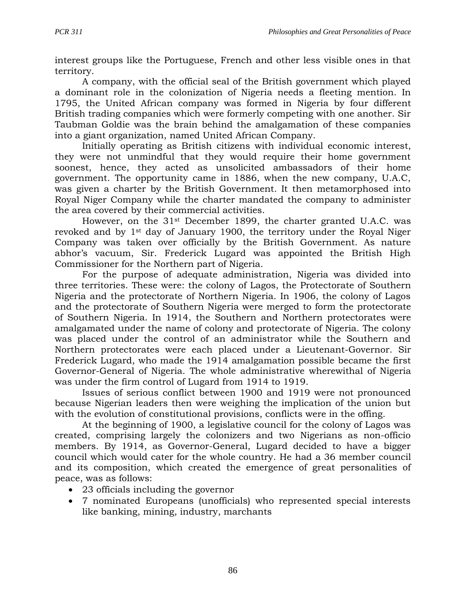interest groups like the Portuguese, French and other less visible ones in that territory.

A company, with the official seal of the British government which played a dominant role in the colonization of Nigeria needs a fleeting mention. In 1795, the United African company was formed in Nigeria by four different British trading companies which were formerly competing with one another. Sir Taubman Goldie was the brain behind the amalgamation of these companies into a giant organization, named United African Company.

Initially operating as British citizens with individual economic interest, they were not unmindful that they would require their home government soonest, hence, they acted as unsolicited ambassadors of their home government. The opportunity came in 1886, when the new company, U.A.C, was given a charter by the British Government. It then metamorphosed into Royal Niger Company while the charter mandated the company to administer the area covered by their commercial activities.

However, on the 31<sup>st</sup> December 1899, the charter granted U.A.C. was revoked and by 1st day of January 1900, the territory under the Royal Niger Company was taken over officially by the British Government. As nature abhor's vacuum, Sir. Frederick Lugard was appointed the British High Commissioner for the Northern part of Nigeria.

For the purpose of adequate administration, Nigeria was divided into three territories. These were: the colony of Lagos, the Protectorate of Southern Nigeria and the protectorate of Northern Nigeria. In 1906, the colony of Lagos and the protectorate of Southern Nigeria were merged to form the protectorate of Southern Nigeria. In 1914, the Southern and Northern protectorates were amalgamated under the name of colony and protectorate of Nigeria. The colony was placed under the control of an administrator while the Southern and Northern protectorates were each placed under a Lieutenant-Governor. Sir Frederick Lugard, who made the 1914 amalgamation possible became the first Governor-General of Nigeria. The whole administrative wherewithal of Nigeria was under the firm control of Lugard from 1914 to 1919.

Issues of serious conflict between 1900 and 1919 were not pronounced because Nigerian leaders then were weighing the implication of the union but with the evolution of constitutional provisions, conflicts were in the offing.

At the beginning of 1900, a legislative council for the colony of Lagos was created, comprising largely the colonizers and two Nigerians as non-officio members. By 1914, as Governor-General, Lugard decided to have a bigger council which would cater for the whole country. He had a 36 member council and its composition, which created the emergence of great personalities of peace, was as follows:

- 23 officials including the governor
- 7 nominated Europeans (unofficials) who represented special interests like banking, mining, industry, marchants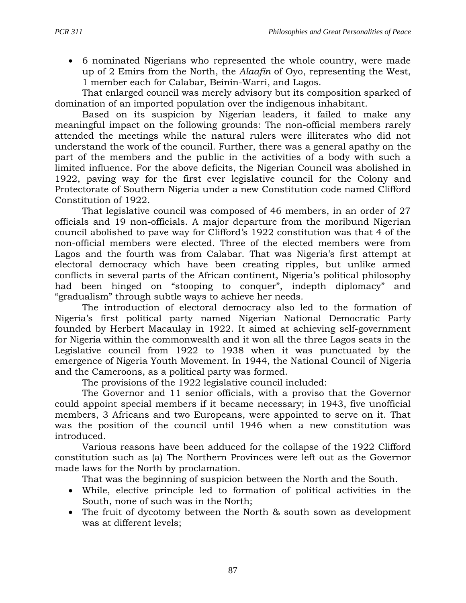• 6 nominated Nigerians who represented the whole country, were made up of 2 Emirs from the North, the *Alaafin* of Oyo, representing the West, 1 member each for Calabar, Beinin-Warri, and Lagos.

That enlarged council was merely advisory but its composition sparked of domination of an imported population over the indigenous inhabitant.

Based on its suspicion by Nigerian leaders, it failed to make any meaningful impact on the following grounds: The non-official members rarely attended the meetings while the natural rulers were illiterates who did not understand the work of the council. Further, there was a general apathy on the part of the members and the public in the activities of a body with such a limited influence. For the above deficits, the Nigerian Council was abolished in 1922, paving way for the first ever legislative council for the Colony and Protectorate of Southern Nigeria under a new Constitution code named Clifford Constitution of 1922.

That legislative council was composed of 46 members, in an order of 27 officials and 19 non-officials. A major departure from the moribund Nigerian council abolished to pave way for Clifford's 1922 constitution was that 4 of the non-official members were elected. Three of the elected members were from Lagos and the fourth was from Calabar. That was Nigeria's first attempt at electoral democracy which have been creating ripples, but unlike armed conflicts in several parts of the African continent, Nigeria's political philosophy had been hinged on "stooping to conquer", indepth diplomacy" and "gradualism" through subtle ways to achieve her needs.

The introduction of electoral democracy also led to the formation of Nigeria's first political party named Nigerian National Democratic Party founded by Herbert Macaulay in 1922. It aimed at achieving self-government for Nigeria within the commonwealth and it won all the three Lagos seats in the Legislative council from 1922 to 1938 when it was punctuated by the emergence of Nigeria Youth Movement. In 1944, the National Council of Nigeria and the Cameroons, as a political party was formed.

The provisions of the 1922 legislative council included:

The Governor and 11 senior officials, with a proviso that the Governor could appoint special members if it became necessary; in 1943, five unofficial members, 3 Africans and two Europeans, were appointed to serve on it. That was the position of the council until 1946 when a new constitution was introduced.

Various reasons have been adduced for the collapse of the 1922 Clifford constitution such as (a) The Northern Provinces were left out as the Governor made laws for the North by proclamation.

That was the beginning of suspicion between the North and the South.

- While, elective principle led to formation of political activities in the South, none of such was in the North;
- The fruit of dycotomy between the North & south sown as development was at different levels;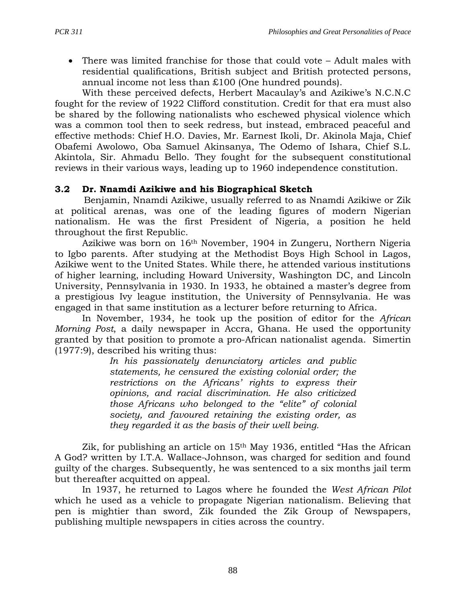• There was limited franchise for those that could vote – Adult males with residential qualifications, British subject and British protected persons, annual income not less than £100 (One hundred pounds).

With these perceived defects, Herbert Macaulay's and Azikiwe's N.C.N.C fought for the review of 1922 Clifford constitution. Credit for that era must also be shared by the following nationalists who eschewed physical violence which was a common tool then to seek redress, but instead, embraced peaceful and effective methods: Chief H.O. Davies, Mr. Earnest Ikoli, Dr. Akinola Maja, Chief Obafemi Awolowo, Oba Samuel Akinsanya, The Odemo of Ishara, Chief S.L. Akintola, Sir. Ahmadu Bello. They fought for the subsequent constitutional reviews in their various ways, leading up to 1960 independence constitution.

#### **3.2 Dr. Nnamdi Azikiwe and his Biographical Sketch**

 Benjamin, Nnamdi Azikiwe, usually referred to as Nnamdi Azikiwe or Zik at political arenas, was one of the leading figures of modern Nigerian nationalism. He was the first President of Nigeria, a position he held throughout the first Republic.

Azikiwe was born on 16th November, 1904 in Zungeru, Northern Nigeria to Igbo parents. After studying at the Methodist Boys High School in Lagos, Azikiwe went to the United States. While there, he attended various institutions of higher learning, including Howard University, Washington DC, and Lincoln University, Pennsylvania in 1930. In 1933, he obtained a master's degree from a prestigious Ivy league institution, the University of Pennsylvania. He was engaged in that same institution as a lecturer before returning to Africa.

In November, 1934, he took up the position of editor for the *African Morning Post*, a daily newspaper in Accra, Ghana. He used the opportunity granted by that position to promote a pro-African nationalist agenda. Simertin (1977:9), described his writing thus:

> *In his passionately denunciatory articles and public statements, he censured the existing colonial order; the restrictions on the Africans' rights to express their opinions, and racial discrimination. He also criticized those Africans who belonged to the "elite" of colonial society, and favoured retaining the existing order, as they regarded it as the basis of their well being.*

Zik, for publishing an article on 15th May 1936, entitled "Has the African A God? written by I.T.A. Wallace-Johnson, was charged for sedition and found guilty of the charges. Subsequently, he was sentenced to a six months jail term but thereafter acquitted on appeal.

In 1937, he returned to Lagos where he founded the *West African Pilot* which he used as a vehicle to propagate Nigerian nationalism. Believing that pen is mightier than sword, Zik founded the Zik Group of Newspapers, publishing multiple newspapers in cities across the country.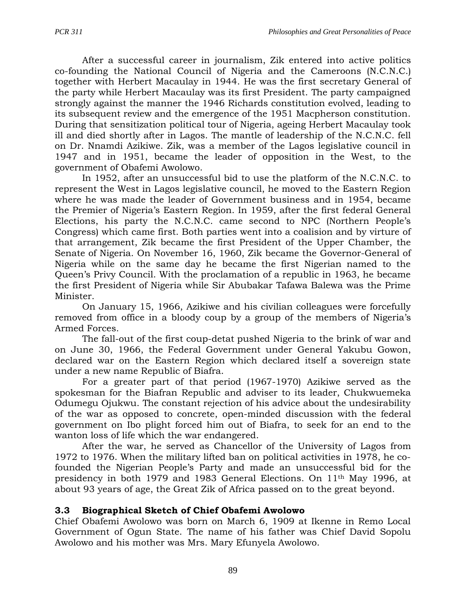After a successful career in journalism, Zik entered into active politics co-founding the National Council of Nigeria and the Cameroons (N.C.N.C.) together with Herbert Macaulay in 1944. He was the first secretary General of the party while Herbert Macaulay was its first President. The party campaigned strongly against the manner the 1946 Richards constitution evolved, leading to its subsequent review and the emergence of the 1951 Macpherson constitution. During that sensitization political tour of Nigeria, ageing Herbert Macaulay took ill and died shortly after in Lagos. The mantle of leadership of the N.C.N.C. fell on Dr. Nnamdi Azikiwe. Zik, was a member of the Lagos legislative council in 1947 and in 1951, became the leader of opposition in the West, to the government of Obafemi Awolowo.

In 1952, after an unsuccessful bid to use the platform of the N.C.N.C. to represent the West in Lagos legislative council, he moved to the Eastern Region where he was made the leader of Government business and in 1954, became the Premier of Nigeria's Eastern Region. In 1959, after the first federal General Elections, his party the N.C.N.C. came second to NPC (Northern People's Congress) which came first. Both parties went into a coalision and by virture of that arrangement, Zik became the first President of the Upper Chamber, the Senate of Nigeria. On November 16, 1960, Zik became the Governor-General of Nigeria while on the same day he became the first Nigerian named to the Queen's Privy Council. With the proclamation of a republic in 1963, he became the first President of Nigeria while Sir Abubakar Tafawa Balewa was the Prime Minister.

On January 15, 1966, Azikiwe and his civilian colleagues were forcefully removed from office in a bloody coup by a group of the members of Nigeria's Armed Forces.

The fall-out of the first coup-detat pushed Nigeria to the brink of war and on June 30, 1966, the Federal Government under General Yakubu Gowon, declared war on the Eastern Region which declared itself a sovereign state under a new name Republic of Biafra.

For a greater part of that period (1967-1970) Azikiwe served as the spokesman for the Biafran Republic and adviser to its leader, Chukwuemeka Odumegu Ojukwu. The constant rejection of his advice about the undesirability of the war as opposed to concrete, open-minded discussion with the federal government on Ibo plight forced him out of Biafra, to seek for an end to the wanton loss of life which the war endangered.

After the war, he served as Chancellor of the University of Lagos from 1972 to 1976. When the military lifted ban on political activities in 1978, he cofounded the Nigerian People's Party and made an unsuccessful bid for the presidency in both 1979 and 1983 General Elections. On 11th May 1996, at about 93 years of age, the Great Zik of Africa passed on to the great beyond.

### **3.3 Biographical Sketch of Chief Obafemi Awolowo**

Chief Obafemi Awolowo was born on March 6, 1909 at Ikenne in Remo Local Government of Ogun State. The name of his father was Chief David Sopolu Awolowo and his mother was Mrs. Mary Efunyela Awolowo.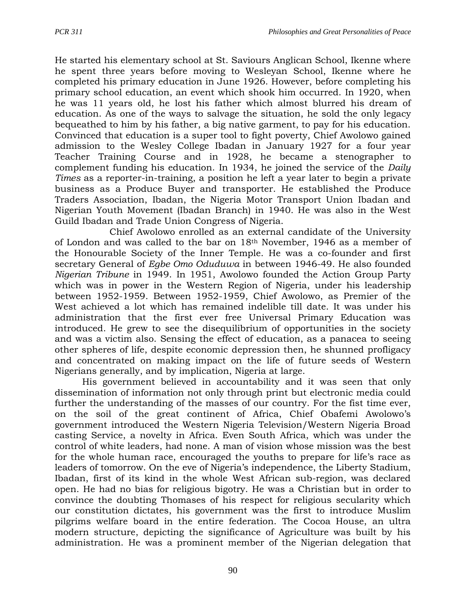He started his elementary school at St. Saviours Anglican School, Ikenne where he spent three years before moving to Wesleyan School, Ikenne where he completed his primary education in June 1926. However, before completing his primary school education, an event which shook him occurred. In 1920, when he was 11 years old, he lost his father which almost blurred his dream of education. As one of the ways to salvage the situation, he sold the only legacy bequeathed to him by his father, a big native garment, to pay for his education. Convinced that education is a super tool to fight poverty, Chief Awolowo gained admission to the Wesley College Ibadan in January 1927 for a four year Teacher Training Course and in 1928, he became a stenographer to complement funding his education. In 1934, he joined the service of the *Daily Times* as a reporter-in-training, a position he left a year later to begin a private business as a Produce Buyer and transporter. He established the Produce Traders Association, Ibadan, the Nigeria Motor Transport Union Ibadan and Nigerian Youth Movement (Ibadan Branch) in 1940. He was also in the West Guild Ibadan and Trade Union Congress of Nigeria.

Chief Awolowo enrolled as an external candidate of the University of London and was called to the bar on 18th November, 1946 as a member of the Honourable Society of the Inner Temple. He was a co-founder and first secretary General of *Egbe Omo Oduduwa* in between 1946-49. He also founded *Nigerian Tribune* in 1949. In 1951, Awolowo founded the Action Group Party which was in power in the Western Region of Nigeria, under his leadership between 1952-1959. Between 1952-1959, Chief Awolowo, as Premier of the West achieved a lot which has remained indelible till date. It was under his administration that the first ever free Universal Primary Education was introduced. He grew to see the disequilibrium of opportunities in the society and was a victim also. Sensing the effect of education, as a panacea to seeing other spheres of life, despite economic depression then, he shunned profligacy and concentrated on making impact on the life of future seeds of Western Nigerians generally, and by implication, Nigeria at large.

His government believed in accountability and it was seen that only dissemination of information not only through print but electronic media could further the understanding of the masses of our country. For the fist time ever, on the soil of the great continent of Africa, Chief Obafemi Awolowo's government introduced the Western Nigeria Television/Western Nigeria Broad casting Service, a novelty in Africa. Even South Africa, which was under the control of white leaders, had none. A man of vision whose mission was the best for the whole human race, encouraged the youths to prepare for life's race as leaders of tomorrow. On the eve of Nigeria's independence, the Liberty Stadium, Ibadan, first of its kind in the whole West African sub-region, was declared open. He had no bias for religious bigotry. He was a Christian but in order to convince the doubting Thomases of his respect for religious secularity which our constitution dictates, his government was the first to introduce Muslim pilgrims welfare board in the entire federation. The Cocoa House, an ultra modern structure, depicting the significance of Agriculture was built by his administration. He was a prominent member of the Nigerian delegation that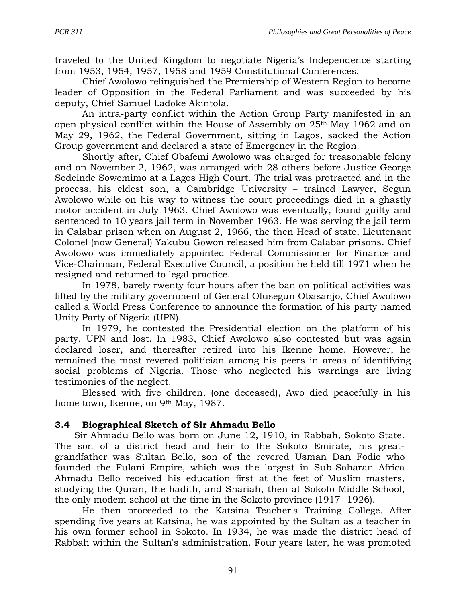traveled to the United Kingdom to negotiate Nigeria's Independence starting from 1953, 1954, 1957, 1958 and 1959 Constitutional Conferences.

Chief Awolowo relinguished the Premiership of Western Region to become leader of Opposition in the Federal Parliament and was succeeded by his deputy, Chief Samuel Ladoke Akintola.

An intra-party conflict within the Action Group Party manifested in an open physical conflict within the House of Assembly on 25th May 1962 and on May 29, 1962, the Federal Government, sitting in Lagos, sacked the Action Group government and declared a state of Emergency in the Region.

Shortly after, Chief Obafemi Awolowo was charged for treasonable felony and on November 2, 1962, was arranged with 28 others before Justice George Sodeinde Sowemimo at a Lagos High Court. The trial was protracted and in the process, his eldest son, a Cambridge University – trained Lawyer, Segun Awolowo while on his way to witness the court proceedings died in a ghastly motor accident in July 1963. Chief Awolowo was eventually, found guilty and sentenced to 10 years jail term in November 1963. He was serving the jail term in Calabar prison when on August 2, 1966, the then Head of state, Lieutenant Colonel (now General) Yakubu Gowon released him from Calabar prisons. Chief Awolowo was immediately appointed Federal Commissioner for Finance and Vice-Chairman, Federal Executive Council, a position he held till 1971 when he resigned and returned to legal practice.

In 1978, barely rwenty four hours after the ban on political activities was lifted by the military government of General Olusegun Obasanjo, Chief Awolowo called a World Press Conference to announce the formation of his party named Unity Party of Nigeria (UPN).

In 1979, he contested the Presidential election on the platform of his party, UPN and lost. In 1983, Chief Awolowo also contested but was again declared loser, and thereafter retired into his Ikenne home. However, he remained the most revered politician among his peers in areas of identifying social problems of Nigeria. Those who neglected his warnings are living testimonies of the neglect.

Blessed with five children, (one deceased), Awo died peacefully in his home town, Ikenne, on 9th May, 1987.

### **3.4 Biographical Sketch of Sir Ahmadu Bello**

Sir Ahmadu Bello was born on June 12, 1910, in Rabbah, Sokoto State. The son of a district head and heir to the Sokoto Emirate, his greatgrandfather was Sultan Bello, son of the revered Usman Dan Fodio who founded the Fulani Empire, which was the largest in Sub-Saharan Africa Ahmadu Bello received his education first at the feet of Muslim masters, studying the Quran, the hadith, and Shariah, then at Sokoto Middle School, the only modem school at the time in the Sokoto province (1917- 1926).

He then proceeded to the Katsina Teacher's Training College. After spending five years at Katsina, he was appointed by the Sultan as a teacher in his own former school in Sokoto. In 1934, he was made the district head of Rabbah within the Sultan's administration. Four years later, he was promoted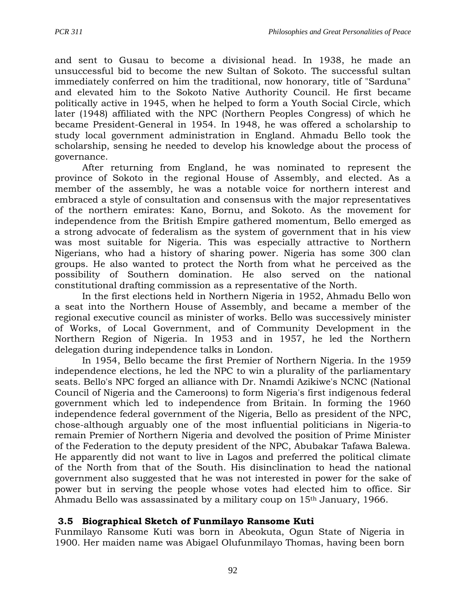and sent to Gusau to become a divisional head. In 1938, he made an unsuccessful bid to become the new Sultan of Sokoto. The successful sultan immediately conferred on him the traditional, now honorary, title of "Sarduna" and elevated him to the Sokoto Native Authority Council. He first became politically active in 1945, when he helped to form a Youth Social Circle, which later (1948) affiliated with the NPC (Northern Peoples Congress) of which he became President-General in 1954. In 1948, he was offered a scholarship to study local government administration in England. Ahmadu Bello took the scholarship, sensing he needed to develop his knowledge about the process of governance.

After returning from England, he was nominated to represent the province of Sokoto in the regional House of Assembly, and elected. As a member of the assembly, he was a notable voice for northern interest and embraced a style of consultation and consensus with the major representatives of the northern emirates: Kano, Bornu, and Sokoto. As the movement for independence from the British Empire gathered momentum, Bello emerged as a strong advocate of federalism as the system of government that in his view was most suitable for Nigeria. This was especially attractive to Northern Nigerians, who had a history of sharing power. Nigeria has some 300 clan groups. He also wanted to protect the North from what he perceived as the possibility of Southern domination. He also served on the national constitutional drafting commission as a representative of the North.

In the first elections held in Northern Nigeria in 1952, Ahmadu Bello won a seat into the Northern House of Assembly, and became a member of the regional executive council as minister of works. Bello was successively minister of Works, of Local Government, and of Community Development in the Northern Region of Nigeria. In 1953 and in 1957, he led the Northern delegation during independence talks in London.

In 1954, Bello became the first Premier of Northern Nigeria. In the 1959 independence elections, he led the NPC to win a plurality of the parliamentary seats. Bello's NPC forged an alliance with Dr. Nnamdi Azikiwe's NCNC (National Council of Nigeria and the Cameroons) to form Nigeria's first indigenous federal government which led to independence from Britain. In forming the 1960 independence federal government of the Nigeria, Bello as president of the NPC, chose-although arguably one of the most influential politicians in Nigeria-to remain Premier of Northern Nigeria and devolved the position of Prime Minister of the Federation to the deputy president of the NPC, Abubakar Tafawa Balewa. He apparently did not want to live in Lagos and preferred the political climate of the North from that of the South. His disinclination to head the national government also suggested that he was not interested in power for the sake of power but in serving the people whose votes had elected him to office. Sir Ahmadu Bello was assassinated by a military coup on 15th January, 1966.

### **3.5 Biographical Sketch of Funmilayo Ransome Kuti**

Funmilayo Ransome Kuti was born in Abeokuta, Ogun State of Nigeria in 1900. Her maiden name was Abigael Olufunmilayo Thomas, having been born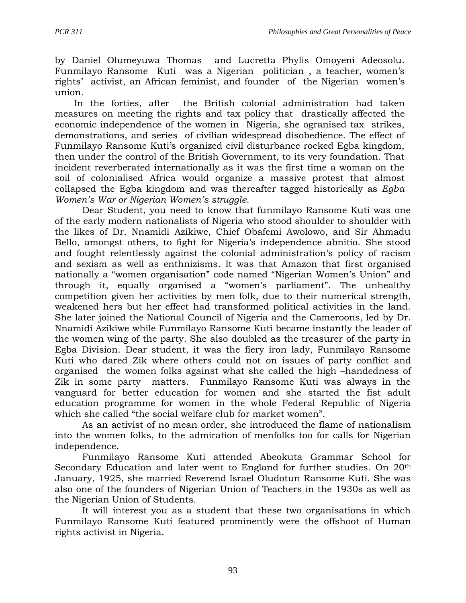by Daniel Olumeyuwa Thomas and Lucretta Phylis Omoyeni Adeosolu. Funmilayo Ransome Kuti was a Nigerian politician , a teacher, women's rights' activist, an African feminist, and founder of the Nigerian women's union.

In the forties, after the British colonial administration had taken measures on meeting the rights and tax policy that drastically affected the economic independence of the women in Nigeria, she ogranised tax strikes, demonstrations, and series of civilian widespread disobedience. The effect of Funmilayo Ransome Kuti's organized civil disturbance rocked Egba kingdom, then under the control of the British Government, to its very foundation. That incident reverberated internationally as it was the first time a woman on the soil of colonialised Africa would organize a massive protest that almost collapsed the Egba kingdom and was thereafter tagged historically as *Egba Women's War or Nigerian Women's struggle*.

Dear Student, you need to know that funmilayo Ransome Kuti was one of the early modern nationalists of Nigeria who stood shoulder to shoulder with the likes of Dr. Nnamidi Azikiwe, Chief Obafemi Awolowo, and Sir Ahmadu Bello, amongst others, to fight for Nigeria's independence abnitio. She stood and fought relentlessly against the colonial administration's policy of racism and sexism as well as enthnizisms. It was that Amazon that first organised nationally a "women organisation" code named "Nigerian Women's Union" and through it, equally organised a "women's parliament". The unhealthy competition given her activities by men folk, due to their numerical strength, weakened hers but her effect had transformed political activities in the land. She later joined the National Council of Nigeria and the Cameroons, led by Dr. Nnamidi Azikiwe while Funmilayo Ransome Kuti became instantly the leader of the women wing of the party. She also doubled as the treasurer of the party in Egba Division. Dear student, it was the fiery iron lady, Funmilayo Ransome Kuti who dared Zik where others could not on issues of party conflict and organised the women folks against what she called the high –handedness of Zik in some party matters. Funmilayo Ransome Kuti was always in the vanguard for better education for women and she started the fist adult education programme for women in the whole Federal Republic of Nigeria which she called "the social welfare club for market women".

As an activist of no mean order, she introduced the flame of nationalism into the women folks, to the admiration of menfolks too for calls for Nigerian independence.

Funmilayo Ransome Kuti attended Abeokuta Grammar School for Secondary Education and later went to England for further studies. On 20<sup>th</sup> January, 1925, she married Reverend Israel Oludotun Ransome Kuti. She was also one of the founders of Nigerian Union of Teachers in the 1930s as well as the Nigerian Union of Students.

It will interest you as a student that these two organisations in which Funmilayo Ransome Kuti featured prominently were the offshoot of Human rights activist in Nigeria.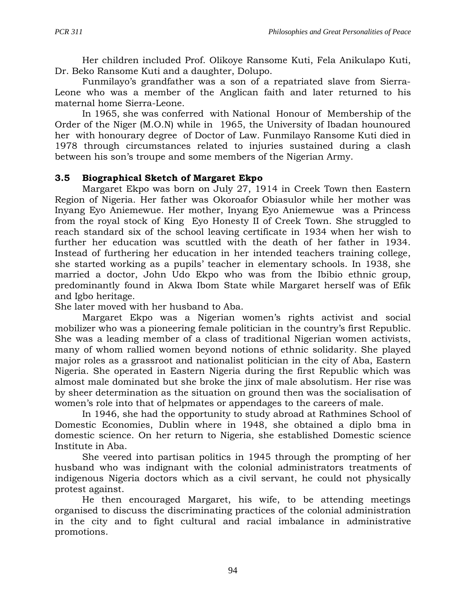Her children included Prof. Olikoye Ransome Kuti, Fela Anikulapo Kuti, Dr. Beko Ransome Kuti and a daughter, Dolupo.

Funmilayo's grandfather was a son of a repatriated slave from Sierra-Leone who was a member of the Anglican faith and later returned to his maternal home Sierra-Leone.

In 1965, she was conferred with National Honour of Membership of the Order of the Niger (M.O.N) while in 1965, the University of Ibadan hounoured her with honourary degree of Doctor of Law. Funmilayo Ransome Kuti died in 1978 through circumstances related to injuries sustained during a clash between his son's troupe and some members of the Nigerian Army.

### **3.5 Biographical Sketch of Margaret Ekpo**

Margaret Ekpo was born on July 27, 1914 in Creek Town then Eastern Region of Nigeria. Her father was Okoroafor Obiasulor while her mother was Inyang Eyo Aniemewue. Her mother, Inyang Eyo Aniemewue was a Princess from the royal stock of King Eyo Honesty II of Creek Town. She struggled to reach standard six of the school leaving certificate in 1934 when her wish to further her education was scuttled with the death of her father in 1934. Instead of furthering her education in her intended teachers training college, she started working as a pupils' teacher in elementary schools. In 1938, she married a doctor, John Udo Ekpo who was from the Ibibio ethnic group, predominantly found in Akwa Ibom State while Margaret herself was of Efik and Igbo heritage.

She later moved with her husband to Aba.

Margaret Ekpo was a Nigerian women's rights activist and social mobilizer who was a pioneering female politician in the country's first Republic. She was a leading member of a class of traditional Nigerian women activists, many of whom rallied women beyond notions of ethnic solidarity. She played major roles as a grassroot and nationalist politician in the city of Aba, Eastern Nigeria. She operated in Eastern Nigeria during the first Republic which was almost male dominated but she broke the jinx of male absolutism. Her rise was by sheer determination as the situation on ground then was the socialisation of women's role into that of helpmates or appendages to the careers of male.

In 1946, she had the opportunity to study abroad at Rathmines School of Domestic Economies, Dublin where in 1948, she obtained a diplo bma in domestic science. On her return to Nigeria, she established Domestic science Institute in Aba.

She veered into partisan politics in 1945 through the prompting of her husband who was indignant with the colonial administrators treatments of indigenous Nigeria doctors which as a civil servant, he could not physically protest against.

He then encouraged Margaret, his wife, to be attending meetings organised to discuss the discriminating practices of the colonial administration in the city and to fight cultural and racial imbalance in administrative promotions.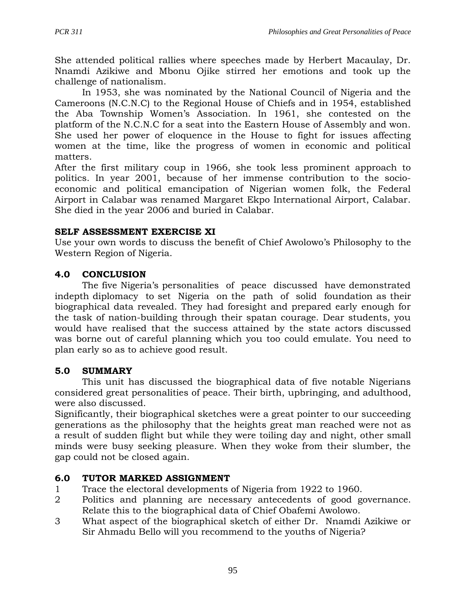She attended political rallies where speeches made by Herbert Macaulay, Dr. Nnamdi Azikiwe and Mbonu Ojike stirred her emotions and took up the challenge of nationalism.

In 1953, she was nominated by the National Council of Nigeria and the Cameroons (N.C.N.C) to the Regional House of Chiefs and in 1954, established the Aba Township Women's Association. In 1961, she contested on the platform of the N.C.N.C for a seat into the Eastern House of Assembly and won. She used her power of eloquence in the House to fight for issues affecting women at the time, like the progress of women in economic and political matters.

After the first military coup in 1966, she took less prominent approach to politics. In year 2001, because of her immense contribution to the socioeconomic and political emancipation of Nigerian women folk, the Federal Airport in Calabar was renamed Margaret Ekpo International Airport, Calabar. She died in the year 2006 and buried in Calabar.

### **SELF ASSESSMENT EXERCISE XI**

Use your own words to discuss the benefit of Chief Awolowo's Philosophy to the Western Region of Nigeria.

## **4.0 CONCLUSION**

The five Nigeria's personalities of peace discussed have demonstrated indepth diplomacy to set Nigeria on the path of solid foundation as their biographical data revealed. They had foresight and prepared early enough for the task of nation-building through their spatan courage. Dear students, you would have realised that the success attained by the state actors discussed was borne out of careful planning which you too could emulate. You need to plan early so as to achieve good result.

### **5.0 SUMMARY**

This unit has discussed the biographical data of five notable Nigerians considered great personalities of peace. Their birth, upbringing, and adulthood, were also discussed.

Significantly, their biographical sketches were a great pointer to our succeeding generations as the philosophy that the heights great man reached were not as a result of sudden flight but while they were toiling day and night, other small minds were busy seeking pleasure. When they woke from their slumber, the gap could not be closed again.

### **6.0 TUTOR MARKED ASSIGNMENT**

- 1 Trace the electoral developments of Nigeria from 1922 to 1960.
- 2 Politics and planning are necessary antecedents of good governance. Relate this to the biographical data of Chief Obafemi Awolowo.
- 3 What aspect of the biographical sketch of either Dr. Nnamdi Azikiwe or Sir Ahmadu Bello will you recommend to the youths of Nigeria?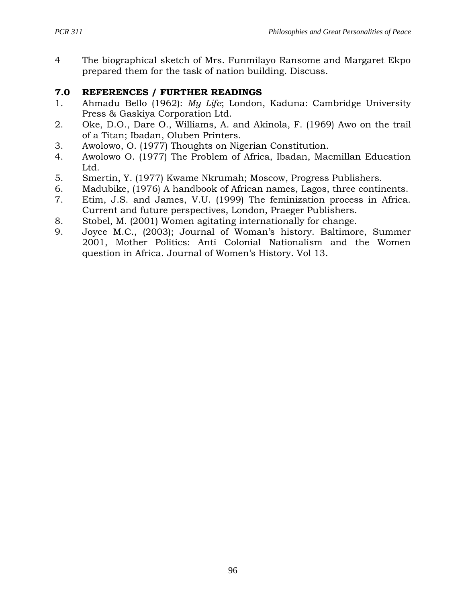4 The biographical sketch of Mrs. Funmilayo Ransome and Margaret Ekpo prepared them for the task of nation building. Discuss.

# **7.0 REFERENCES / FURTHER READINGS**

- 1. Ahmadu Bello (1962): *My Life*; London, Kaduna: Cambridge University Press & Gaskiya Corporation Ltd.
- 2. Oke, D.O., Dare O., Williams, A. and Akinola, F. (1969) Awo on the trail of a Titan; Ibadan, Oluben Printers.
- 3. Awolowo, O. (1977) Thoughts on Nigerian Constitution.
- 4. Awolowo O. (1977) The Problem of Africa, Ibadan, Macmillan Education Ltd.
- 5. Smertin, Y. (1977) Kwame Nkrumah; Moscow, Progress Publishers.
- 6. Madubike, (1976) A handbook of African names, Lagos, three continents.
- 7. Etim, J.S. and James, V.U. (1999) The feminization process in Africa. Current and future perspectives, London, Praeger Publishers.
- 8. Stobel, M. (2001) Women agitating internationally for change.
- 9. Joyce M.C., (2003); Journal of Woman's history. Baltimore, Summer 2001, Mother Politics: Anti Colonial Nationalism and the Women question in Africa. Journal of Women's History. Vol 13.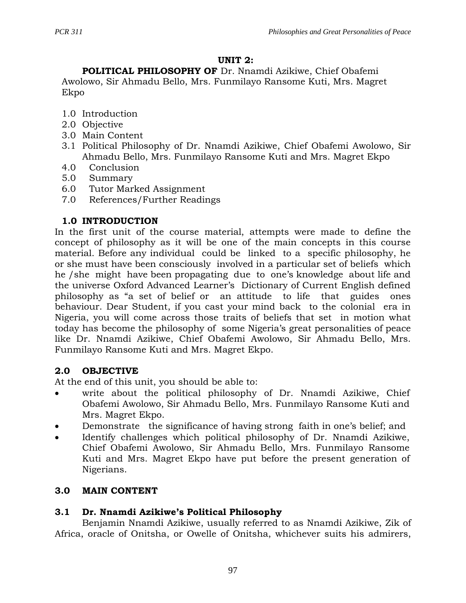### **UNIT 2:**

**POLITICAL PHILOSOPHY OF** Dr. Nnamdi Azikiwe, Chief Obafemi Awolowo, Sir Ahmadu Bello, Mrs. Funmilayo Ransome Kuti, Mrs. Magret Ekpo

- 1.0 Introduction
- 2.0 Objective
- 3.0 Main Content
- 3.1 Political Philosophy of Dr. Nnamdi Azikiwe, Chief Obafemi Awolowo, Sir Ahmadu Bello, Mrs. Funmilayo Ransome Kuti and Mrs. Magret Ekpo
- 4.0 Conclusion
- 5.0 Summary
- 6.0 Tutor Marked Assignment
- 7.0 References/Further Readings

### **1.0 INTRODUCTION**

In the first unit of the course material, attempts were made to define the concept of philosophy as it will be one of the main concepts in this course material. Before any individual could be linked to a specific philosophy, he or she must have been consciously involved in a particular set of beliefs which he /she might have been propagating due to one's knowledge about life and the universe Oxford Advanced Learner's Dictionary of Current English defined philosophy as "a set of belief or an attitude to life that guides ones behaviour. Dear Student, if you cast your mind back to the colonial era in Nigeria, you will come across those traits of beliefs that set in motion what today has become the philosophy of some Nigeria's great personalities of peace like Dr. Nnamdi Azikiwe, Chief Obafemi Awolowo, Sir Ahmadu Bello, Mrs. Funmilayo Ransome Kuti and Mrs. Magret Ekpo.

### **2.0 OBJECTIVE**

At the end of this unit, you should be able to:

- write about the political philosophy of Dr. Nnamdi Azikiwe, Chief Obafemi Awolowo, Sir Ahmadu Bello, Mrs. Funmilayo Ransome Kuti and Mrs. Magret Ekpo.
- Demonstrate the significance of having strong faith in one's belief; and
- Identify challenges which political philosophy of Dr. Nnamdi Azikiwe, Chief Obafemi Awolowo, Sir Ahmadu Bello, Mrs. Funmilayo Ransome Kuti and Mrs. Magret Ekpo have put before the present generation of Nigerians.

### **3.0 MAIN CONTENT**

### **3.1 Dr. Nnamdi Azikiwe's Political Philosophy**

Benjamin Nnamdi Azikiwe, usually referred to as Nnamdi Azikiwe, Zik of Africa, oracle of Onitsha, or Owelle of Onitsha, whichever suits his admirers,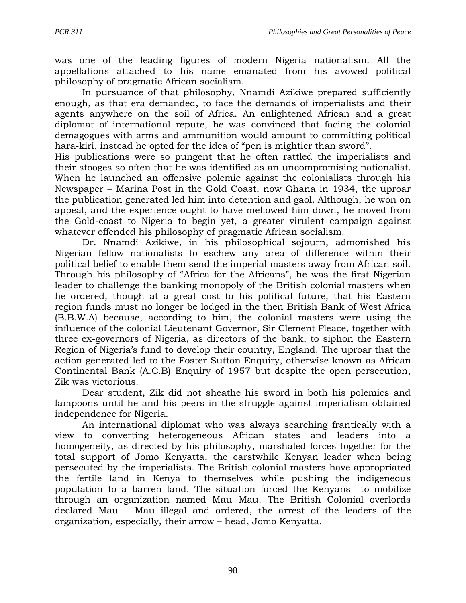was one of the leading figures of modern Nigeria nationalism. All the appellations attached to his name emanated from his avowed political philosophy of pragmatic African socialism.

In pursuance of that philosophy, Nnamdi Azikiwe prepared sufficiently enough, as that era demanded, to face the demands of imperialists and their agents anywhere on the soil of Africa. An enlightened African and a great diplomat of international repute, he was convinced that facing the colonial demagogues with arms and ammunition would amount to committing political hara-kiri, instead he opted for the idea of "pen is mightier than sword".

His publications were so pungent that he often rattled the imperialists and their stooges so often that he was identified as an uncompromising nationalist. When he launched an offensive polemic against the colonialists through his Newspaper – Marina Post in the Gold Coast, now Ghana in 1934, the uproar the publication generated led him into detention and gaol. Although, he won on appeal, and the experience ought to have mellowed him down, he moved from the Gold-coast to Nigeria to begin yet, a greater virulent campaign against whatever offended his philosophy of pragmatic African socialism.

Dr. Nnamdi Azikiwe, in his philosophical sojourn, admonished his Nigerian fellow nationalists to eschew any area of difference within their political belief to enable them send the imperial masters away from African soil. Through his philosophy of "Africa for the Africans", he was the first Nigerian leader to challenge the banking monopoly of the British colonial masters when he ordered, though at a great cost to his political future, that his Eastern region funds must no longer be lodged in the then British Bank of West Africa (B.B.W.A) because, according to him, the colonial masters were using the influence of the colonial Lieutenant Governor, Sir Clement Pleace, together with three ex-governors of Nigeria, as directors of the bank, to siphon the Eastern Region of Nigeria's fund to develop their country, England. The uproar that the action generated led to the Foster Sutton Enquiry, otherwise known as African Continental Bank (A.C.B) Enquiry of 1957 but despite the open persecution, Zik was victorious.

Dear student, Zik did not sheathe his sword in both his polemics and lampoons until he and his peers in the struggle against imperialism obtained independence for Nigeria.

An international diplomat who was always searching frantically with a view to converting heterogeneous African states and leaders into a homogeneity, as directed by his philosophy, marshaled forces together for the total support of Jomo Kenyatta, the earstwhile Kenyan leader when being persecuted by the imperialists. The British colonial masters have appropriated the fertile land in Kenya to themselves while pushing the indigeneous population to a barren land. The situation forced the Kenyans to mobilize through an organization named Mau Mau. The British Colonial overlords declared Mau – Mau illegal and ordered, the arrest of the leaders of the organization, especially, their arrow – head, Jomo Kenyatta.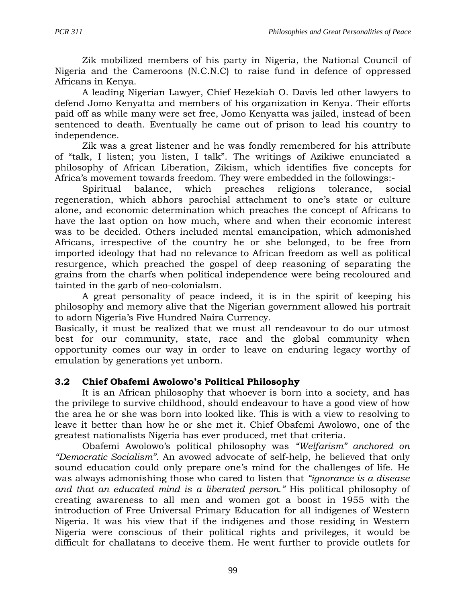Zik mobilized members of his party in Nigeria, the National Council of Nigeria and the Cameroons (N.C.N.C) to raise fund in defence of oppressed Africans in Kenya.

A leading Nigerian Lawyer, Chief Hezekiah O. Davis led other lawyers to defend Jomo Kenyatta and members of his organization in Kenya. Their efforts paid off as while many were set free, Jomo Kenyatta was jailed, instead of been sentenced to death. Eventually he came out of prison to lead his country to independence.

Zik was a great listener and he was fondly remembered for his attribute of "talk, I listen; you listen, I talk". The writings of Azikiwe enunciated a philosophy of African Liberation, Zikism, which identifies five concepts for Africa's movement towards freedom. They were embedded in the followings:-

Spiritual balance, which preaches religions tolerance, social regeneration, which abhors parochial attachment to one's state or culture alone, and economic determination which preaches the concept of Africans to have the last option on how much, where and when their economic interest was to be decided. Others included mental emancipation, which admonished Africans, irrespective of the country he or she belonged, to be free from imported ideology that had no relevance to African freedom as well as political resurgence, which preached the gospel of deep reasoning of separating the grains from the charfs when political independence were being recoloured and tainted in the garb of neo-colonialsm.

A great personality of peace indeed, it is in the spirit of keeping his philosophy and memory alive that the Nigerian government allowed his portrait to adorn Nigeria's Five Hundred Naira Currency.

Basically, it must be realized that we must all rendeavour to do our utmost best for our community, state, race and the global community when opportunity comes our way in order to leave on enduring legacy worthy of emulation by generations yet unborn.

### **3.2 Chief Obafemi Awolowo's Political Philosophy**

It is an African philosophy that whoever is born into a society, and has the privilege to survive childhood, should endeavour to have a good view of how the area he or she was born into looked like. This is with a view to resolving to leave it better than how he or she met it. Chief Obafemi Awolowo, one of the greatest nationalists Nigeria has ever produced, met that criteria.

Obafemi Awolowo's political philosophy was *"Welfarism" anchored on "Democratic Socialism".* An avowed advocate of self-help, he believed that only sound education could only prepare one's mind for the challenges of life. He was always admonishing those who cared to listen that *"ignorance is a disease and that an educated mind is a liberated person."* His political philosophy of creating awareness to all men and women got a boost in 1955 with the introduction of Free Universal Primary Education for all indigenes of Western Nigeria. It was his view that if the indigenes and those residing in Western Nigeria were conscious of their political rights and privileges, it would be difficult for challatans to deceive them. He went further to provide outlets for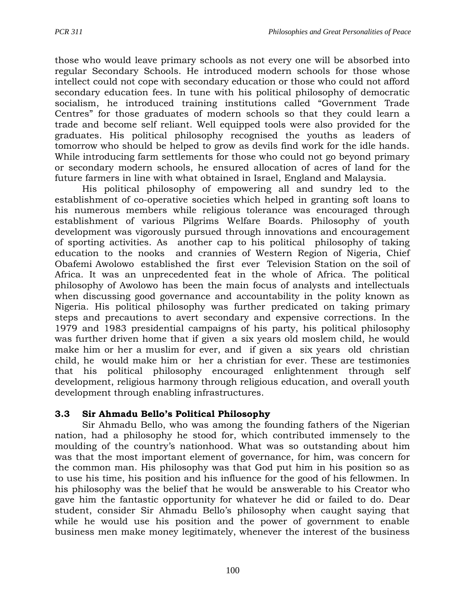those who would leave primary schools as not every one will be absorbed into regular Secondary Schools. He introduced modern schools for those whose intellect could not cope with secondary education or those who could not afford secondary education fees. In tune with his political philosophy of democratic socialism, he introduced training institutions called "Government Trade Centres" for those graduates of modern schools so that they could learn a trade and become self reliant. Well equipped tools were also provided for the graduates. His political philosophy recognised the youths as leaders of tomorrow who should be helped to grow as devils find work for the idle hands. While introducing farm settlements for those who could not go beyond primary or secondary modern schools, he ensured allocation of acres of land for the future farmers in line with what obtained in Israel, England and Malaysia.

His political philosophy of empowering all and sundry led to the establishment of co-operative societies which helped in granting soft loans to his numerous members while religious tolerance was encouraged through establishment of various Pilgrims Welfare Boards. Philosophy of youth development was vigorously pursued through innovations and encouragement of sporting activities. As another cap to his political philosophy of taking education to the nooks and crannies of Western Region of Nigeria, Chief Obafemi Awolowo established the first ever Television Station on the soil of Africa. It was an unprecedented feat in the whole of Africa. The political philosophy of Awolowo has been the main focus of analysts and intellectuals when discussing good governance and accountability in the polity known as Nigeria. His political philosophy was further predicated on taking primary steps and precautions to avert secondary and expensive corrections. In the 1979 and 1983 presidential campaigns of his party, his political philosophy was further driven home that if given a six years old moslem child, he would make him or her a muslim for ever, and if given a six years old christian child, he would make him or her a christian for ever. These are testimonies that his political philosophy encouraged enlightenment through self development, religious harmony through religious education, and overall youth development through enabling infrastructures.

### **3.3 Sir Ahmadu Bello's Political Philosophy**

Sir Ahmadu Bello, who was among the founding fathers of the Nigerian nation, had a philosophy he stood for, which contributed immensely to the moulding of the country's nationhood. What was so outstanding about him was that the most important element of governance, for him, was concern for the common man. His philosophy was that God put him in his position so as to use his time, his position and his influence for the good of his fellowmen. In his philosophy was the belief that he would be answerable to his Creator who gave him the fantastic opportunity for whatever he did or failed to do. Dear student, consider Sir Ahmadu Bello's philosophy when caught saying that while he would use his position and the power of government to enable business men make money legitimately, whenever the interest of the business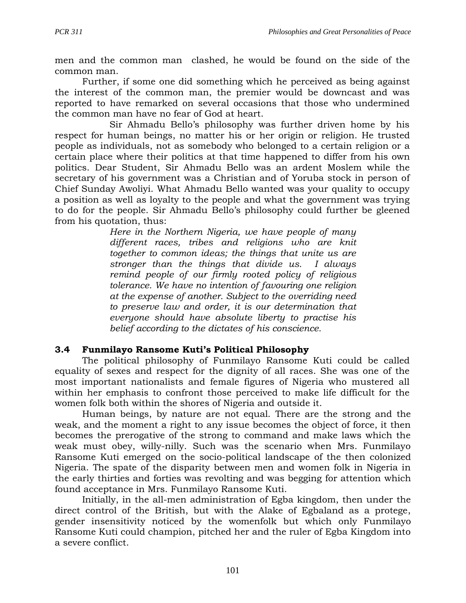men and the common man clashed, he would be found on the side of the common man.

Further, if some one did something which he perceived as being against the interest of the common man, the premier would be downcast and was reported to have remarked on several occasions that those who undermined the common man have no fear of God at heart.

Sir Ahmadu Bello's philosophy was further driven home by his respect for human beings, no matter his or her origin or religion. He trusted people as individuals, not as somebody who belonged to a certain religion or a certain place where their politics at that time happened to differ from his own politics. Dear Student, Sir Ahmadu Bello was an ardent Moslem while the secretary of his government was a Christian and of Yoruba stock in person of Chief Sunday Awoliyi. What Ahmadu Bello wanted was your quality to occupy a position as well as loyalty to the people and what the government was trying to do for the people. Sir Ahmadu Bello's philosophy could further be gleened from his quotation, thus:

*Here in the Northern Nigeria, we have people of many different races, tribes and religions who are knit together to common ideas; the things that unite us are stronger than the things that divide us. I always remind people of our firmly rooted policy of religious tolerance. We have no intention of favouring one religion at the expense of another. Subject to the overriding need to preserve law and order, it is our determination that everyone should have absolute liberty to practise his belief according to the dictates of his conscience.* 

### **3.4 Funmilayo Ransome Kuti's Political Philosophy**

The political philosophy of Funmilayo Ransome Kuti could be called equality of sexes and respect for the dignity of all races. She was one of the most important nationalists and female figures of Nigeria who mustered all within her emphasis to confront those perceived to make life difficult for the women folk both within the shores of Nigeria and outside it.

Human beings, by nature are not equal. There are the strong and the weak, and the moment a right to any issue becomes the object of force, it then becomes the prerogative of the strong to command and make laws which the weak must obey, willy-nilly. Such was the scenario when Mrs. Funmilayo Ransome Kuti emerged on the socio-political landscape of the then colonized Nigeria. The spate of the disparity between men and women folk in Nigeria in the early thirties and forties was revolting and was begging for attention which found acceptance in Mrs. Funmilayo Ransome Kuti.

Initially, in the all-men administration of Egba kingdom, then under the direct control of the British, but with the Alake of Egbaland as a protege, gender insensitivity noticed by the womenfolk but which only Funmilayo Ransome Kuti could champion, pitched her and the ruler of Egba Kingdom into a severe conflict.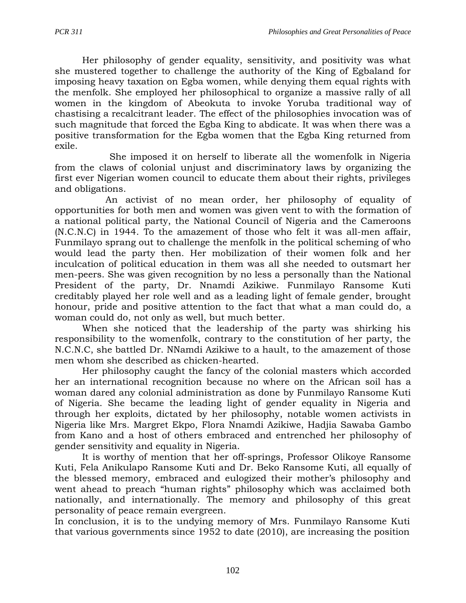Her philosophy of gender equality, sensitivity, and positivity was what she mustered together to challenge the authority of the King of Egbaland for imposing heavy taxation on Egba women, while denying them equal rights with the menfolk. She employed her philosophical to organize a massive rally of all women in the kingdom of Abeokuta to invoke Yoruba traditional way of chastising a recalcitrant leader. The effect of the philosophies invocation was of such magnitude that forced the Egba King to abdicate. It was when there was a positive transformation for the Egba women that the Egba King returned from exile.

She imposed it on herself to liberate all the womenfolk in Nigeria from the claws of colonial unjust and discriminatory laws by organizing the first ever Nigerian women council to educate them about their rights, privileges and obligations.

 An activist of no mean order, her philosophy of equality of opportunities for both men and women was given vent to with the formation of a national political party, the National Council of Nigeria and the Cameroons (N.C.N.C) in 1944. To the amazement of those who felt it was all-men affair, Funmilayo sprang out to challenge the menfolk in the political scheming of who would lead the party then. Her mobilization of their women folk and her inculcation of political education in them was all she needed to outsmart her men-peers. She was given recognition by no less a personally than the National President of the party, Dr. Nnamdi Azikiwe. Funmilayo Ransome Kuti creditably played her role well and as a leading light of female gender, brought honour, pride and positive attention to the fact that what a man could do, a woman could do, not only as well, but much better.

When she noticed that the leadership of the party was shirking his responsibility to the womenfolk, contrary to the constitution of her party, the N.C.N.C, she battled Dr. NNamdi Azikiwe to a hault, to the amazement of those men whom she described as chicken-hearted.

Her philosophy caught the fancy of the colonial masters which accorded her an international recognition because no where on the African soil has a woman dared any colonial administration as done by Funmilayo Ransome Kuti of Nigeria. She became the leading light of gender equality in Nigeria and through her exploits, dictated by her philosophy, notable women activists in Nigeria like Mrs. Margret Ekpo, Flora Nnamdi Azikiwe, Hadjia Sawaba Gambo from Kano and a host of others embraced and entrenched her philosophy of gender sensitivity and equality in Nigeria.

It is worthy of mention that her off-springs, Professor Olikoye Ransome Kuti, Fela Anikulapo Ransome Kuti and Dr. Beko Ransome Kuti, all equally of the blessed memory, embraced and eulogized their mother's philosophy and went ahead to preach "human rights" philosophy which was acclaimed both nationally, and internationally. The memory and philosophy of this great personality of peace remain evergreen.

In conclusion, it is to the undying memory of Mrs. Funmilayo Ransome Kuti that various governments since 1952 to date (2010), are increasing the position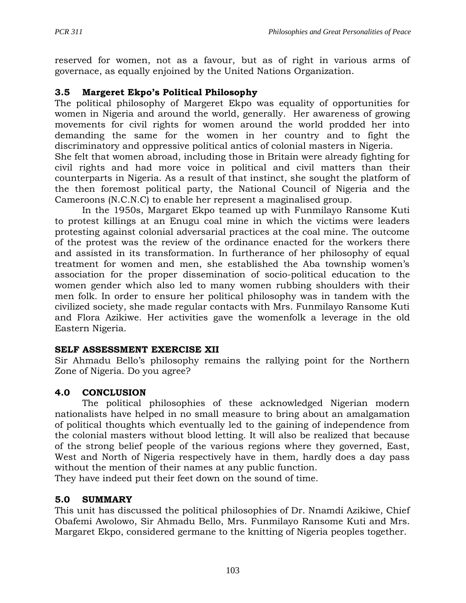reserved for women, not as a favour, but as of right in various arms of governace, as equally enjoined by the United Nations Organization.

### **3.5 Margeret Ekpo's Political Philosophy**

The political philosophy of Margeret Ekpo was equality of opportunities for women in Nigeria and around the world, generally. Her awareness of growing movements for civil rights for women around the world prodded her into demanding the same for the women in her country and to fight the discriminatory and oppressive political antics of colonial masters in Nigeria.

She felt that women abroad, including those in Britain were already fighting for civil rights and had more voice in political and civil matters than their counterparts in Nigeria. As a result of that instinct, she sought the platform of the then foremost political party, the National Council of Nigeria and the Cameroons (N.C.N.C) to enable her represent a maginalised group.

In the 1950s, Margaret Ekpo teamed up with Funmilayo Ransome Kuti to protest killings at an Enugu coal mine in which the victims were leaders protesting against colonial adversarial practices at the coal mine. The outcome of the protest was the review of the ordinance enacted for the workers there and assisted in its transformation. In furtherance of her philosophy of equal treatment for women and men, she established the Aba township women's association for the proper dissemination of socio-political education to the women gender which also led to many women rubbing shoulders with their men folk. In order to ensure her political philosophy was in tandem with the civilized society, she made regular contacts with Mrs. Funmilayo Ransome Kuti and Flora Azikiwe. Her activities gave the womenfolk a leverage in the old Eastern Nigeria.

### **SELF ASSESSMENT EXERCISE XII**

Sir Ahmadu Bello's philosophy remains the rallying point for the Northern Zone of Nigeria. Do you agree?

### **4.0 CONCLUSION**

The political philosophies of these acknowledged Nigerian modern nationalists have helped in no small measure to bring about an amalgamation of political thoughts which eventually led to the gaining of independence from the colonial masters without blood letting. It will also be realized that because of the strong belief people of the various regions where they governed, East, West and North of Nigeria respectively have in them, hardly does a day pass without the mention of their names at any public function.

They have indeed put their feet down on the sound of time.

### **5.0 SUMMARY**

This unit has discussed the political philosophies of Dr. Nnamdi Azikiwe, Chief Obafemi Awolowo, Sir Ahmadu Bello, Mrs. Funmilayo Ransome Kuti and Mrs. Margaret Ekpo, considered germane to the knitting of Nigeria peoples together.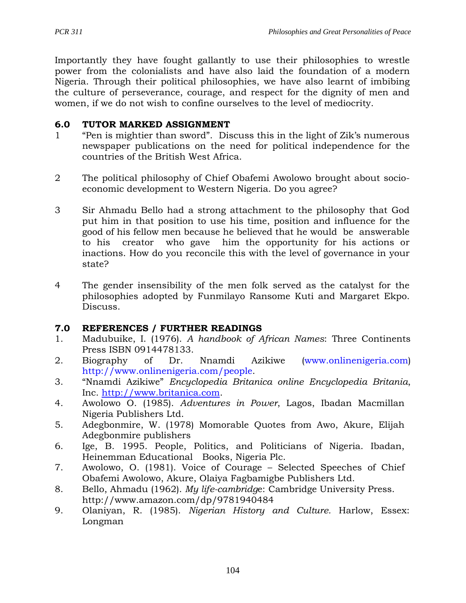Importantly they have fought gallantly to use their philosophies to wrestle power from the colonialists and have also laid the foundation of a modern Nigeria. Through their political philosophies, we have also learnt of imbibing the culture of perseverance, courage, and respect for the dignity of men and women, if we do not wish to confine ourselves to the level of mediocrity.

### **6.0 TUTOR MARKED ASSIGNMENT**

- 1 "Pen is mightier than sword". Discuss this in the light of Zik's numerous newspaper publications on the need for political independence for the countries of the British West Africa.
- 2 The political philosophy of Chief Obafemi Awolowo brought about socioeconomic development to Western Nigeria. Do you agree?
- 3 Sir Ahmadu Bello had a strong attachment to the philosophy that God put him in that position to use his time, position and influence for the good of his fellow men because he believed that he would be answerable to his creator who gave him the opportunity for his actions or inactions. How do you reconcile this with the level of governance in your state?
- 4 The gender insensibility of the men folk served as the catalyst for the philosophies adopted by Funmilayo Ransome Kuti and Margaret Ekpo. Discuss.

### **7.0 REFERENCES / FURTHER READINGS**

- 1. Madubuike, I. (1976). *A handbook of African Names*: Three Continents Press ISBN 0914478133.
- 2. Biography of Dr. Nnamdi Azikiwe [\(www.onlinenigeria.com\)](http://www.onlinenigeria.com/) [http://www.onlinenigeria.com/people.](http://www.onlinenigeria.com/people)
- 3. "Nnamdi Azikiwe" *Encyclopedia Britanica online Encyclopedia Britania*, Inc. [http://www.britanica.com.](http://www.britanica.com/)
- 4. Awolowo O. (1985). *Adventures in Power*, Lagos, Ibadan Macmillan Nigeria Publishers Ltd.
- 5. Adegbonmire, W. (1978) Momorable Quotes from Awo, Akure, Elijah Adegbonmire publishers
- 6. Ige, B. 1995. People, Politics, and Politicians of Nigeria. Ibadan, Heinemman Educational Books, Nigeria Plc.
- 7. Awolowo, O. (1981). Voice of Courage Selected Speeches of Chief Obafemi Awolowo, Akure, Olaiya Fagbamigbe Publishers Ltd.
- 8. Bello, Ahmadu (1962). *My life-cambridg*e: Cambridge University Press. http://www.amazon.com/dp/9781940484
- 9. Olaniyan, R. (1985). *Nigerian History and Culture.* Harlow, Essex: Longman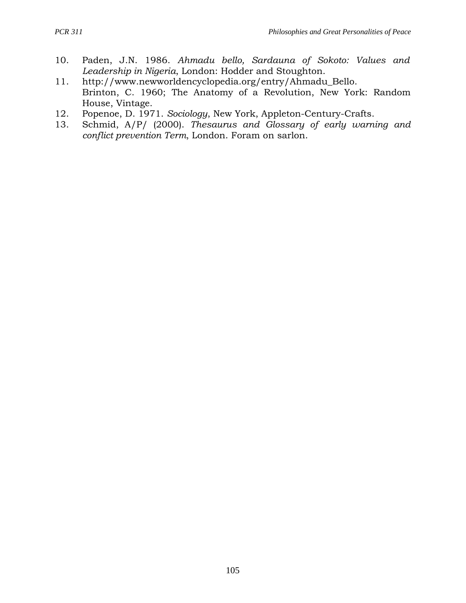- 10. Paden, J.N. 1986. *Ahmadu bello, Sardauna of Sokoto: Values and Leadership in Nigeria*, London: Hodder and Stoughton.
- 11. http://www.newworldencyclopedia.org/entry/Ahmadu\_Bello. Brinton, C. 1960; The Anatomy of a Revolution, New York: Random House, Vintage.
- 12. Popenoe, D. 1971. *Sociology*, New York, Appleton-Century-Crafts.
- 13. Schmid, A/P/ (2000). *Thesaurus and Glossary of early warning and conflict prevention Term*, London. Foram on sarlon.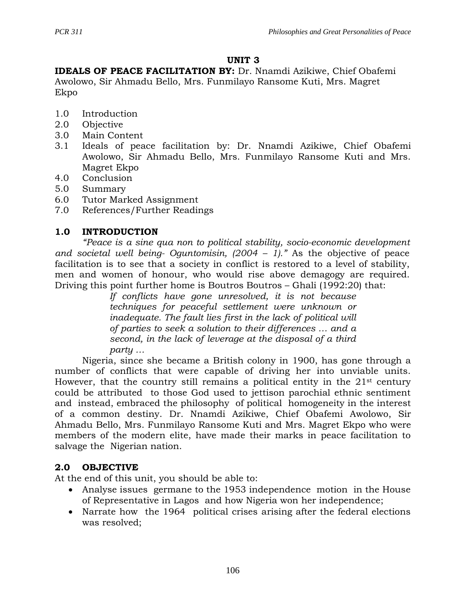## **UNIT 3**

**IDEALS OF PEACE FACILITATION BY:** Dr. Nnamdi Azikiwe, Chief Obafemi Awolowo, Sir Ahmadu Bello, Mrs. Funmilayo Ransome Kuti, Mrs. Magret Ekpo

- 1.0 Introduction
- 2.0 Objective
- 3.0 Main Content
- 3.1 Ideals of peace facilitation by: Dr. Nnamdi Azikiwe, Chief Obafemi Awolowo, Sir Ahmadu Bello, Mrs. Funmilayo Ransome Kuti and Mrs. Magret Ekpo
- 4.0 Conclusion
- 5.0 Summary
- 6.0 Tutor Marked Assignment
- 7.0 References/Further Readings

# **1.0 INTRODUCTION**

*"Peace is a sine qua non to political stability, socio-economic development and societal well being- Oguntomisin, (2004 – 1)."* As the objective of peace facilitation is to see that a society in conflict is restored to a level of stability, men and women of honour, who would rise above demagogy are required. Driving this point further home is Boutros Boutros – Ghali (1992:20) that:

*If conflicts have gone unresolved, it is not because techniques for peaceful settlement were unknown or inadequate. The fault lies first in the lack of political will of parties to seek a solution to their differences … and a second, in the lack of leverage at the disposal of a third party …*

Nigeria, since she became a British colony in 1900, has gone through a number of conflicts that were capable of driving her into unviable units. However, that the country still remains a political entity in the 21<sup>st</sup> century could be attributed to those God used to jettison parochial ethnic sentiment and instead, embraced the philosophy of political homogeneity in the interest of a common destiny. Dr. Nnamdi Azikiwe, Chief Obafemi Awolowo, Sir Ahmadu Bello, Mrs. Funmilayo Ransome Kuti and Mrs. Magret Ekpo who were members of the modern elite, have made their marks in peace facilitation to salvage the Nigerian nation.

# **2.0 OBJECTIVE**

At the end of this unit, you should be able to:

- Analyse issues germane to the 1953 independence motion in the House of Representative in Lagos and how Nigeria won her independence;
- Narrate how the 1964 political crises arising after the federal elections was resolved;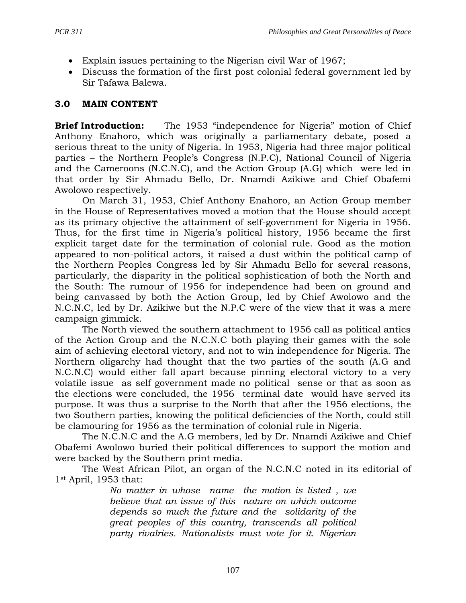- Explain issues pertaining to the Nigerian civil War of 1967;
- Discuss the formation of the first post colonial federal government led by Sir Tafawa Balewa.

# **3.0 MAIN CONTENT**

**Brief Introduction:** The 1953 "independence for Nigeria" motion of Chief Anthony Enahoro, which was originally a parliamentary debate, posed a serious threat to the unity of Nigeria. In 1953, Nigeria had three major political parties – the Northern People's Congress (N.P.C), National Council of Nigeria and the Cameroons (N.C.N.C), and the Action Group (A.G) which were led in that order by Sir Ahmadu Bello, Dr. Nnamdi Azikiwe and Chief Obafemi Awolowo respectively.

On March 31, 1953, Chief Anthony Enahoro, an Action Group member in the House of Representatives moved a motion that the House should accept as its primary objective the attainment of self-government for Nigeria in 1956. Thus, for the first time in Nigeria's political history, 1956 became the first explicit target date for the termination of colonial rule. Good as the motion appeared to non-political actors, it raised a dust within the political camp of the Northern Peoples Congress led by Sir Ahmadu Bello for several reasons, particularly, the disparity in the political sophistication of both the North and the South: The rumour of 1956 for independence had been on ground and being canvassed by both the Action Group, led by Chief Awolowo and the N.C.N.C, led by Dr. Azikiwe but the N.P.C were of the view that it was a mere campaign gimmick.

The North viewed the southern attachment to 1956 call as political antics of the Action Group and the N.C.N.C both playing their games with the sole aim of achieving electoral victory, and not to win independence for Nigeria. The Northern oligarchy had thought that the two parties of the south (A.G and N.C.N.C) would either fall apart because pinning electoral victory to a very volatile issue as self government made no political sense or that as soon as the elections were concluded, the 1956 terminal date would have served its purpose. It was thus a surprise to the North that after the 1956 elections, the two Southern parties, knowing the political deficiencies of the North, could still be clamouring for 1956 as the termination of colonial rule in Nigeria.

The N.C.N.C and the A.G members, led by Dr. Nnamdi Azikiwe and Chief Obafemi Awolowo buried their political differences to support the motion and were backed by the Southern print media.

The West African Pilot, an organ of the N.C.N.C noted in its editorial of 1st April, 1953 that:

*No matter in whose name the motion is listed , we believe that an issue of this nature on which outcome depends so much the future and the solidarity of the great peoples of this country, transcends all political party rivalries. Nationalists must vote for it. Nigerian*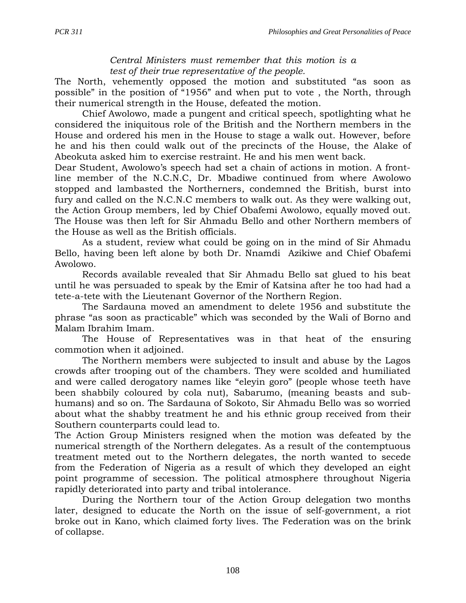#### *Central Ministers must remember that this motion is a test of their true representative of the people.*

The North, vehemently opposed the motion and substituted "as soon as possible" in the position of "1956" and when put to vote , the North, through their numerical strength in the House, defeated the motion.

Chief Awolowo, made a pungent and critical speech, spotlighting what he considered the iniquitous role of the British and the Northern members in the House and ordered his men in the House to stage a walk out. However, before he and his then could walk out of the precincts of the House, the Alake of Abeokuta asked him to exercise restraint. He and his men went back.

Dear Student, Awolowo's speech had set a chain of actions in motion. A frontline member of the N.C.N.C, Dr. Mbadiwe continued from where Awolowo stopped and lambasted the Northerners, condemned the British, burst into fury and called on the N.C.N.C members to walk out. As they were walking out, the Action Group members, led by Chief Obafemi Awolowo, equally moved out. The House was then left for Sir Ahmadu Bello and other Northern members of the House as well as the British officials.

As a student, review what could be going on in the mind of Sir Ahmadu Bello, having been left alone by both Dr. Nnamdi Azikiwe and Chief Obafemi Awolowo.

Records available revealed that Sir Ahmadu Bello sat glued to his beat until he was persuaded to speak by the Emir of Katsina after he too had had a tete-a-tete with the Lieutenant Governor of the Northern Region.

The Sardauna moved an amendment to delete 1956 and substitute the phrase "as soon as practicable" which was seconded by the Wali of Borno and Malam Ibrahim Imam.

The House of Representatives was in that heat of the ensuring commotion when it adjoined.

The Northern members were subjected to insult and abuse by the Lagos crowds after trooping out of the chambers. They were scolded and humiliated and were called derogatory names like "eleyin goro" (people whose teeth have been shabbily coloured by cola nut), Sabarumo, (meaning beasts and subhumans) and so on. The Sardauna of Sokoto, Sir Ahmadu Bello was so worried about what the shabby treatment he and his ethnic group received from their Southern counterparts could lead to.

The Action Group Ministers resigned when the motion was defeated by the numerical strength of the Northern delegates. As a result of the contemptuous treatment meted out to the Northern delegates, the north wanted to secede from the Federation of Nigeria as a result of which they developed an eight point programme of secession. The political atmosphere throughout Nigeria rapidly deteriorated into party and tribal intolerance.

During the Northern tour of the Action Group delegation two months later, designed to educate the North on the issue of self-government, a riot broke out in Kano, which claimed forty lives. The Federation was on the brink of collapse.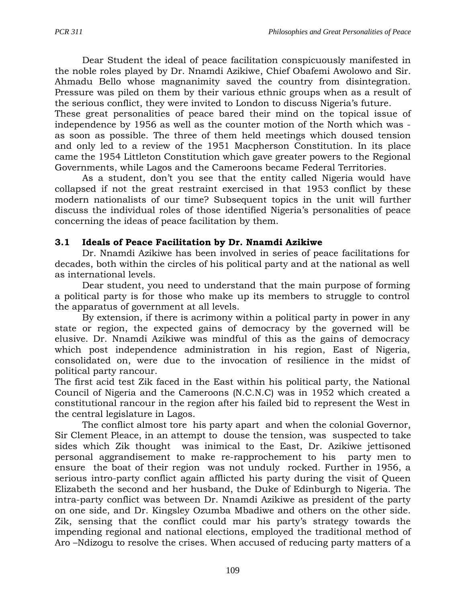Dear Student the ideal of peace facilitation conspicuously manifested in the noble roles played by Dr. Nnamdi Azikiwe, Chief Obafemi Awolowo and Sir. Ahmadu Bello whose magnanimity saved the country from disintegration. Pressure was piled on them by their various ethnic groups when as a result of the serious conflict, they were invited to London to discuss Nigeria's future.

These great personalities of peace bared their mind on the topical issue of independence by 1956 as well as the counter motion of the North which was as soon as possible. The three of them held meetings which doused tension and only led to a review of the 1951 Macpherson Constitution. In its place came the 1954 Littleton Constitution which gave greater powers to the Regional Governments, while Lagos and the Cameroons became Federal Territories.

As a student, don't you see that the entity called Nigeria would have collapsed if not the great restraint exercised in that 1953 conflict by these modern nationalists of our time? Subsequent topics in the unit will further discuss the individual roles of those identified Nigeria's personalities of peace concerning the ideas of peace facilitation by them.

### **3.1 Ideals of Peace Facilitation by Dr. Nnamdi Azikiwe**

Dr. Nnamdi Azikiwe has been involved in series of peace facilitations for decades, both within the circles of his political party and at the national as well as international levels.

Dear student, you need to understand that the main purpose of forming a political party is for those who make up its members to struggle to control the apparatus of government at all levels.

By extension, if there is acrimony within a political party in power in any state or region, the expected gains of democracy by the governed will be elusive. Dr. Nnamdi Azikiwe was mindful of this as the gains of democracy which post independence administration in his region, East of Nigeria, consolidated on, were due to the invocation of resilience in the midst of political party rancour.

The first acid test Zik faced in the East within his political party, the National Council of Nigeria and the Cameroons (N.C.N.C) was in 1952 which created a constitutional rancour in the region after his failed bid to represent the West in the central legislature in Lagos.

The conflict almost tore his party apart and when the colonial Governor, Sir Clement Pleace, in an attempt to douse the tension, was suspected to take sides which Zik thought was inimical to the East, Dr. Azikiwe jettisoned personal aggrandisement to make re-rapprochement to his party men to ensure the boat of their region was not unduly rocked. Further in 1956, a serious intro-party conflict again afflicted his party during the visit of Queen Elizabeth the second and her husband, the Duke of Edinburgh to Nigeria. The intra-party conflict was between Dr. Nnamdi Azikiwe as president of the party on one side, and Dr. Kingsley Ozumba Mbadiwe and others on the other side. Zik, sensing that the conflict could mar his party's strategy towards the impending regional and national elections, employed the traditional method of Aro –Ndizogu to resolve the crises. When accused of reducing party matters of a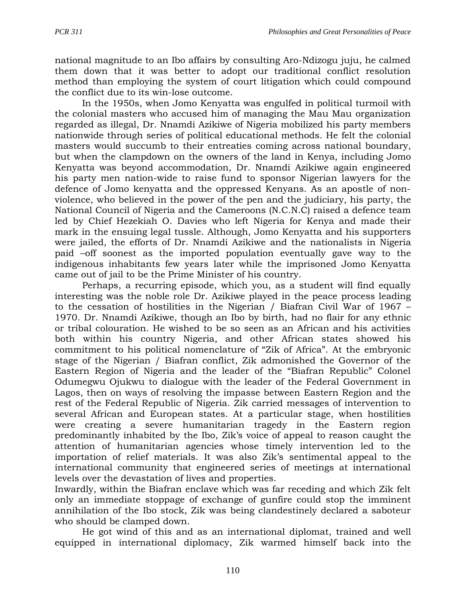national magnitude to an Ibo affairs by consulting Aro-Ndizogu juju, he calmed them down that it was better to adopt our traditional conflict resolution method than employing the system of court litigation which could compound the conflict due to its win-lose outcome.

In the 1950s, when Jomo Kenyatta was engulfed in political turmoil with the colonial masters who accused him of managing the Mau Mau organization regarded as illegal, Dr. Nnamdi Azikiwe of Nigeria mobilized his party members nationwide through series of political educational methods. He felt the colonial masters would succumb to their entreaties coming across national boundary, but when the clampdown on the owners of the land in Kenya, including Jomo Kenyatta was beyond accommodation, Dr. Nnamdi Azikiwe again engineered his party men nation-wide to raise fund to sponsor Nigerian lawyers for the defence of Jomo kenyatta and the oppressed Kenyans. As an apostle of nonviolence, who believed in the power of the pen and the judiciary, his party, the National Council of Nigeria and the Cameroons (N.C.N.C) raised a defence team led by Chief Hezekiah O. Davies who left Nigeria for Kenya and made their mark in the ensuing legal tussle. Although, Jomo Kenyatta and his supporters were jailed, the efforts of Dr. Nnamdi Azikiwe and the nationalists in Nigeria paid –off soonest as the imported population eventually gave way to the indigenous inhabitants few years later while the imprisoned Jomo Kenyatta came out of jail to be the Prime Minister of his country.

Perhaps, a recurring episode, which you, as a student will find equally interesting was the noble role Dr. Azikiwe played in the peace process leading to the cessation of hostilities in the Nigerian / Biafran Civil War of 1967 – 1970. Dr. Nnamdi Azikiwe, though an Ibo by birth, had no flair for any ethnic or tribal colouration. He wished to be so seen as an African and his activities both within his country Nigeria, and other African states showed his commitment to his political nomenclature of "Zik of Africa". At the embryonic stage of the Nigerian / Biafran conflict, Zik admonished the Governor of the Eastern Region of Nigeria and the leader of the "Biafran Republic" Colonel Odumegwu Ojukwu to dialogue with the leader of the Federal Government in Lagos, then on ways of resolving the impasse between Eastern Region and the rest of the Federal Republic of Nigeria. Zik carried messages of intervention to several African and European states. At a particular stage, when hostilities were creating a severe humanitarian tragedy in the Eastern region predominantly inhabited by the Ibo, Zik's voice of appeal to reason caught the attention of humanitarian agencies whose timely intervention led to the importation of relief materials. It was also Zik's sentimental appeal to the international community that engineered series of meetings at international levels over the devastation of lives and properties.

Inwardly, within the Biafran enclave which was far receding and which Zik felt only an immediate stoppage of exchange of gunfire could stop the imminent annihilation of the Ibo stock, Zik was being clandestinely declared a saboteur who should be clamped down.

 He got wind of this and as an international diplomat, trained and well equipped in international diplomacy, Zik warmed himself back into the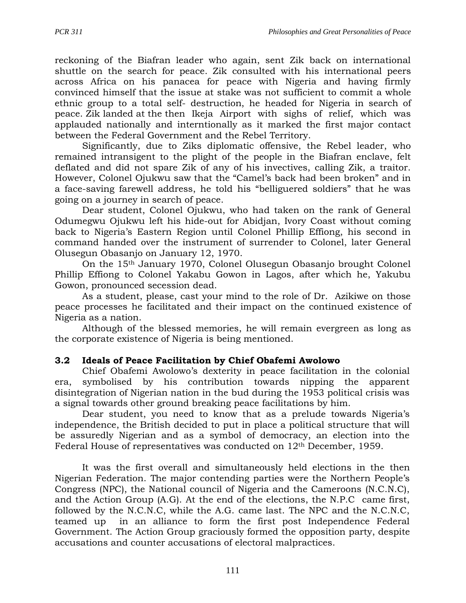reckoning of the Biafran leader who again, sent Zik back on international shuttle on the search for peace. Zik consulted with his international peers across Africa on his panacea for peace with Nigeria and having firmly convinced himself that the issue at stake was not sufficient to commit a whole ethnic group to a total self- destruction, he headed for Nigeria in search of peace. Zik landed at the then Ikeja Airport with sighs of relief, which was applauded nationally and interntionally as it marked the first major contact between the Federal Government and the Rebel Territory.

Significantly, due to Ziks diplomatic offensive, the Rebel leader, who remained intransigent to the plight of the people in the Biafran enclave, felt deflated and did not spare Zik of any of his invectives, calling Zik, a traitor. However, Colonel Ojukwu saw that the "Camel's back had been broken" and in a face-saving farewell address, he told his "belliguered soldiers" that he was going on a journey in search of peace.

Dear student, Colonel Ojukwu, who had taken on the rank of General Odumegwu Ojukwu left his hide-out for Abidjan, Ivory Coast without coming back to Nigeria's Eastern Region until Colonel Phillip Effiong, his second in command handed over the instrument of surrender to Colonel, later General Olusegun Obasanjo on January 12, 1970.

On the 15th January 1970, Colonel Olusegun Obasanjo brought Colonel Phillip Effiong to Colonel Yakabu Gowon in Lagos, after which he, Yakubu Gowon, pronounced secession dead.

As a student, please, cast your mind to the role of Dr. Azikiwe on those peace processes he facilitated and their impact on the continued existence of Nigeria as a nation.

Although of the blessed memories, he will remain evergreen as long as the corporate existence of Nigeria is being mentioned.

## **3.2 Ideals of Peace Facilitation by Chief Obafemi Awolowo**

Chief Obafemi Awolowo's dexterity in peace facilitation in the colonial era, symbolised by his contribution towards nipping the apparent disintegration of Nigerian nation in the bud during the 1953 political crisis was a signal towards other ground breaking peace facilitations by him.

Dear student, you need to know that as a prelude towards Nigeria's independence, the British decided to put in place a political structure that will be assuredly Nigerian and as a symbol of democracy, an election into the Federal House of representatives was conducted on 12th December, 1959.

It was the first overall and simultaneously held elections in the then Nigerian Federation. The major contending parties were the Northern People's Congress (NPC), the National council of Nigeria and the Cameroons (N.C.N.C), and the Action Group (A.G). At the end of the elections, the N.P.C came first, followed by the N.C.N.C, while the A.G. came last. The NPC and the N.C.N.C, teamed up in an alliance to form the first post Independence Federal Government. The Action Group graciously formed the opposition party, despite accusations and counter accusations of electoral malpractices.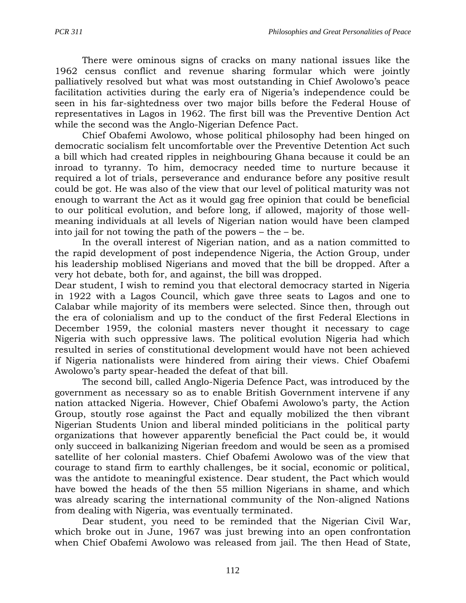There were ominous signs of cracks on many national issues like the 1962 census conflict and revenue sharing formular which were jointly palliatively resolved but what was most outstanding in Chief Awolowo's peace facilitation activities during the early era of Nigeria's independence could be seen in his far-sightedness over two major bills before the Federal House of representatives in Lagos in 1962. The first bill was the Preventive Dention Act while the second was the Anglo-Nigerian Defence Pact.

Chief Obafemi Awolowo, whose political philosophy had been hinged on democratic socialism felt uncomfortable over the Preventive Detention Act such a bill which had created ripples in neighbouring Ghana because it could be an inroad to tyranny. To him, democracy needed time to nurture because it required a lot of trials, perseverance and endurance before any positive result could be got. He was also of the view that our level of political maturity was not enough to warrant the Act as it would gag free opinion that could be beneficial to our political evolution, and before long, if allowed, majority of those wellmeaning individuals at all levels of Nigerian nation would have been clamped into jail for not towing the path of the powers – the – be.

In the overall interest of Nigerian nation, and as a nation committed to the rapid development of post independence Nigeria, the Action Group, under his leadership moblised Nigerians and moved that the bill be dropped. After a very hot debate, both for, and against, the bill was dropped.

Dear student, I wish to remind you that electoral democracy started in Nigeria in 1922 with a Lagos Council, which gave three seats to Lagos and one to Calabar while majority of its members were selected. Since then, through out the era of colonialism and up to the conduct of the first Federal Elections in December 1959, the colonial masters never thought it necessary to cage Nigeria with such oppressive laws. The political evolution Nigeria had which resulted in series of constitutional development would have not been achieved if Nigeria nationalists were hindered from airing their views. Chief Obafemi Awolowo's party spear-headed the defeat of that bill.

The second bill, called Anglo-Nigeria Defence Pact, was introduced by the government as necessary so as to enable British Government intervene if any nation attacked Nigeria. However, Chief Obafemi Awolowo's party, the Action Group, stoutly rose against the Pact and equally mobilized the then vibrant Nigerian Students Union and liberal minded politicians in the political party organizations that however apparently beneficial the Pact could be, it would only succeed in balkanizing Nigerian freedom and would be seen as a promised satellite of her colonial masters. Chief Obafemi Awolowo was of the view that courage to stand firm to earthly challenges, be it social, economic or political, was the antidote to meaningful existence. Dear student, the Pact which would have bowed the heads of the then 55 million Nigerians in shame, and which was already scaring the international community of the Non-aligned Nations from dealing with Nigeria, was eventually terminated.

Dear student, you need to be reminded that the Nigerian Civil War, which broke out in June, 1967 was just brewing into an open confrontation when Chief Obafemi Awolowo was released from jail. The then Head of State,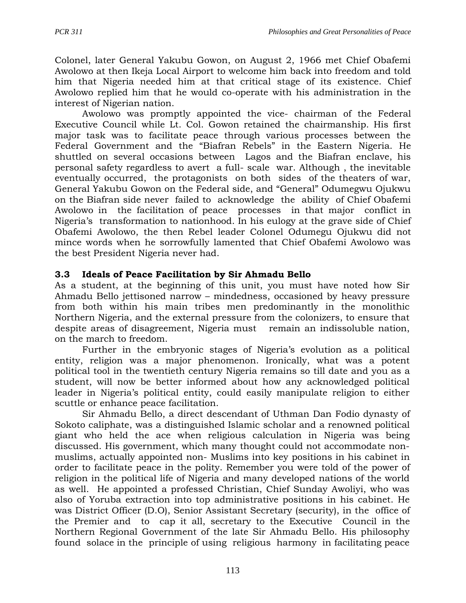Colonel, later General Yakubu Gowon, on August 2, 1966 met Chief Obafemi Awolowo at then Ikeja Local Airport to welcome him back into freedom and told him that Nigeria needed him at that critical stage of its existence. Chief Awolowo replied him that he would co-operate with his administration in the interest of Nigerian nation.

Awolowo was promptly appointed the vice- chairman of the Federal Executive Council while Lt. Col. Gowon retained the chairmanship. His first major task was to facilitate peace through various processes between the Federal Government and the "Biafran Rebels" in the Eastern Nigeria. He shuttled on several occasions between Lagos and the Biafran enclave, his personal safety regardless to avert a full- scale war. Although , the inevitable eventually occurred, the protagonists on both sides of the theaters of war, General Yakubu Gowon on the Federal side, and "General" Odumegwu Ojukwu on the Biafran side never failed to acknowledge the ability of Chief Obafemi Awolowo in the facilitation of peace processes in that major conflict in Nigeria's transformation to nationhood. In his eulogy at the grave side of Chief Obafemi Awolowo, the then Rebel leader Colonel Odumegu Ojukwu did not mince words when he sorrowfully lamented that Chief Obafemi Awolowo was the best President Nigeria never had.

# **3.3 Ideals of Peace Facilitation by Sir Ahmadu Bello**

As a student, at the beginning of this unit, you must have noted how Sir Ahmadu Bello jettisoned narrow – mindedness, occasioned by heavy pressure from both within his main tribes men predominantly in the monolithic Northern Nigeria, and the external pressure from the colonizers, to ensure that despite areas of disagreement, Nigeria must remain an indissoluble nation, on the march to freedom.

Further in the embryonic stages of Nigeria's evolution as a political entity, religion was a major phenomenon. Ironically, what was a potent political tool in the twentieth century Nigeria remains so till date and you as a student, will now be better informed about how any acknowledged political leader in Nigeria's political entity, could easily manipulate religion to either scuttle or enhance peace facilitation.

Sir Ahmadu Bello, a direct descendant of Uthman Dan Fodio dynasty of Sokoto caliphate, was a distinguished Islamic scholar and a renowned political giant who held the ace when religious calculation in Nigeria was being discussed. His government, which many thought could not accommodate nonmuslims, actually appointed non- Muslims into key positions in his cabinet in order to facilitate peace in the polity. Remember you were told of the power of religion in the political life of Nigeria and many developed nations of the world as well. He appointed a professed Christian, Chief Sunday Awoliyi, who was also of Yoruba extraction into top administrative positions in his cabinet. He was District Officer (D.O), Senior Assistant Secretary (security), in the office of the Premier and to cap it all, secretary to the Executive Council in the Northern Regional Government of the late Sir Ahmadu Bello. His philosophy found solace in the principle of using religious harmony in facilitating peace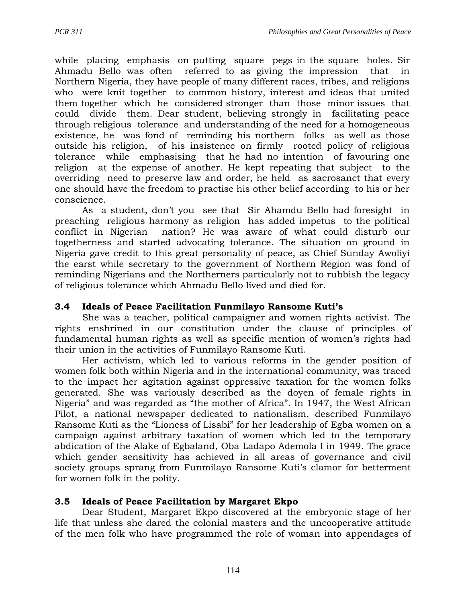while placing emphasis on putting square pegs in the square holes. Sir Ahmadu Bello was often referred to as giving the impression that in Northern Nigeria, they have people of many different races, tribes, and religions who were knit together to common history, interest and ideas that united them together which he considered stronger than those minor issues that could divide them. Dear student, believing strongly in facilitating peace through religious tolerance and understanding of the need for a homogeneous existence, he was fond of reminding his northern folks as well as those outside his religion, of his insistence on firmly rooted policy of religious tolerance while emphasising that he had no intention of favouring one religion at the expense of another. He kept repeating that subject to the overriding need to preserve law and order, he held as sacrosanct that every one should have the freedom to practise his other belief according to his or her conscience.

As a student, don't you see that Sir Ahamdu Bello had foresight in preaching religious harmony as religion has added impetus to the political conflict in Nigerian nation? He was aware of what could disturb our togetherness and started advocating tolerance. The situation on ground in Nigeria gave credit to this great personality of peace, as Chief Sunday Awoliyi the earst while secretary to the government of Northern Region was fond of reminding Nigerians and the Northerners particularly not to rubbish the legacy of religious tolerance which Ahmadu Bello lived and died for.

## **3.4 Ideals of Peace Facilitation Funmilayo Ransome Kuti's**

She was a teacher, political campaigner and women rights activist. The rights enshrined in our constitution under the clause of principles of fundamental human rights as well as specific mention of women's rights had their union in the activities of Funmilayo Ransome Kuti.

Her activism, which led to various reforms in the gender position of women folk both within Nigeria and in the international community, was traced to the impact her agitation against oppressive taxation for the women folks generated. She was variously described as the doyen of female rights in Nigeria" and was regarded as "the mother of Africa". In 1947, the West African Pilot, a national newspaper dedicated to nationalism, described Funmilayo Ransome Kuti as the "Lioness of Lisabi" for her leadership of Egba women on a campaign against arbitrary taxation of women which led to the temporary abdication of the Alake of Egbaland, Oba Ladapo Ademola I in 1949. The grace which gender sensitivity has achieved in all areas of governance and civil society groups sprang from Funmilayo Ransome Kuti's clamor for betterment for women folk in the polity.

## **3.5 Ideals of Peace Facilitation by Margaret Ekpo**

Dear Student, Margaret Ekpo discovered at the embryonic stage of her life that unless she dared the colonial masters and the uncooperative attitude of the men folk who have programmed the role of woman into appendages of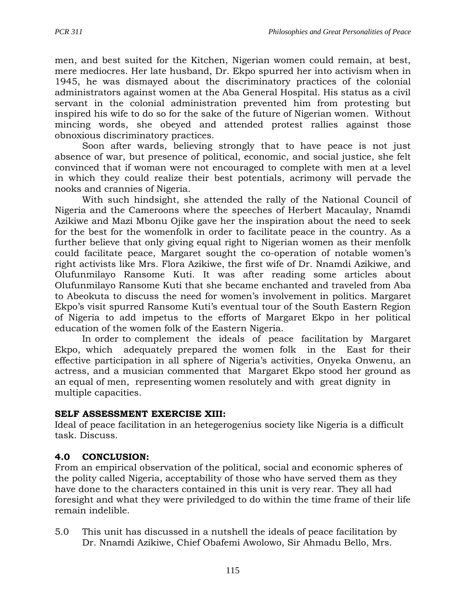men, and best suited for the Kitchen, Nigerian women could remain, at best, mere mediocres. Her late husband, Dr. Ekpo spurred her into activism when in 1945, he was dismayed about the discriminatory practices of the colonial administrators against women at the Aba General Hospital. His status as a civil servant in the colonial administration prevented him from protesting but inspired his wife to do so for the sake of the future of Nigerian women. Without mincing words, she obeyed and attended protest rallies against those obnoxious discriminatory practices.

Soon after wards, believing strongly that to have peace is not just absence of war, but presence of political, economic, and social justice, she felt convinced that if woman were not encouraged to complete with men at a level in which they could realize their best potentials, acrimony will pervade the nooks and crannies of Nigeria.

With such hindsight, she attended the rally of the National Council of Nigeria and the Cameroons where the speeches of Herbert Macaulay, Nnamdi Azikiwe and Mazi Mbonu Ojike gave her the inspiration about the need to seek for the best for the womenfolk in order to facilitate peace in the country. As a further believe that only giving equal right to Nigerian women as their menfolk could facilitate peace, Margaret sought the co-operation of notable women's right activists like Mrs. Flora Azikiwe, the first wife of Dr. Nnamdi Azikiwe, and Olufunmilayo Ransome Kuti. It was after reading some articles about Olufunmilayo Ransome Kuti that she became enchanted and traveled from Aba to Abeokuta to discuss the need for women's involvement in politics. Margaret Ekpo's visit spurred Ransome Kuti's eventual tour of the South Eastern Region of Nigeria to add impetus to the efforts of Margaret Ekpo in her political education of the women folk of the Eastern Nigeria.

In order to complement the ideals of peace facilitation by Margaret Ekpo, which adequately prepared the women folk in the East for their effective participation in all sphere of Nigeria's activities, Onyeka Onwenu, an actress, and a musician commented that Margaret Ekpo stood her ground as an equal of men, representing women resolutely and with great dignity in multiple capacities.

## **SELF ASSESSMENT EXERCISE XIII:**

Ideal of peace facilitation in an hetegerogenius society like Nigeria is a difficult task. Discuss.

## **4.0 CONCLUSION:**

From an empirical observation of the political, social and economic spheres of the polity called Nigeria, acceptability of those who have served them as they have done to the characters contained in this unit is very rear. They all had foresight and what they were priviledged to do within the time frame of their life remain indelible.

5.0 This unit has discussed in a nutshell the ideals of peace facilitation by Dr. Nnamdi Azikiwe, Chief Obafemi Awolowo, Sir Ahmadu Bello, Mrs.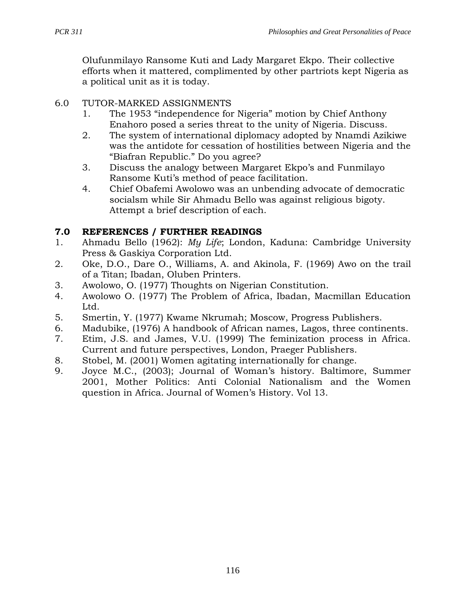Olufunmilayo Ransome Kuti and Lady Margaret Ekpo. Their collective efforts when it mattered, complimented by other partriots kept Nigeria as a political unit as it is today.

## 6.0 TUTOR-MARKED ASSIGNMENTS

- 1. The 1953 "independence for Nigeria" motion by Chief Anthony Enahoro posed a series threat to the unity of Nigeria. Discuss.
- 2. The system of international diplomacy adopted by Nnamdi Azikiwe was the antidote for cessation of hostilities between Nigeria and the "Biafran Republic." Do you agree?
- 3. Discuss the analogy between Margaret Ekpo's and Funmilayo Ransome Kuti's method of peace facilitation.
- 4. Chief Obafemi Awolowo was an unbending advocate of democratic socialsm while Sir Ahmadu Bello was against religious bigoty. Attempt a brief description of each.

# **7.0 REFERENCES / FURTHER READINGS**

- 1. Ahmadu Bello (1962): *My Life*; London, Kaduna: Cambridge University Press & Gaskiya Corporation Ltd.
- 2. Oke, D.O., Dare O., Williams, A. and Akinola, F. (1969) Awo on the trail of a Titan; Ibadan, Oluben Printers.
- 3. Awolowo, O. (1977) Thoughts on Nigerian Constitution.
- 4. Awolowo O. (1977) The Problem of Africa, Ibadan, Macmillan Education Ltd.
- 5. Smertin, Y. (1977) Kwame Nkrumah; Moscow, Progress Publishers.
- 6. Madubike, (1976) A handbook of African names, Lagos, three continents.
- 7. Etim, J.S. and James, V.U. (1999) The feminization process in Africa. Current and future perspectives, London, Praeger Publishers.
- 8. Stobel, M. (2001) Women agitating internationally for change.
- 9. Joyce M.C., (2003); Journal of Woman's history. Baltimore, Summer 2001, Mother Politics: Anti Colonial Nationalism and the Women question in Africa. Journal of Women's History. Vol 13.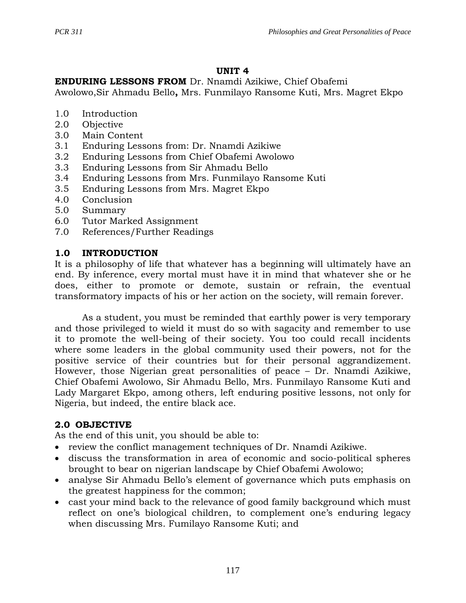# **UNIT 4**

**ENDURING LESSONS FROM** Dr. Nnamdi Azikiwe, Chief Obafemi Awolowo,Sir Ahmadu Bello**,** Mrs. Funmilayo Ransome Kuti, Mrs. Magret Ekpo

- 1.0 Introduction
- 2.0 Objective
- 3.0 Main Content
- 3.1 Enduring Lessons from: Dr. Nnamdi Azikiwe
- 3.2 Enduring Lessons from Chief Obafemi Awolowo
- 3.3 Enduring Lessons from Sir Ahmadu Bello
- 3.4 Enduring Lessons from Mrs. Funmilayo Ransome Kuti
- 3.5 Enduring Lessons from Mrs. Magret Ekpo
- 4.0 Conclusion
- 5.0 Summary
- 6.0 Tutor Marked Assignment
- 7.0 References/Further Readings

# **1.0 INTRODUCTION**

It is a philosophy of life that whatever has a beginning will ultimately have an end. By inference, every mortal must have it in mind that whatever she or he does, either to promote or demote, sustain or refrain, the eventual transformatory impacts of his or her action on the society, will remain forever.

As a student, you must be reminded that earthly power is very temporary and those privileged to wield it must do so with sagacity and remember to use it to promote the well-being of their society. You too could recall incidents where some leaders in the global community used their powers, not for the positive service of their countries but for their personal aggrandizement. However, those Nigerian great personalities of peace – Dr. Nnamdi Azikiwe, Chief Obafemi Awolowo, Sir Ahmadu Bello, Mrs. Funmilayo Ransome Kuti and Lady Margaret Ekpo, among others, left enduring positive lessons, not only for Nigeria, but indeed, the entire black ace.

# **2.0 OBJECTIVE**

As the end of this unit, you should be able to:

- review the conflict management techniques of Dr. Nnamdi Azikiwe.
- discuss the transformation in area of economic and socio-political spheres brought to bear on nigerian landscape by Chief Obafemi Awolowo;
- analyse Sir Ahmadu Bello's element of governance which puts emphasis on the greatest happiness for the common;
- cast your mind back to the relevance of good family background which must reflect on one's biological children, to complement one's enduring legacy when discussing Mrs. Fumilayo Ransome Kuti; and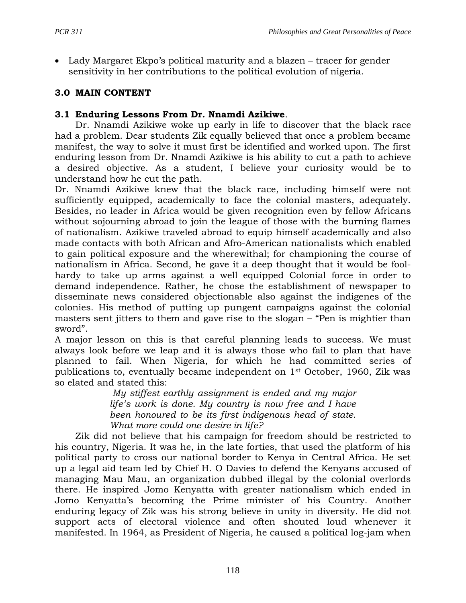• Lady Margaret Ekpo's political maturity and a blazen – tracer for gender sensitivity in her contributions to the political evolution of nigeria.

# **3.0 MAIN CONTENT**

# **3.1 Enduring Lessons From Dr. Nnamdi Azikiwe**.

Dr. Nnamdi Azikiwe woke up early in life to discover that the black race had a problem. Dear students Zik equally believed that once a problem became manifest, the way to solve it must first be identified and worked upon. The first enduring lesson from Dr. Nnamdi Azikiwe is his ability to cut a path to achieve a desired objective. As a student, I believe your curiosity would be to understand how he cut the path.

Dr. Nnamdi Azikiwe knew that the black race, including himself were not sufficiently equipped, academically to face the colonial masters, adequately. Besides, no leader in Africa would be given recognition even by fellow Africans without sojourning abroad to join the league of those with the burning flames of nationalism. Azikiwe traveled abroad to equip himself academically and also made contacts with both African and Afro-American nationalists which enabled to gain political exposure and the wherewithal; for championing the course of nationalism in Africa. Second, he gave it a deep thought that it would be foolhardy to take up arms against a well equipped Colonial force in order to demand independence. Rather, he chose the establishment of newspaper to disseminate news considered objectionable also against the indigenes of the colonies. His method of putting up pungent campaigns against the colonial masters sent jitters to them and gave rise to the slogan – "Pen is mightier than sword".

A major lesson on this is that careful planning leads to success. We must always look before we leap and it is always those who fail to plan that have planned to fail. When Nigeria, for which he had committed series of publications to, eventually became independent on 1st October, 1960, Zik was so elated and stated this:

*My stiffest earthly assignment is ended and my major life's work is done. My country is now free and I have been honoured to be its first indigenous head of state. What more could one desire in life?*

Zik did not believe that his campaign for freedom should be restricted to his country, Nigeria. It was he, in the late forties, that used the platform of his political party to cross our national border to Kenya in Central Africa. He set up a legal aid team led by Chief H. O Davies to defend the Kenyans accused of managing Mau Mau, an organization dubbed illegal by the colonial overlords there. He inspired Jomo Kenyatta with greater nationalism which ended in Jomo Kenyatta's becoming the Prime minister of his Country. Another enduring legacy of Zik was his strong believe in unity in diversity. He did not support acts of electoral violence and often shouted loud whenever it manifested. In 1964, as President of Nigeria, he caused a political log-jam when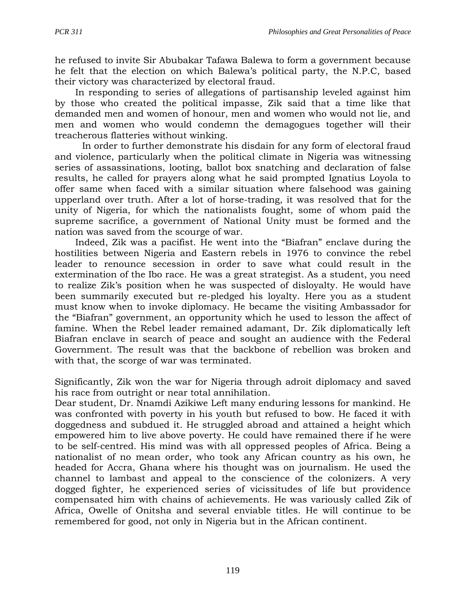he refused to invite Sir Abubakar Tafawa Balewa to form a government because he felt that the election on which Balewa's political party, the N.P.C, based their victory was characterized by electoral fraud.

In responding to series of allegations of partisanship leveled against him by those who created the political impasse, Zik said that a time like that demanded men and women of honour, men and women who would not lie, and men and women who would condemn the demagogues together will their treacherous flatteries without winking.

In order to further demonstrate his disdain for any form of electoral fraud and violence, particularly when the political climate in Nigeria was witnessing series of assassinations, looting, ballot box snatching and declaration of false results, he called for prayers along what he said prompted Ignatius Loyola to offer same when faced with a similar situation where falsehood was gaining upperland over truth. After a lot of horse-trading, it was resolved that for the unity of Nigeria, for which the nationalists fought, some of whom paid the supreme sacrifice, a government of National Unity must be formed and the nation was saved from the scourge of war.

Indeed, Zik was a pacifist. He went into the "Biafran" enclave during the hostilities between Nigeria and Eastern rebels in 1976 to convince the rebel leader to renounce secession in order to save what could result in the extermination of the Ibo race. He was a great strategist. As a student, you need to realize Zik's position when he was suspected of disloyalty. He would have been summarily executed but re-pledged his loyalty. Here you as a student must know when to invoke diplomacy. He became the visiting Ambassador for the "Biafran" government, an opportunity which he used to lesson the affect of famine. When the Rebel leader remained adamant, Dr. Zik diplomatically left Biafran enclave in search of peace and sought an audience with the Federal Government. The result was that the backbone of rebellion was broken and with that, the scorge of war was terminated.

Significantly, Zik won the war for Nigeria through adroit diplomacy and saved his race from outright or near total annihilation.

Dear student, Dr. Nnamdi Azikiwe Left many enduring lessons for mankind. He was confronted with poverty in his youth but refused to bow. He faced it with doggedness and subdued it. He struggled abroad and attained a height which empowered him to live above poverty. He could have remained there if he were to be self-centred. His mind was with all oppressed peoples of Africa. Being a nationalist of no mean order, who took any African country as his own, he headed for Accra, Ghana where his thought was on journalism. He used the channel to lambast and appeal to the conscience of the colonizers. A very dogged fighter, he experienced series of vicissitudes of life but providence compensated him with chains of achievements. He was variously called Zik of Africa, Owelle of Onitsha and several enviable titles. He will continue to be remembered for good, not only in Nigeria but in the African continent.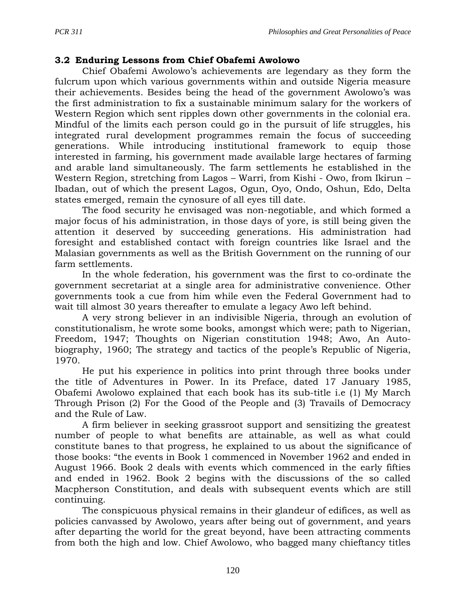# **3.2 Enduring Lessons from Chief Obafemi Awolowo**

Chief Obafemi Awolowo's achievements are legendary as they form the fulcrum upon which various governments within and outside Nigeria measure their achievements. Besides being the head of the government Awolowo's was the first administration to fix a sustainable minimum salary for the workers of Western Region which sent ripples down other governments in the colonial era. Mindful of the limits each person could go in the pursuit of life struggles, his integrated rural development programmes remain the focus of succeeding generations. While introducing institutional framework to equip those interested in farming, his government made available large hectares of farming and arable land simultaneously. The farm settlements he established in the Western Region, stretching from Lagos – Warri, from Kishi - Owo, from Ikirun – Ibadan, out of which the present Lagos, Ogun, Oyo, Ondo, Oshun, Edo, Delta states emerged, remain the cynosure of all eyes till date.

The food security he envisaged was non-negotiable, and which formed a major focus of his administration, in those days of yore, is still being given the attention it deserved by succeeding generations. His administration had foresight and established contact with foreign countries like Israel and the Malasian governments as well as the British Government on the running of our farm settlements.

In the whole federation, his government was the first to co-ordinate the government secretariat at a single area for administrative convenience. Other governments took a cue from him while even the Federal Government had to wait till almost 30 years thereafter to emulate a legacy Awo left behind.

A very strong believer in an indivisible Nigeria, through an evolution of constitutionalism, he wrote some books, amongst which were; path to Nigerian, Freedom, 1947; Thoughts on Nigerian constitution 1948; Awo, An Autobiography, 1960; The strategy and tactics of the people's Republic of Nigeria, 1970.

He put his experience in politics into print through three books under the title of Adventures in Power. In its Preface, dated 17 January 1985, Obafemi Awolowo explained that each book has its sub-title i.e (1) My March Through Prison (2) For the Good of the People and (3) Travails of Democracy and the Rule of Law.

A firm believer in seeking grassroot support and sensitizing the greatest number of people to what benefits are attainable, as well as what could constitute banes to that progress, he explained to us about the significance of those books: "the events in Book 1 commenced in November 1962 and ended in August 1966. Book 2 deals with events which commenced in the early fifties and ended in 1962. Book 2 begins with the discussions of the so called Macpherson Constitution, and deals with subsequent events which are still continuing.

The conspicuous physical remains in their glandeur of edifices, as well as policies canvassed by Awolowo, years after being out of government, and years after departing the world for the great beyond, have been attracting comments from both the high and low. Chief Awolowo, who bagged many chieftancy titles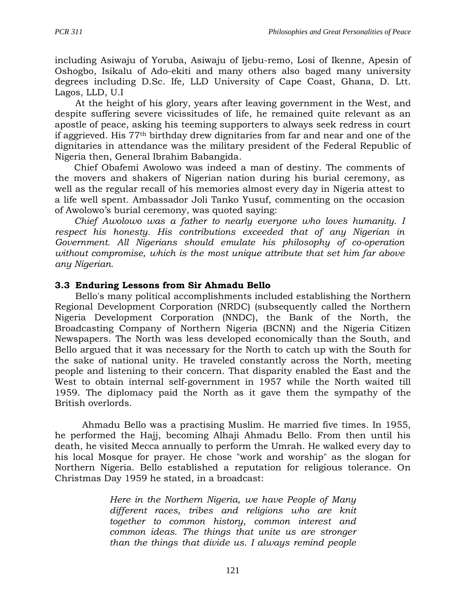including Asiwaju of Yoruba, Asiwaju of Ijebu-remo, Losi of Ikenne, Apesin of Oshogbo, Isikalu of Ado-ekiti and many others also baged many university degrees including D.Sc. Ife, LLD University of Cape Coast, Ghana, D. Ltt. Lagos, LLD, U.I

At the height of his glory, years after leaving government in the West, and despite suffering severe vicissitudes of life, he remained quite relevant as an apostle of peace, asking his teeming supporters to always seek redress in court if aggrieved. His 77th birthday drew dignitaries from far and near and one of the dignitaries in attendance was the military president of the Federal Republic of Nigeria then, General Ibrahim Babangida.

Chief Obafemi Awolowo was indeed a man of destiny. The comments of the movers and shakers of Nigerian nation during his burial ceremony, as well as the regular recall of his memories almost every day in Nigeria attest to a life well spent. Ambassador Joli Tanko Yusuf, commenting on the occasion of Awolowo's burial ceremony, was quoted saying:

*Chief Awolowo was a father to nearly everyone who loves humanity. I respect his honesty. His contributions exceeded that of any Nigerian in Government. All Nigerians should emulate his philosophy of co-operation without compromise, which is the most unique attribute that set him far above any Nigerian.*

## **3.3 Enduring Lessons from Sir Ahmadu Bello**

Bello's many political accomplishments included establishing the Northern Regional Development Corporation (NRDC) (subsequently called the Northern Nigeria Development Corporation (NNDC), the Bank of the North, the Broadcasting Company of Northern Nigeria (BCNN) and the Nigeria Citizen Newspapers. The North was less developed economically than the South, and Bello argued that it was necessary for the North to catch up with the South for the sake of national unity. He traveled constantly across the North, meeting people and listening to their concern. That disparity enabled the East and the West to obtain internal self-government in 1957 while the North waited till 1959. The diplomacy paid the North as it gave them the sympathy of the British overlords.

Ahmadu Bello was a practising Muslim. He married five times. In 1955, he performed the Hajj, becoming Alhaji Ahmadu Bello. From then until his death, he visited Mecca annually to perform the Umrah. He walked every day to his local Mosque for prayer. He chose "work and worship" as the slogan for Northern Nigeria. Bello established a reputation for religious tolerance. On Christmas Day 1959 he stated, in a broadcast:

> *Here in the Northern Nigeria, we have People of Many different races, tribes and religions who are knit together to common history, common interest and common ideas. The things that unite us are stronger than the things that divide us. I always remind people*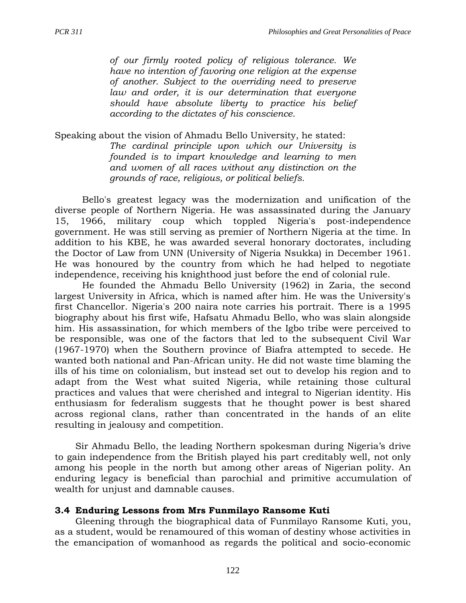*of our firmly rooted policy of religious tolerance. We have no intention of favoring one religion at the expense of another. Subject to the overriding need to preserve law and order, it is our determination that everyone should have absolute liberty to practice his belief according to the dictates of his conscience.*

Speaking about the vision of Ahmadu Bello University, he stated:

*The cardinal principle upon which our University is founded is to impart knowledge and learning to men and women of all races without any distinction on the grounds of race, religious, or political beliefs.*

Bello's greatest legacy was the modernization and unification of the diverse people of Northern Nigeria. He was assassinated during the January 15, 1966, military coup which toppled Nigeria's post-independence government. He was still serving as premier of Northern Nigeria at the time. In addition to his KBE, he was awarded several honorary doctorates, including the Doctor of Law from UNN (University of Nigeria Nsukka) in December 1961. He was honoured by the country from which he had helped to negotiate independence, receiving his knighthood just before the end of colonial rule.

He founded the Ahmadu Bello University (1962) in Zaria, the second largest University in Africa, which is named after him. He was the University's first Chancellor. Nigeria's 200 naira note carries his portrait. There is a 1995 biography about his first wife, Hafsatu Ahmadu Bello, who was slain alongside him. His assassination, for which members of the Igbo tribe were perceived to be responsible, was one of the factors that led to the subsequent Civil War (1967-1970) when the Southern province of Biafra attempted to secede. He wanted both national and Pan-African unity. He did not waste time blaming the ills of his time on colonialism, but instead set out to develop his region and to adapt from the West what suited Nigeria, while retaining those cultural practices and values that were cherished and integral to Nigerian identity. His enthusiasm for federalism suggests that he thought power is best shared across regional clans, rather than concentrated in the hands of an elite resulting in jealousy and competition.

Sir Ahmadu Bello, the leading Northern spokesman during Nigeria's drive to gain independence from the British played his part creditably well, not only among his people in the north but among other areas of Nigerian polity. An enduring legacy is beneficial than parochial and primitive accumulation of wealth for unjust and damnable causes.

#### **3.4 Enduring Lessons from Mrs Funmilayo Ransome Kuti**

Gleening through the biographical data of Funmilayo Ransome Kuti, you, as a student, would be renamoured of this woman of destiny whose activities in the emancipation of womanhood as regards the political and socio-economic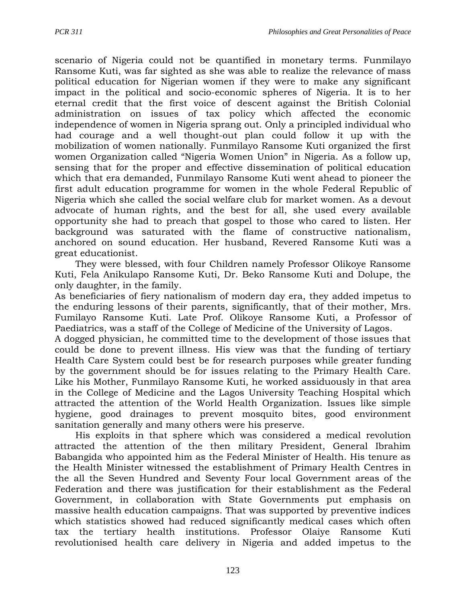scenario of Nigeria could not be quantified in monetary terms. Funmilayo Ransome Kuti, was far sighted as she was able to realize the relevance of mass political education for Nigerian women if they were to make any significant impact in the political and socio-economic spheres of Nigeria. It is to her eternal credit that the first voice of descent against the British Colonial administration on issues of tax policy which affected the economic independence of women in Nigeria sprang out. Only a principled individual who had courage and a well thought-out plan could follow it up with the mobilization of women nationally. Funmilayo Ransome Kuti organized the first women Organization called "Nigeria Women Union" in Nigeria. As a follow up, sensing that for the proper and effective dissemination of political education which that era demanded, Funmilayo Ransome Kuti went ahead to pioneer the first adult education programme for women in the whole Federal Republic of Nigeria which she called the social welfare club for market women. As a devout advocate of human rights, and the best for all, she used every available opportunity she had to preach that gospel to those who cared to listen. Her background was saturated with the flame of constructive nationalism, anchored on sound education. Her husband, Revered Ransome Kuti was a great educationist.

They were blessed, with four Children namely Professor Olikoye Ransome Kuti, Fela Anikulapo Ransome Kuti, Dr. Beko Ransome Kuti and Dolupe, the only daughter, in the family.

As beneficiaries of fiery nationalism of modern day era, they added impetus to the enduring lessons of their parents, significantly, that of their mother, Mrs. Fumilayo Ransome Kuti. Late Prof. Olikoye Ransome Kuti, a Professor of Paediatrics, was a staff of the College of Medicine of the University of Lagos.

A dogged physician, he committed time to the development of those issues that could be done to prevent illness. His view was that the funding of tertiary Health Care System could best be for research purposes while greater funding by the government should be for issues relating to the Primary Health Care. Like his Mother, Funmilayo Ransome Kuti, he worked assiduously in that area in the College of Medicine and the Lagos University Teaching Hospital which attracted the attention of the World Health Organization. Issues like simple hygiene, good drainages to prevent mosquito bites, good environment sanitation generally and many others were his preserve.

His exploits in that sphere which was considered a medical revolution attracted the attention of the then military President, General Ibrahim Babangida who appointed him as the Federal Minister of Health. His tenure as the Health Minister witnessed the establishment of Primary Health Centres in the all the Seven Hundred and Seventy Four local Government areas of the Federation and there was justification for their establishment as the Federal Government, in collaboration with State Governments put emphasis on massive health education campaigns. That was supported by preventive indices which statistics showed had reduced significantly medical cases which often tax the tertiary health institutions. Professor Olaiye Ransome Kuti revolutionised health care delivery in Nigeria and added impetus to the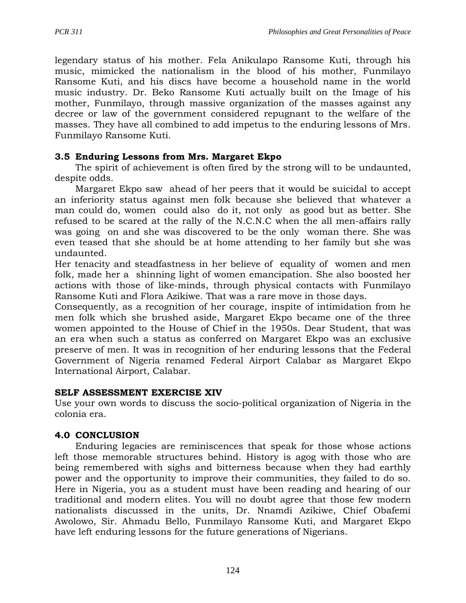legendary status of his mother. Fela Anikulapo Ransome Kuti, through his music, mimicked the nationalism in the blood of his mother, Funmilayo Ransome Kuti, and his discs have become a household name in the world music industry. Dr. Beko Ransome Kuti actually built on the Image of his mother, Funmilayo, through massive organization of the masses against any decree or law of the government considered repugnant to the welfare of the masses. They have all combined to add impetus to the enduring lessons of Mrs. Funmilayo Ransome Kuti.

# **3.5 Enduring Lessons from Mrs. Margaret Ekpo**

The spirit of achievement is often fired by the strong will to be undaunted, despite odds.

Margaret Ekpo saw ahead of her peers that it would be suicidal to accept an inferiority status against men folk because she believed that whatever a man could do, women could also do it, not only as good but as better. She refused to be scared at the rally of the N.C.N.C when the all men-affairs rally was going on and she was discovered to be the only woman there. She was even teased that she should be at home attending to her family but she was undaunted.

Her tenacity and steadfastness in her believe of equality of women and men folk, made her a shinning light of women emancipation. She also boosted her actions with those of like-minds, through physical contacts with Funmilayo Ransome Kuti and Flora Azikiwe. That was a rare move in those days.

Consequently, as a recognition of her courage, inspite of intimidation from he men folk which she brushed aside, Margaret Ekpo became one of the three women appointed to the House of Chief in the 1950s. Dear Student, that was an era when such a status as conferred on Margaret Ekpo was an exclusive preserve of men. It was in recognition of her enduring lessons that the Federal Government of Nigeria renamed Federal Airport Calabar as Margaret Ekpo International Airport, Calabar.

## **SELF ASSESSMENT EXERCISE XIV**

Use your own words to discuss the socio-political organization of Nigeria in the colonia era.

## **4.0 CONCLUSION**

Enduring legacies are reminiscences that speak for those whose actions left those memorable structures behind. History is agog with those who are being remembered with sighs and bitterness because when they had earthly power and the opportunity to improve their communities, they failed to do so. Here in Nigeria, you as a student must have been reading and hearing of our traditional and modern elites. You will no doubt agree that those few modern nationalists discussed in the units, Dr. Nnamdi Azikiwe, Chief Obafemi Awolowo, Sir. Ahmadu Bello, Funmilayo Ransome Kuti, and Margaret Ekpo have left enduring lessons for the future generations of Nigerians.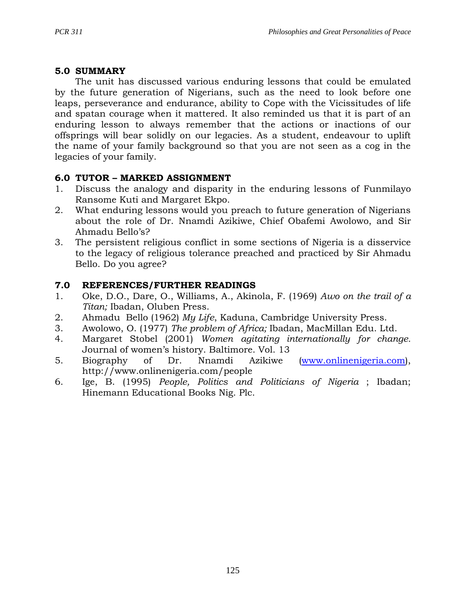# **5.0 SUMMARY**

The unit has discussed various enduring lessons that could be emulated by the future generation of Nigerians, such as the need to look before one leaps, perseverance and endurance, ability to Cope with the Vicissitudes of life and spatan courage when it mattered. It also reminded us that it is part of an enduring lesson to always remember that the actions or inactions of our offsprings will bear solidly on our legacies. As a student, endeavour to uplift the name of your family background so that you are not seen as a cog in the legacies of your family.

# **6.0 TUTOR – MARKED ASSIGNMENT**

- 1. Discuss the analogy and disparity in the enduring lessons of Funmilayo Ransome Kuti and Margaret Ekpo.
- 2. What enduring lessons would you preach to future generation of Nigerians about the role of Dr. Nnamdi Azikiwe, Chief Obafemi Awolowo, and Sir Ahmadu Bello's?
- 3. The persistent religious conflict in some sections of Nigeria is a disservice to the legacy of religious tolerance preached and practiced by Sir Ahmadu Bello. Do you agree?

# **7.0 REFERENCES/FURTHER READINGS**

- 1. Oke, D.O., Dare, O., Williams, A., Akinola, F. (1969) *Awo on the trail of a Titan;* Ibadan, Oluben Press.
- 2. Ahmadu Bello (1962) *My Life*, Kaduna, Cambridge University Press.
- 3. Awolowo, O. (1977) *The problem of Africa;* Ibadan, MacMillan Edu. Ltd.
- 4. Margaret Stobel (2001) *Women agitating internationally for change.*  Journal of women's history. Baltimore. Vol. 13
- 5. Biography of Dr. Nnamdi Azikiwe [\(www.onlinenigeria.com\)](http://www.onlinenigeria.com/), http://www.onlinenigeria.com/people
- 6. Ige, B. (1995) *People, Politics and Politicians of Nigeria* ; Ibadan; Hinemann Educational Books Nig. Plc.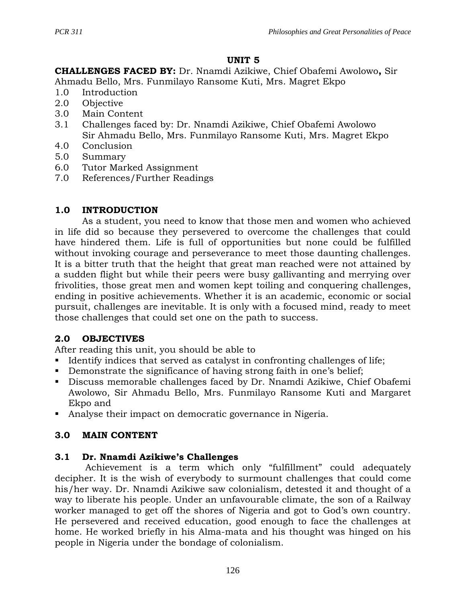### **UNIT 5**

**CHALLENGES FACED BY:** Dr. Nnamdi Azikiwe, Chief Obafemi Awolowo**,** Sir Ahmadu Bello, Mrs. Funmilayo Ransome Kuti, Mrs. Magret Ekpo

- 1.0 Introduction
- 2.0 Objective
- 3.0 Main Content
- 3.1 Challenges faced by: Dr. Nnamdi Azikiwe, Chief Obafemi Awolowo Sir Ahmadu Bello, Mrs. Funmilayo Ransome Kuti, Mrs. Magret Ekpo
- 4.0 Conclusion
- 5.0 Summary
- 6.0 Tutor Marked Assignment
- 7.0 References/Further Readings

# **1.0 INTRODUCTION**

As a student, you need to know that those men and women who achieved in life did so because they persevered to overcome the challenges that could have hindered them. Life is full of opportunities but none could be fulfilled without invoking courage and perseverance to meet those daunting challenges. It is a bitter truth that the height that great man reached were not attained by a sudden flight but while their peers were busy gallivanting and merrying over frivolities, those great men and women kept toiling and conquering challenges, ending in positive achievements. Whether it is an academic, economic or social pursuit, challenges are inevitable. It is only with a focused mind, ready to meet those challenges that could set one on the path to success.

# **2.0 OBJECTIVES**

After reading this unit, you should be able to

- Identify indices that served as catalyst in confronting challenges of life;
- Demonstrate the significance of having strong faith in one's belief;
- Discuss memorable challenges faced by Dr. Nnamdi Azikiwe, Chief Obafemi Awolowo, Sir Ahmadu Bello, Mrs. Funmilayo Ransome Kuti and Margaret Ekpo and
- Analyse their impact on democratic governance in Nigeria.

# **3.0 MAIN CONTENT**

# **3.1 Dr. Nnamdi Azikiwe's Challenges**

Achievement is a term which only "fulfillment" could adequately decipher. It is the wish of everybody to surmount challenges that could come his/her way. Dr. Nnamdi Azikiwe saw colonialism, detested it and thought of a way to liberate his people. Under an unfavourable climate, the son of a Railway worker managed to get off the shores of Nigeria and got to God's own country. He persevered and received education, good enough to face the challenges at home. He worked briefly in his Alma-mata and his thought was hinged on his people in Nigeria under the bondage of colonialism.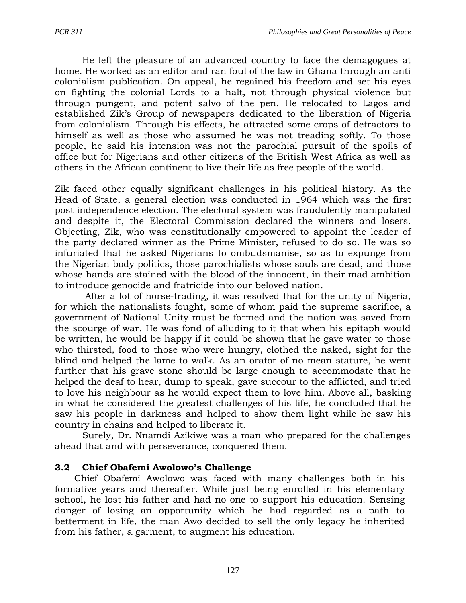He left the pleasure of an advanced country to face the demagogues at home. He worked as an editor and ran foul of the law in Ghana through an anti colonialism publication. On appeal, he regained his freedom and set his eyes on fighting the colonial Lords to a halt, not through physical violence but through pungent, and potent salvo of the pen. He relocated to Lagos and established Zik's Group of newspapers dedicated to the liberation of Nigeria from colonialism. Through his effects, he attracted some crops of detractors to himself as well as those who assumed he was not treading softly. To those people, he said his intension was not the parochial pursuit of the spoils of office but for Nigerians and other citizens of the British West Africa as well as others in the African continent to live their life as free people of the world.

Zik faced other equally significant challenges in his political history. As the Head of State, a general election was conducted in 1964 which was the first post independence election. The electoral system was fraudulently manipulated and despite it, the Electoral Commission declared the winners and losers. Objecting, Zik, who was constitutionally empowered to appoint the leader of the party declared winner as the Prime Minister, refused to do so. He was so infuriated that he asked Nigerians to ombudsmanise, so as to expunge from the Nigerian body politics, those parochialists whose souls are dead, and those whose hands are stained with the blood of the innocent, in their mad ambition to introduce genocide and fratricide into our beloved nation.

After a lot of horse-trading, it was resolved that for the unity of Nigeria, for which the nationalists fought, some of whom paid the supreme sacrifice, a government of National Unity must be formed and the nation was saved from the scourge of war. He was fond of alluding to it that when his epitaph would be written, he would be happy if it could be shown that he gave water to those who thirsted, food to those who were hungry, clothed the naked, sight for the blind and helped the lame to walk. As an orator of no mean stature, he went further that his grave stone should be large enough to accommodate that he helped the deaf to hear, dump to speak, gave succour to the afflicted, and tried to love his neighbour as he would expect them to love him. Above all, basking in what he considered the greatest challenges of his life, he concluded that he saw his people in darkness and helped to show them light while he saw his country in chains and helped to liberate it.

Surely, Dr. Nnamdi Azikiwe was a man who prepared for the challenges ahead that and with perseverance, conquered them.

#### **3.2 Chief Obafemi Awolowo's Challenge**

Chief Obafemi Awolowo was faced with many challenges both in his formative years and thereafter. While just being enrolled in his elementary school, he lost his father and had no one to support his education. Sensing danger of losing an opportunity which he had regarded as a path to betterment in life, the man Awo decided to sell the only legacy he inherited from his father, a garment, to augment his education.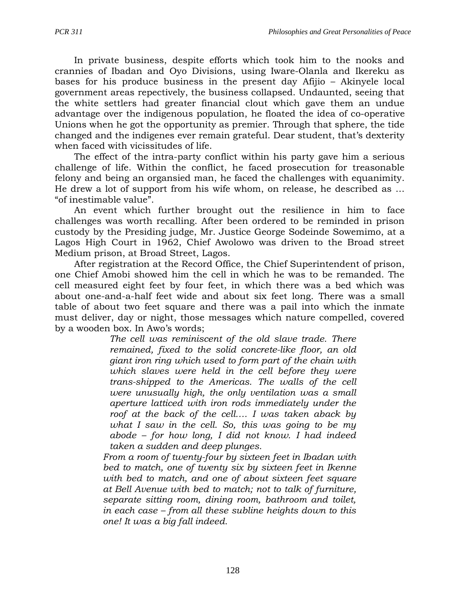In private business, despite efforts which took him to the nooks and crannies of Ibadan and Oyo Divisions, using Iware-Olanla and Ikereku as bases for his produce business in the present day Afijio – Akinyele local government areas repectively, the business collapsed. Undaunted, seeing that the white settlers had greater financial clout which gave them an undue advantage over the indigenous population, he floated the idea of co-operative Unions when he got the opportunity as premier. Through that sphere, the tide changed and the indigenes ever remain grateful. Dear student, that's dexterity when faced with vicissitudes of life.

The effect of the intra-party conflict within his party gave him a serious challenge of life. Within the conflict, he faced prosecution for treasonable felony and being an organsied man, he faced the challenges with equanimity. He drew a lot of support from his wife whom, on release, he described as … "of inestimable value".

An event which further brought out the resilience in him to face challenges was worth recalling. After been ordered to be reminded in prison custody by the Presiding judge, Mr. Justice George Sodeinde Sowemimo, at a Lagos High Court in 1962, Chief Awolowo was driven to the Broad street Medium prison, at Broad Street, Lagos.

After registration at the Record Office, the Chief Superintendent of prison, one Chief Amobi showed him the cell in which he was to be remanded. The cell measured eight feet by four feet, in which there was a bed which was about one-and-a-half feet wide and about six feet long. There was a small table of about two feet square and there was a pail into which the inmate must deliver, day or night, those messages which nature compelled, covered by a wooden box. In Awo's words;

> *The cell was reminiscent of the old slave trade. There remained, fixed to the solid concrete-like floor, an old giant iron ring which used to form part of the chain with which slaves were held in the cell before they were trans-shipped to the Americas. The walls of the cell were unusually high, the only ventilation was a small aperture latticed with iron rods immediately under the roof at the back of the cell…. I was taken aback by what I saw in the cell. So, this was going to be my abode – for how long, I did not know. I had indeed taken a sudden and deep plunges.*

*From a room of twenty-four by sixteen feet in Ibadan with bed to match, one of twenty six by sixteen feet in Ikenne with bed to match, and one of about sixteen feet square at Bell Avenue with bed to match; not to talk of furniture, separate sitting room, dining room, bathroom and toilet, in each case – from all these subline heights down to this one! It was a big fall indeed.*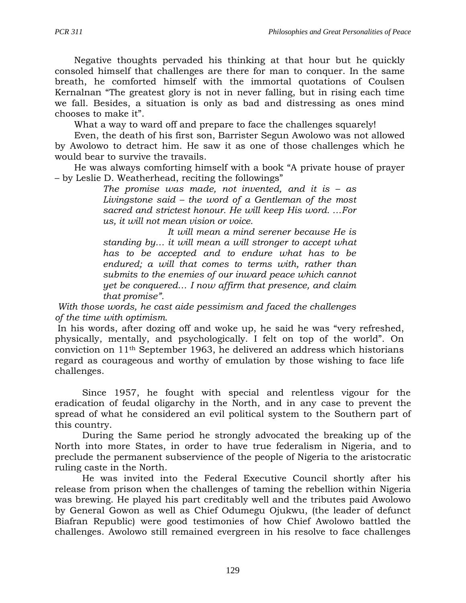Negative thoughts pervaded his thinking at that hour but he quickly consoled himself that challenges are there for man to conquer. In the same breath, he comforted himself with the immortal quotations of Coulsen Kernalnan "The greatest glory is not in never falling, but in rising each time we fall. Besides, a situation is only as bad and distressing as ones mind chooses to make it".

What a way to ward off and prepare to face the challenges squarely!

 Even, the death of his first son, Barrister Segun Awolowo was not allowed by Awolowo to detract him. He saw it as one of those challenges which he would bear to survive the travails.

He was always comforting himself with a book "A private house of prayer – by Leslie D. Weatherhead, reciting the followings"

> *The promise was made, not invented, and it is – as Livingstone said – the word of a Gentleman of the most sacred and strictest honour. He will keep His word. …For us, it will not mean vision or voice.*

> *It will mean a mind serener because He is standing by… it will mean a will stronger to accept what has to be accepted and to endure what has to be endured; a will that comes to terms with, rather than submits to the enemies of our inward peace which cannot yet be conquered… I now affirm that presence, and claim that promise".*

*With those words, he cast aide pessimism and faced the challenges of the time with optimism.*

In his words, after dozing off and woke up, he said he was "very refreshed, physically, mentally, and psychologically. I felt on top of the world". On conviction on 11th September 1963, he delivered an address which historians regard as courageous and worthy of emulation by those wishing to face life challenges.

Since 1957, he fought with special and relentless vigour for the eradication of feudal oligarchy in the North, and in any case to prevent the spread of what he considered an evil political system to the Southern part of this country.

During the Same period he strongly advocated the breaking up of the North into more States, in order to have true federalism in Nigeria, and to preclude the permanent subservience of the people of Nigeria to the aristocratic ruling caste in the North.

He was invited into the Federal Executive Council shortly after his release from prison when the challenges of taming the rebellion within Nigeria was brewing. He played his part creditably well and the tributes paid Awolowo by General Gowon as well as Chief Odumegu Ojukwu, (the leader of defunct Biafran Republic) were good testimonies of how Chief Awolowo battled the challenges. Awolowo still remained evergreen in his resolve to face challenges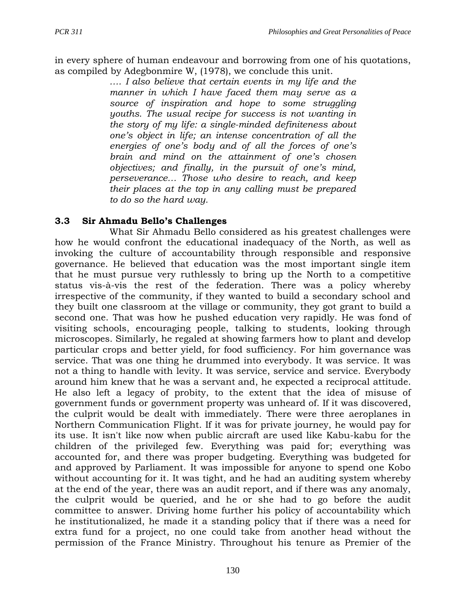in every sphere of human endeavour and borrowing from one of his quotations, as compiled by Adegbonmire W, (1978), we conclude this unit.

*…. I also believe that certain events in my life and the manner in which I have faced them may serve as a source of inspiration and hope to some struggling youths. The usual recipe for success is not wanting in the story of my life: a single-minded definiteness about one's object in life; an intense concentration of all the energies of one's body and of all the forces of one's brain and mind on the attainment of one's chosen objectives; and finally, in the pursuit of one's mind, perseverance… Those who desire to reach, and keep their places at the top in any calling must be prepared to do so the hard way.*

# **3.3 Sir Ahmadu Bello's Challenges**

What Sir Ahmadu Bello considered as his greatest challenges were how he would confront the educational inadequacy of the North, as well as invoking the culture of accountability through responsible and responsive governance. He believed that education was the most important single item that he must pursue very ruthlessly to bring up the North to a competitive status vis-à-vis the rest of the federation. There was a policy whereby irrespective of the community, if they wanted to build a secondary school and they built one classroom at the village or community, they got grant to build a second one. That was how he pushed education very rapidly. He was fond of visiting schools, encouraging people, talking to students, looking through microscopes. Similarly, he regaled at showing farmers how to plant and develop particular crops and better yield, for food sufficiency. For him governance was service. That was one thing he drummed into everybody. It was service. It was not a thing to handle with levity. It was service, service and service. Everybody around him knew that he was a servant and, he expected a reciprocal attitude. He also left a legacy of probity, to the extent that the idea of misuse of government funds or government property was unheard of. If it was discovered, the culprit would be dealt with immediately. There were three aeroplanes in Northern Communication Flight. If it was for private journey, he would pay for its use. It isn't like now when public aircraft are used like Kabu-kabu for the children of the privileged few. Everything was paid for; everything was accounted for, and there was proper budgeting. Everything was budgeted for and approved by Parliament. It was impossible for anyone to spend one Kobo without accounting for it. It was tight, and he had an auditing system whereby at the end of the year, there was an audit report, and if there was any anomaly, the culprit would be queried, and he or she had to go before the audit committee to answer. Driving home further his policy of accountability which he institutionalized, he made it a standing policy that if there was a need for extra fund for a project, no one could take from another head without the permission of the France Ministry. Throughout his tenure as Premier of the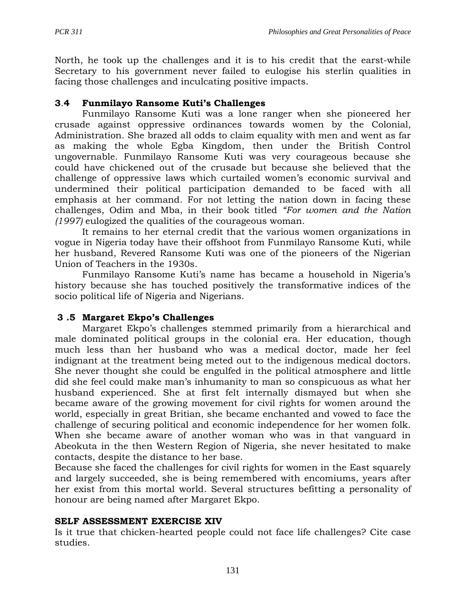North, he took up the challenges and it is to his credit that the earst-while Secretary to his government never failed to eulogise his sterlin qualities in facing those challenges and inculcating positive impacts.

## **3**.**4 Funmilayo Ransome Kuti's Challenges**

Funmilayo Ransome Kuti was a lone ranger when she pioneered her crusade against oppressive ordinances towards women by the Colonial, Administration. She brazed all odds to claim equality with men and went as far as making the whole Egba Kingdom, then under the British Control ungovernable. Funmilayo Ransome Kuti was very courageous because she could have chickened out of the crusade but because she believed that the challenge of oppressive laws which curtailed women's economic survival and undermined their political participation demanded to be faced with all emphasis at her command. For not letting the nation down in facing these challenges, Odim and Mba, in their book titled *"For women and the Nation (1997)* eulogized the qualities of the courageous woman.

It remains to her eternal credit that the various women organizations in vogue in Nigeria today have their offshoot from Funmilayo Ransome Kuti, while her husband, Revered Ransome Kuti was one of the pioneers of the Nigerian Union of Teachers in the 1930s.

Funmilayo Ransome Kuti's name has became a household in Nigeria's history because she has touched positively the transformative indices of the socio political life of Nigeria and Nigerians.

## **3 .5 Margaret Ekpo's Challenges**

Margaret Ekpo's challenges stemmed primarily from a hierarchical and male dominated political groups in the colonial era. Her education, though much less than her husband who was a medical doctor, made her feel indignant at the treatment being meted out to the indigenous medical doctors. She never thought she could be engulfed in the political atmosphere and little did she feel could make man's inhumanity to man so conspicuous as what her husband experienced. She at first felt internally dismayed but when she became aware of the growing movement for civil rights for women around the world, especially in great Britian, she became enchanted and vowed to face the challenge of securing political and economic independence for her women folk. When she became aware of another woman who was in that vanguard in Abeokuta in the then Western Region of Nigeria, she never hesitated to make contacts, despite the distance to her base.

Because she faced the challenges for civil rights for women in the East squarely and largely succeeded, she is being remembered with encomiums, years after her exist from this mortal world. Several structures befitting a personality of honour are being named after Margaret Ekpo.

#### **SELF ASSESSMENT EXERCISE XIV**

Is it true that chicken-hearted people could not face life challenges? Cite case studies.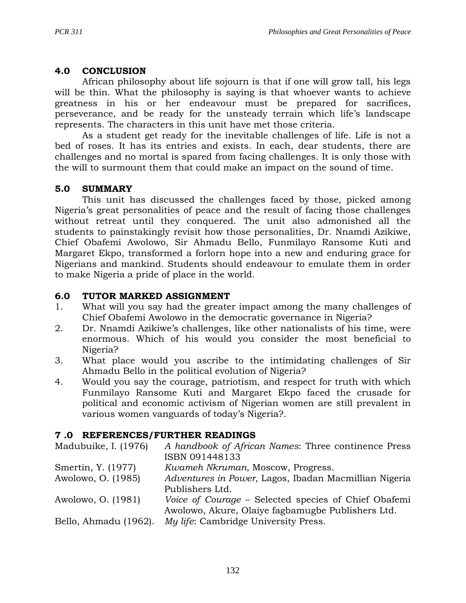# **4.0 CONCLUSION**

African philosophy about life sojourn is that if one will grow tall, his legs will be thin. What the philosophy is saying is that whoever wants to achieve greatness in his or her endeavour must be prepared for sacrifices, perseverance, and be ready for the unsteady terrain which life's landscape represents. The characters in this unit have met those criteria.

As a student get ready for the inevitable challenges of life. Life is not a bed of roses. It has its entries and exists. In each, dear students, there are challenges and no mortal is spared from facing challenges. It is only those with the will to surmount them that could make an impact on the sound of time.

# **5.0 SUMMARY**

This unit has discussed the challenges faced by those, picked among Nigeria's great personalities of peace and the result of facing those challenges without retreat until they conquered. The unit also admonished all the students to painstakingly revisit how those personalities, Dr. Nnamdi Azikiwe, Chief Obafemi Awolowo, Sir Ahmadu Bello, Funmilayo Ransome Kuti and Margaret Ekpo, transformed a forlorn hope into a new and enduring grace for Nigerians and mankind. Students should endeavour to emulate them in order to make Nigeria a pride of place in the world.

# **6.0 TUTOR MARKED ASSIGNMENT**

- 1. What will you say had the greater impact among the many challenges of Chief Obafemi Awolowo in the democratic governance in Nigeria?
- 2. Dr. Nnamdi Azikiwe's challenges, like other nationalists of his time, were enormous. Which of his would you consider the most beneficial to Nigeria?
- 3. What place would you ascribe to the intimidating challenges of Sir Ahmadu Bello in the political evolution of Nigeria?
- 4. Would you say the courage, patriotism, and respect for truth with which Funmilayo Ransome Kuti and Margaret Ekpo faced the crusade for political and economic activism of Nigerian women are still prevalent in various women vanguards of today's Nigeria?.

# **7 .0 REFERENCES/FURTHER READINGS**

| A handbook of African Names: Three continence Press   |
|-------------------------------------------------------|
| ISBN 091448133                                        |
| Kwameh Nkruman, Moscow, Progress.                     |
| Adventures in Power, Lagos, Ibadan Macmillian Nigeria |
| Publishers Ltd.                                       |
| Voice of Courage – Selected species of Chief Obafemi  |
| Awolowo, Akure, Olaiye fagbamugbe Publishers Ltd.     |
| My life: Cambridge University Press.                  |
|                                                       |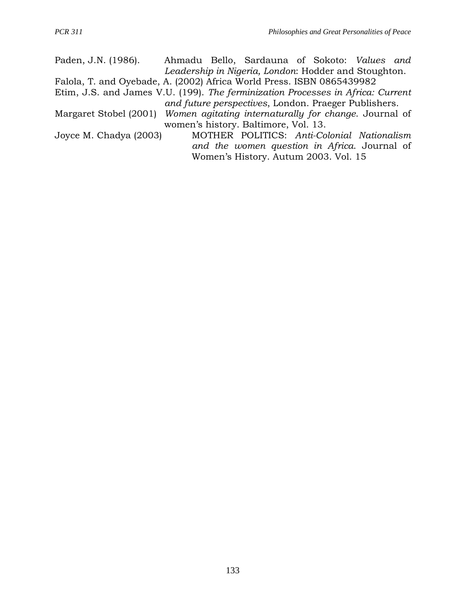Paden, J.N. (1986). Ahmadu Bello, Sardauna of Sokoto: *Values and Leadership in Nigeria, London*: Hodder and Stoughton.

- Falola, T. and Oyebade, A. (2002) Africa World Press. ISBN 0865439982
- Etim, J.S. and James V.U. (199). *The ferminization Processes in Africa: Current and future perspectives*, London. Praeger Publishers.
- Margaret Stobel (2001) *Women agitating internaturally for change*. Journal of women's history. Baltimore, Vol. 13.

Joyce M. Chadya (2003) MOTHER POLITICS: *Anti-Colonial Nationalism and the women question in Africa*. Journal of Women's History. Autum 2003. Vol. 15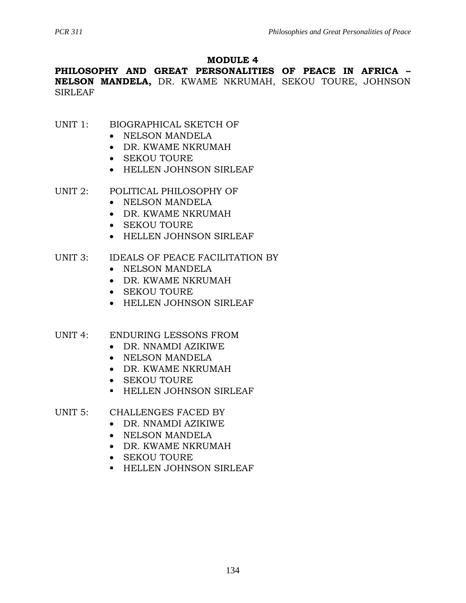### **MODULE 4**

**PHILOSOPHY AND GREAT PERSONALITIES OF PEACE IN AFRICA – NELSON MANDELA,** DR. KWAME NKRUMAH, SEKOU TOURE, JOHNSON SIRLEAF

- UNIT 1: BIOGRAPHICAL SKETCH OF
	- NELSON MANDELA
	- DR. KWAME NKRUMAH
	- SEKOU TOURE
	- HELLEN JOHNSON SIRLEAF
- UNIT 2: POLITICAL PHILOSOPHY OF
	- NELSON MANDELA
	- DR. KWAME NKRUMAH
	- SEKOU TOURE
	- HELLEN JOHNSON SIRLEAF

### UNIT 3: IDEALS OF PEACE FACILITATION BY

- NELSON MANDELA
- DR. KWAME NKRUMAH
- SEKOU TOURE
- HELLEN JOHNSON SIRLEAF
- UNIT 4: ENDURING LESSONS FROM
	- DR. NNAMDI AZIKIWE
	- NELSON MANDELA
	- DR. KWAME NKRUMAH
	- SEKOU TOURE
	- **EXECUTE HELLEN JOHNSON SIRLEAF**

#### UNIT 5: CHALLENGES FACED BY

- DR. NNAMDI AZIKIWE
- NELSON MANDELA
- DR. KWAME NKRUMAH
- SEKOU TOURE
- **HELLEN JOHNSON SIRLEAF**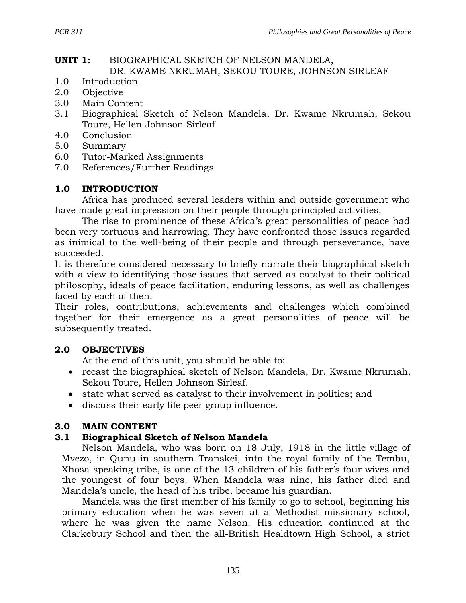#### **UNIT 1:** BIOGRAPHICAL SKETCH OF NELSON MANDELA, DR. KWAME NKRUMAH, SEKOU TOURE, JOHNSON SIRLEAF

- 1.0 Introduction
- 2.0 Objective
- 3.0 Main Content
- 3.1 Biographical Sketch of Nelson Mandela, Dr. Kwame Nkrumah, Sekou Toure, Hellen Johnson Sirleaf
- 4.0 Conclusion
- 5.0 Summary
- 6.0 Tutor-Marked Assignments
- 7.0 References/Further Readings

## **1.0 INTRODUCTION**

Africa has produced several leaders within and outside government who have made great impression on their people through principled activities.

The rise to prominence of these Africa's great personalities of peace had been very tortuous and harrowing. They have confronted those issues regarded as inimical to the well-being of their people and through perseverance, have succeeded.

It is therefore considered necessary to briefly narrate their biographical sketch with a view to identifying those issues that served as catalyst to their political philosophy, ideals of peace facilitation, enduring lessons, as well as challenges faced by each of then.

Their roles, contributions, achievements and challenges which combined together for their emergence as a great personalities of peace will be subsequently treated.

## **2.0 OBJECTIVES**

At the end of this unit, you should be able to:

- recast the biographical sketch of Nelson Mandela, Dr. Kwame Nkrumah, Sekou Toure, Hellen Johnson Sirleaf.
- state what served as catalyst to their involvement in politics; and
- discuss their early life peer group influence.

## **3.0 MAIN CONTENT**

#### **3.1 Biographical Sketch of Nelson Mandela**

Nelson Mandela, who was born on 18 July, 1918 in the little village of Mvezo, in Qunu in southern Transkei, into the royal family of the Tembu, Xhosa-speaking tribe, is one of the 13 children of his father's four wives and the youngest of four boys. When Mandela was nine, his father died and Mandela's uncle, the head of his tribe, became his guardian.

Mandela was the first member of his family to go to school, beginning his primary education when he was seven at a Methodist missionary school, where he was given the name Nelson. His education continued at the Clarkebury School and then the all-British Healdtown High School, a strict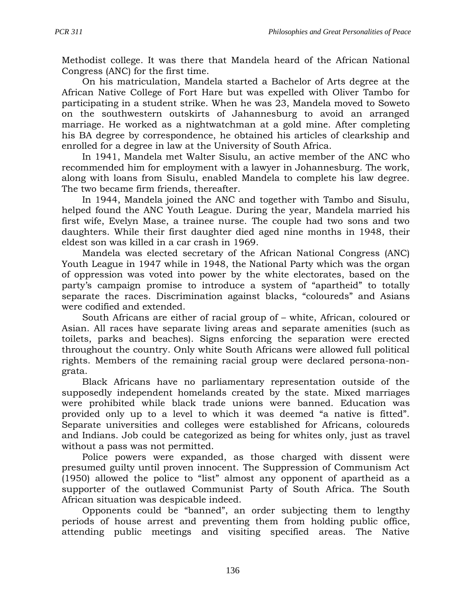Methodist college. It was there that Mandela heard of the African National Congress (ANC) for the first time.

On his matriculation, Mandela started a Bachelor of Arts degree at the African Native College of Fort Hare but was expelled with Oliver Tambo for participating in a student strike. When he was 23, Mandela moved to Soweto on the southwestern outskirts of Jahannesburg to avoid an arranged marriage. He worked as a nightwatchman at a gold mine. After completing his BA degree by correspondence, he obtained his articles of clearkship and enrolled for a degree in law at the University of South Africa.

In 1941, Mandela met Walter Sisulu, an active member of the ANC who recommended him for employment with a lawyer in Johannesburg. The work, along with loans from Sisulu, enabled Mandela to complete his law degree. The two became firm friends, thereafter.

In 1944, Mandela joined the ANC and together with Tambo and Sisulu, helped found the ANC Youth League. During the year, Mandela married his first wife, Evelyn Mase, a trainee nurse. The couple had two sons and two daughters. While their first daughter died aged nine months in 1948, their eldest son was killed in a car crash in 1969.

Mandela was elected secretary of the African National Congress (ANC) Youth League in 1947 while in 1948, the National Party which was the organ of oppression was voted into power by the white electorates, based on the party's campaign promise to introduce a system of "apartheid" to totally separate the races. Discrimination against blacks, "coloureds" and Asians were codified and extended.

South Africans are either of racial group of – white, African, coloured or Asian. All races have separate living areas and separate amenities (such as toilets, parks and beaches). Signs enforcing the separation were erected throughout the country. Only white South Africans were allowed full political rights. Members of the remaining racial group were declared persona-nongrata.

Black Africans have no parliamentary representation outside of the supposedly independent homelands created by the state. Mixed marriages were prohibited while black trade unions were banned. Education was provided only up to a level to which it was deemed "a native is fitted". Separate universities and colleges were established for Africans, coloureds and Indians. Job could be categorized as being for whites only, just as travel without a pass was not permitted.

Police powers were expanded, as those charged with dissent were presumed guilty until proven innocent. The Suppression of Communism Act (1950) allowed the police to "list" almost any opponent of apartheid as a supporter of the outlawed Communist Party of South Africa. The South African situation was despicable indeed.

Opponents could be "banned", an order subjecting them to lengthy periods of house arrest and preventing them from holding public office, attending public meetings and visiting specified areas. The Native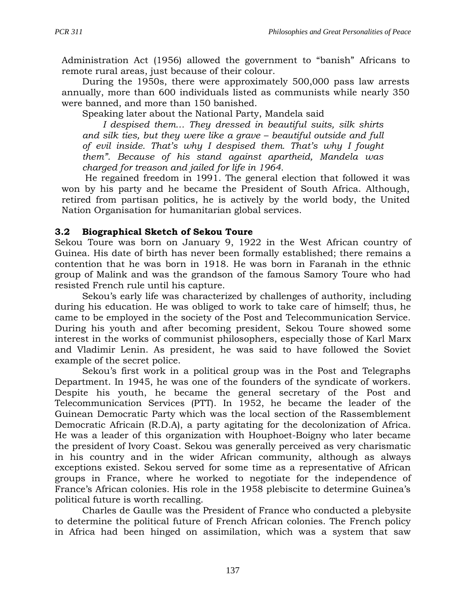Administration Act (1956) allowed the government to "banish" Africans to remote rural areas, just because of their colour.

During the 1950s, there were approximately 500,000 pass law arrests annually, more than 600 individuals listed as communists while nearly 350 were banned, and more than 150 banished.

Speaking later about the National Party, Mandela said

*I despised them… They dressed in beautiful suits, silk shirts and silk ties, but they were like a grave – beautiful outside and full of evil inside. That's why I despised them. That's why I fought them". Because of his stand against apartheid, Mandela was charged for treason and jailed for life in 1964.*

He regained freedom in 1991. The general election that followed it was won by his party and he became the President of South Africa. Although, retired from partisan politics, he is actively by the world body, the United Nation Organisation for humanitarian global services.

# **3.2 Biographical Sketch of Sekou Toure**

Sekou Toure was born on January 9, 1922 in the West African country of Guinea. His date of birth has never been formally established; there remains a contention that he was born in 1918. He was born in Faranah in the ethnic group of Malink and was the grandson of the famous Samory Toure who had resisted French rule until his capture.

Sekou's early life was characterized by challenges of authority, including during his education. He was obliged to work to take care of himself; thus, he came to be employed in the society of the Post and Telecommunication Service. During his youth and after becoming president, Sekou Toure showed some interest in the works of communist philosophers, especially those of Karl Marx and Vladimir Lenin. As president, he was said to have followed the Soviet example of the secret police.

Sekou's first work in a political group was in the Post and Telegraphs Department. In 1945, he was one of the founders of the syndicate of workers. Despite his youth, he became the general secretary of the Post and Telecommunication Services (PTT). In 1952, he became the leader of the Guinean Democratic Party which was the local section of the Rassemblement Democratic Africain (R.D.A), a party agitating for the decolonization of Africa. He was a leader of this organization with Houphoet-Boigny who later became the president of Ivory Coast. Sekou was generally perceived as very charismatic in his country and in the wider African community, although as always exceptions existed. Sekou served for some time as a representative of African groups in France, where he worked to negotiate for the independence of France's African colonies. His role in the 1958 plebiscite to determine Guinea's political future is worth recalling.

Charles de Gaulle was the President of France who conducted a plebysite to determine the political future of French African colonies. The French policy in Africa had been hinged on assimilation, which was a system that saw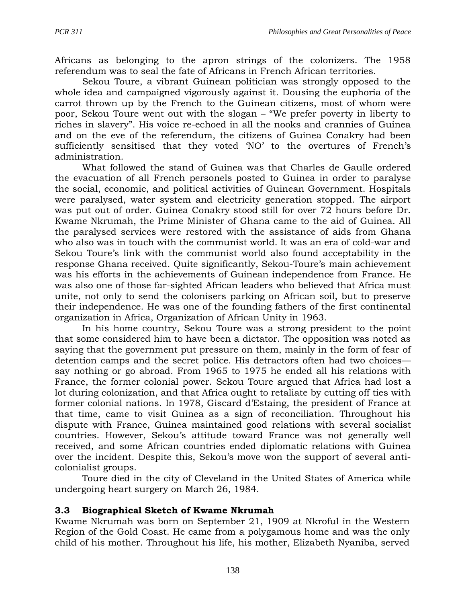Africans as belonging to the apron strings of the colonizers. The 1958 referendum was to seal the fate of Africans in French African territories.

Sekou Toure, a vibrant Guinean politician was strongly opposed to the whole idea and campaigned vigorously against it. Dousing the euphoria of the carrot thrown up by the French to the Guinean citizens, most of whom were poor, Sekou Toure went out with the slogan – "We prefer poverty in liberty to riches in slavery". His voice re-echoed in all the nooks and crannies of Guinea and on the eve of the referendum, the citizens of Guinea Conakry had been sufficiently sensitised that they voted 'NO' to the overtures of French's administration.

What followed the stand of Guinea was that Charles de Gaulle ordered the evacuation of all French personels posted to Guinea in order to paralyse the social, economic, and political activities of Guinean Government. Hospitals were paralysed, water system and electricity generation stopped. The airport was put out of order. Guinea Conakry stood still for over 72 hours before Dr. Kwame Nkrumah, the Prime Minister of Ghana came to the aid of Guinea. All the paralysed services were restored with the assistance of aids from Ghana who also was in touch with the communist world. It was an era of cold-war and Sekou Toure's link with the communist world also found acceptability in the response Ghana received. Quite significantly, Sekou-Toure's main achievement was his efforts in the achievements of Guinean independence from France. He was also one of those far-sighted African leaders who believed that Africa must unite, not only to send the colonisers parking on African soil, but to preserve their independence. He was one of the founding fathers of the first continental organization in Africa, Organization of African Unity in 1963.

In his home country, Sekou Toure was a strong president to the point that some considered him to have been a dictator. The opposition was noted as saying that the government put pressure on them, mainly in the form of fear of detention camps and the secret police. His detractors often had two choices say nothing or go abroad. From 1965 to 1975 he ended all his relations with France, the former colonial power. Sekou Toure argued that Africa had lost a lot during colonization, and that Africa ought to retaliate by cutting off ties with former colonial nations. In 1978, Giscard d'Estaing, the president of France at that time, came to visit Guinea as a sign of reconciliation. Throughout his dispute with France, Guinea maintained good relations with several socialist countries. However, Sekou's attitude toward France was not generally well received, and some African countries ended diplomatic relations with Guinea over the incident. Despite this, Sekou's move won the support of several anticolonialist groups.

Toure died in the city of Cleveland in the United States of America while undergoing heart surgery on March 26, 1984.

# **3.3 Biographical Sketch of Kwame Nkrumah**

Kwame Nkrumah was born on September 21, 1909 at Nkroful in the Western Region of the Gold Coast. He came from a polygamous home and was the only child of his mother. Throughout his life, his mother, Elizabeth Nyaniba, served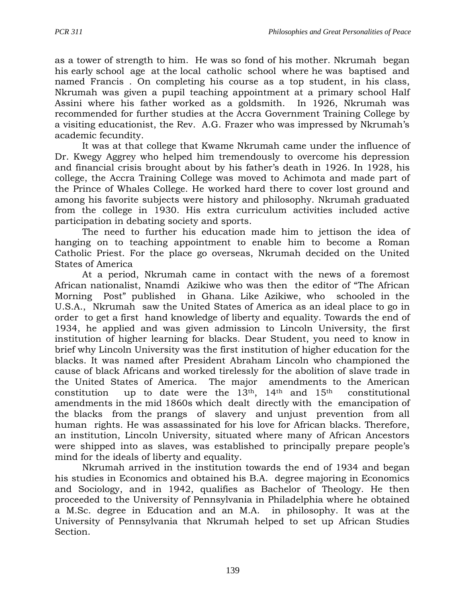as a tower of strength to him. He was so fond of his mother. Nkrumah began his early school age at the local catholic school where he was baptised and named Francis . On completing his course as a top student, in his class, Nkrumah was given a pupil teaching appointment at a primary school Half Assini where his father worked as a goldsmith. In 1926, Nkrumah was recommended for further studies at the Accra Government Training College by a visiting educationist, the Rev. A.G. Frazer who was impressed by Nkrumah's academic fecundity.

It was at that college that Kwame Nkrumah came under the influence of Dr. Kwegy Aggrey who helped him tremendously to overcome his depression and financial crisis brought about by his father's death in 1926. In 1928, his college, the Accra Training College was moved to Achimota and made part of the Prince of Whales College. He worked hard there to cover lost ground and among his favorite subjects were history and philosophy. Nkrumah graduated from the college in 1930. His extra curriculum activities included active participation in debating society and sports.

The need to further his education made him to jettison the idea of hanging on to teaching appointment to enable him to become a Roman Catholic Priest. For the place go overseas, Nkrumah decided on the United States of America

At a period, Nkrumah came in contact with the news of a foremost African nationalist, Nnamdi Azikiwe who was then the editor of "The African Morning Post" published in Ghana. Like Azikiwe, who schooled in the U.S.A., Nkrumah saw the United States of America as an ideal place to go in order to get a first hand knowledge of liberty and equality. Towards the end of 1934, he applied and was given admission to Lincoln University, the first institution of higher learning for blacks. Dear Student, you need to know in brief why Lincoln University was the first institution of higher education for the blacks. It was named after President Abraham Lincoln who championed the cause of black Africans and worked tirelessly for the abolition of slave trade in the United States of America. The major amendments to the American constitution up to date were the  $13<sup>th</sup>$ ,  $14<sup>th</sup>$  and  $15<sup>th</sup>$  constitutional amendments in the mid 1860s which dealt directly with the emancipation of the blacks from the prangs of slavery and unjust prevention from all human rights. He was assassinated for his love for African blacks. Therefore, an institution, Lincoln University, situated where many of African Ancestors were shipped into as slaves, was established to principally prepare people's mind for the ideals of liberty and equality.

Nkrumah arrived in the institution towards the end of 1934 and began his studies in Economics and obtained his B.A. degree majoring in Economics and Sociology, and in 1942, qualifies as Bachelor of Theology. He then proceeded to the University of Pennsylvania in Philadelphia where he obtained a M.Sc. degree in Education and an M.A. in philosophy. It was at the University of Pennsylvania that Nkrumah helped to set up African Studies Section.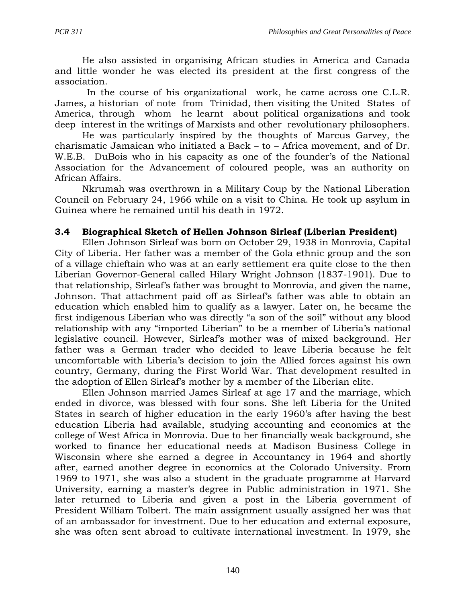He also assisted in organising African studies in America and Canada and little wonder he was elected its president at the first congress of the association.

 In the course of his organizational work, he came across one C.L.R. James, a historian of note from Trinidad, then visiting the United States of America, through whom he learnt about political organizations and took deep interest in the writings of Marxists and other revolutionary philosophers.

He was particularly inspired by the thoughts of Marcus Garvey, the charismatic Jamaican who initiated a Back – to – Africa movement, and of Dr. W.E.B. DuBois who in his capacity as one of the founder's of the National Association for the Advancement of coloured people, was an authority on African Affairs.

Nkrumah was overthrown in a Military Coup by the National Liberation Council on February 24, 1966 while on a visit to China. He took up asylum in Guinea where he remained until his death in 1972.

## **3.4 Biographical Sketch of Hellen Johnson Sirleaf (Liberian President)**

Ellen Johnson Sirleaf was born on October 29, 1938 in Monrovia, Capital City of Liberia. Her father was a member of the Gola ethnic group and the son of a village chieftain who was at an early settlement era quite close to the then Liberian Governor-General called Hilary Wright Johnson (1837-1901). Due to that relationship, Sirleaf's father was brought to Monrovia, and given the name, Johnson. That attachment paid off as Sirleaf's father was able to obtain an education which enabled him to qualify as a lawyer. Later on, he became the first indigenous Liberian who was directly "a son of the soil" without any blood relationship with any "imported Liberian" to be a member of Liberia's national legislative council. However, Sirleaf's mother was of mixed background. Her father was a German trader who decided to leave Liberia because he felt uncomfortable with Liberia's decision to join the Allied forces against his own country, Germany, during the First World War. That development resulted in the adoption of Ellen Sirleaf's mother by a member of the Liberian elite.

Ellen Johnson married James Sirleaf at age 17 and the marriage, which ended in divorce, was blessed with four sons. She left Liberia for the United States in search of higher education in the early 1960's after having the best education Liberia had available, studying accounting and economics at the college of West Africa in Monrovia. Due to her financially weak background, she worked to finance her educational needs at Madison Business College in Wisconsin where she earned a degree in Accountancy in 1964 and shortly after, earned another degree in economics at the Colorado University. From 1969 to 1971, she was also a student in the graduate programme at Harvard University, earning a master's degree in Public administration in 1971. She later returned to Liberia and given a post in the Liberia government of President William Tolbert. The main assignment usually assigned her was that of an ambassador for investment. Due to her education and external exposure, she was often sent abroad to cultivate international investment. In 1979, she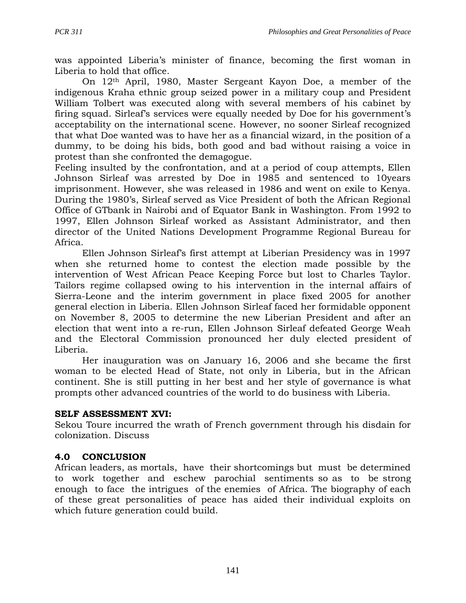was appointed Liberia's minister of finance, becoming the first woman in Liberia to hold that office.

On 12th April, 1980, Master Sergeant Kayon Doe, a member of the indigenous Kraha ethnic group seized power in a military coup and President William Tolbert was executed along with several members of his cabinet by firing squad. Sirleaf's services were equally needed by Doe for his government's acceptability on the international scene. However, no sooner Sirleaf recognized that what Doe wanted was to have her as a financial wizard, in the position of a dummy, to be doing his bids, both good and bad without raising a voice in protest than she confronted the demagogue.

Feeling insulted by the confrontation, and at a period of coup attempts, Ellen Johnson Sirleaf was arrested by Doe in 1985 and sentenced to 10years imprisonment. However, she was released in 1986 and went on exile to Kenya. During the 1980's, Sirleaf served as Vice President of both the African Regional Office of GTbank in Nairobi and of Equator Bank in Washington. From 1992 to 1997, Ellen Johnson Sirleaf worked as Assistant Administrator, and then director of the United Nations Development Programme Regional Bureau for Africa.

Ellen Johnson Sirleaf's first attempt at Liberian Presidency was in 1997 when she returned home to contest the election made possible by the intervention of West African Peace Keeping Force but lost to Charles Taylor. Tailors regime collapsed owing to his intervention in the internal affairs of Sierra-Leone and the interim government in place fixed 2005 for another general election in Liberia. Ellen Johnson Sirleaf faced her formidable opponent on November 8, 2005 to determine the new Liberian President and after an election that went into a re-run, Ellen Johnson Sirleaf defeated George Weah and the Electoral Commission pronounced her duly elected president of Liberia.

Her inauguration was on January 16, 2006 and she became the first woman to be elected Head of State, not only in Liberia, but in the African continent. She is still putting in her best and her style of governance is what prompts other advanced countries of the world to do business with Liberia.

## **SELF ASSESSMENT XVI:**

Sekou Toure incurred the wrath of French government through his disdain for colonization. Discuss

## **4.0 CONCLUSION**

African leaders, as mortals, have their shortcomings but must be determined to work together and eschew parochial sentiments so as to be strong enough to face the intrigues of the enemies of Africa. The biography of each of these great personalities of peace has aided their individual exploits on which future generation could build.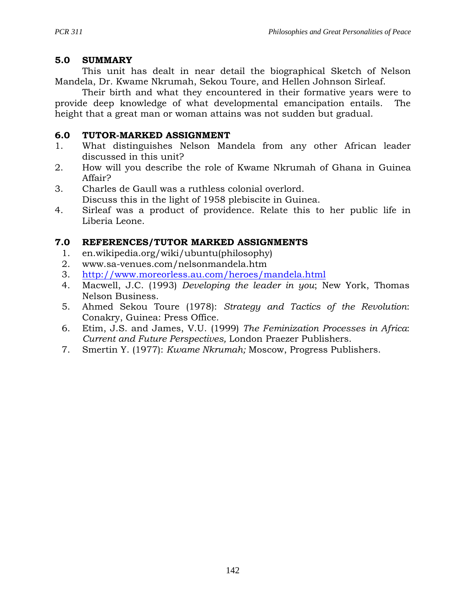## **5.0 SUMMARY**

This unit has dealt in near detail the biographical Sketch of Nelson Mandela, Dr. Kwame Nkrumah, Sekou Toure, and Hellen Johnson Sirleaf.

Their birth and what they encountered in their formative years were to provide deep knowledge of what developmental emancipation entails. The height that a great man or woman attains was not sudden but gradual.

# **6.0 TUTOR-MARKED ASSIGNMENT**

- 1. What distinguishes Nelson Mandela from any other African leader discussed in this unit?
- 2. How will you describe the role of Kwame Nkrumah of Ghana in Guinea Affair?
- 3. Charles de Gaull was a ruthless colonial overlord. Discuss this in the light of 1958 plebiscite in Guinea.
- 4. Sirleaf was a product of providence. Relate this to her public life in Liberia Leone.

# **7.0 REFERENCES/TUTOR MARKED ASSIGNMENTS**

- 1. en.wikipedia.org/wiki/ubuntu(philosophy)
- 2. www.sa-venues.com/nelsonmandela.htm
- 3. <http://www.moreorless.au.com/heroes/mandela.html>
- 4. Macwell, J.C. (1993) *Developing the leader in you*; New York, Thomas Nelson Business.
- 5. Ahmed Sekou Toure (1978): *Strategy and Tactics of the Revolution*: Conakry, Guinea: Press Office.
- 6. Etim, J.S. and James, V.U. (1999) *The Feminization Processes in Africa*: *Current and Future Perspectives,* London Praezer Publishers.
- 7. Smertin Y. (1977): *Kwame Nkrumah;* Moscow, Progress Publishers.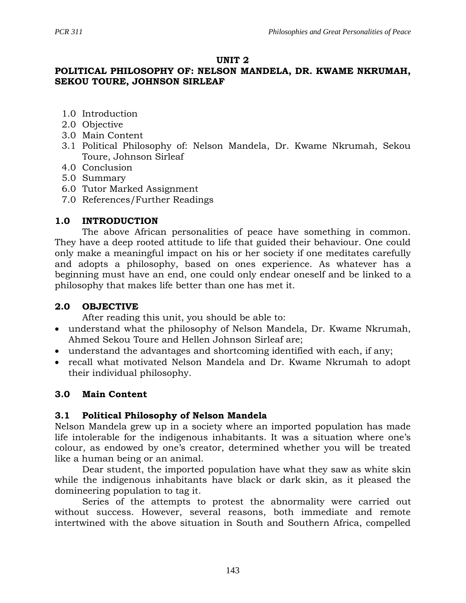#### **UNIT 2**

## **POLITICAL PHILOSOPHY OF: NELSON MANDELA, DR. KWAME NKRUMAH, SEKOU TOURE, JOHNSON SIRLEAF**

- 1.0 Introduction
- 2.0 Objective
- 3.0 Main Content
- 3.1 Political Philosophy of: Nelson Mandela, Dr. Kwame Nkrumah, Sekou Toure, Johnson Sirleaf
- 4.0 Conclusion
- 5.0 Summary
- 6.0 Tutor Marked Assignment
- 7.0 References/Further Readings

# **1.0 INTRODUCTION**

The above African personalities of peace have something in common. They have a deep rooted attitude to life that guided their behaviour. One could only make a meaningful impact on his or her society if one meditates carefully and adopts a philosophy, based on ones experience. As whatever has a beginning must have an end, one could only endear oneself and be linked to a philosophy that makes life better than one has met it.

# **2.0 OBJECTIVE**

After reading this unit, you should be able to:

- understand what the philosophy of Nelson Mandela, Dr. Kwame Nkrumah, Ahmed Sekou Toure and Hellen Johnson Sirleaf are;
- understand the advantages and shortcoming identified with each, if any;
- recall what motivated Nelson Mandela and Dr. Kwame Nkrumah to adopt their individual philosophy.

# **3.0 Main Content**

# **3.1 Political Philosophy of Nelson Mandela**

Nelson Mandela grew up in a society where an imported population has made life intolerable for the indigenous inhabitants. It was a situation where one's colour, as endowed by one's creator, determined whether you will be treated like a human being or an animal.

Dear student, the imported population have what they saw as white skin while the indigenous inhabitants have black or dark skin, as it pleased the domineering population to tag it.

Series of the attempts to protest the abnormality were carried out without success. However, several reasons, both immediate and remote intertwined with the above situation in South and Southern Africa, compelled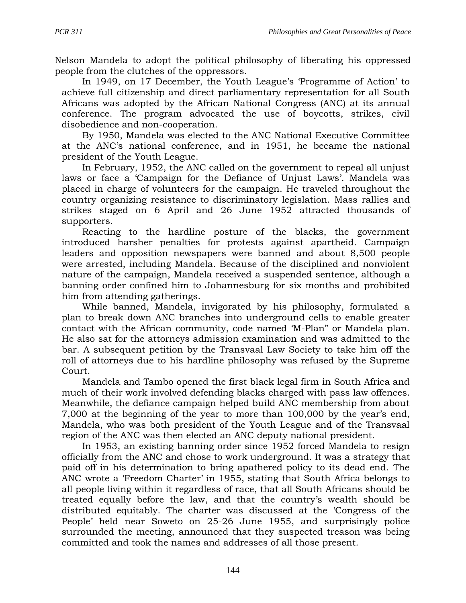Nelson Mandela to adopt the political philosophy of liberating his oppressed people from the clutches of the oppressors.

In 1949, on 17 December, the Youth League's 'Programme of Action' to achieve full citizenship and direct parliamentary representation for all South Africans was adopted by the African National Congress (ANC) at its annual conference. The program advocated the use of boycotts, strikes, civil disobedience and non-cooperation.

By 1950, Mandela was elected to the ANC National Executive Committee at the ANC's national conference, and in 1951, he became the national president of the Youth League.

In February, 1952, the ANC called on the government to repeal all unjust laws or face a 'Campaign for the Defiance of Unjust Laws'. Mandela was placed in charge of volunteers for the campaign. He traveled throughout the country organizing resistance to discriminatory legislation. Mass rallies and strikes staged on 6 April and 26 June 1952 attracted thousands of supporters.

Reacting to the hardline posture of the blacks, the government introduced harsher penalties for protests against apartheid. Campaign leaders and opposition newspapers were banned and about 8,500 people were arrested, including Mandela. Because of the disciplined and nonviolent nature of the campaign, Mandela received a suspended sentence, although a banning order confined him to Johannesburg for six months and prohibited him from attending gatherings.

While banned, Mandela, invigorated by his philosophy, formulated a plan to break down ANC branches into underground cells to enable greater contact with the African community, code named 'M-Plan" or Mandela plan. He also sat for the attorneys admission examination and was admitted to the bar. A subsequent petition by the Transvaal Law Society to take him off the roll of attorneys due to his hardline philosophy was refused by the Supreme Court.

Mandela and Tambo opened the first black legal firm in South Africa and much of their work involved defending blacks charged with pass law offences. Meanwhile, the defiance campaign helped build ANC membership from about 7,000 at the beginning of the year to more than 100,000 by the year's end, Mandela, who was both president of the Youth League and of the Transvaal region of the ANC was then elected an ANC deputy national president.

In 1953, an existing banning order since 1952 forced Mandela to resign officially from the ANC and chose to work underground. It was a strategy that paid off in his determination to bring apathered policy to its dead end. The ANC wrote a 'Freedom Charter' in 1955, stating that South Africa belongs to all people living within it regardless of race, that all South Africans should be treated equally before the law, and that the country's wealth should be distributed equitably. The charter was discussed at the 'Congress of the People' held near Soweto on 25-26 June 1955, and surprisingly police surrounded the meeting, announced that they suspected treason was being committed and took the names and addresses of all those present.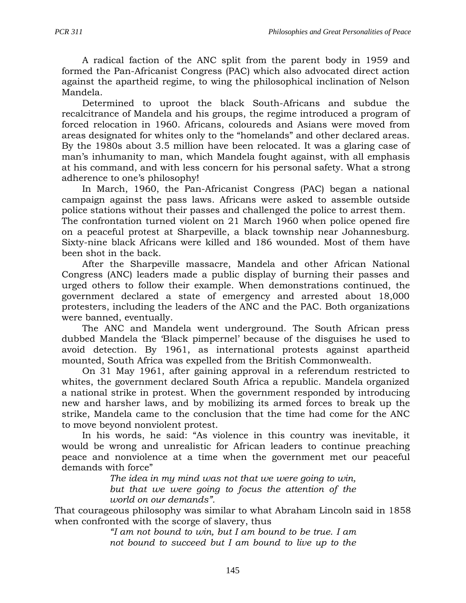A radical faction of the ANC split from the parent body in 1959 and formed the Pan-Africanist Congress (PAC) which also advocated direct action against the apartheid regime, to wing the philosophical inclination of Nelson Mandela.

Determined to uproot the black South-Africans and subdue the recalcitrance of Mandela and his groups, the regime introduced a program of forced relocation in 1960. Africans, coloureds and Asians were moved from areas designated for whites only to the "homelands" and other declared areas. By the 1980s about 3.5 million have been relocated. It was a glaring case of man's inhumanity to man, which Mandela fought against, with all emphasis at his command, and with less concern for his personal safety. What a strong adherence to one's philosophy!

In March, 1960, the Pan-Africanist Congress (PAC) began a national campaign against the pass laws. Africans were asked to assemble outside police stations without their passes and challenged the police to arrest them. The confrontation turned violent on 21 March 1960 when police opened fire on a peaceful protest at Sharpeville, a black township near Johannesburg.

Sixty-nine black Africans were killed and 186 wounded. Most of them have been shot in the back.

After the Sharpeville massacre, Mandela and other African National Congress (ANC) leaders made a public display of burning their passes and urged others to follow their example. When demonstrations continued, the government declared a state of emergency and arrested about 18,000 protesters, including the leaders of the ANC and the PAC. Both organizations were banned, eventually.

The ANC and Mandela went underground. The South African press dubbed Mandela the 'Black pimpernel' because of the disguises he used to avoid detection. By 1961, as international protests against apartheid mounted, South Africa was expelled from the British Commonwealth.

On 31 May 1961, after gaining approval in a referendum restricted to whites, the government declared South Africa a republic. Mandela organized a national strike in protest. When the government responded by introducing new and harsher laws, and by mobilizing its armed forces to break up the strike, Mandela came to the conclusion that the time had come for the ANC to move beyond nonviolent protest.

In his words, he said: "As violence in this country was inevitable, it would be wrong and unrealistic for African leaders to continue preaching peace and nonviolence at a time when the government met our peaceful demands with force"

> *The idea in my mind was not that we were going to win, but that we were going to focus the attention of the world on our demands".*

That courageous philosophy was similar to what Abraham Lincoln said in 1858 when confronted with the scorge of slavery, thus

*"I am not bound to win, but I am bound to be true. I am not bound to succeed but I am bound to live up to the*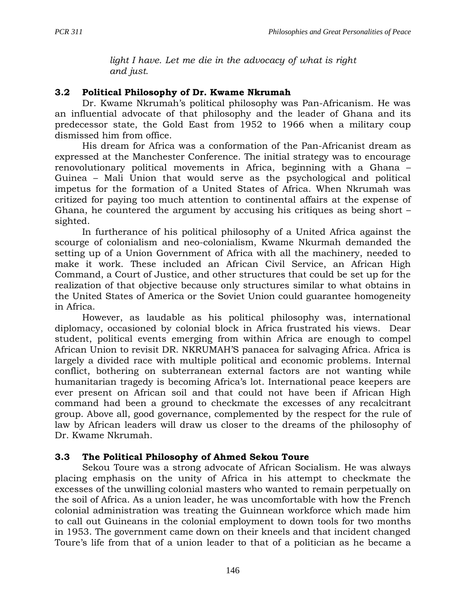*light I have. Let me die in the advocacy of what is right and just.* 

# **3.2 Political Philosophy of Dr. Kwame Nkrumah**

Dr. Kwame Nkrumah's political philosophy was Pan-Africanism. He was an influential advocate of that philosophy and the leader of Ghana and its predecessor state, the Gold East from 1952 to 1966 when a military coup dismissed him from office.

His dream for Africa was a conformation of the Pan-Africanist dream as expressed at the Manchester Conference. The initial strategy was to encourage renovolutionary political movements in Africa, beginning with a Ghana – Guinea – Mali Union that would serve as the psychological and political impetus for the formation of a United States of Africa. When Nkrumah was critized for paying too much attention to continental affairs at the expense of Ghana, he countered the argument by accusing his critiques as being short – sighted.

In furtherance of his political philosophy of a United Africa against the scourge of colonialism and neo-colonialism, Kwame Nkurmah demanded the setting up of a Union Government of Africa with all the machinery, needed to make it work. These included an African Civil Service, an African High Command, a Court of Justice, and other structures that could be set up for the realization of that objective because only structures similar to what obtains in the United States of America or the Soviet Union could guarantee homogeneity in Africa.

However, as laudable as his political philosophy was, international diplomacy, occasioned by colonial block in Africa frustrated his views. Dear student, political events emerging from within Africa are enough to compel African Union to revisit DR. NKRUMAH'S panacea for salvaging Africa. Africa is largely a divided race with multiple political and economic problems. Internal conflict, bothering on subterranean external factors are not wanting while humanitarian tragedy is becoming Africa's lot. International peace keepers are ever present on African soil and that could not have been if African High command had been a ground to checkmate the excesses of any recalcitrant group. Above all, good governance, complemented by the respect for the rule of law by African leaders will draw us closer to the dreams of the philosophy of Dr. Kwame Nkrumah.

# **3.3 The Political Philosophy of Ahmed Sekou Toure**

Sekou Toure was a strong advocate of African Socialism. He was always placing emphasis on the unity of Africa in his attempt to checkmate the excesses of the unwilling colonial masters who wanted to remain perpetually on the soil of Africa. As a union leader, he was uncomfortable with how the French colonial administration was treating the Guinnean workforce which made him to call out Guineans in the colonial employment to down tools for two months in 1953. The government came down on their kneels and that incident changed Toure's life from that of a union leader to that of a politician as he became a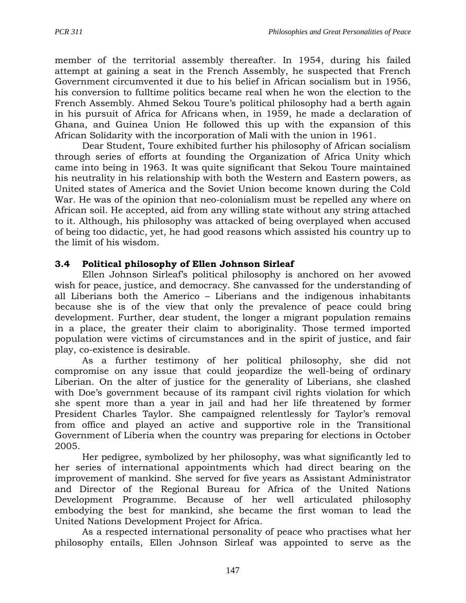member of the territorial assembly thereafter. In 1954, during his failed attempt at gaining a seat in the French Assembly, he suspected that French Government circumvented it due to his belief in African socialism but in 1956, his conversion to fulltime politics became real when he won the election to the French Assembly. Ahmed Sekou Toure's political philosophy had a berth again in his pursuit of Africa for Africans when, in 1959, he made a declaration of Ghana, and Guinea Union He followed this up with the expansion of this African Solidarity with the incorporation of Mali with the union in 1961.

Dear Student, Toure exhibited further his philosophy of African socialism through series of efforts at founding the Organization of Africa Unity which came into being in 1963. It was quite significant that Sekou Toure maintained his neutrality in his relationship with both the Western and Eastern powers, as United states of America and the Soviet Union become known during the Cold War. He was of the opinion that neo-colonialism must be repelled any where on African soil. He accepted, aid from any willing state without any string attached to it. Although, his philosophy was attacked of being overplayed when accused of being too didactic, yet, he had good reasons which assisted his country up to the limit of his wisdom.

# **3.4 Political philosophy of Ellen Johnson Sirleaf**

Ellen Johnson Sirleaf's political philosophy is anchored on her avowed wish for peace, justice, and democracy. She canvassed for the understanding of all Liberians both the Americo – Liberians and the indigenous inhabitants because she is of the view that only the prevalence of peace could bring development. Further, dear student, the longer a migrant population remains in a place, the greater their claim to aboriginality. Those termed imported population were victims of circumstances and in the spirit of justice, and fair play, co-existence is desirable.

As a further testimony of her political philosophy, she did not compromise on any issue that could jeopardize the well-being of ordinary Liberian. On the alter of justice for the generality of Liberians, she clashed with Doe's government because of its rampant civil rights violation for which she spent more than a year in jail and had her life threatened by former President Charles Taylor. She campaigned relentlessly for Taylor's removal from office and played an active and supportive role in the Transitional Government of Liberia when the country was preparing for elections in October 2005.

Her pedigree, symbolized by her philosophy, was what significantly led to her series of international appointments which had direct bearing on the improvement of mankind. She served for five years as Assistant Administrator and Director of the Regional Bureau for Africa of the United Nations Development Programme. Because of her well articulated philosophy embodying the best for mankind, she became the first woman to lead the United Nations Development Project for Africa.

As a respected international personality of peace who practises what her philosophy entails, Ellen Johnson Sirleaf was appointed to serve as the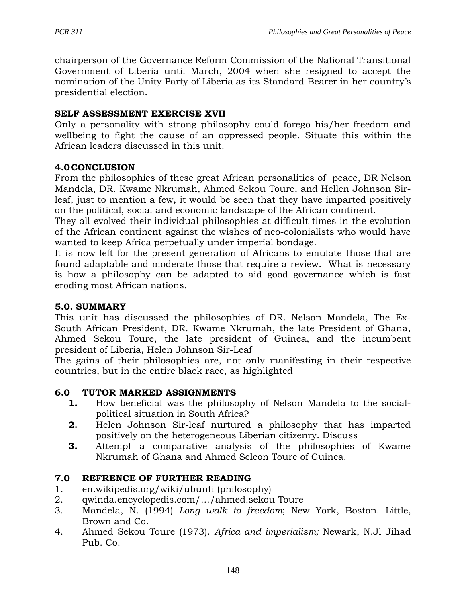chairperson of the Governance Reform Commission of the National Transitional Government of Liberia until March, 2004 when she resigned to accept the nomination of the Unity Party of Liberia as its Standard Bearer in her country's presidential election.

# **SELF ASSESSMENT EXERCISE XVII**

Only a personality with strong philosophy could forego his/her freedom and wellbeing to fight the cause of an oppressed people. Situate this within the African leaders discussed in this unit.

# **4.0CONCLUSION**

From the philosophies of these great African personalities of peace, DR Nelson Mandela, DR. Kwame Nkrumah, Ahmed Sekou Toure, and Hellen Johnson Sirleaf, just to mention a few, it would be seen that they have imparted positively on the political, social and economic landscape of the African continent.

They all evolved their individual philosophies at difficult times in the evolution of the African continent against the wishes of neo-colonialists who would have wanted to keep Africa perpetually under imperial bondage.

It is now left for the present generation of Africans to emulate those that are found adaptable and moderate those that require a review. What is necessary is how a philosophy can be adapted to aid good governance which is fast eroding most African nations.

## **5.0. SUMMARY**

This unit has discussed the philosophies of DR. Nelson Mandela, The Ex-South African President, DR. Kwame Nkrumah, the late President of Ghana, Ahmed Sekou Toure, the late president of Guinea, and the incumbent president of Liberia, Helen Johnson Sir-Leaf

The gains of their philosophies are, not only manifesting in their respective countries, but in the entire black race, as highlighted

## **6.0 TUTOR MARKED ASSIGNMENTS**

- **1.** How beneficial was the philosophy of Nelson Mandela to the socialpolitical situation in South Africa?
- **2.** Helen Johnson Sir-leaf nurtured a philosophy that has imparted positively on the heterogeneous Liberian citizenry. Discuss
- **3.** Attempt a comparative analysis of the philosophies of Kwame Nkrumah of Ghana and Ahmed Selcon Toure of Guinea.

# **7.0 REFRENCE OF FURTHER READING**

- 1. en.wikipedis.org/wiki/ubunti (philosophy)
- 2. qwinda.encyclopedis.com/…/ahmed.sekou Toure
- 3. Mandela, N. (1994) *Long walk to freedom*; New York, Boston. Little, Brown and Co.
- 4. Ahmed Sekou Toure (1973). *Africa and imperialism;* Newark, N.Jl Jihad Pub. Co.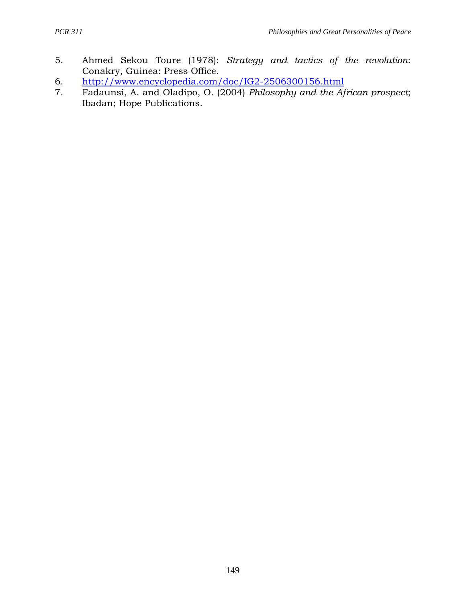- 5. Ahmed Sekou Toure (1978): *Strategy and tactics of the revolution*: Conakry, Guinea: Press Office.
- 6. <http://www.encyclopedia.com/doc/IG2-2506300156.html><br>7. Fadaunsi, A. and Oladipo, O. (2004) Philosophy and the Af
- 7. Fadaunsi, A. and Oladipo, O. (2004) *Philosophy and the African prospect*; Ibadan; Hope Publications.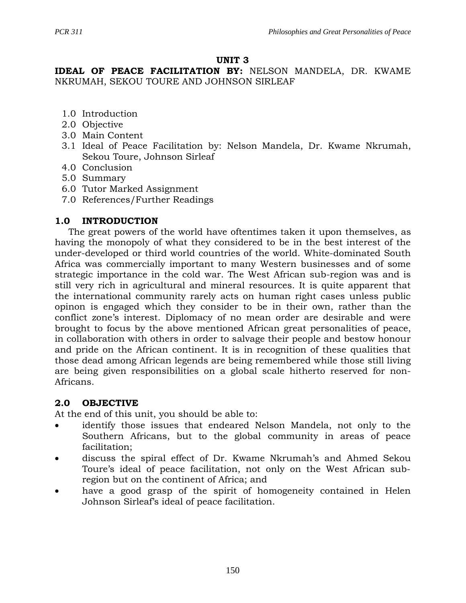#### **UNIT 3**

**IDEAL OF PEACE FACILITATION BY:** NELSON MANDELA, DR. KWAME NKRUMAH, SEKOU TOURE AND JOHNSON SIRLEAF

- 1.0 Introduction
- 2.0 Objective
- 3.0 Main Content
- 3.1 Ideal of Peace Facilitation by: Nelson Mandela, Dr. Kwame Nkrumah, Sekou Toure, Johnson Sirleaf
- 4.0 Conclusion
- 5.0 Summary
- 6.0 Tutor Marked Assignment
- 7.0 References/Further Readings

# **1.0 INTRODUCTION**

The great powers of the world have oftentimes taken it upon themselves, as having the monopoly of what they considered to be in the best interest of the under-developed or third world countries of the world. White-dominated South Africa was commercially important to many Western businesses and of some strategic importance in the cold war. The West African sub-region was and is still very rich in agricultural and mineral resources. It is quite apparent that the international community rarely acts on human right cases unless public opinon is engaged which they consider to be in their own, rather than the conflict zone's interest. Diplomacy of no mean order are desirable and were brought to focus by the above mentioned African great personalities of peace, in collaboration with others in order to salvage their people and bestow honour and pride on the African continent. It is in recognition of these qualities that those dead among African legends are being remembered while those still living are being given responsibilities on a global scale hitherto reserved for non-Africans.

# **2.0 OBJECTIVE**

At the end of this unit, you should be able to:

- identify those issues that endeared Nelson Mandela, not only to the Southern Africans, but to the global community in areas of peace facilitation;
- discuss the spiral effect of Dr. Kwame Nkrumah's and Ahmed Sekou Toure's ideal of peace facilitation, not only on the West African subregion but on the continent of Africa; and
- have a good grasp of the spirit of homogeneity contained in Helen Johnson Sirleaf's ideal of peace facilitation.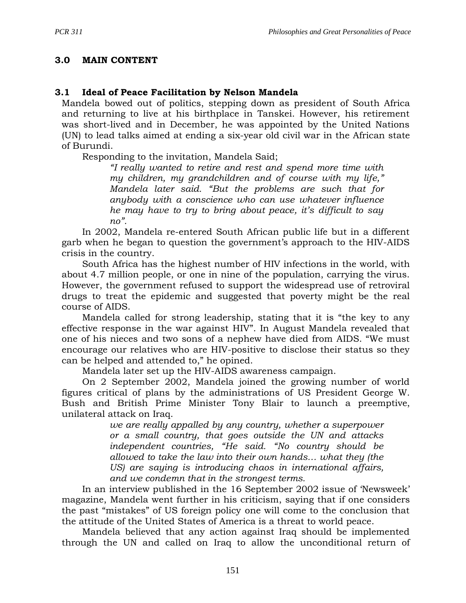## **3.0 MAIN CONTENT**

## **3.1 Ideal of Peace Facilitation by Nelson Mandela**

Mandela bowed out of politics, stepping down as president of South Africa and returning to live at his birthplace in Tanskei. However, his retirement was short-lived and in December, he was appointed by the United Nations (UN) to lead talks aimed at ending a six-year old civil war in the African state of Burundi.

Responding to the invitation, Mandela Said;

*"I really wanted to retire and rest and spend more time with my children, my grandchildren and of course with my life," Mandela later said. "But the problems are such that for anybody with a conscience who can use whatever influence he may have to try to bring about peace, it's difficult to say no".*

In 2002, Mandela re-entered South African public life but in a different garb when he began to question the government's approach to the HIV-AIDS crisis in the country.

South Africa has the highest number of HIV infections in the world, with about 4.7 million people, or one in nine of the population, carrying the virus. However, the government refused to support the widespread use of retroviral drugs to treat the epidemic and suggested that poverty might be the real course of AIDS.

Mandela called for strong leadership, stating that it is "the key to any effective response in the war against HIV". In August Mandela revealed that one of his nieces and two sons of a nephew have died from AIDS. "We must encourage our relatives who are HIV-positive to disclose their status so they can be helped and attended to," he opined.

Mandela later set up the HIV-AIDS awareness campaign.

On 2 September 2002, Mandela joined the growing number of world figures critical of plans by the administrations of US President George W. Bush and British Prime Minister Tony Blair to launch a preemptive, unilateral attack on Iraq.

> *we are really appalled by any country, whether a superpower or a small country, that goes outside the UN and attacks independent countries, "He said. "No country should be allowed to take the law into their own hands… what they (the US) are saying is introducing chaos in international affairs, and we condemn that in the strongest terms.*

In an interview published in the 16 September 2002 issue of 'Newsweek' magazine, Mandela went further in his criticism, saying that if one considers the past "mistakes" of US foreign policy one will come to the conclusion that the attitude of the United States of America is a threat to world peace.

Mandela believed that any action against Iraq should be implemented through the UN and called on Iraq to allow the unconditional return of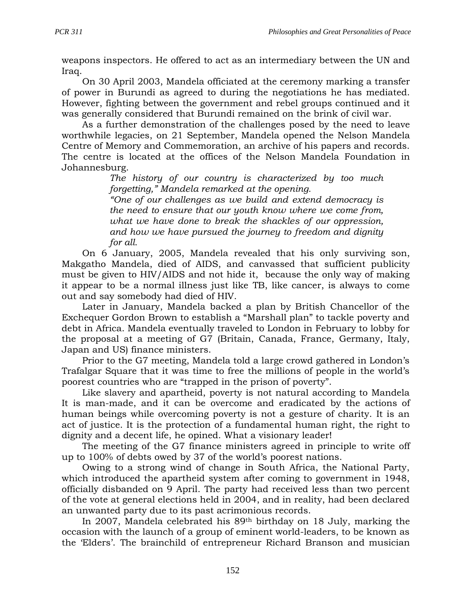weapons inspectors. He offered to act as an intermediary between the UN and Iraq.

On 30 April 2003, Mandela officiated at the ceremony marking a transfer of power in Burundi as agreed to during the negotiations he has mediated. However, fighting between the government and rebel groups continued and it was generally considered that Burundi remained on the brink of civil war.

As a further demonstration of the challenges posed by the need to leave worthwhile legacies, on 21 September, Mandela opened the Nelson Mandela Centre of Memory and Commemoration, an archive of his papers and records. The centre is located at the offices of the Nelson Mandela Foundation in Johannesburg.

*The history of our country is characterized by too much forgetting," Mandela remarked at the opening.*

*"One of our challenges as we build and extend democracy is the need to ensure that our youth know where we come from, what we have done to break the shackles of our oppression, and how we have pursued the journey to freedom and dignity for all.*

On 6 January, 2005, Mandela revealed that his only surviving son, Makgatho Mandela, died of AIDS, and canvassed that sufficient publicity must be given to HIV/AIDS and not hide it, because the only way of making it appear to be a normal illness just like TB, like cancer, is always to come out and say somebody had died of HIV.

Later in January, Mandela backed a plan by British Chancellor of the Exchequer Gordon Brown to establish a "Marshall plan" to tackle poverty and debt in Africa. Mandela eventually traveled to London in February to lobby for the proposal at a meeting of G7 (Britain, Canada, France, Germany, Italy, Japan and US) finance ministers.

Prior to the G7 meeting, Mandela told a large crowd gathered in London's Trafalgar Square that it was time to free the millions of people in the world's poorest countries who are "trapped in the prison of poverty".

Like slavery and apartheid, poverty is not natural according to Mandela It is man-made, and it can be overcome and eradicated by the actions of human beings while overcoming poverty is not a gesture of charity. It is an act of justice. It is the protection of a fundamental human right, the right to dignity and a decent life, he opined. What a visionary leader!

The meeting of the G7 finance ministers agreed in principle to write off up to 100% of debts owed by 37 of the world's poorest nations.

Owing to a strong wind of change in South Africa, the National Party, which introduced the apartheid system after coming to government in 1948, officially disbanded on 9 April. The party had received less than two percent of the vote at general elections held in 2004, and in reality, had been declared an unwanted party due to its past acrimonious records.

In 2007, Mandela celebrated his 89th birthday on 18 July, marking the occasion with the launch of a group of eminent world-leaders, to be known as the 'Elders'. The brainchild of entrepreneur Richard Branson and musician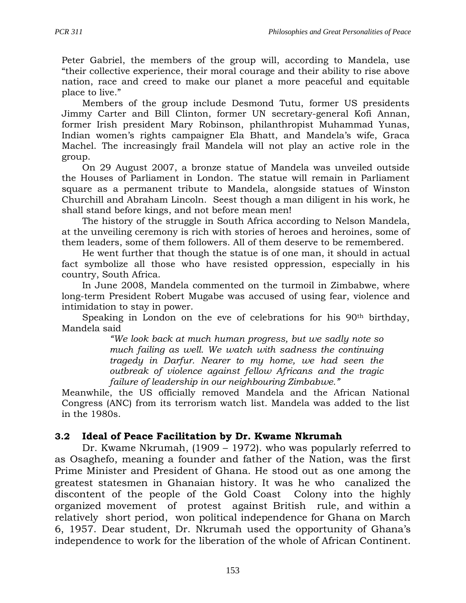Peter Gabriel, the members of the group will, according to Mandela, use "their collective experience, their moral courage and their ability to rise above nation, race and creed to make our planet a more peaceful and equitable place to live."

Members of the group include Desmond Tutu, former US presidents Jimmy Carter and Bill Clinton, former UN secretary-general Kofi Annan, former Irish president Mary Robinson, philanthropist Muhammad Yunas, Indian women's rights campaigner Ela Bhatt, and Mandela's wife, Graca Machel. The increasingly frail Mandela will not play an active role in the group.

On 29 August 2007, a bronze statue of Mandela was unveiled outside the Houses of Parliament in London. The statue will remain in Parliament square as a permanent tribute to Mandela, alongside statues of Winston Churchill and Abraham Lincoln. Seest though a man diligent in his work, he shall stand before kings, and not before mean men!

The history of the struggle in South Africa according to Nelson Mandela, at the unveiling ceremony is rich with stories of heroes and heroines, some of them leaders, some of them followers. All of them deserve to be remembered.

He went further that though the statue is of one man, it should in actual fact symbolize all those who have resisted oppression, especially in his country, South Africa.

In June 2008, Mandela commented on the turmoil in Zimbabwe, where long-term President Robert Mugabe was accused of using fear, violence and intimidation to stay in power.

Speaking in London on the eve of celebrations for his 90<sup>th</sup> birthday, Mandela said

> *"We look back at much human progress, but we sadly note so much failing as well. We watch with sadness the continuing tragedy in Darfur. Nearer to my home, we had seen the outbreak of violence against fellow Africans and the tragic failure of leadership in our neighbouring Zimbabwe."*

Meanwhile, the US officially removed Mandela and the African National Congress (ANC) from its terrorism watch list. Mandela was added to the list in the 1980s.

# **3.2 Ideal of Peace Facilitation by Dr. Kwame Nkrumah**

Dr. Kwame Nkrumah, (1909 – 1972). who was popularly referred to as Osaghefo, meaning a founder and father of the Nation, was the first Prime Minister and President of Ghana. He stood out as one among the greatest statesmen in Ghanaian history. It was he who canalized the discontent of the people of the Gold Coast Colony into the highly organized movement of protest against British rule, and within a relatively short period, won political independence for Ghana on March 6, 1957. Dear student, Dr. Nkrumah used the opportunity of Ghana's independence to work for the liberation of the whole of African Continent.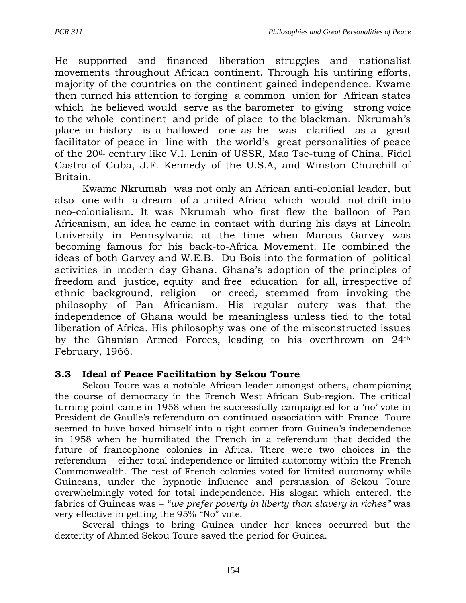He supported and financed liberation struggles and nationalist movements throughout African continent. Through his untiring efforts, majority of the countries on the continent gained independence. Kwame then turned his attention to forging a common union for African states which he believed would serve as the barometer to giving strong voice to the whole continent and pride of place to the blackman. Nkrumah's place in history is a hallowed one as he was clarified as a great facilitator of peace in line with the world's great personalities of peace of the 20th century like V.I. Lenin of USSR, Mao Tse-tung of China, Fidel Castro of Cuba, J.F. Kennedy of the U.S.A, and Winston Churchill of Britain.

Kwame Nkrumah was not only an African anti-colonial leader, but also one with a dream of a united Africa which would not drift into neo-colonialism. It was Nkrumah who first flew the balloon of Pan Africanism, an idea he came in contact with during his days at Lincoln University in Pennsylvania at the time when Marcus Garvey was becoming famous for his back-to-Africa Movement. He combined the ideas of both Garvey and W.E.B. Du Bois into the formation of political activities in modern day Ghana. Ghana's adoption of the principles of freedom and justice, equity and free education for all, irrespective of ethnic background, religion or creed, stemmed from invoking the philosophy of Pan Africanism. His regular outcry was that the independence of Ghana would be meaningless unless tied to the total liberation of Africa. His philosophy was one of the misconstructed issues by the Ghanian Armed Forces, leading to his overthrown on 24<sup>th</sup> February, 1966.

# **3.3 Ideal of Peace Facilitation by Sekou Toure**

Sekou Toure was a notable African leader amongst others, championing the course of democracy in the French West African Sub-region. The critical turning point came in 1958 when he successfully campaigned for a 'no' vote in President de Gaulle's referendum on continued association with France. Toure seemed to have boxed himself into a tight corner from Guinea's independence in 1958 when he humiliated the French in a referendum that decided the future of francophone colonies in Africa. There were two choices in the referendum – either total independence or limited autonomy within the French Commonwealth. The rest of French colonies voted for limited autonomy while Guineans, under the hypnotic influence and persuasion of Sekou Toure overwhelmingly voted for total independence. His slogan which entered, the fabrics of Guineas was – *"we prefer poverty in liberty than slavery in riches"* was very effective in getting the 95% "No" vote.

Several things to bring Guinea under her knees occurred but the dexterity of Ahmed Sekou Toure saved the period for Guinea.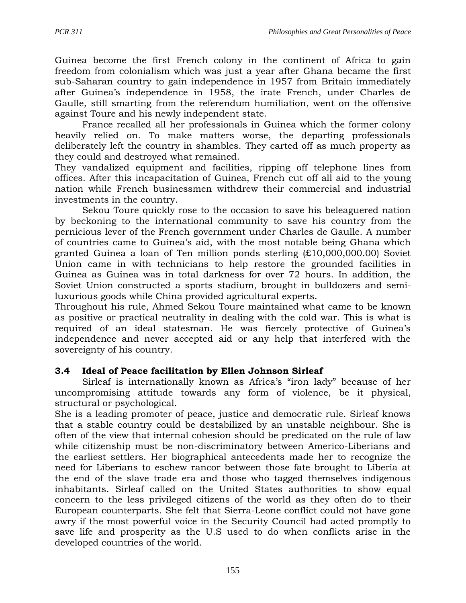Guinea become the first French colony in the continent of Africa to gain freedom from colonialism which was just a year after Ghana became the first sub-Saharan country to gain independence in 1957 from Britain immediately after Guinea's independence in 1958, the irate French, under Charles de Gaulle, still smarting from the referendum humiliation, went on the offensive against Toure and his newly independent state.

France recalled all her professionals in Guinea which the former colony heavily relied on. To make matters worse, the departing professionals deliberately left the country in shambles. They carted off as much property as they could and destroyed what remained.

They vandalized equipment and facilities, ripping off telephone lines from offices. After this incapacitation of Guinea, French cut off all aid to the young nation while French businessmen withdrew their commercial and industrial investments in the country.

Sekou Toure quickly rose to the occasion to save his beleaguered nation by beckoning to the international community to save his country from the pernicious lever of the French government under Charles de Gaulle. A number of countries came to Guinea's aid, with the most notable being Ghana which granted Guinea a loan of Ten million ponds sterling (£10,000,000.00) Soviet Union came in with technicians to help restore the grounded facilities in Guinea as Guinea was in total darkness for over 72 hours. In addition, the Soviet Union constructed a sports stadium, brought in bulldozers and semiluxurious goods while China provided agricultural experts.

Throughout his rule, Ahmed Sekou Toure maintained what came to be known as positive or practical neutrality in dealing with the cold war. This is what is required of an ideal statesman. He was fiercely protective of Guinea's independence and never accepted aid or any help that interfered with the sovereignty of his country.

## **3.4 Ideal of Peace facilitation by Ellen Johnson Sirleaf**

Sirleaf is internationally known as Africa's "iron lady" because of her uncompromising attitude towards any form of violence, be it physical, structural or psychological.

She is a leading promoter of peace, justice and democratic rule. Sirleaf knows that a stable country could be destabilized by an unstable neighbour. She is often of the view that internal cohesion should be predicated on the rule of law while citizenship must be non-discriminatory between Americo-Liberians and the earliest settlers. Her biographical antecedents made her to recognize the need for Liberians to eschew rancor between those fate brought to Liberia at the end of the slave trade era and those who tagged themselves indigenous inhabitants. Sirleaf called on the United States authorities to show equal concern to the less privileged citizens of the world as they often do to their European counterparts. She felt that Sierra-Leone conflict could not have gone awry if the most powerful voice in the Security Council had acted promptly to save life and prosperity as the U.S used to do when conflicts arise in the developed countries of the world.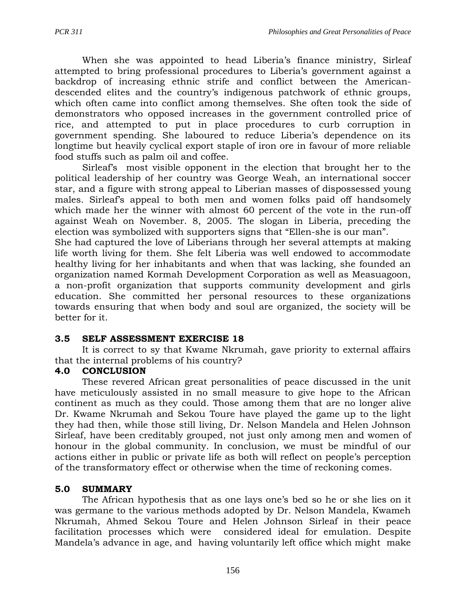When she was appointed to head Liberia's finance ministry, Sirleaf attempted to bring professional procedures to Liberia's government against a backdrop of increasing ethnic strife and conflict between the Americandescended elites and the country's indigenous patchwork of ethnic groups, which often came into conflict among themselves. She often took the side of demonstrators who opposed increases in the government controlled price of rice, and attempted to put in place procedures to curb corruption in government spending. She laboured to reduce Liberia's dependence on its longtime but heavily cyclical export staple of iron ore in favour of more reliable food stuffs such as palm oil and coffee.

Sirleaf's most visible opponent in the election that brought her to the political leadership of her country was George Weah, an international soccer star, and a figure with strong appeal to Liberian masses of dispossessed young males. Sirleaf's appeal to both men and women folks paid off handsomely which made her the winner with almost 60 percent of the vote in the run-off against Weah on November. 8, 2005. The slogan in Liberia, preceding the election was symbolized with supporters signs that "Ellen-she is our man".

She had captured the love of Liberians through her several attempts at making life worth living for them. She felt Liberia was well endowed to accommodate healthy living for her inhabitants and when that was lacking, she founded an organization named Kormah Development Corporation as well as Measuagoon, a non-profit organization that supports community development and girls education. She committed her personal resources to these organizations towards ensuring that when body and soul are organized, the society will be better for it.

#### **3.5 SELF ASSESSMENT EXERCISE 18**

It is correct to sy that Kwame Nkrumah, gave priority to external affairs that the internal problems of his country?

## **4.0 CONCLUSION**

These revered African great personalities of peace discussed in the unit have meticulously assisted in no small measure to give hope to the African continent as much as they could. Those among them that are no longer alive Dr. Kwame Nkrumah and Sekou Toure have played the game up to the light they had then, while those still living, Dr. Nelson Mandela and Helen Johnson Sirleaf, have been creditably grouped, not just only among men and women of honour in the global community. In conclusion, we must be mindful of our actions either in public or private life as both will reflect on people's perception of the transformatory effect or otherwise when the time of reckoning comes.

## **5.0 SUMMARY**

The African hypothesis that as one lays one's bed so he or she lies on it was germane to the various methods adopted by Dr. Nelson Mandela, Kwameh Nkrumah, Ahmed Sekou Toure and Helen Johnson Sirleaf in their peace facilitation processes which were considered ideal for emulation. Despite Mandela's advance in age, and having voluntarily left office which might make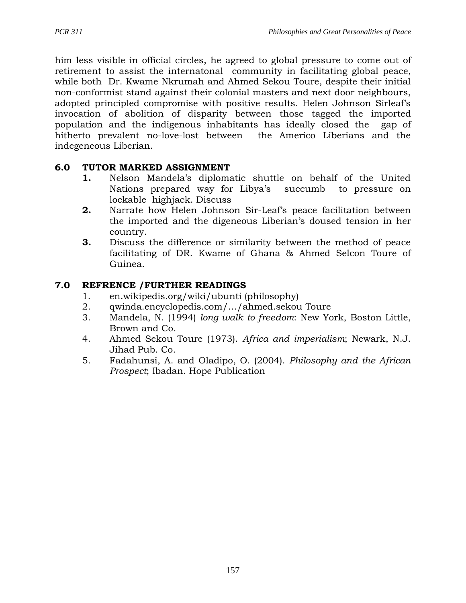him less visible in official circles, he agreed to global pressure to come out of retirement to assist the internatonal community in facilitating global peace, while both Dr. Kwame Nkrumah and Ahmed Sekou Toure, despite their initial non-conformist stand against their colonial masters and next door neighbours, adopted principled compromise with positive results. Helen Johnson Sirleaf's invocation of abolition of disparity between those tagged the imported population and the indigenous inhabitants has ideally closed the gap of hitherto prevalent no-love-lost between the Americo Liberians and the indegeneous Liberian.

# **6.0 TUTOR MARKED ASSIGNMENT**

- **1.** Nelson Mandela's diplomatic shuttle on behalf of the United Nations prepared way for Libya's succumb to pressure on lockable highjack. Discuss
- **2.** Narrate how Helen Johnson Sir-Leaf's peace facilitation between the imported and the digeneous Liberian's doused tension in her country.
- **3.** Discuss the difference or similarity between the method of peace facilitating of DR. Kwame of Ghana & Ahmed Selcon Toure of Guinea.

# **7.0 REFRENCE /FURTHER READINGS**

- 1. en.wikipedis.org/wiki/ubunti (philosophy)
- 2. qwinda.encyclopedis.com/…/ahmed.sekou Toure
- 3. Mandela, N. (1994) *long walk to freedom*: New York, Boston Little, Brown and Co.
- 4. Ahmed Sekou Toure (1973). *Africa and imperialism*; Newark, N.J. Jihad Pub. Co.
- 5. Fadahunsi, A. and Oladipo, O. (2004). *Philosophy and the African Prospect*; Ibadan. Hope Publication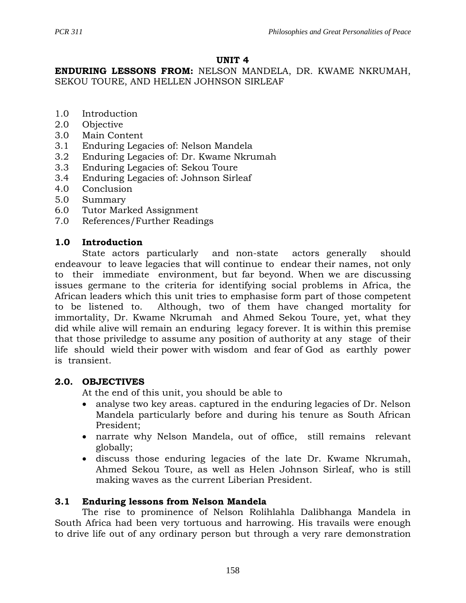### **UNIT 4**

**ENDURING LESSONS FROM:** NELSON MANDELA, DR. KWAME NKRUMAH, SEKOU TOURE, AND HELLEN JOHNSON SIRLEAF

- 1.0 Introduction
- 2.0 Objective
- 3.0 Main Content
- 3.1 Enduring Legacies of: Nelson Mandela
- 3.2 Enduring Legacies of: Dr. Kwame Nkrumah
- 3.3 Enduring Legacies of: Sekou Toure
- 3.4 Enduring Legacies of: Johnson Sirleaf
- **Conclusion**
- 5.0 Summary
- 6.0 Tutor Marked Assignment
- 7.0 References/Further Readings

## **1.0 Introduction**

State actors particularly and non-state actors generally should endeavour to leave legacies that will continue to endear their names, not only to their immediate environment, but far beyond. When we are discussing issues germane to the criteria for identifying social problems in Africa, the African leaders which this unit tries to emphasise form part of those competent to be listened to. Although, two of them have changed mortality for immortality, Dr. Kwame Nkrumah and Ahmed Sekou Toure, yet, what they did while alive will remain an enduring legacy forever. It is within this premise that those priviledge to assume any position of authority at any stage of their life should wield their power with wisdom and fear of God as earthly power is transient.

## **2.0. OBJECTIVES**

At the end of this unit, you should be able to

- analyse two key areas. captured in the enduring legacies of Dr. Nelson Mandela particularly before and during his tenure as South African President;
- narrate why Nelson Mandela, out of office, still remains relevant globally;
- discuss those enduring legacies of the late Dr. Kwame Nkrumah, Ahmed Sekou Toure, as well as Helen Johnson Sirleaf, who is still making waves as the current Liberian President.

## **3.1 Enduring lessons from Nelson Mandela**

The rise to prominence of Nelson Rolihlahla Dalibhanga Mandela in South Africa had been very tortuous and harrowing. His travails were enough to drive life out of any ordinary person but through a very rare demonstration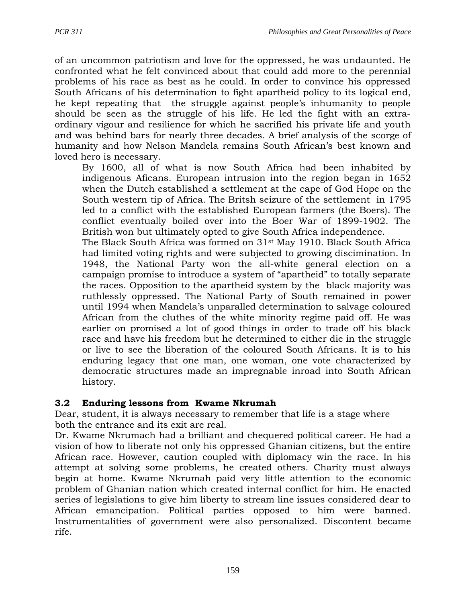of an uncommon patriotism and love for the oppressed, he was undaunted. He confronted what he felt convinced about that could add more to the perennial problems of his race as best as he could. In order to convince his oppressed South Africans of his determination to fight apartheid policy to its logical end, he kept repeating that the struggle against people's inhumanity to people should be seen as the struggle of his life. He led the fight with an extraordinary vigour and resilience for which he sacrified his private life and youth and was behind bars for nearly three decades. A brief analysis of the scorge of humanity and how Nelson Mandela remains South African's best known and loved hero is necessary.

By 1600, all of what is now South Africa had been inhabited by indigenous Aficans. European intrusion into the region began in 1652 when the Dutch established a settlement at the cape of God Hope on the South western tip of Africa. The Britsh seizure of the settlement in 1795 led to a conflict with the established European farmers (the Boers). The conflict eventually boiled over into the Boer War of 1899-1902. The British won but ultimately opted to give South Africa independence.

The Black South Africa was formed on 31<sup>st</sup> May 1910. Black South Africa had limited voting rights and were subjected to growing discimination. In 1948, the National Party won the all-white general election on a campaign promise to introduce a system of "apartheid" to totally separate the races. Opposition to the apartheid system by the black majority was ruthlessly oppressed. The National Party of South remained in power until 1994 when Mandela's unparalled determination to salvage coloured African from the cluthes of the white minority regime paid off. He was earlier on promised a lot of good things in order to trade off his black race and have his freedom but he determined to either die in the struggle or live to see the liberation of the coloured South Africans. It is to his enduring legacy that one man, one woman, one vote characterized by democratic structures made an impregnable inroad into South African history.

## **3.2 Enduring lessons from Kwame Nkrumah**

Dear, student, it is always necessary to remember that life is a stage where both the entrance and its exit are real.

Dr. Kwame Nkrumach had a brilliant and chequered political career. He had a vision of how to liberate not only his oppressed Ghanian citizens, but the entire African race. However, caution coupled with diplomacy win the race. In his attempt at solving some problems, he created others. Charity must always begin at home. Kwame Nkrumah paid very little attention to the economic problem of Ghanian nation which created internal conflict for him. He enacted series of legislations to give him liberty to stream line issues considered dear to African emancipation. Political parties opposed to him were banned. Instrumentalities of government were also personalized. Discontent became rife.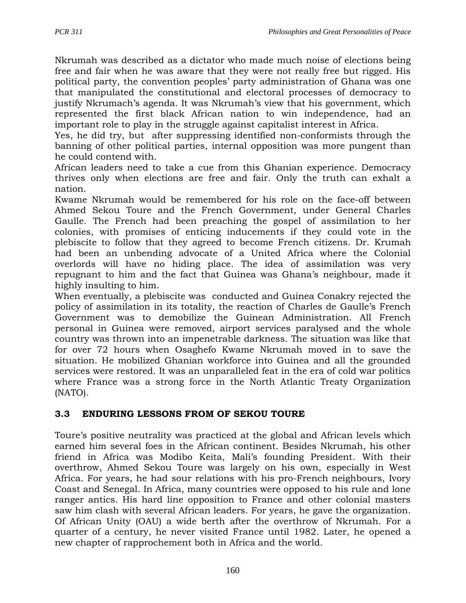Nkrumah was described as a dictator who made much noise of elections being free and fair when he was aware that they were not really free but rigged. His political party, the convention peoples' party administration of Ghana was one that manipulated the constitutional and electoral processes of democracy to justify Nkrumach's agenda. It was Nkrumah's view that his government, which represented the first black African nation to win independence, had an important role to play in the struggle against capitalist interest in Africa.

Yes, he did try, but after suppressing identified non-conformists through the banning of other political parties, internal opposition was more pungent than he could contend with.

African leaders need to take a cue from this Ghanian experience. Democracy thrives only when elections are free and fair. Only the truth can exhalt a nation.

Kwame Nkrumah would be remembered for his role on the face-off between Ahmed Sekou Toure and the French Government, under General Charles Gaulle. The French had been preaching the gospel of assimilation to her colonies, with promises of enticing inducements if they could vote in the plebiscite to follow that they agreed to become French citizens. Dr. Krumah had been an unbending advocate of a United Africa where the Colonial overlords will have no hiding place. The idea of assimilation was very repugnant to him and the fact that Guinea was Ghana's neighbour, made it highly insulting to him.

When eventually, a plebiscite was conducted and Guinea Conakry rejected the policy of assimilation in its totality, the reaction of Charles de Gaulle's French Government was to demobilize the Guinean Administration. All French personal in Guinea were removed, airport services paralysed and the whole country was thrown into an impenetrable darkness. The situation was like that for over 72 hours when Osaghefo Kwame Nkrumah moved in to save the situation. He mobilized Ghanian workforce into Guinea and all the grounded services were restored. It was an unparalleled feat in the era of cold war politics where France was a strong force in the North Atlantic Treaty Organization (NATO).

## **3.3 ENDURING LESSONS FROM OF SEKOU TOURE**

Toure's positive neutrality was practiced at the global and African levels which earned him several foes in the African continent. Besides Nkrumah, his other friend in Africa was Modibo Keita, Mali's founding President. With their overthrow, Ahmed Sekou Toure was largely on his own, especially in West Africa. For years, he had sour relations with his pro-French neighbours, Ivory Coast and Senegal. In Africa, many countries were opposed to his rule and lone ranger antics. His hard line opposition to France and other colonial masters saw him clash with several African leaders. For years, he gave the organization. Of African Unity (OAU) a wide berth after the overthrow of Nkrumah. For a quarter of a century, he never visited France until 1982. Later, he opened a new chapter of rapprochement both in Africa and the world.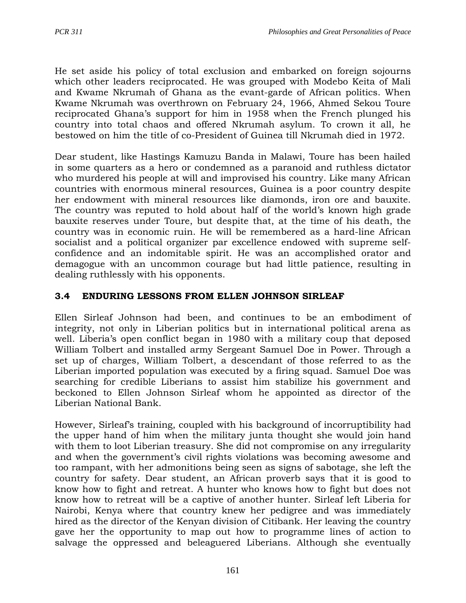He set aside his policy of total exclusion and embarked on foreign sojourns which other leaders reciprocated. He was grouped with Modebo Keita of Mali and Kwame Nkrumah of Ghana as the evant-garde of African politics. When Kwame Nkrumah was overthrown on February 24, 1966, Ahmed Sekou Toure reciprocated Ghana's support for him in 1958 when the French plunged his country into total chaos and offered Nkrumah asylum. To crown it all, he bestowed on him the title of co-President of Guinea till Nkrumah died in 1972.

Dear student, like Hastings Kamuzu Banda in Malawi, Toure has been hailed in some quarters as a hero or condemned as a paranoid and ruthless dictator who murdered his people at will and improvised his country. Like many African countries with enormous mineral resources, Guinea is a poor country despite her endowment with mineral resources like diamonds, iron ore and bauxite. The country was reputed to hold about half of the world's known high grade bauxite reserves under Toure, but despite that, at the time of his death, the country was in economic ruin. He will be remembered as a hard-line African socialist and a political organizer par excellence endowed with supreme selfconfidence and an indomitable spirit. He was an accomplished orator and demagogue with an uncommon courage but had little patience, resulting in dealing ruthlessly with his opponents.

# **3.4 ENDURING LESSONS FROM ELLEN JOHNSON SIRLEAF**

Ellen Sirleaf Johnson had been, and continues to be an embodiment of integrity, not only in Liberian politics but in international political arena as well. Liberia's open conflict began in 1980 with a military coup that deposed William Tolbert and installed army Sergeant Samuel Doe in Power. Through a set up of charges, William Tolbert, a descendant of those referred to as the Liberian imported population was executed by a firing squad. Samuel Doe was searching for credible Liberians to assist him stabilize his government and beckoned to Ellen Johnson Sirleaf whom he appointed as director of the Liberian National Bank.

However, Sirleaf's training, coupled with his background of incorruptibility had the upper hand of him when the military junta thought she would join hand with them to loot Liberian treasury. She did not compromise on any irregularity and when the government's civil rights violations was becoming awesome and too rampant, with her admonitions being seen as signs of sabotage, she left the country for safety. Dear student, an African proverb says that it is good to know how to fight and retreat. A hunter who knows how to fight but does not know how to retreat will be a captive of another hunter. Sirleaf left Liberia for Nairobi, Kenya where that country knew her pedigree and was immediately hired as the director of the Kenyan division of Citibank. Her leaving the country gave her the opportunity to map out how to programme lines of action to salvage the oppressed and beleaguered Liberians. Although she eventually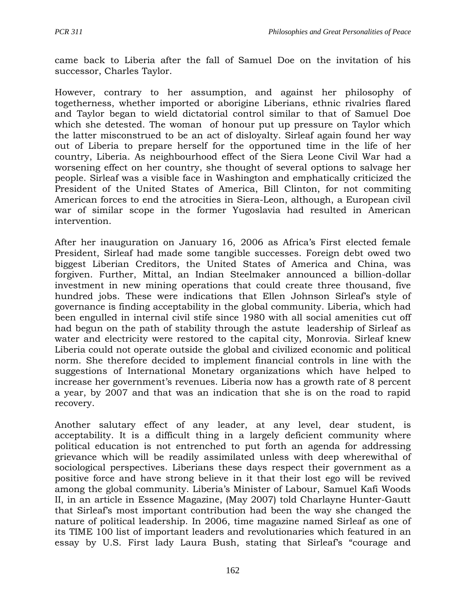came back to Liberia after the fall of Samuel Doe on the invitation of his successor, Charles Taylor.

However, contrary to her assumption, and against her philosophy of togetherness, whether imported or aborigine Liberians, ethnic rivalries flared and Taylor began to wield dictatorial control similar to that of Samuel Doe which she detested. The woman of honour put up pressure on Taylor which the latter misconstrued to be an act of disloyalty. Sirleaf again found her way out of Liberia to prepare herself for the opportuned time in the life of her country, Liberia. As neighbourhood effect of the Siera Leone Civil War had a worsening effect on her country, she thought of several options to salvage her people. Sirleaf was a visible face in Washington and emphatically criticized the President of the United States of America, Bill Clinton, for not commiting American forces to end the atrocities in Siera-Leon, although, a European civil war of similar scope in the former Yugoslavia had resulted in American intervention.

After her inauguration on January 16, 2006 as Africa's First elected female President, Sirleaf had made some tangible successes. Foreign debt owed two biggest Liberian Creditors, the United States of America and China, was forgiven. Further, Mittal, an Indian Steelmaker announced a billion-dollar investment in new mining operations that could create three thousand, five hundred jobs. These were indications that Ellen Johnson Sirleaf's style of governance is finding acceptability in the global community. Liberia, which had been engulled in internal civil stife since 1980 with all social amenities cut off had begun on the path of stability through the astute leadership of Sirleaf as water and electricity were restored to the capital city, Monrovia. Sirleaf knew Liberia could not operate outside the global and civilized economic and political norm. She therefore decided to implement financial controls in line with the suggestions of International Monetary organizations which have helped to increase her government's revenues. Liberia now has a growth rate of 8 percent a year, by 2007 and that was an indication that she is on the road to rapid recovery.

Another salutary effect of any leader, at any level, dear student, is acceptability. It is a difficult thing in a largely deficient community where political education is not entrenched to put forth an agenda for addressing grievance which will be readily assimilated unless with deep wherewithal of sociological perspectives. Liberians these days respect their government as a positive force and have strong believe in it that their lost ego will be revived among the global community. Liberia's Minister of Labour, Samuel Kafi Woods II, in an article in Essence Magazine, (May 2007) told Charlayne Hunter-Gautt that Sirleaf's most important contribution had been the way she changed the nature of political leadership. In 2006, time magazine named Sirleaf as one of its TIME 100 list of important leaders and revolutionaries which featured in an essay by U.S. First lady Laura Bush, stating that Sirleaf's "courage and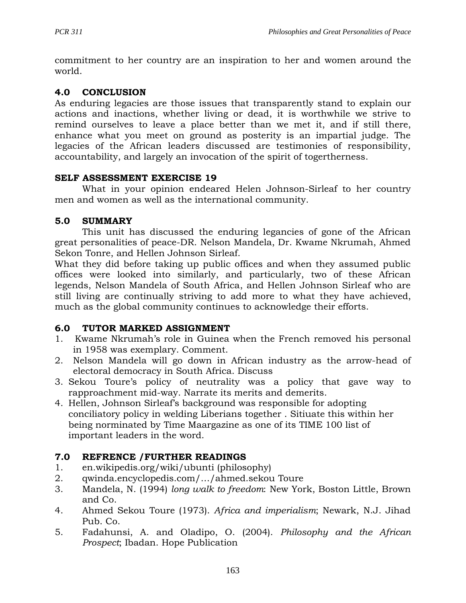commitment to her country are an inspiration to her and women around the world.

# **4.0 CONCLUSION**

As enduring legacies are those issues that transparently stand to explain our actions and inactions, whether living or dead, it is worthwhile we strive to remind ourselves to leave a place better than we met it, and if still there, enhance what you meet on ground as posterity is an impartial judge. The legacies of the African leaders discussed are testimonies of responsibility, accountability, and largely an invocation of the spirit of togertherness.

## **SELF ASSESSMENT EXERCISE 19**

What in your opinion endeared Helen Johnson-Sirleaf to her country men and women as well as the international community.

### **5.0 SUMMARY**

This unit has discussed the enduring legancies of gone of the African great personalities of peace-DR. Nelson Mandela, Dr. Kwame Nkrumah, Ahmed Sekon Tonre, and Hellen Johnson Sirleaf.

What they did before taking up public offices and when they assumed public offices were looked into similarly, and particularly, two of these African legends, Nelson Mandela of South Africa, and Hellen Johnson Sirleaf who are still living are continually striving to add more to what they have achieved, much as the global community continues to acknowledge their efforts.

## **6.0 TUTOR MARKED ASSIGNMENT**

- 1. Kwame Nkrumah's role in Guinea when the French removed his personal in 1958 was exemplary. Comment.
- 2. Nelson Mandela will go down in African industry as the arrow-head of electoral democracy in South Africa. Discuss
- 3. Sekou Toure's policy of neutrality was a policy that gave way to rapproachment mid-way. Narrate its merits and demerits.
- 4. Hellen, Johnson Sirleaf's background was responsible for adopting conciliatory policy in welding Liberians together . Sitiuate this within her being norminated by Time Maargazine as one of its TIME 100 list of important leaders in the word.

## **7.0 REFRENCE /FURTHER READINGS**

- 1. en.wikipedis.org/wiki/ubunti (philosophy)
- 2. qwinda.encyclopedis.com/…/ahmed.sekou Toure
- 3. Mandela, N. (1994) *long walk to freedom*: New York, Boston Little, Brown and Co.
- 4. Ahmed Sekou Toure (1973). *Africa and imperialism*; Newark, N.J. Jihad Pub. Co.
- 5. Fadahunsi, A. and Oladipo, O. (2004). *Philosophy and the African Prospect*; Ibadan. Hope Publication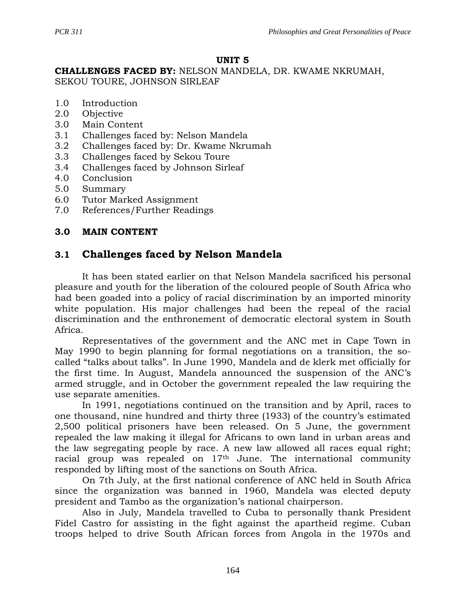### **UNIT 5**

**CHALLENGES FACED BY:** NELSON MANDELA, DR. KWAME NKRUMAH, SEKOU TOURE, JOHNSON SIRLEAF

- 1.0 Introduction
- 2.0 Objective
- 3.0 Main Content
- 3.1 Challenges faced by: Nelson Mandela
- 3.2 Challenges faced by: Dr. Kwame Nkrumah<br>3.3 Challenges faced by Sekou Toure
- 3.3 Challenges faced by Sekou Toure
- 3.4 Challenges faced by Johnson Sirleaf
- 4.0 Conclusion<br>5.0 Summary
- 5.0 Summary
- 6.0 Tutor Marked Assignment
- 7.0 References/Further Readings

# **3.0 MAIN CONTENT**

# **3.1 Challenges faced by Nelson Mandela**

It has been stated earlier on that Nelson Mandela sacrificed his personal pleasure and youth for the liberation of the coloured people of South Africa who had been goaded into a policy of racial discrimination by an imported minority white population. His major challenges had been the repeal of the racial discrimination and the enthronement of democratic electoral system in South Africa.

Representatives of the government and the ANC met in Cape Town in May 1990 to begin planning for formal negotiations on a transition, the socalled "talks about talks". In June 1990, Mandela and de klerk met officially for the first time. In August, Mandela announced the suspension of the ANC's armed struggle, and in October the government repealed the law requiring the use separate amenities.

In 1991, negotiations continued on the transition and by April, races to one thousand, nine hundred and thirty three (1933) of the country's estimated 2,500 political prisoners have been released. On 5 June, the government repealed the law making it illegal for Africans to own land in urban areas and the law segregating people by race. A new law allowed all races equal right; racial group was repealed on 17th June. The international community responded by lifting most of the sanctions on South Africa.

On 7th July, at the first national conference of ANC held in South Africa since the organization was banned in 1960, Mandela was elected deputy president and Tambo as the organization's national chairperson.

Also in July, Mandela travelled to Cuba to personally thank President Fidel Castro for assisting in the fight against the apartheid regime. Cuban troops helped to drive South African forces from Angola in the 1970s and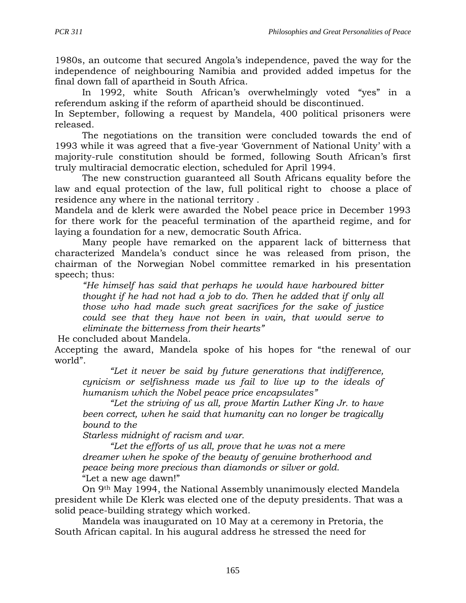1980s, an outcome that secured Angola's independence, paved the way for the independence of neighbouring Namibia and provided added impetus for the final down fall of apartheid in South Africa.

In 1992, white South African's overwhelmingly voted "yes" in a referendum asking if the reform of apartheid should be discontinued.

In September, following a request by Mandela, 400 political prisoners were released.

The negotiations on the transition were concluded towards the end of 1993 while it was agreed that a five-year 'Government of National Unity' with a majority-rule constitution should be formed, following South African's first truly multiracial democratic election, scheduled for April 1994.

The new construction guaranteed all South Africans equality before the law and equal protection of the law, full political right to choose a place of residence any where in the national territory .

Mandela and de klerk were awarded the Nobel peace price in December 1993 for there work for the peaceful termination of the apartheid regime, and for laying a foundation for a new, democratic South Africa.

Many people have remarked on the apparent lack of bitterness that characterized Mandela's conduct since he was released from prison, the chairman of the Norwegian Nobel committee remarked in his presentation speech; thus:

*"He himself has said that perhaps he would have harboured bitter thought if he had not had a job to do. Then he added that if only all those who had made such great sacrifices for the sake of justice could see that they have not been in vain, that would serve to eliminate the bitterness from their hearts"*

He concluded about Mandela.

Accepting the award, Mandela spoke of his hopes for "the renewal of our world".

*"Let it never be said by future generations that indifference, cynicism or selfishness made us fail to live up to the ideals of humanism which the Nobel peace price encapsulates"*

*"Let the striving of us all, prove Martin Luther King Jr. to have been correct, when he said that humanity can no longer be tragically bound to the* 

*Starless midnight of racism and war.*

*"Let the efforts of us all, prove that he was not a mere dreamer when he spoke of the beauty of genuine brotherhood and peace being more precious than diamonds or silver or gold.* "Let a new age dawn!"

On 9th May 1994, the National Assembly unanimously elected Mandela president while De Klerk was elected one of the deputy presidents. That was a solid peace-building strategy which worked.

Mandela was inaugurated on 10 May at a ceremony in Pretoria, the South African capital. In his augural address he stressed the need for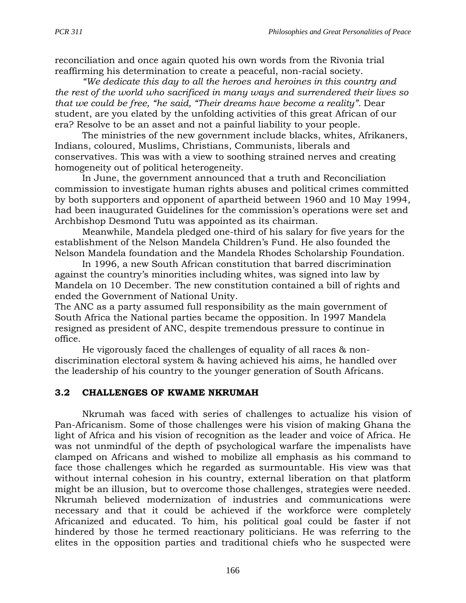reconciliation and once again quoted his own words from the Rivonia trial reaffirming his determination to create a peaceful, non-racial society.

*"We dedicate this day to all the heroes and heroines in this country and the rest of the world who sacrificed in many ways and surrendered their lives so that we could be free, "he said, "Their dreams have become a reality".* Dear student, are you elated by the unfolding activities of this great African of our era? Resolve to be an asset and not a painful liability to your people.

The ministries of the new government include blacks, whites, Afrikaners, Indians, coloured, Muslims, Christians, Communists, liberals and conservatives. This was with a view to soothing strained nerves and creating homogeneity out of political heterogeneity.

In June, the government announced that a truth and Reconciliation commission to investigate human rights abuses and political crimes committed by both supporters and opponent of apartheid between 1960 and 10 May 1994, had been inaugurated Guidelines for the commission's operations were set and Archbishop Desmond Tutu was appointed as its chairman.

Meanwhile, Mandela pledged one-third of his salary for five years for the establishment of the Nelson Mandela Children's Fund. He also founded the Nelson Mandela foundation and the Mandela Rhodes Scholarship Foundation.

In 1996, a new South African constitution that barred discrimination against the country's minorities including whites, was signed into law by Mandela on 10 December. The new constitution contained a bill of rights and ended the Government of National Unity.

The ANC as a party assumed full responsibility as the main government of South Africa the National parties became the opposition. In 1997 Mandela resigned as president of ANC, despite tremendous pressure to continue in office.

He vigorously faced the challenges of equality of all races & nondiscrimination electoral system & having achieved his aims, he handled over the leadership of his country to the younger generation of South Africans.

#### **3.2 CHALLENGES OF KWAME NKRUMAH**

Nkrumah was faced with series of challenges to actualize his vision of Pan-Africanism. Some of those challenges were his vision of making Ghana the light of Africa and his vision of recognition as the leader and voice of Africa. He was not unmindful of the depth of psychological warfare the impenalists have clamped on Africans and wished to mobilize all emphasis as his command to face those challenges which he regarded as surmountable. His view was that without internal cohesion in his country, external liberation on that platform might be an illusion, but to overcome those challenges, strategies were needed. Nkrumah believed modernization of industries and communications were necessary and that it could be achieved if the workforce were completely Africanized and educated. To him, his political goal could be faster if not hindered by those he termed reactionary politicians. He was referring to the elites in the opposition parties and traditional chiefs who he suspected were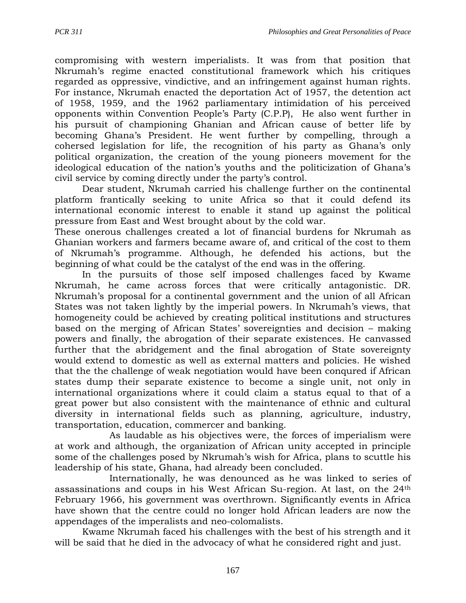compromising with western imperialists. It was from that position that Nkrumah's regime enacted constitutional framework which his critiques regarded as oppressive, vindictive, and an infringement against human rights. For instance, Nkrumah enacted the deportation Act of 1957, the detention act of 1958, 1959, and the 1962 parliamentary intimidation of his perceived opponents within Convention People's Party (C.P.P), He also went further in his pursuit of championing Ghanian and African cause of better life by becoming Ghana's President. He went further by compelling, through a cohersed legislation for life, the recognition of his party as Ghana's only political organization, the creation of the young pioneers movement for the ideological education of the nation's youths and the politicization of Ghana's civil service by coming directly under the party's control.

Dear student, Nkrumah carried his challenge further on the continental platform frantically seeking to unite Africa so that it could defend its international economic interest to enable it stand up against the political pressure from East and West brought about by the cold war.

These onerous challenges created a lot of financial burdens for Nkrumah as Ghanian workers and farmers became aware of, and critical of the cost to them of Nkrumah's programme. Although, he defended his actions, but the beginning of what could be the catalyst of the end was in the offering.

In the pursuits of those self imposed challenges faced by Kwame Nkrumah, he came across forces that were critically antagonistic. DR. Nkrumah's proposal for a continental government and the union of all African States was not taken lightly by the imperial powers. In Nkrumah's views, that homogeneity could be achieved by creating political institutions and structures based on the merging of African States' sovereignties and decision – making powers and finally, the abrogation of their separate existences. He canvassed further that the abridgement and the final abrogation of State sovereignty would extend to domestic as well as external matters and policies. He wished that the the challenge of weak negotiation would have been conqured if African states dump their separate existence to become a single unit, not only in international organizations where it could claim a status equal to that of a great power but also consistent with the maintenance of ethnic and cultural diversity in international fields such as planning, agriculture, industry, transportation, education, commercer and banking.

As laudable as his objectives were, the forces of imperialism were at work and although, the organization of African unity accepted in principle some of the challenges posed by Nkrumah's wish for Africa, plans to scuttle his leadership of his state, Ghana, had already been concluded.

Internationally, he was denounced as he was linked to series of assassinations and coups in his West African Su-region. At last, on the 24th February 1966, his government was overthrown. Significantly events in Africa have shown that the centre could no longer hold African leaders are now the appendages of the imperalists and neo-colomalists.

Kwame Nkrumah faced his challenges with the best of his strength and it will be said that he died in the advocacy of what he considered right and just.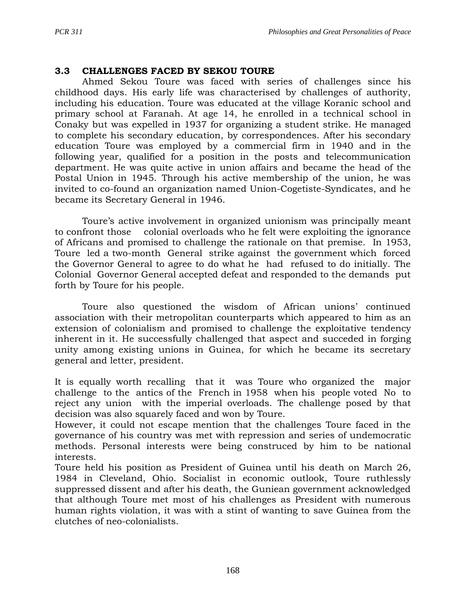# **3.3 CHALLENGES FACED BY SEKOU TOURE**

Ahmed Sekou Toure was faced with series of challenges since his childhood days. His early life was characterised by challenges of authority, including his education. Toure was educated at the village Koranic school and primary school at Faranah. At age 14, he enrolled in a technical school in Conaky but was expelled in 1937 for organizing a student strike. He managed to complete his secondary education, by correspondences. After his secondary education Toure was employed by a commercial firm in 1940 and in the following year, qualified for a position in the posts and telecommunication department. He was quite active in union affairs and became the head of the Postal Union in 1945. Through his active membership of the union, he was invited to co-found an organization named Union-Cogetiste-Syndicates, and he became its Secretary General in 1946.

Toure's active involvement in organized unionism was principally meant to confront those colonial overloads who he felt were exploiting the ignorance of Africans and promised to challenge the rationale on that premise. In 1953, Toure led a two-month General strike against the government which forced the Governor General to agree to do what he had refused to do initially. The Colonial Governor General accepted defeat and responded to the demands put forth by Toure for his people.

Toure also questioned the wisdom of African unions' continued association with their metropolitan counterparts which appeared to him as an extension of colonialism and promised to challenge the exploitative tendency inherent in it. He successfully challenged that aspect and succeded in forging unity among existing unions in Guinea, for which he became its secretary general and letter, president.

It is equally worth recalling that it was Toure who organized the major challenge to the antics of the French in 1958 when his people voted No to reject any union with the imperial overloads. The challenge posed by that decision was also squarely faced and won by Toure.

However, it could not escape mention that the challenges Toure faced in the governance of his country was met with repression and series of undemocratic methods. Personal interests were being construced by him to be national interests.

Toure held his position as President of Guinea until his death on March 26, 1984 in Cleveland, Ohio. Socialist in economic outlook, Toure ruthlessly suppressed dissent and after his death, the Guniean government acknowledged that although Toure met most of his challenges as President with numerous human rights violation, it was with a stint of wanting to save Guinea from the clutches of neo-colonialists.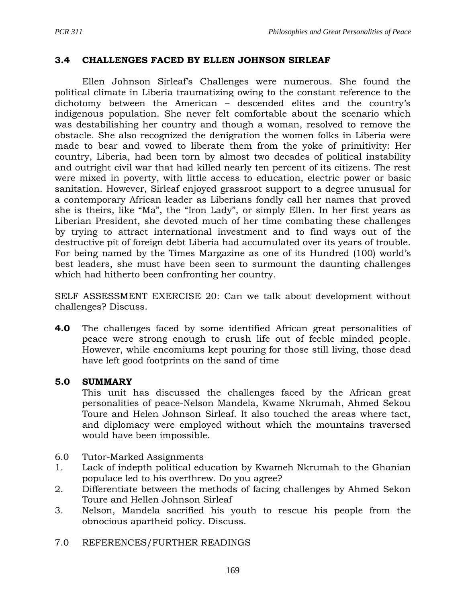## **3.4 CHALLENGES FACED BY ELLEN JOHNSON SIRLEAF**

Ellen Johnson Sirleaf's Challenges were numerous. She found the political climate in Liberia traumatizing owing to the constant reference to the dichotomy between the American – descended elites and the country's indigenous population. She never felt comfortable about the scenario which was destabilishing her country and though a woman, resolved to remove the obstacle. She also recognized the denigration the women folks in Liberia were made to bear and vowed to liberate them from the yoke of primitivity: Her country, Liberia, had been torn by almost two decades of political instability and outright civil war that had killed nearly ten percent of its citizens. The rest were mixed in poverty, with little access to education, electric power or basic sanitation. However, Sirleaf enjoyed grassroot support to a degree unusual for a contemporary African leader as Liberians fondly call her names that proved she is theirs, like "Ma", the "Iron Lady", or simply Ellen. In her first years as Liberian President, she devoted much of her time combating these challenges by trying to attract international investment and to find ways out of the destructive pit of foreign debt Liberia had accumulated over its years of trouble. For being named by the Times Margazine as one of its Hundred (100) world's best leaders, she must have been seen to surmount the daunting challenges which had hitherto been confronting her country.

SELF ASSESSMENT EXERCISE 20: Can we talk about development without challenges? Discuss.

**4.0** The challenges faced by some identified African great personalities of peace were strong enough to crush life out of feeble minded people. However, while encomiums kept pouring for those still living, those dead have left good footprints on the sand of time

## **5.0 SUMMARY**

This unit has discussed the challenges faced by the African great personalities of peace-Nelson Mandela, Kwame Nkrumah, Ahmed Sekou Toure and Helen Johnson Sirleaf. It also touched the areas where tact, and diplomacy were employed without which the mountains traversed would have been impossible.

- 6.0 Tutor-Marked Assignments
- 1. Lack of indepth political education by Kwameh Nkrumah to the Ghanian populace led to his overthrew. Do you agree?
- 2. Differentiate between the methods of facing challenges by Ahmed Sekon Toure and Hellen Johnson Sirleaf
- 3. Nelson, Mandela sacrified his youth to rescue his people from the obnocious apartheid policy. Discuss.
- 7.0 REFERENCES/FURTHER READINGS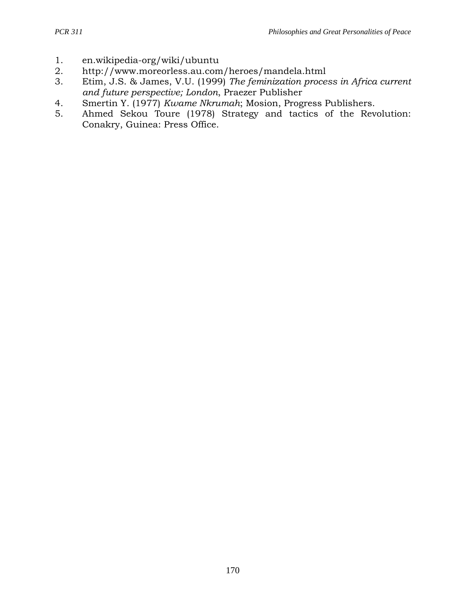- 1. en.wikipedia-org/wiki/ubuntu
- 2. http://www.moreorless.au.com/heroes/mandela.html
- 3. Etim, J.S. & James, V.U. (1999) *The feminization process in Africa current and future perspective; London*, Praezer Publisher
- 4. Smertin Y. (1977) *Kwame Nkrumah*; Mosion, Progress Publishers.
- 5. Ahmed Sekou Toure (1978) Strategy and tactics of the Revolution: Conakry, Guinea: Press Office.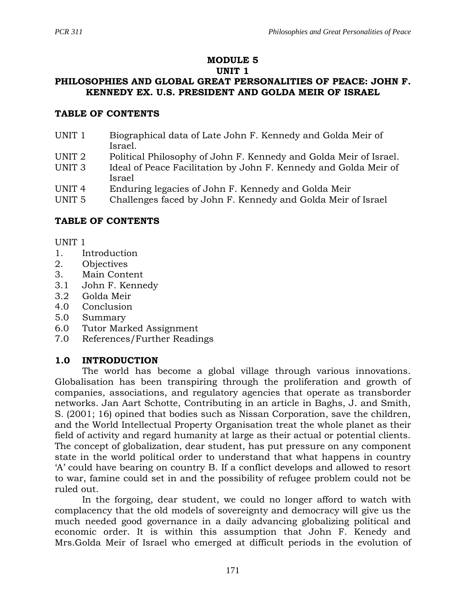#### **MODULE 5 UNIT 1**

# **PHILOSOPHIES AND GLOBAL GREAT PERSONALITIES OF PEACE: JOHN F. KENNEDY EX. U.S. PRESIDENT AND GOLDA MEIR OF ISRAEL**

## **TABLE OF CONTENTS**

- UNIT 1 Biographical data of Late John F. Kennedy and Golda Meir of Israel.
- UNIT 2 Political Philosophy of John F. Kennedy and Golda Meir of Israel.
- UNIT 3 Ideal of Peace Facilitation by John F. Kennedy and Golda Meir of Israel
- UNIT 4 Enduring legacies of John F. Kennedy and Golda Meir
- UNIT 5 Challenges faced by John F. Kennedy and Golda Meir of Israel

# **TABLE OF CONTENTS**

UNIT 1

- 1. Introduction
- 2. Objectives
- 3.1 Main Content<br>3.1 John F. Kenne
- 3.1 John F. Kennedy
- 3.2 Golda Meir
- 4.0 Conclusion
- 5.0 Summary
- 6.0 Tutor Marked Assignment
- 7.0 References/Further Readings

# **1.0 INTRODUCTION**

The world has become a global village through various innovations. Globalisation has been transpiring through the proliferation and growth of companies, associations, and regulatory agencies that operate as transborder networks. Jan Aart Schotte, Contributing in an article in Baghs, J. and Smith, S. (2001; 16) opined that bodies such as Nissan Corporation, save the children, and the World Intellectual Property Organisation treat the whole planet as their field of activity and regard humanity at large as their actual or potential clients. The concept of globalization, dear student, has put pressure on any component state in the world political order to understand that what happens in country 'A' could have bearing on country B. If a conflict develops and allowed to resort to war, famine could set in and the possibility of refugee problem could not be ruled out.

In the forgoing, dear student, we could no longer afford to watch with complacency that the old models of sovereignty and democracy will give us the much needed good governance in a daily advancing globalizing political and economic order. It is within this assumption that John F. Kenedy and Mrs.Golda Meir of Israel who emerged at difficult periods in the evolution of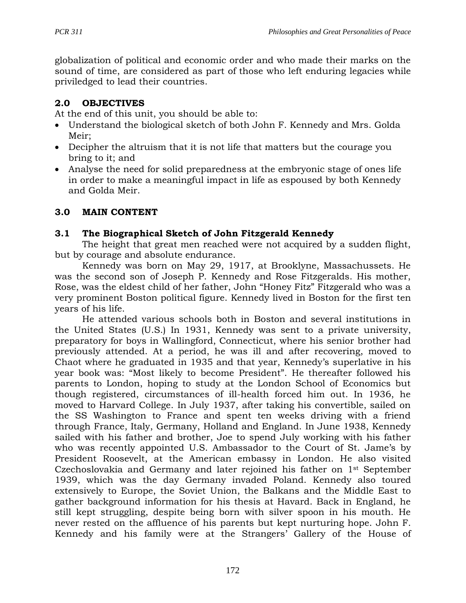globalization of political and economic order and who made their marks on the sound of time, are considered as part of those who left enduring legacies while priviledged to lead their countries.

# **2.0 OBJECTIVES**

At the end of this unit, you should be able to:

- Understand the biological sketch of both John F. Kennedy and Mrs. Golda Meir;
- Decipher the altruism that it is not life that matters but the courage you bring to it; and
- Analyse the need for solid preparedness at the embryonic stage of ones life in order to make a meaningful impact in life as espoused by both Kennedy and Golda Meir.

# **3.0 MAIN CONTENT**

# **3.1 The Biographical Sketch of John Fitzgerald Kennedy**

The height that great men reached were not acquired by a sudden flight, but by courage and absolute endurance.

Kennedy was born on May 29, 1917, at Brooklyne, Massachussets. He was the second son of Joseph P. Kennedy and Rose Fitzgeralds. His mother, Rose, was the eldest child of her father, John "Honey Fitz" Fitzgerald who was a very prominent Boston political figure. Kennedy lived in Boston for the first ten years of his life.

He attended various schools both in Boston and several institutions in the United States (U.S.) In 1931, Kennedy was sent to a private university, preparatory for boys in Wallingford, Connecticut, where his senior brother had previously attended. At a period, he was ill and after recovering, moved to Chaot where he graduated in 1935 and that year, Kennedy's superlative in his year book was: "Most likely to become President". He thereafter followed his parents to London, hoping to study at the London School of Economics but though registered, circumstances of ill-health forced him out. In 1936, he moved to Harvard College. In July 1937, after taking his convertible, sailed on the SS Washington to France and spent ten weeks driving with a friend through France, Italy, Germany, Holland and England. In June 1938, Kennedy sailed with his father and brother, Joe to spend July working with his father who was recently appointed U.S. Ambassador to the Court of St. Jame's by President Roosevelt, at the American embassy in London. He also visited Czechoslovakia and Germany and later rejoined his father on 1st September 1939, which was the day Germany invaded Poland. Kennedy also toured extensively to Europe, the Soviet Union, the Balkans and the Middle East to gather background information for his thesis at Havard. Back in England, he still kept struggling, despite being born with silver spoon in his mouth. He never rested on the affluence of his parents but kept nurturing hope. John F. Kennedy and his family were at the Strangers' Gallery of the House of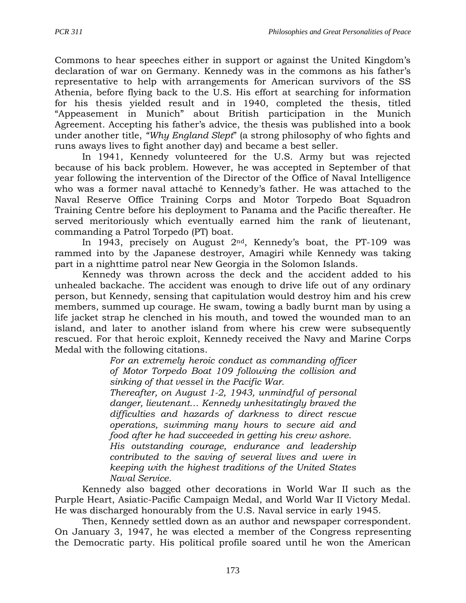Commons to hear speeches either in support or against the United Kingdom's declaration of war on Germany. Kennedy was in the commons as his father's representative to help with arrangements for American survivors of the SS Athenia, before flying back to the U.S. His effort at searching for information for his thesis yielded result and in 1940, completed the thesis, titled "Appeasement in Munich" about British participation in the Munich Agreement. Accepting his father's advice, the thesis was published into a book under another title, *"Why England Slept*" (a strong philosophy of who fights and runs aways lives to fight another day) and became a best seller.

In 1941, Kennedy volunteered for the U.S. Army but was rejected because of his back problem. However, he was accepted in September of that year following the intervention of the Director of the Office of Naval Intelligence who was a former naval attaché to Kennedy's father. He was attached to the Naval Reserve Office Training Corps and Motor Torpedo Boat Squadron Training Centre before his deployment to Panama and the Pacific thereafter. He served meritoriously which eventually earned him the rank of lieutenant, commanding a Patrol Torpedo (PT) boat.

In 1943, precisely on August  $2<sup>nd</sup>$ , Kennedy's boat, the PT-109 was rammed into by the Japanese destroyer, Amagiri while Kennedy was taking part in a nighttime patrol near New Georgia in the Solomon Islands.

Kennedy was thrown across the deck and the accident added to his unhealed backache. The accident was enough to drive life out of any ordinary person, but Kennedy, sensing that capitulation would destroy him and his crew members, summed up courage. He swam, towing a badly burnt man by using a life jacket strap he clenched in his mouth, and towed the wounded man to an island, and later to another island from where his crew were subsequently rescued. For that heroic exploit, Kennedy received the Navy and Marine Corps Medal with the following citations.

*For an extremely heroic conduct as commanding officer of Motor Torpedo Boat 109 following the collision and sinking of that vessel in the Pacific War.*

*Thereafter, on August 1-2, 1943, unmindful of personal danger, lieutenant… Kennedy unhesitatingly braved the difficulties and hazards of darkness to direct rescue operations, swimming many hours to secure aid and food after he had succeeded in getting his crew ashore. His outstanding courage, endurance and leadership contributed to the saving of several lives and were in keeping with the highest traditions of the United States Naval Service.* 

Kennedy also bagged other decorations in World War II such as the Purple Heart, Asiatic-Pacific Campaign Medal, and World War II Victory Medal. He was discharged honourably from the U.S. Naval service in early 1945.

Then, Kennedy settled down as an author and newspaper correspondent. On January 3, 1947, he was elected a member of the Congress representing the Democratic party. His political profile soared until he won the American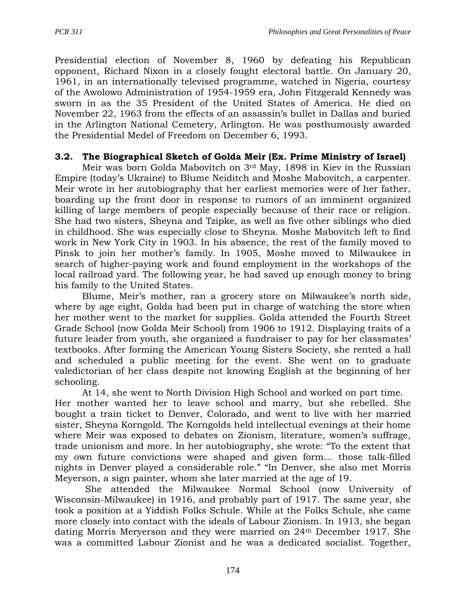Presidential election of November 8, 1960 by defeating his Republican opponent, Richard Nixon in a closely fought electoral battle. On January 20, 1961, in an internationally televised programme, watched in Nigeria, courtesy of the Awolowo Administration of 1954-1959 era, John Fitzgerald Kennedy was sworn in as the 35 President of the United States of America. He died on November 22, 1963 from the effects of an assassin's bullet in Dallas and buried in the Arlington National Cemetery, Arlington. He was posthumously awarded the Presidential Medel of Freedom on December 6, 1993.

# **3.2. The Biographical Sketch of Golda Meir (Ex. Prime Ministry of Israel)**

Meir was born Golda Mabovitch on 3rd May, 1898 in Kiev in the Russian Empire (today's Ukraine) to Blume Neiditch and Moshe Mabovitch, a carpenter. Meir wrote in her autobiography that her earliest memories were of her father, boarding up the front door in response to rumors of an imminent organized killing of large members of people especially because of their race or religion. She had two sisters, Sheyna and Tzipke, as well as five other siblings who died in childhood. She was especially close to Sheyna. Moshe Mabovitch left to find work in New York City in 1903. In his absence, the rest of the family moved to Pinsk to join her mother's family. In 1905, Moshe moved to Milwaukee in search of higher-paying work and found employment in the workshops of the local railroad yard. The following year, he had saved up enough money to bring his family to the United States.

Blume, Meir's mother, ran a grocery store on Milwaukee's north side, where by age eight, Golda had been put in charge of watching the store when her mother went to the market for supplies. Golda attended the Fourth Street Grade School (now Golda Meir School) from 1906 to 1912. Displaying traits of a future leader from youth, she organized a fundraiser to pay for her classmates' textbooks. After forming the American Young Sisters Society, she rented a hall and scheduled a public meeting for the event. She went on to graduate valedictorian of her class despite not knowing English at the beginning of her schooling.

At 14, she went to North Division High School and worked on part time. Her mother wanted her to leave school and marry, but she rebelled. She bought a train ticket to Denver, Colorado, and went to live with her married sister, Sheyna Korngold. The Korngolds held intellectual evenings at their home where Meir was exposed to debates on Zionism, literature, women's suffrage, trade unionism and more. In her autobiography, she wrote: "To the extent that my own future convictions were shaped and given form… those talk-filled nights in Denver played a considerable role." "In Denver, she also met Morris Meyerson, a sign painter, whom she later married at the age of 19.

She attended the Milwaukee Normal School (now University of Wisconsin-Milwaukee) in 1916, and probably part of 1917. The same year, she took a position at a Yiddish Folks Schule. While at the Folks Schule, she came more closely into contact with the ideals of Labour Zionism. In 1913, she began dating Morris Meryerson and they were married on 24th December 1917. She was a committed Labour Zionist and he was a dedicated socialist. Together,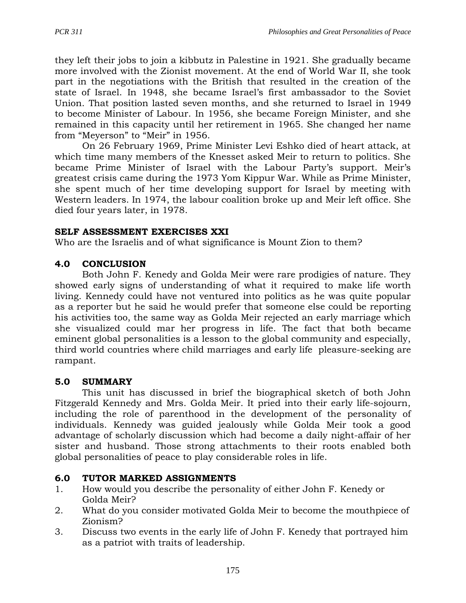they left their jobs to join a kibbutz in Palestine in 1921. She gradually became more involved with the Zionist movement. At the end of World War II, she took part in the negotiations with the British that resulted in the creation of the state of Israel. In 1948, she became Israel's first ambassador to the Soviet Union. That position lasted seven months, and she returned to Israel in 1949 to become Minister of Labour. In 1956, she became Foreign Minister, and she remained in this capacity until her retirement in 1965. She changed her name from "Meyerson" to "Meir" in 1956.

On 26 February 1969, Prime Minister Levi Eshko died of heart attack, at which time many members of the Knesset asked Meir to return to politics. She became Prime Minister of Israel with the Labour Party's support. Meir's greatest crisis came during the 1973 Yom Kippur War. While as Prime Minister, she spent much of her time developing support for Israel by meeting with Western leaders. In 1974, the labour coalition broke up and Meir left office. She died four years later, in 1978.

## **SELF ASSESSMENT EXERCISES XXI**

Who are the Israelis and of what significance is Mount Zion to them?

## **4.0 CONCLUSION**

Both John F. Kenedy and Golda Meir were rare prodigies of nature. They showed early signs of understanding of what it required to make life worth living. Kennedy could have not ventured into politics as he was quite popular as a reporter but he said he would prefer that someone else could be reporting his activities too, the same way as Golda Meir rejected an early marriage which she visualized could mar her progress in life. The fact that both became eminent global personalities is a lesson to the global community and especially, third world countries where child marriages and early life pleasure-seeking are rampant.

## **5.0 SUMMARY**

This unit has discussed in brief the biographical sketch of both John Fitzgerald Kennedy and Mrs. Golda Meir. It pried into their early life-sojourn, including the role of parenthood in the development of the personality of individuals. Kennedy was guided jealously while Golda Meir took a good advantage of scholarly discussion which had become a daily night-affair of her sister and husband. Those strong attachments to their roots enabled both global personalities of peace to play considerable roles in life.

## **6.0 TUTOR MARKED ASSIGNMENTS**

- 1. How would you describe the personality of either John F. Kenedy or Golda Meir?
- 2. What do you consider motivated Golda Meir to become the mouthpiece of Zionism?
- 3. Discuss two events in the early life of John F. Kenedy that portrayed him as a patriot with traits of leadership.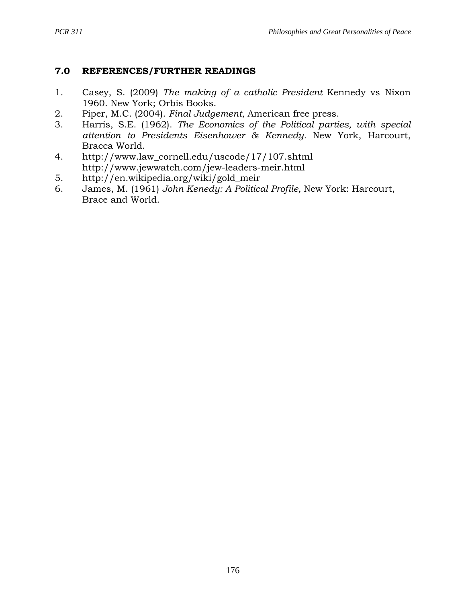# **7.0 REFERENCES/FURTHER READINGS**

- 1. Casey, S. (2009) *The making of a catholic President* Kennedy vs Nixon 1960. New York; Orbis Books.
- 2. Piper, M.C. (2004). *Final Judgement*, American free press.
- 3. Harris, S.E. (1962). *The Economics of the Political parties, with special attention to Presidents Eisenhower & Kennedy.* New York, Harcourt, Bracca World.
- 4. http://www.law\_cornell.edu/uscode/17/107.shtml http://www.jewwatch.com/jew-leaders-meir.html
- 5. http://en.wikipedia.org/wiki/gold\_meir
- 6. James, M. (1961) *John Kenedy: A Political Profile,* New York: Harcourt, Brace and World.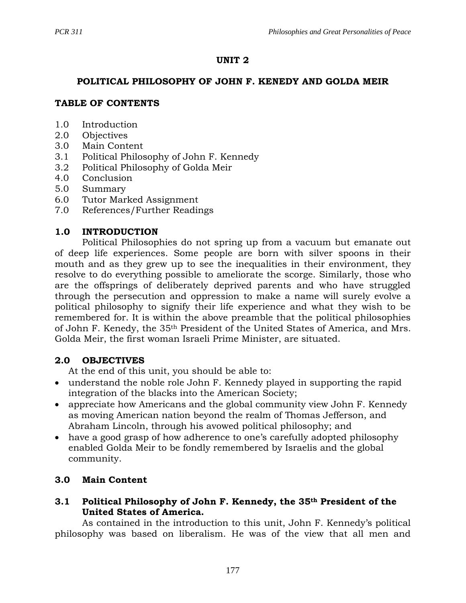## **UNIT 2**

## **POLITICAL PHILOSOPHY OF JOHN F. KENEDY AND GOLDA MEIR**

## **TABLE OF CONTENTS**

- 1.0 Introduction
- 2.0 Objectives
- 3.0 Main Content
- 3.1 Political Philosophy of John F. Kennedy
- 3.2 Political Philosophy of Golda Meir
- 4.0 Conclusion<br>5.0 Summary
- 5.0 Summary
- 6.0 Tutor Marked Assignment
- 7.0 References/Further Readings

# **1.0 INTRODUCTION**

Political Philosophies do not spring up from a vacuum but emanate out of deep life experiences. Some people are born with silver spoons in their mouth and as they grew up to see the inequalities in their environment, they resolve to do everything possible to ameliorate the scorge. Similarly, those who are the offsprings of deliberately deprived parents and who have struggled through the persecution and oppression to make a name will surely evolve a political philosophy to signify their life experience and what they wish to be remembered for. It is within the above preamble that the political philosophies of John F. Kenedy, the 35th President of the United States of America, and Mrs. Golda Meir, the first woman Israeli Prime Minister, are situated.

# **2.0 OBJECTIVES**

At the end of this unit, you should be able to:

- understand the noble role John F. Kennedy played in supporting the rapid integration of the blacks into the American Society;
- appreciate how Americans and the global community view John F. Kennedy as moving American nation beyond the realm of Thomas Jefferson, and Abraham Lincoln, through his avowed political philosophy; and
- have a good grasp of how adherence to one's carefully adopted philosophy enabled Golda Meir to be fondly remembered by Israelis and the global community.

# **3.0 Main Content**

## **3.1 Political Philosophy of John F. Kennedy, the 35th President of the United States of America.**

As contained in the introduction to this unit, John F. Kennedy's political philosophy was based on liberalism. He was of the view that all men and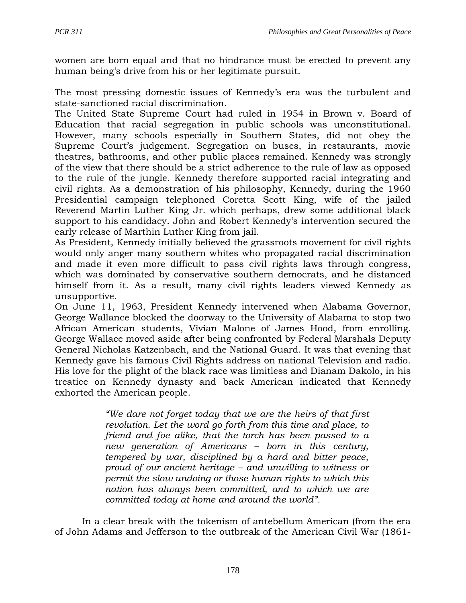women are born equal and that no hindrance must be erected to prevent any human being's drive from his or her legitimate pursuit.

The most pressing domestic issues of Kennedy's era was the turbulent and state-sanctioned racial discrimination.

The United State Supreme Court had ruled in 1954 in Brown v. Board of Education that racial segregation in public schools was unconstitutional. However, many schools especially in Southern States, did not obey the Supreme Court's judgement. Segregation on buses, in restaurants, movie theatres, bathrooms, and other public places remained. Kennedy was strongly of the view that there should be a strict adherence to the rule of law as opposed to the rule of the jungle. Kennedy therefore supported racial integrating and civil rights. As a demonstration of his philosophy, Kennedy, during the 1960 Presidential campaign telephoned Coretta Scott King, wife of the jailed Reverend Martin Luther King Jr. which perhaps, drew some additional black support to his candidacy. John and Robert Kennedy's intervention secured the early release of Marthin Luther King from jail.

As President, Kennedy initially believed the grassroots movement for civil rights would only anger many southern whites who propagated racial discrimination and made it even more difficult to pass civil rights laws through congress, which was dominated by conservative southern democrats, and he distanced himself from it. As a result, many civil rights leaders viewed Kennedy as unsupportive.

On June 11, 1963, President Kennedy intervened when Alabama Governor, George Wallance blocked the doorway to the University of Alabama to stop two African American students, Vivian Malone of James Hood, from enrolling. George Wallace moved aside after being confronted by Federal Marshals Deputy General Nicholas Katzenbach, and the National Guard. It was that evening that Kennedy gave his famous Civil Rights address on national Television and radio. His love for the plight of the black race was limitless and Dianam Dakolo, in his treatice on Kennedy dynasty and back American indicated that Kennedy exhorted the American people.

> *"We dare not forget today that we are the heirs of that first revolution. Let the word go forth from this time and place, to friend and foe alike, that the torch has been passed to a new generation of Americans – born in this century, tempered by war, disciplined by a hard and bitter peace, proud of our ancient heritage – and unwilling to witness or permit the slow undoing or those human rights to which this nation has always been committed, and to which we are committed today at home and around the world".*

In a clear break with the tokenism of antebellum American (from the era of John Adams and Jefferson to the outbreak of the American Civil War (1861-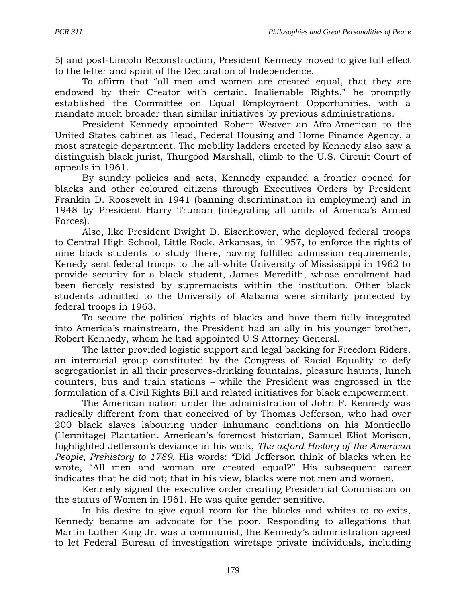5) and post-Lincoln Reconstruction, President Kennedy moved to give full effect to the letter and spirit of the Declaration of Independence.

To affirm that "all men and women are created equal, that they are endowed by their Creator with certain. Inalienable Rights," he promptly established the Committee on Equal Employment Opportunities, with a mandate much broader than similar initiatives by previous administrations.

President Kennedy appointed Robert Weaver an Afro-American to the United States cabinet as Head, Federal Housing and Home Finance Agency, a most strategic department. The mobility ladders erected by Kennedy also saw a distinguish black jurist, Thurgood Marshall, climb to the U.S. Circuit Court of appeals in 1961.

By sundry policies and acts, Kennedy expanded a frontier opened for blacks and other coloured citizens through Executives Orders by President Frankin D. Roosevelt in 1941 (banning discrimination in employment) and in 1948 by President Harry Truman (integrating all units of America's Armed Forces).

Also, like President Dwight D. Eisenhower, who deployed federal troops to Central High School, Little Rock, Arkansas, in 1957, to enforce the rights of nine black students to study there, having fulfilled admission requirements, Kenedy sent federal troops to the all-white University of Mississippi in 1962 to provide security for a black student, James Meredith, whose enrolment had been fiercely resisted by supremacists within the institution. Other black students admitted to the University of Alabama were similarly protected by federal troops in 1963.

To secure the political rights of blacks and have them fully integrated into America's mainstream, the President had an ally in his younger brother, Robert Kennedy, whom he had appointed U.S Attorney General.

The latter provided logistic support and legal backing for Freedom Riders, an interracial group constituted by the Congress of Racial Equality to defy segregationist in all their preserves-drinking fountains, pleasure haunts, lunch counters, bus and train stations – while the President was engrossed in the formulation of a Civil Rights Bill and related initiatives for black empowerment.

The American nation under the administration of John F. Kennedy was radically different from that conceived of by Thomas Jefferson, who had over 200 black slaves labouring under inhumane conditions on his Monticello (Hermitage) Plantation. American's foremost historian, Samuel Eliot Morison, highlighted Jefferson's deviance in his work, *The oxford History of the American People, Prehistory to 1789.* His words: "Did Jefferson think of blacks when he wrote, "All men and woman are created equal?" His subsequent career indicates that he did not; that in his view, blacks were not men and women.

Kennedy signed the executive order creating Presidential Commission on the status of Women in 1961. He was quite gender sensitive.

In his desire to give equal room for the blacks and whites to co-exits, Kennedy became an advocate for the poor. Responding to allegations that Martin Luther King Jr. was a communist, the Kennedy's administration agreed to let Federal Bureau of investigation wiretape private individuals, including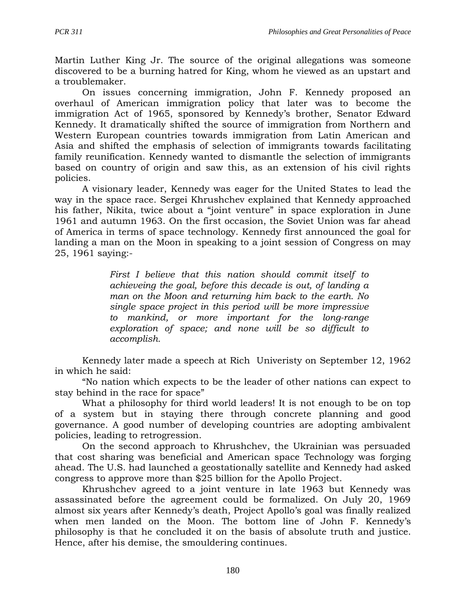Martin Luther King Jr. The source of the original allegations was someone discovered to be a burning hatred for King, whom he viewed as an upstart and a troublemaker.

On issues concerning immigration, John F. Kennedy proposed an overhaul of American immigration policy that later was to become the immigration Act of 1965, sponsored by Kennedy's brother, Senator Edward Kennedy. It dramatically shifted the source of immigration from Northern and Western European countries towards immigration from Latin American and Asia and shifted the emphasis of selection of immigrants towards facilitating family reunification. Kennedy wanted to dismantle the selection of immigrants based on country of origin and saw this, as an extension of his civil rights policies.

A visionary leader, Kennedy was eager for the United States to lead the way in the space race. Sergei Khrushchev explained that Kennedy approached his father, Nikita, twice about a "joint venture" in space exploration in June 1961 and autumn 1963. On the first occasion, the Soviet Union was far ahead of America in terms of space technology. Kennedy first announced the goal for landing a man on the Moon in speaking to a joint session of Congress on may 25, 1961 saying:-

> *First I believe that this nation should commit itself to achieveing the goal, before this decade is out, of landing a man on the Moon and returning him back to the earth. No single space project in this period will be more impressive to mankind, or more important for the long-range exploration of space; and none will be so difficult to accomplish.*

Kennedy later made a speech at Rich Univeristy on September 12, 1962 in which he said:

"No nation which expects to be the leader of other nations can expect to stay behind in the race for space"

What a philosophy for third world leaders! It is not enough to be on top of a system but in staying there through concrete planning and good governance. A good number of developing countries are adopting ambivalent policies, leading to retrogression.

On the second approach to Khrushchev, the Ukrainian was persuaded that cost sharing was beneficial and American space Technology was forging ahead. The U.S. had launched a geostationally satellite and Kennedy had asked congress to approve more than \$25 billion for the Apollo Project.

Khrushchev agreed to a joint venture in late 1963 but Kennedy was assassinated before the agreement could be formalized. On July 20, 1969 almost six years after Kennedy's death, Project Apollo's goal was finally realized when men landed on the Moon. The bottom line of John F. Kennedy's philosophy is that he concluded it on the basis of absolute truth and justice. Hence, after his demise, the smouldering continues.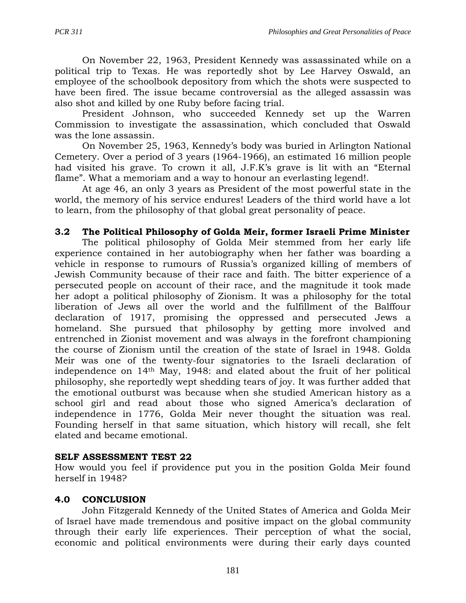On November 22, 1963, President Kennedy was assassinated while on a political trip to Texas. He was reportedly shot by Lee Harvey Oswald, an employee of the schoolbook depository from which the shots were suspected to have been fired. The issue became controversial as the alleged assassin was also shot and killed by one Ruby before facing trial.

President Johnson, who succeeded Kennedy set up the Warren Commission to investigate the assassination, which concluded that Oswald was the lone assassin.

On November 25, 1963, Kennedy's body was buried in Arlington National Cemetery. Over a period of 3 years (1964-1966), an estimated 16 million people had visited his grave. To crown it all, J.F.K's grave is lit with an "Eternal flame". What a memoriam and a way to honour an everlasting legend!.

At age 46, an only 3 years as President of the most powerful state in the world, the memory of his service endures! Leaders of the third world have a lot to learn, from the philosophy of that global great personality of peace.

### **3.2 The Political Philosophy of Golda Meir, former Israeli Prime Minister**

The political philosophy of Golda Meir stemmed from her early life experience contained in her autobiography when her father was boarding a vehicle in response to rumours of Russia's organized killing of members of Jewish Community because of their race and faith. The bitter experience of a persecuted people on account of their race, and the magnitude it took made her adopt a political philosophy of Zionism. It was a philosophy for the total liberation of Jews all over the world and the fulfillment of the Balffour declaration of 1917, promising the oppressed and persecuted Jews a homeland. She pursued that philosophy by getting more involved and entrenched in Zionist movement and was always in the forefront championing the course of Zionism until the creation of the state of Israel in 1948. Golda Meir was one of the twenty-four signatories to the Israeli declaration of independence on 14th May, 1948: and elated about the fruit of her political philosophy, she reportedly wept shedding tears of joy. It was further added that the emotional outburst was because when she studied American history as a school girl and read about those who signed America's declaration of independence in 1776, Golda Meir never thought the situation was real. Founding herself in that same situation, which history will recall, she felt elated and became emotional.

#### **SELF ASSESSMENT TEST 22**

How would you feel if providence put you in the position Golda Meir found herself in 1948?

#### **4.0 CONCLUSION**

John Fitzgerald Kennedy of the United States of America and Golda Meir of Israel have made tremendous and positive impact on the global community through their early life experiences. Their perception of what the social, economic and political environments were during their early days counted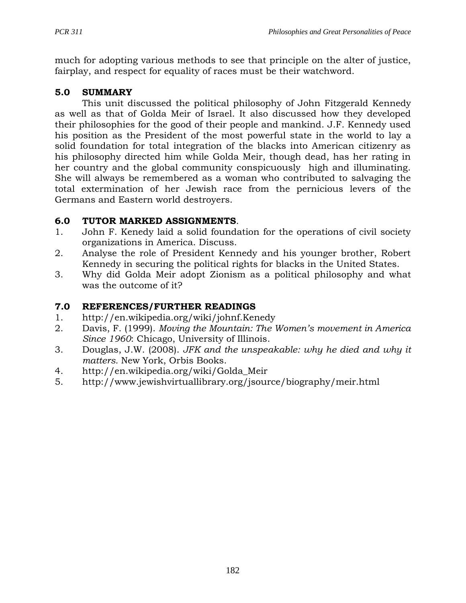much for adopting various methods to see that principle on the alter of justice, fairplay, and respect for equality of races must be their watchword.

## **5.0 SUMMARY**

This unit discussed the political philosophy of John Fitzgerald Kennedy as well as that of Golda Meir of Israel. It also discussed how they developed their philosophies for the good of their people and mankind. J.F. Kennedy used his position as the President of the most powerful state in the world to lay a solid foundation for total integration of the blacks into American citizenry as his philosophy directed him while Golda Meir, though dead, has her rating in her country and the global community conspicuously high and illuminating. She will always be remembered as a woman who contributed to salvaging the total extermination of her Jewish race from the pernicious levers of the Germans and Eastern world destroyers.

## **6.0 TUTOR MARKED ASSIGNMENTS**.

- 1. John F. Kenedy laid a solid foundation for the operations of civil society organizations in America. Discuss.
- 2. Analyse the role of President Kennedy and his younger brother, Robert Kennedy in securing the political rights for blacks in the United States.
- 3. Why did Golda Meir adopt Zionism as a political philosophy and what was the outcome of it?

## **7.0 REFERENCES/FURTHER READINGS**

- 1. http://en.wikipedia.org/wiki/johnf.Kenedy
- 2. Davis, F. (1999). *Moving the Mountain: The Women's movement in America Since 1960*: Chicago, University of Illinois.
- 3. Douglas, J.W. (2008). *JFK and the unspeakable: why he died and why it matters.* New York, Orbis Books.
- 4. http://en.wikipedia.org/wiki/Golda\_Meir
- 5. http://www.jewishvirtuallibrary.org/jsource/biography/meir.html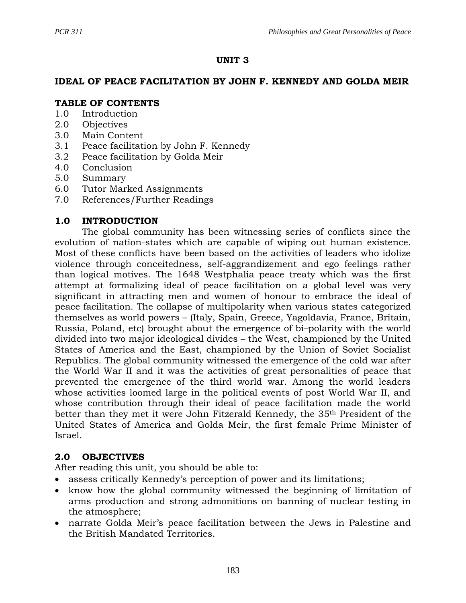### **UNIT 3**

### **IDEAL OF PEACE FACILITATION BY JOHN F. KENNEDY AND GOLDA MEIR**

### **TABLE OF CONTENTS**

- 1.0 Introduction
- 2.0 Objectives
- 3.0 Main Content
- 3.1 Peace facilitation by John F. Kennedy
- 3.2 Peace facilitation by Golda Meir
- 4.0 Conclusion
- 5.0 Summary
- 6.0 Tutor Marked Assignments
- 7.0 References/Further Readings

## **1.0 INTRODUCTION**

The global community has been witnessing series of conflicts since the evolution of nation-states which are capable of wiping out human existence. Most of these conflicts have been based on the activities of leaders who idolize violence through conceitedness, self-aggrandizement and ego feelings rather than logical motives. The 1648 Westphalia peace treaty which was the first attempt at formalizing ideal of peace facilitation on a global level was very significant in attracting men and women of honour to embrace the ideal of peace facilitation. The collapse of multipolarity when various states categorized themselves as world powers – (Italy, Spain, Greece, Yagoldavia, France, Britain, Russia, Poland, etc) brought about the emergence of bi–polarity with the world divided into two major ideological divides – the West, championed by the United States of America and the East, championed by the Union of Soviet Socialist Republics. The global community witnessed the emergence of the cold war after the World War II and it was the activities of great personalities of peace that prevented the emergence of the third world war. Among the world leaders whose activities loomed large in the political events of post World War II, and whose contribution through their ideal of peace facilitation made the world better than they met it were John Fitzerald Kennedy, the 35th President of the United States of America and Golda Meir, the first female Prime Minister of Israel.

## **2.0 OBJECTIVES**

After reading this unit, you should be able to:

- assess critically Kennedy's perception of power and its limitations;
- know how the global community witnessed the beginning of limitation of arms production and strong admonitions on banning of nuclear testing in the atmosphere;
- narrate Golda Meir's peace facilitation between the Jews in Palestine and the British Mandated Territories.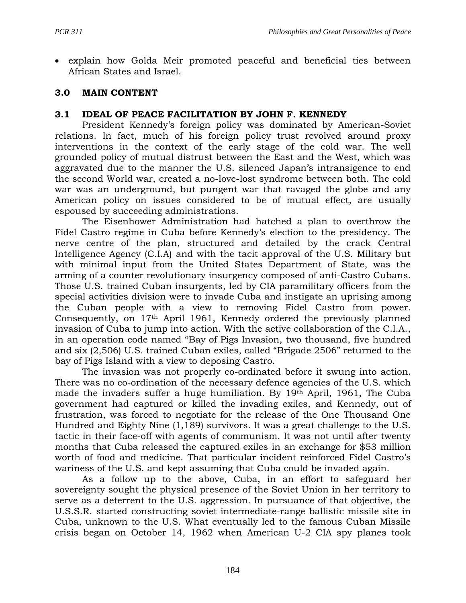• explain how Golda Meir promoted peaceful and beneficial ties between African States and Israel.

## **3.0 MAIN CONTENT**

#### **3.1 IDEAL OF PEACE FACILITATION BY JOHN F. KENNEDY**

President Kennedy's foreign policy was dominated by American-Soviet relations. In fact, much of his foreign policy trust revolved around proxy interventions in the context of the early stage of the cold war. The well grounded policy of mutual distrust between the East and the West, which was aggravated due to the manner the U.S. silenced Japan's intransigence to end the second World war, created a no-love-lost syndrome between both. The cold war was an underground, but pungent war that ravaged the globe and any American policy on issues considered to be of mutual effect, are usually espoused by succeeding administrations.

The Eisenhower Administration had hatched a plan to overthrow the Fidel Castro regime in Cuba before Kennedy's election to the presidency. The nerve centre of the plan, structured and detailed by the crack Central Intelligence Agency (C.I.A) and with the tacit approval of the U.S. Military but with minimal input from the United States Department of State, was the arming of a counter revolutionary insurgency composed of anti-Castro Cubans. Those U.S. trained Cuban insurgents, led by CIA paramilitary officers from the special activities division were to invade Cuba and instigate an uprising among the Cuban people with a view to removing Fidel Castro from power. Consequently, on 17th April 1961, Kennedy ordered the previously planned invasion of Cuba to jump into action. With the active collaboration of the C.I.A., in an operation code named "Bay of Pigs Invasion, two thousand, five hundred and six (2,506) U.S. trained Cuban exiles, called "Brigade 2506" returned to the bay of Pigs Island with a view to deposing Castro.

The invasion was not properly co-ordinated before it swung into action. There was no co-ordination of the necessary defence agencies of the U.S. which made the invaders suffer a huge humiliation. By 19th April, 1961, The Cuba government had captured or killed the invading exiles, and Kennedy, out of frustration, was forced to negotiate for the release of the One Thousand One Hundred and Eighty Nine (1,189) survivors. It was a great challenge to the U.S. tactic in their face-off with agents of communism. It was not until after twenty months that Cuba released the captured exiles in an exchange for \$53 million worth of food and medicine. That particular incident reinforced Fidel Castro's wariness of the U.S. and kept assuming that Cuba could be invaded again.

As a follow up to the above, Cuba, in an effort to safeguard her sovereignty sought the physical presence of the Soviet Union in her territory to serve as a deterrent to the U.S. aggression. In pursuance of that objective, the U.S.S.R. started constructing soviet intermediate-range ballistic missile site in Cuba, unknown to the U.S. What eventually led to the famous Cuban Missile crisis began on October 14, 1962 when American U-2 CIA spy planes took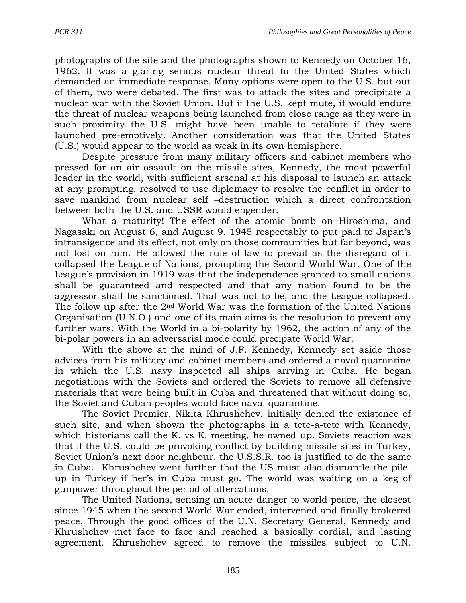photographs of the site and the photographs shown to Kennedy on October 16, 1962. It was a glaring serious nuclear threat to the United States which demanded an immediate response. Many options were open to the U.S. but out of them, two were debated. The first was to attack the sites and precipitate a nuclear war with the Soviet Union. But if the U.S. kept mute, it would endure the threat of nuclear weapons being launched from close range as they were in such proximity the U.S. might have been unable to retaliate if they were launched pre-emptively. Another consideration was that the United States (U.S.) would appear to the world as weak in its own hemisphere.

Despite pressure from many military officers and cabinet members who pressed for an air assault on the missile sites, Kennedy, the most powerful leader in the world, with sufficient arsenal at his disposal to launch an attack at any prompting, resolved to use diplomacy to resolve the conflict in order to save mankind from nuclear self –destruction which a direct confrontation between both the U.S. and USSR would engender.

What a maturity! The effect of the atomic bomb on Hiroshima, and Nagasaki on August 6, and August 9, 1945 respectably to put paid to Japan's intransigence and its effect, not only on those communities but far beyond, was not lost on him. He allowed the rule of law to prevail as the disregard of it collapsed the League of Nations, prompting the Second World War. One of the League's provision in 1919 was that the independence granted to small nations shall be guaranteed and respected and that any nation found to be the aggressor shall be sanctioned. That was not to be, and the League collapsed. The follow up after the 2nd World War was the formation of the United Nations Organisation (U.N.O.) and one of its main aims is the resolution to prevent any further wars. With the World in a bi-polarity by 1962, the action of any of the bi-polar powers in an adversarial mode could precipate World War.

With the above at the mind of J.F. Kennedy, Kennedy set aside those advices from his military and cabinet members and ordered a naval quarantine in which the U.S. navy inspected all ships arrving in Cuba. He began negotiations with the Soviets and ordered the Soviets to remove all defensive materials that were being built in Cuba and threatened that without doing so, the Soviet and Cuban peoples would face naval quarantine.

The Soviet Premier, Nikita Khrushchev, initially denied the existence of such site, and when shown the photographs in a tete-a-tete with Kennedy, which historians call the K. vs K. meeting, he owned up. Soviets reaction was that if the U.S. could be provoking conflict by building missile sites in Turkey, Soviet Union's next door neighbour, the U.S.S.R. too is justified to do the same in Cuba. Khrushchev went further that the US must also dismantle the pileup in Turkey if her's in Cuba must go. The world was waiting on a keg of gunpower throughout the period of altercations.

The United Nations, sensing an acute danger to world peace, the closest since 1945 when the second World War ended, intervened and finally brokered peace. Through the good offices of the U.N. Secretary General, Kennedy and Khrushchev met face to face and reached a basically cordial, and lasting agreement. Khrushchev agreed to remove the missiles subject to U.N.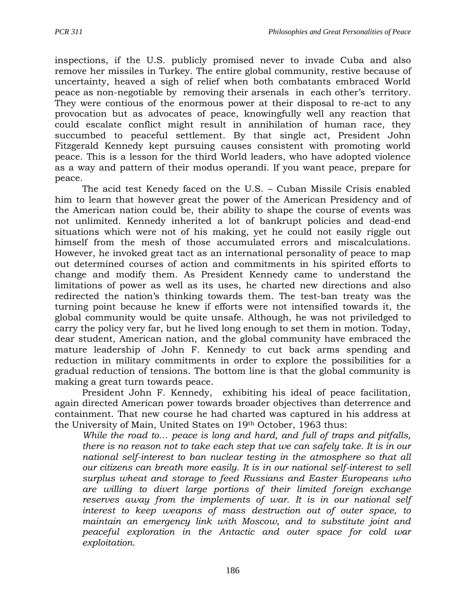inspections, if the U.S. publicly promised never to invade Cuba and also remove her missiles in Turkey. The entire global community, restive because of uncertainty, heaved a sigh of relief when both combatants embraced World peace as non-negotiable by removing their arsenals in each other's territory. They were contious of the enormous power at their disposal to re-act to any provocation but as advocates of peace, knowingfully well any reaction that could escalate conflict might result in annihilation of human race, they succumbed to peaceful settlement. By that single act, President John Fitzgerald Kennedy kept pursuing causes consistent with promoting world peace. This is a lesson for the third World leaders, who have adopted violence as a way and pattern of their modus operandi. If you want peace, prepare for peace.

The acid test Kenedy faced on the U.S. – Cuban Missile Crisis enabled him to learn that however great the power of the American Presidency and of the American nation could be, their ability to shape the course of events was not unlimited. Kennedy inherited a lot of bankrupt policies and dead-end situations which were not of his making, yet he could not easily riggle out himself from the mesh of those accumulated errors and miscalculations. However, he invoked great tact as an international personality of peace to map out determined courses of action and commitments in his spirited efforts to change and modify them. As President Kennedy came to understand the limitations of power as well as its uses, he charted new directions and also redirected the nation's thinking towards them. The test-ban treaty was the turning point because he knew if efforts were not intensified towards it, the global community would be quite unsafe. Although, he was not priviledged to carry the policy very far, but he lived long enough to set them in motion. Today, dear student, American nation, and the global community have embraced the mature leadership of John F. Kennedy to cut back arms spending and reduction in military commitments in order to explore the possibilities for a gradual reduction of tensions. The bottom line is that the global community is making a great turn towards peace.

President John F. Kennedy, exhibiting his ideal of peace facilitation, again directed American power towards broader objectives than deterrence and containment. That new course he had charted was captured in his address at the University of Main, United States on 19th October, 1963 thus:

*While the road to… peace is long and hard, and full of traps and pitfalls, there is no reason not to take each step that we can safely take. It is in our national self-interest to ban nuclear testing in the atmosphere so that all our citizens can breath more easily. It is in our national self-interest to sell surplus wheat and storage to feed Russians and Easter Europeans who are willing to divert large portions of their limited foreign exchange reserves away from the implements of war. It is in our national self interest to keep weapons of mass destruction out of outer space, to maintain an emergency link with Moscow, and to substitute joint and peaceful exploration in the Antactic and outer space for cold war exploitation.*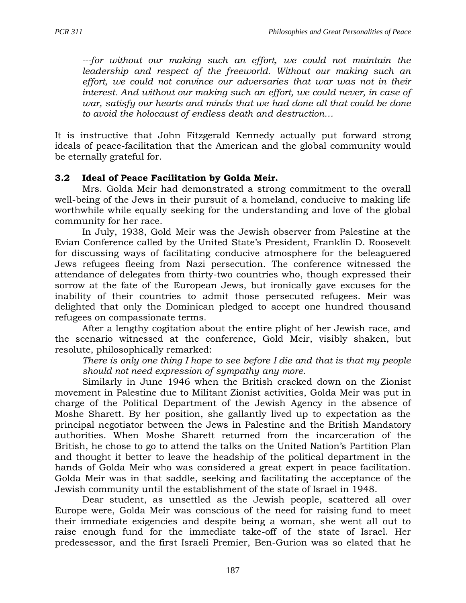*---for without our making such an effort, we could not maintain the leadership and respect of the freeworld. Without our making such an effort, we could not convince our adversaries that war was not in their interest. And without our making such an effort, we could never, in case of war, satisfy our hearts and minds that we had done all that could be done to avoid the holocaust of endless death and destruction…*

It is instructive that John Fitzgerald Kennedy actually put forward strong ideals of peace-facilitation that the American and the global community would be eternally grateful for.

# **3.2 Ideal of Peace Facilitation by Golda Meir.**

Mrs. Golda Meir had demonstrated a strong commitment to the overall well-being of the Jews in their pursuit of a homeland, conducive to making life worthwhile while equally seeking for the understanding and love of the global community for her race.

In July, 1938, Gold Meir was the Jewish observer from Palestine at the Evian Conference called by the United State's President, Franklin D. Roosevelt for discussing ways of facilitating conducive atmosphere for the beleaguered Jews refugees fleeing from Nazi persecution. The conference witnessed the attendance of delegates from thirty-two countries who, though expressed their sorrow at the fate of the European Jews, but ironically gave excuses for the inability of their countries to admit those persecuted refugees. Meir was delighted that only the Dominican pledged to accept one hundred thousand refugees on compassionate terms.

After a lengthy cogitation about the entire plight of her Jewish race, and the scenario witnessed at the conference, Gold Meir, visibly shaken, but resolute, philosophically remarked:

*There is only one thing I hope to see before I die and that is that my people should not need expression of sympathy any more.* 

Similarly in June 1946 when the British cracked down on the Zionist movement in Palestine due to Militant Zionist activities, Golda Meir was put in charge of the Political Department of the Jewish Agency in the absence of Moshe Sharett. By her position, she gallantly lived up to expectation as the principal negotiator between the Jews in Palestine and the British Mandatory authorities. When Moshe Sharett returned from the incarceration of the British, he chose to go to attend the talks on the United Nation's Partition Plan and thought it better to leave the headship of the political department in the hands of Golda Meir who was considered a great expert in peace facilitation. Golda Meir was in that saddle, seeking and facilitating the acceptance of the Jewish community until the establishment of the state of Israel in 1948.

Dear student, as unsettled as the Jewish people, scattered all over Europe were, Golda Meir was conscious of the need for raising fund to meet their immediate exigencies and despite being a woman, she went all out to raise enough fund for the immediate take-off of the state of Israel. Her predessessor, and the first Israeli Premier, Ben-Gurion was so elated that he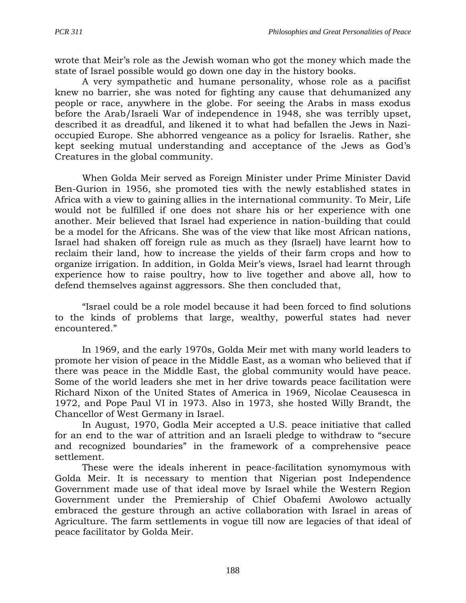wrote that Meir's role as the Jewish woman who got the money which made the state of Israel possible would go down one day in the history books.

A very sympathetic and humane personality, whose role as a pacifist knew no barrier, she was noted for fighting any cause that dehumanized any people or race, anywhere in the globe. For seeing the Arabs in mass exodus before the Arab/Israeli War of independence in 1948, she was terribly upset, described it as dreadful, and likened it to what had befallen the Jews in Nazioccupied Europe. She abhorred vengeance as a policy for Israelis. Rather, she kept seeking mutual understanding and acceptance of the Jews as God's Creatures in the global community.

When Golda Meir served as Foreign Minister under Prime Minister David Ben-Gurion in 1956, she promoted ties with the newly established states in Africa with a view to gaining allies in the international community. To Meir, Life would not be fulfilled if one does not share his or her experience with one another. Meir believed that Israel had experience in nation-building that could be a model for the Africans. She was of the view that like most African nations, Israel had shaken off foreign rule as much as they (Israel) have learnt how to reclaim their land, how to increase the yields of their farm crops and how to organize irrigation. In addition, in Golda Meir's views, Israel had learnt through experience how to raise poultry, how to live together and above all, how to defend themselves against aggressors. She then concluded that,

"Israel could be a role model because it had been forced to find solutions to the kinds of problems that large, wealthy, powerful states had never encountered."

In 1969, and the early 1970s, Golda Meir met with many world leaders to promote her vision of peace in the Middle East, as a woman who believed that if there was peace in the Middle East, the global community would have peace. Some of the world leaders she met in her drive towards peace facilitation were Richard Nixon of the United States of America in 1969, Nicolae Ceausesca in 1972, and Pope Paul VI in 1973. Also in 1973, she hosted Willy Brandt, the Chancellor of West Germany in Israel.

In August, 1970, Godla Meir accepted a U.S. peace initiative that called for an end to the war of attrition and an Israeli pledge to withdraw to "secure and recognized boundaries" in the framework of a comprehensive peace settlement.

These were the ideals inherent in peace-facilitation synomymous with Golda Meir. It is necessary to mention that Nigerian post Independence Government made use of that ideal move by Israel while the Western Region Government under the Premiership of Chief Obafemi Awolowo actually embraced the gesture through an active collaboration with Israel in areas of Agriculture. The farm settlements in vogue till now are legacies of that ideal of peace facilitator by Golda Meir.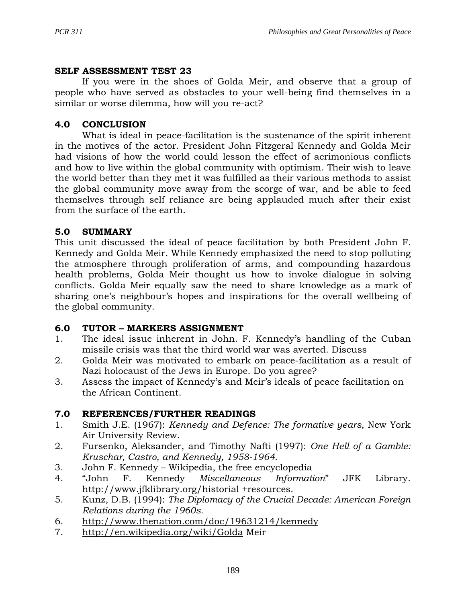### **SELF ASSESSMENT TEST 23**

If you were in the shoes of Golda Meir, and observe that a group of people who have served as obstacles to your well-being find themselves in a similar or worse dilemma, how will you re-act?

## **4.0 CONCLUSION**

What is ideal in peace-facilitation is the sustenance of the spirit inherent in the motives of the actor. President John Fitzgeral Kennedy and Golda Meir had visions of how the world could lesson the effect of acrimonious conflicts and how to live within the global community with optimism. Their wish to leave the world better than they met it was fulfilled as their various methods to assist the global community move away from the scorge of war, and be able to feed themselves through self reliance are being applauded much after their exist from the surface of the earth.

### **5.0 SUMMARY**

This unit discussed the ideal of peace facilitation by both President John F. Kennedy and Golda Meir. While Kennedy emphasized the need to stop polluting the atmosphere through proliferation of arms, and compounding hazardous health problems, Golda Meir thought us how to invoke dialogue in solving conflicts. Golda Meir equally saw the need to share knowledge as a mark of sharing one's neighbour's hopes and inspirations for the overall wellbeing of the global community.

## **6.0 TUTOR – MARKERS ASSIGNMENT**

- 1. The ideal issue inherent in John. F. Kennedy's handling of the Cuban missile crisis was that the third world war was averted. Discuss
- 2. Golda Meir was motivated to embark on peace-facilitation as a result of Nazi holocaust of the Jews in Europe. Do you agree?
- 3. Assess the impact of Kennedy's and Meir's ideals of peace facilitation on the African Continent.

## **7.0 REFERENCES/FURTHER READINGS**

- 1. Smith J.E. (1967): *Kennedy and Defence: The formative years,* New York Air University Review.
- 2. Fursenko, Aleksander, and Timothy Nafti (1997): *One Hell of a Gamble: Kruschar, Castro, and Kennedy, 1958-1964.*
- 3. John F. Kennedy Wikipedia, the free encyclopedia
- 4. "John F. Kennedy *Miscellaneous Information*" JFK Library. http://www.jfklibrary.org/historial +resources.
- 5. Kunz, D.B. (1994): *The Diplomacy of the Crucial Decade: American Foreign Relations during the 1960s.*
- 6. <http://www.thenation.com/doc/19631214/kennedy>
- 7. <http://en.wikipedia.org/wiki/Golda> Meir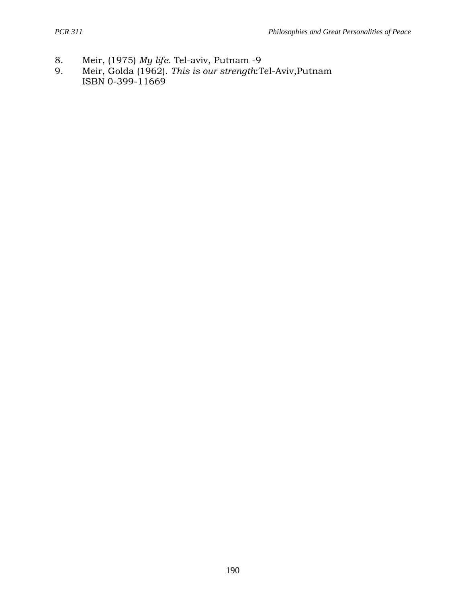- 8. Meir, (1975) *My life.* Tel-aviv, Putnam -9<br>9. Meir, Golda (1962). This is our strength:T
- 9. Meir, Golda (1962). *This is our strength*:Tel-Aviv,Putnam ISBN 0-399-11669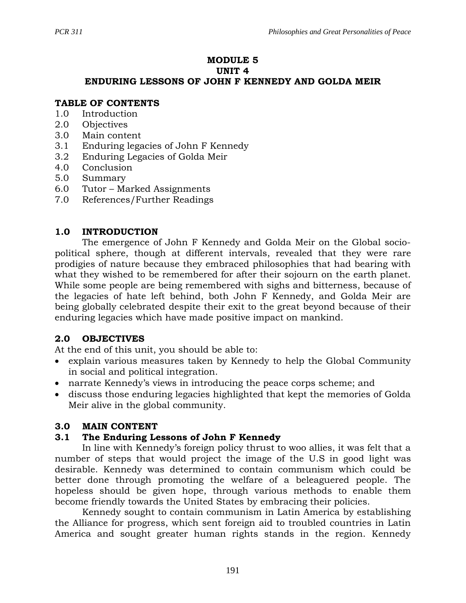#### **MODULE 5 UNIT 4 ENDURING LESSONS OF JOHN F KENNEDY AND GOLDA MEIR**

### **TABLE OF CONTENTS**

- 1.0 Introduction
- 2.0 Objectives
- 3.0 Main content
- 3.1 Enduring legacies of John F Kennedy
- 3.2 Enduring Legacies of Golda Meir
- 4.0 Conclusion
- 5.0 Summary
- 6.0 Tutor Marked Assignments
- 7.0 References/Further Readings

## **1.0 INTRODUCTION**

The emergence of John F Kennedy and Golda Meir on the Global sociopolitical sphere, though at different intervals, revealed that they were rare prodigies of nature because they embraced philosophies that had bearing with what they wished to be remembered for after their sojourn on the earth planet. While some people are being remembered with sighs and bitterness, because of the legacies of hate left behind, both John F Kennedy, and Golda Meir are being globally celebrated despite their exit to the great beyond because of their enduring legacies which have made positive impact on mankind.

## **2.0 OBJECTIVES**

At the end of this unit, you should be able to:

- explain various measures taken by Kennedy to help the Global Community in social and political integration.
- narrate Kennedy's views in introducing the peace corps scheme; and
- discuss those enduring legacies highlighted that kept the memories of Golda Meir alive in the global community.

## **3.0 MAIN CONTENT**

#### **3.1 The Enduring Lessons of John F Kennedy**

In line with Kennedy's foreign policy thrust to woo allies, it was felt that a number of steps that would project the image of the U.S in good light was desirable. Kennedy was determined to contain communism which could be better done through promoting the welfare of a beleaguered people. The hopeless should be given hope, through various methods to enable them become friendly towards the United States by embracing their policies.

Kennedy sought to contain communism in Latin America by establishing the Alliance for progress, which sent foreign aid to troubled countries in Latin America and sought greater human rights stands in the region. Kennedy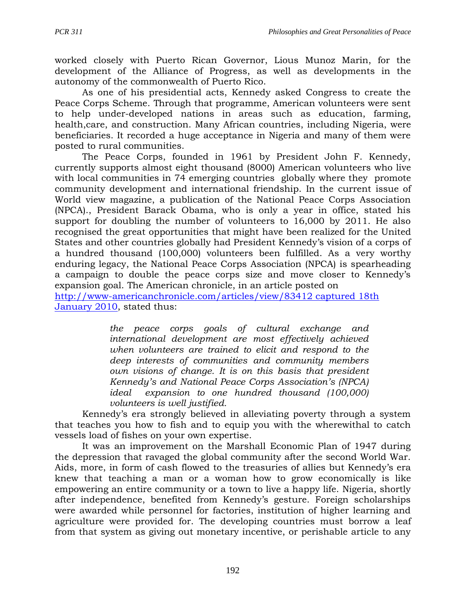worked closely with Puerto Rican Governor, Lious Munoz Marin, for the development of the Alliance of Progress, as well as developments in the autonomy of the commonwealth of Puerto Rico.

As one of his presidential acts, Kennedy asked Congress to create the Peace Corps Scheme. Through that programme, American volunteers were sent to help under-developed nations in areas such as education, farming, health,care, and construction. Many African countries, including Nigeria, were beneficiaries. It recorded a huge acceptance in Nigeria and many of them were posted to rural communities.

The Peace Corps, founded in 1961 by President John F. Kennedy, currently supports almost eight thousand (8000) American volunteers who live with local communities in 74 emerging countries globally where they promote community development and international friendship. In the current issue of World view magazine, a publication of the National Peace Corps Association (NPCA)., President Barack Obama, who is only a year in office, stated his support for doubling the number of volunteers to 16,000 by 2011. He also recognised the great opportunities that might have been realized for the United States and other countries globally had President Kennedy's vision of a corps of a hundred thousand (100,000) volunteers been fulfilled. As a very worthy enduring legacy, the National Peace Corps Association (NPCA) is spearheading a campaign to double the peace corps size and move closer to Kennedy's expansion goal. The American chronicle, in an article posted on [http://www-americanchronicle.com/articles/view/83412 captured 18th](http://www-americanchronicle.com/articles/view/83412%20captured%2018th%20January%202010)  [January 2010,](http://www-americanchronicle.com/articles/view/83412%20captured%2018th%20January%202010) stated thus:

> *the peace corps goals of cultural exchange and international development are most effectively achieved when volunteers are trained to elicit and respond to the deep interests of communities and community members own visions of change. It is on this basis that president Kennedy's and National Peace Corps Association's (NPCA) ideal expansion to one hundred thousand (100,000) volunteers is well justified.*

Kennedy's era strongly believed in alleviating poverty through a system that teaches you how to fish and to equip you with the wherewithal to catch vessels load of fishes on your own expertise.

It was an improvement on the Marshall Economic Plan of 1947 during the depression that ravaged the global community after the second World War. Aids, more, in form of cash flowed to the treasuries of allies but Kennedy's era knew that teaching a man or a woman how to grow economically is like empowering an entire community or a town to live a happy life. Nigeria, shortly after independence, benefited from Kennedy's gesture. Foreign scholarships were awarded while personnel for factories, institution of higher learning and agriculture were provided for. The developing countries must borrow a leaf from that system as giving out monetary incentive, or perishable article to any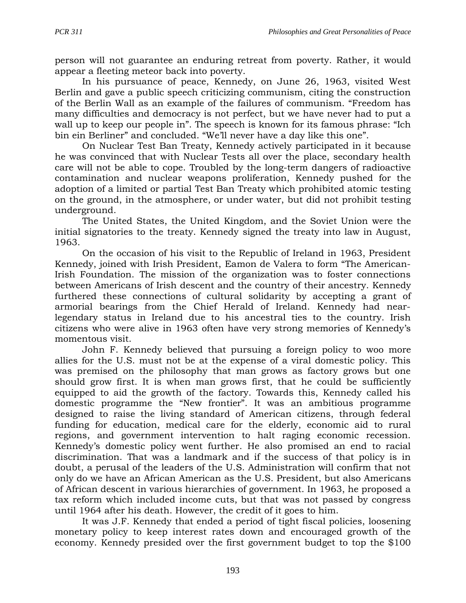person will not guarantee an enduring retreat from poverty. Rather, it would appear a fleeting meteor back into poverty.

In his pursuance of peace, Kennedy, on June 26, 1963, visited West Berlin and gave a public speech criticizing communism, citing the construction of the Berlin Wall as an example of the failures of communism. "Freedom has many difficulties and democracy is not perfect, but we have never had to put a wall up to keep our people in". The speech is known for its famous phrase: "Ich bin ein Berliner" and concluded. "We'll never have a day like this one".

On Nuclear Test Ban Treaty, Kennedy actively participated in it because he was convinced that with Nuclear Tests all over the place, secondary health care will not be able to cope. Troubled by the long-term dangers of radioactive contamination and nuclear weapons proliferation, Kennedy pushed for the adoption of a limited or partial Test Ban Treaty which prohibited atomic testing on the ground, in the atmosphere, or under water, but did not prohibit testing underground.

The United States, the United Kingdom, and the Soviet Union were the initial signatories to the treaty. Kennedy signed the treaty into law in August, 1963.

On the occasion of his visit to the Republic of Ireland in 1963, President Kennedy, joined with Irish President, Eamon de Valera to form "The American-Irish Foundation. The mission of the organization was to foster connections between Americans of Irish descent and the country of their ancestry. Kennedy furthered these connections of cultural solidarity by accepting a grant of armorial bearings from the Chief Herald of Ireland. Kennedy had nearlegendary status in Ireland due to his ancestral ties to the country. Irish citizens who were alive in 1963 often have very strong memories of Kennedy's momentous visit.

John F. Kennedy believed that pursuing a foreign policy to woo more allies for the U.S. must not be at the expense of a viral domestic policy. This was premised on the philosophy that man grows as factory grows but one should grow first. It is when man grows first, that he could be sufficiently equipped to aid the growth of the factory. Towards this, Kennedy called his domestic programme the "New frontier". It was an ambitious programme designed to raise the living standard of American citizens, through federal funding for education, medical care for the elderly, economic aid to rural regions, and government intervention to halt raging economic recession. Kennedy's domestic policy went further. He also promised an end to racial discrimination. That was a landmark and if the success of that policy is in doubt, a perusal of the leaders of the U.S. Administration will confirm that not only do we have an African American as the U.S. President, but also Americans of African descent in various hierarchies of government. In 1963, he proposed a tax reform which included income cuts, but that was not passed by congress until 1964 after his death. However, the credit of it goes to him.

It was J.F. Kennedy that ended a period of tight fiscal policies, loosening monetary policy to keep interest rates down and encouraged growth of the economy. Kennedy presided over the first government budget to top the \$100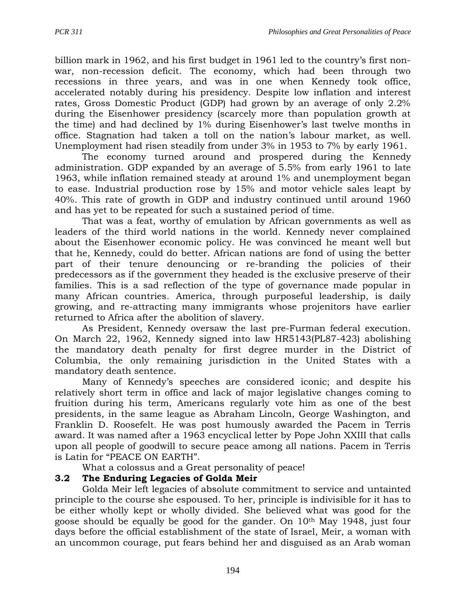billion mark in 1962, and his first budget in 1961 led to the country's first nonwar, non-recession deficit. The economy, which had been through two recessions in three years, and was in one when Kennedy took office, accelerated notably during his presidency. Despite low inflation and interest rates, Gross Domestic Product (GDP) had grown by an average of only 2.2% during the Eisenhower presidency (scarcely more than population growth at the time) and had declined by 1% during Eisenhower's last twelve months in office. Stagnation had taken a toll on the nation's labour market, as well. Unemployment had risen steadily from under 3% in 1953 to 7% by early 1961.

The economy turned around and prospered during the Kennedy administration. GDP expanded by an average of 5.5% from early 1961 to late 1963, while inflation remained steady at around 1% and unemployment began to ease. Industrial production rose by 15% and motor vehicle sales leapt by 40%. This rate of growth in GDP and industry continued until around 1960 and has yet to be repeated for such a sustained period of time.

That was a feat, worthy of emulation by African governments as well as leaders of the third world nations in the world. Kennedy never complained about the Eisenhower economic policy. He was convinced he meant well but that he, Kennedy, could do better. African nations are fond of using the better part of their tenure denouncing or re-branding the policies of their predecessors as if the government they headed is the exclusive preserve of their families. This is a sad reflection of the type of governance made popular in many African countries. America, through purposeful leadership, is daily growing, and re-attracting many immigrants whose projenitors have earlier returned to Africa after the abolition of slavery.

As President, Kennedy oversaw the last pre-Furman federal execution. On March 22, 1962, Kennedy signed into law HR5143(PL87-423) abolishing the mandatory death penalty for first degree murder in the District of Columbia, the only remaining jurisdiction in the United States with a mandatory death sentence.

Many of Kennedy's speeches are considered iconic; and despite his relatively short term in office and lack of major legislative changes coming to fruition during his term, Americans regularly vote him as one of the best presidents, in the same league as Abraham Lincoln, George Washington, and Franklin D. Roosefelt. He was post humously awarded the Pacem in Terris award. It was named after a 1963 encyclical letter by Pope John XXIII that calls upon all people of goodwill to secure peace among all nations. Pacem in Terris is Latin for "PEACE ON EARTH".

What a colossus and a Great personality of peace!

## **3.2 The Enduring Legacies of Golda Meir**

Golda Meir left legacies of absolute commitment to service and untainted principle to the course she espoused. To her, principle is indivisible for it has to be either wholly kept or wholly divided. She believed what was good for the goose should be equally be good for the gander. On 10th May 1948, just four days before the official establishment of the state of Israel, Meir, a woman with an uncommon courage, put fears behind her and disguised as an Arab woman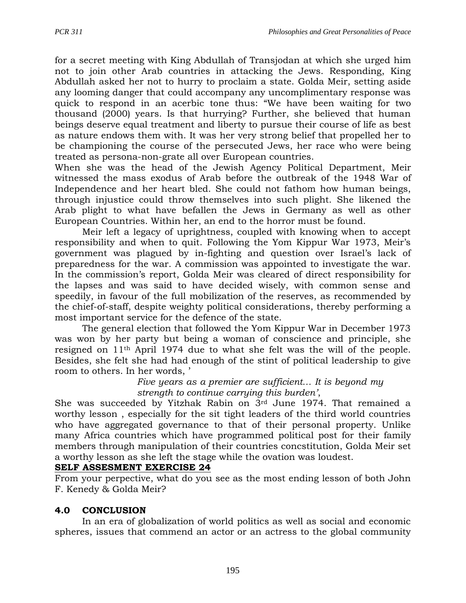for a secret meeting with King Abdullah of Transjodan at which she urged him not to join other Arab countries in attacking the Jews. Responding, King Abdullah asked her not to hurry to proclaim a state. Golda Meir, setting aside any looming danger that could accompany any uncomplimentary response was quick to respond in an acerbic tone thus: "We have been waiting for two thousand (2000) years. Is that hurrying? Further, she believed that human beings deserve equal treatment and liberty to pursue their course of life as best as nature endows them with. It was her very strong belief that propelled her to be championing the course of the persecuted Jews, her race who were being treated as persona-non-grate all over European countries.

When she was the head of the Jewish Agency Political Department, Meir witnessed the mass exodus of Arab before the outbreak of the 1948 War of Independence and her heart bled. She could not fathom how human beings, through injustice could throw themselves into such plight. She likened the Arab plight to what have befallen the Jews in Germany as well as other European Countries. Within her, an end to the horror must be found.

Meir left a legacy of uprightness, coupled with knowing when to accept responsibility and when to quit. Following the Yom Kippur War 1973, Meir's government was plagued by in-fighting and question over Israel's lack of preparedness for the war. A commission was appointed to investigate the war. In the commission's report, Golda Meir was cleared of direct responsibility for the lapses and was said to have decided wisely, with common sense and speedily, in favour of the full mobilization of the reserves, as recommended by the chief-of-staff, despite weighty political considerations, thereby performing a most important service for the defence of the state.

The general election that followed the Yom Kippur War in December 1973 was won by her party but being a woman of conscience and principle, she resigned on 11th April 1974 due to what she felt was the will of the people. Besides, she felt she had had enough of the stint of political leadership to give room to others. In her words, '

> *Five years as a premier are sufficient… It is beyond my strength to continue carrying this burden'*,

She was succeeded by Yitzhak Rabin on 3rd June 1974. That remained a worthy lesson , especially for the sit tight leaders of the third world countries who have aggregated governance to that of their personal property. Unlike many Africa countries which have programmed political post for their family members through manipulation of their countries concstitution, Golda Meir set a worthy lesson as she left the stage while the ovation was loudest.

#### **SELF ASSESMENT EXERCISE 24**

From your perpective, what do you see as the most ending lesson of both John F. Kenedy & Golda Meir?

## **4.0 CONCLUSION**

In an era of globalization of world politics as well as social and economic spheres, issues that commend an actor or an actress to the global community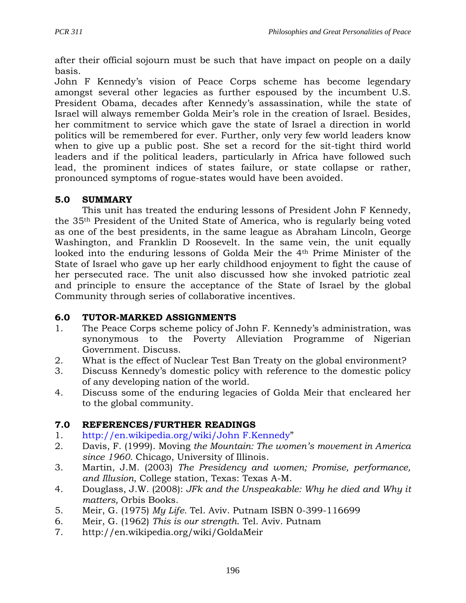after their official sojourn must be such that have impact on people on a daily basis.

John F Kennedy's vision of Peace Corps scheme has become legendary amongst several other legacies as further espoused by the incumbent U.S. President Obama, decades after Kennedy's assassination, while the state of Israel will always remember Golda Meir's role in the creation of Israel. Besides, her commitment to service which gave the state of Israel a direction in world politics will be remembered for ever. Further, only very few world leaders know when to give up a public post. She set a record for the sit-tight third world leaders and if the political leaders, particularly in Africa have followed such lead, the prominent indices of states failure, or state collapse or rather, pronounced symptoms of rogue-states would have been avoided.

## **5.0 SUMMARY**

This unit has treated the enduring lessons of President John F Kennedy, the 35th President of the United State of America, who is regularly being voted as one of the best presidents, in the same league as Abraham Lincoln, George Washington, and Franklin D Roosevelt. In the same vein, the unit equally looked into the enduring lessons of Golda Meir the 4th Prime Minister of the State of Israel who gave up her early childhood enjoyment to fight the cause of her persecuted race. The unit also discussed how she invoked patriotic zeal and principle to ensure the acceptance of the State of Israel by the global Community through series of collaborative incentives.

## **6.0 TUTOR-MARKED ASSIGNMENTS**

- 1. The Peace Corps scheme policy of John F. Kennedy's administration, was synonymous to the Poverty Alleviation Programme of Nigerian Government. Discuss.
- 2. What is the effect of Nuclear Test Ban Treaty on the global environment?
- 3. Discuss Kennedy's domestic policy with reference to the domestic policy of any developing nation of the world.
- 4. Discuss some of the enduring legacies of Golda Meir that encleared her to the global community.

## **7.0 REFERENCES/FURTHER READINGS**

- 1. [http://en.wikipedia.org/wiki/John F.Kennedy"](http://en.wikipedia.org/wiki/John%20F.Kennedy)
- 2. Davis, F. (1999). Moving *the Mountain: The women's movement in America since 1960.* Chicago, University of Illinois.
- 3. Martin, J.M. (2003) *The Presidency and women; Promise, performance, and Illusion*, College station, Texas: Texas A-M.
- 4. Douglass, J.W. (2008): *JFk and the Unspeakable: Why he died and Why it matters,* Orbis Books.
- 5. Meir, G. (1975) *My Life.* Tel. Aviv. Putnam ISBN 0-399-116699
- 6. Meir, G. (1962) *This is our strength*. Tel. Aviv. Putnam
- 7. http://en.wikipedia.org/wiki/GoldaMeir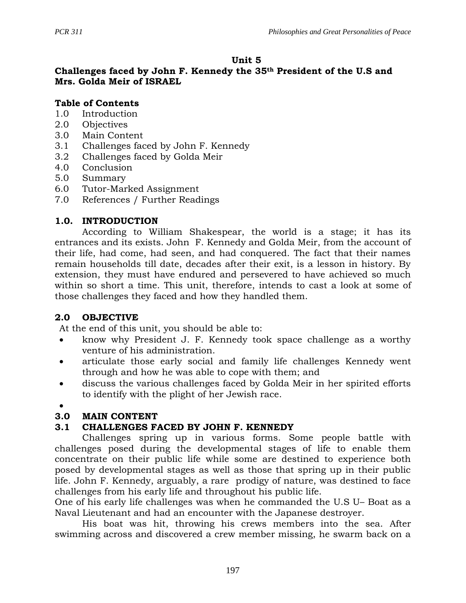#### **Unit 5**

## **Challenges faced by John F. Kennedy the 35th President of the U.S and Mrs. Golda Meir of ISRAEL**

## **Table of Contents**

- 1.0 Introduction
- 2.0 Objectives
- 3.0 Main Content
- 3.1 Challenges faced by John F. Kennedy
- 3.2 Challenges faced by Golda Meir
- 4.0 Conclusion
- 5.0 Summary
- 6.0 Tutor-Marked Assignment
- 7.0 References / Further Readings

## **1.0. INTRODUCTION**

According to William Shakespear, the world is a stage; it has its entrances and its exists. John F. Kennedy and Golda Meir, from the account of their life, had come, had seen, and had conquered. The fact that their names remain households till date, decades after their exit, is a lesson in history. By extension, they must have endured and persevered to have achieved so much within so short a time. This unit, therefore, intends to cast a look at some of those challenges they faced and how they handled them.

## **2.0 OBJECTIVE**

At the end of this unit, you should be able to:

- know why President J. F. Kennedy took space challenge as a worthy venture of his administration.
- articulate those early social and family life challenges Kennedy went through and how he was able to cope with them; and
- discuss the various challenges faced by Golda Meir in her spirited efforts to identify with the plight of her Jewish race.

#### •

## **3.0 MAIN CONTENT**

## **3.1 CHALLENGES FACED BY JOHN F. KENNEDY**

Challenges spring up in various forms. Some people battle with challenges posed during the developmental stages of life to enable them concentrate on their public life while some are destined to experience both posed by developmental stages as well as those that spring up in their public life. John F. Kennedy, arguably, a rare prodigy of nature, was destined to face challenges from his early life and throughout his public life.

One of his early life challenges was when he commanded the U.S U– Boat as a Naval Lieutenant and had an encounter with the Japanese destroyer.

His boat was hit, throwing his crews members into the sea. After swimming across and discovered a crew member missing, he swarm back on a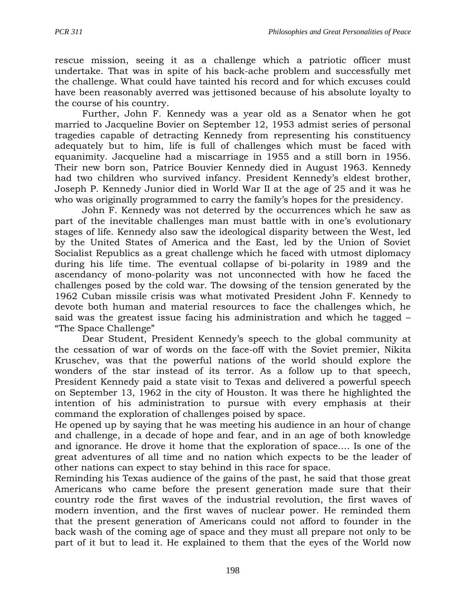rescue mission, seeing it as a challenge which a patriotic officer must undertake. That was in spite of his back-ache problem and successfully met the challenge. What could have tainted his record and for which excuses could have been reasonably averred was jettisoned because of his absolute loyalty to the course of his country.

Further, John F. Kennedy was a year old as a Senator when he got married to Jacqueline Bovier on September 12, 1953 admist series of personal tragedies capable of detracting Kennedy from representing his constituency adequately but to him, life is full of challenges which must be faced with equanimity. Jacqueline had a miscarriage in 1955 and a still born in 1956. Their new born son, Patrice Bouvier Kennedy died in August 1963. Kennedy had two children who survived infancy. President Kennedy's eldest brother, Joseph P. Kennedy Junior died in World War II at the age of 25 and it was he who was originally programmed to carry the family's hopes for the presidency.

John F. Kennedy was not deterred by the occurrences which he saw as part of the inevitable challenges man must battle with in one's evolutionary stages of life. Kennedy also saw the ideological disparity between the West, led by the United States of America and the East, led by the Union of Soviet Socialist Republics as a great challenge which he faced with utmost diplomacy during his life time. The eventual collapse of bi-polarity in 1989 and the ascendancy of mono-polarity was not unconnected with how he faced the challenges posed by the cold war. The dowsing of the tension generated by the 1962 Cuban missile crisis was what motivated President John F. Kennedy to devote both human and material resources to face the challenges which, he said was the greatest issue facing his administration and which he tagged – "The Space Challenge"

Dear Student, President Kennedy's speech to the global community at the cessation of war of words on the face-off with the Soviet premier, Nikita Kruschev, was that the powerful nations of the world should explore the wonders of the star instead of its terror. As a follow up to that speech, President Kennedy paid a state visit to Texas and delivered a powerful speech on September 13, 1962 in the city of Houston. It was there he highlighted the intention of his administration to pursue with every emphasis at their command the exploration of challenges poised by space.

He opened up by saying that he was meeting his audience in an hour of change and challenge, in a decade of hope and fear, and in an age of both knowledge and ignorance. He drove it home that the exploration of space…. Is one of the great adventures of all time and no nation which expects to be the leader of other nations can expect to stay behind in this race for space.

Reminding his Texas audience of the gains of the past, he said that those great Americans who came before the present generation made sure that their country rode the first waves of the industrial revolution, the first waves of modern invention, and the first waves of nuclear power. He reminded them that the present generation of Americans could not afford to founder in the back wash of the coming age of space and they must all prepare not only to be part of it but to lead it. He explained to them that the eyes of the World now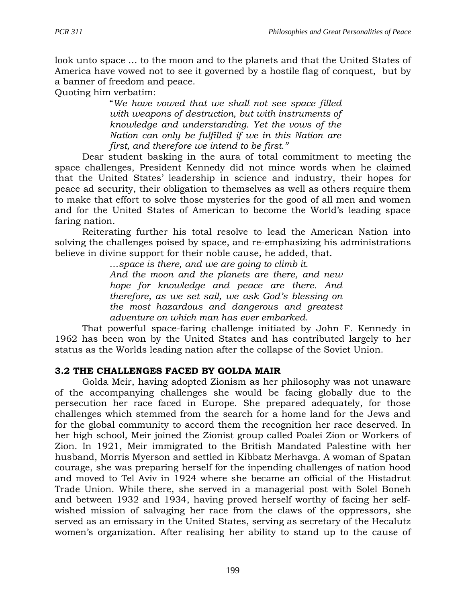look unto space … to the moon and to the planets and that the United States of America have vowed not to see it governed by a hostile flag of conquest, but by a banner of freedom and peace.

Quoting him verbatim:

"*We have vowed that we shall not see space filled with weapons of destruction, but with instruments of knowledge and understanding. Yet the vows of the Nation can only be fulfilled if we in this Nation are first, and therefore we intend to be first."*

Dear student basking in the aura of total commitment to meeting the space challenges, President Kennedy did not mince words when he claimed that the United States' leadership in science and industry, their hopes for peace ad security, their obligation to themselves as well as others require them to make that effort to solve those mysteries for the good of all men and women and for the United States of American to become the World's leading space faring nation.

Reiterating further his total resolve to lead the American Nation into solving the challenges poised by space, and re-emphasizing his administrations believe in divine support for their noble cause, he added, that.

…*space is there, and we are going to climb it. And the moon and the planets are there, and new hope for knowledge and peace are there. And therefore, as we set sail, we ask God's blessing on the most hazardous and dangerous and greatest adventure on which man has ever embarked*.

That powerful space-faring challenge initiated by John F. Kennedy in 1962 has been won by the United States and has contributed largely to her status as the Worlds leading nation after the collapse of the Soviet Union.

## **3.2 THE CHALLENGES FACED BY GOLDA MAIR**

Golda Meir, having adopted Zionism as her philosophy was not unaware of the accompanying challenges she would be facing globally due to the persecution her race faced in Europe. She prepared adequately, for those challenges which stemmed from the search for a home land for the Jews and for the global community to accord them the recognition her race deserved. In her high school, Meir joined the Zionist group called Poalei Zion or Workers of Zion. In 1921, Meir immigrated to the British Mandated Palestine with her husband, Morris Myerson and settled in Kibbatz Merhavga. A woman of Spatan courage, she was preparing herself for the inpending challenges of nation hood and moved to Tel Aviv in 1924 where she became an official of the Histadrut Trade Union. While there, she served in a managerial post with Solel Boneh and between 1932 and 1934, having proved herself worthy of facing her selfwished mission of salvaging her race from the claws of the oppressors, she served as an emissary in the United States, serving as secretary of the Hecalutz women's organization. After realising her ability to stand up to the cause of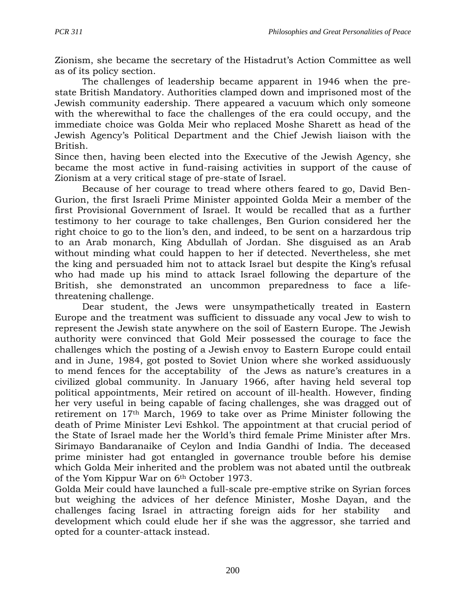Zionism, she became the secretary of the Histadrut's Action Committee as well as of its policy section.

The challenges of leadership became apparent in 1946 when the prestate British Mandatory. Authorities clamped down and imprisoned most of the Jewish community eadership. There appeared a vacuum which only someone with the wherewithal to face the challenges of the era could occupy, and the immediate choice was Golda Meir who replaced Moshe Sharett as head of the Jewish Agency's Political Department and the Chief Jewish liaison with the British.

Since then, having been elected into the Executive of the Jewish Agency, she became the most active in fund-raising activities in support of the cause of Zionism at a very critical stage of pre-state of Israel.

Because of her courage to tread where others feared to go, David Ben-Gurion, the first Israeli Prime Minister appointed Golda Meir a member of the first Provisional Government of Israel. It would be recalled that as a further testimony to her courage to take challenges, Ben Gurion considered her the right choice to go to the lion's den, and indeed, to be sent on a harzardous trip to an Arab monarch, King Abdullah of Jordan. She disguised as an Arab without minding what could happen to her if detected. Nevertheless, she met the king and persuaded him not to attack Israel but despite the King's refusal who had made up his mind to attack Israel following the departure of the British, she demonstrated an uncommon preparedness to face a lifethreatening challenge.

Dear student, the Jews were unsympathetically treated in Eastern Europe and the treatment was sufficient to dissuade any vocal Jew to wish to represent the Jewish state anywhere on the soil of Eastern Europe. The Jewish authority were convinced that Gold Meir possessed the courage to face the challenges which the posting of a Jewish envoy to Eastern Europe could entail and in June, 1984, got posted to Soviet Union where she worked assiduously to mend fences for the acceptability of the Jews as nature's creatures in a civilized global community. In January 1966, after having held several top political appointments, Meir retired on account of ill-health. However, finding her very useful in being capable of facing challenges, she was dragged out of retirement on 17th March, 1969 to take over as Prime Minister following the death of Prime Minister Levi Eshkol. The appointment at that crucial period of the State of Israel made her the World's third female Prime Minister after Mrs. Sirimayo Bandaranaike of Ceylon and India Gandhi of India. The deceased prime minister had got entangled in governance trouble before his demise which Golda Meir inherited and the problem was not abated until the outbreak of the Yom Kippur War on 6th October 1973.

Golda Meir could have launched a full-scale pre-emptive strike on Syrian forces but weighing the advices of her defence Minister, Moshe Dayan, and the challenges facing Israel in attracting foreign aids for her stability and development which could elude her if she was the aggressor, she tarried and opted for a counter-attack instead.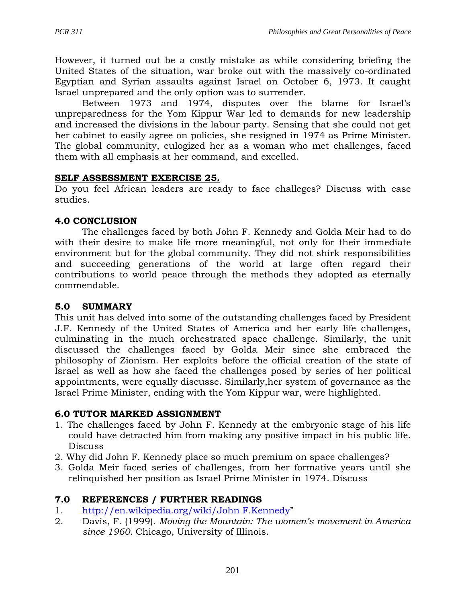However, it turned out be a costly mistake as while considering briefing the United States of the situation, war broke out with the massively co-ordinated Egyptian and Syrian assaults against Israel on October 6, 1973. It caught Israel unprepared and the only option was to surrender.

Between 1973 and 1974, disputes over the blame for Israel's unpreparedness for the Yom Kippur War led to demands for new leadership and increased the divisions in the labour party. Sensing that she could not get her cabinet to easily agree on policies, she resigned in 1974 as Prime Minister. The global community, eulogized her as a woman who met challenges, faced them with all emphasis at her command, and excelled.

## **SELF ASSESSMENT EXERCISE 25.**

Do you feel African leaders are ready to face challeges? Discuss with case studies.

## **4.0 CONCLUSION**

The challenges faced by both John F. Kennedy and Golda Meir had to do with their desire to make life more meaningful, not only for their immediate environment but for the global community. They did not shirk responsibilities and succeeding generations of the world at large often regard their contributions to world peace through the methods they adopted as eternally commendable.

## **5.0 SUMMARY**

This unit has delved into some of the outstanding challenges faced by President J.F. Kennedy of the United States of America and her early life challenges, culminating in the much orchestrated space challenge. Similarly, the unit discussed the challenges faced by Golda Meir since she embraced the philosophy of Zionism. Her exploits before the official creation of the state of Israel as well as how she faced the challenges posed by series of her political appointments, were equally discusse. Similarly,her system of governance as the Israel Prime Minister, ending with the Yom Kippur war, were highlighted.

## **6.0 TUTOR MARKED ASSIGNMENT**

- 1. The challenges faced by John F. Kennedy at the embryonic stage of his life could have detracted him from making any positive impact in his public life. Discuss
- 2. Why did John F. Kennedy place so much premium on space challenges?
- 3. Golda Meir faced series of challenges, from her formative years until she relinquished her position as Israel Prime Minister in 1974. Discuss

## **7.0 REFERENCES / FURTHER READINGS**

- 1. [http://en.wikipedia.org/wiki/John F.Kennedy"](http://en.wikipedia.org/wiki/John%20F.Kennedy)
- 2. Davis, F. (1999). *Moving the Mountain: The women's movement in America since 1960.* Chicago, University of Illinois.